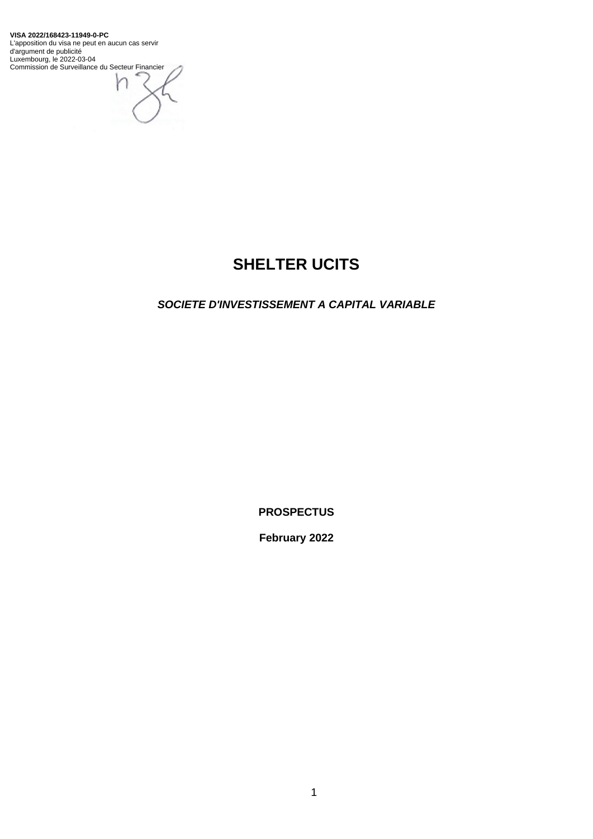**VISA 2022/168423-11949-0-PC** L'apposition du visa ne peut en aucun cas servir d'argument de publicité Luxembourg, le 2022-03-04 Commission de Surveillance du Secteur Financier

ł

# **SHELTER UCITS**

*SOCIETE D'INVESTISSEMENT A CAPITAL VARIABLE* 

**PROSPECTUS**

**February 2022**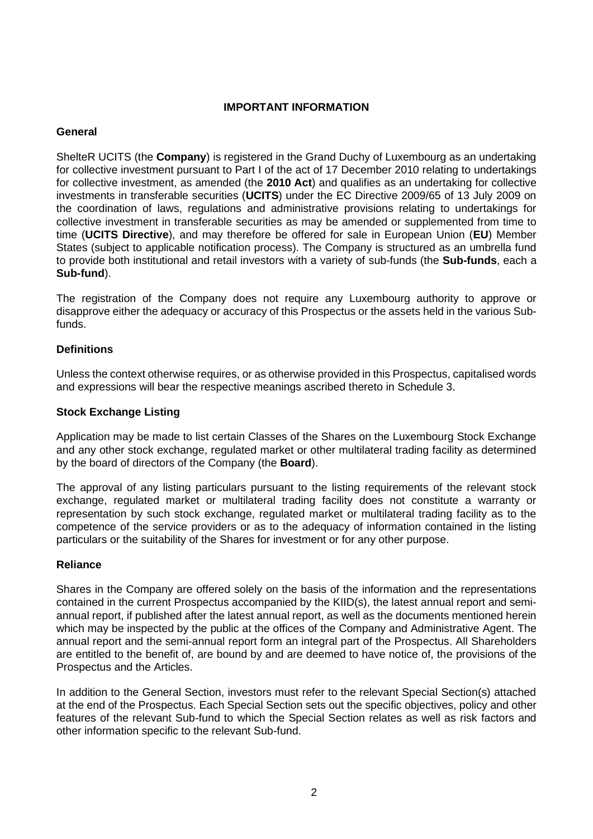### **IMPORTANT INFORMATION**

### **General**

ShelteR UCITS (the **Company**) is registered in the Grand Duchy of Luxembourg as an undertaking for collective investment pursuant to Part I of the act of 17 December 2010 relating to undertakings for collective investment, as amended (the **2010 Act**) and qualifies as an undertaking for collective investments in transferable securities (**UCITS**) under the EC Directive 2009/65 of 13 July 2009 on the coordination of laws, regulations and administrative provisions relating to undertakings for collective investment in transferable securities as may be amended or supplemented from time to time (**UCITS Directive**), and may therefore be offered for sale in European Union (**EU**) Member States (subject to applicable notification process). The Company is structured as an umbrella fund to provide both institutional and retail investors with a variety of sub-funds (the **Sub-funds**, each a **Sub-fund**).

The registration of the Company does not require any Luxembourg authority to approve or disapprove either the adequacy or accuracy of this Prospectus or the assets held in the various Subfunds.

### **Definitions**

Unless the context otherwise requires, or as otherwise provided in this Prospectus, capitalised words and expressions will bear the respective meanings ascribed thereto in [Schedule 3.](#page-135-0)

#### **Stock Exchange Listing**

Application may be made to list certain Classes of the Shares on the Luxembourg Stock Exchange and any other stock exchange, regulated market or other multilateral trading facility as determined by the board of directors of the Company (the **Board**).

The approval of any listing particulars pursuant to the listing requirements of the relevant stock exchange, regulated market or multilateral trading facility does not constitute a warranty or representation by such stock exchange, regulated market or multilateral trading facility as to the competence of the service providers or as to the adequacy of information contained in the listing particulars or the suitability of the Shares for investment or for any other purpose.

#### **Reliance**

Shares in the Company are offered solely on the basis of the information and the representations contained in the current Prospectus accompanied by the KIID(s), the latest annual report and semiannual report, if published after the latest annual report, as well as the documents mentioned herein which may be inspected by the public at the offices of the Company and Administrative Agent. The annual report and the semi-annual report form an integral part of the Prospectus. All Shareholders are entitled to the benefit of, are bound by and are deemed to have notice of, the provisions of the Prospectus and the Articles.

In addition to the General Section, investors must refer to the relevant Special Section(s) attached at the end of the Prospectus. Each Special Section sets out the specific objectives, policy and other features of the relevant Sub-fund to which the Special Section relates as well as risk factors and other information specific to the relevant Sub-fund.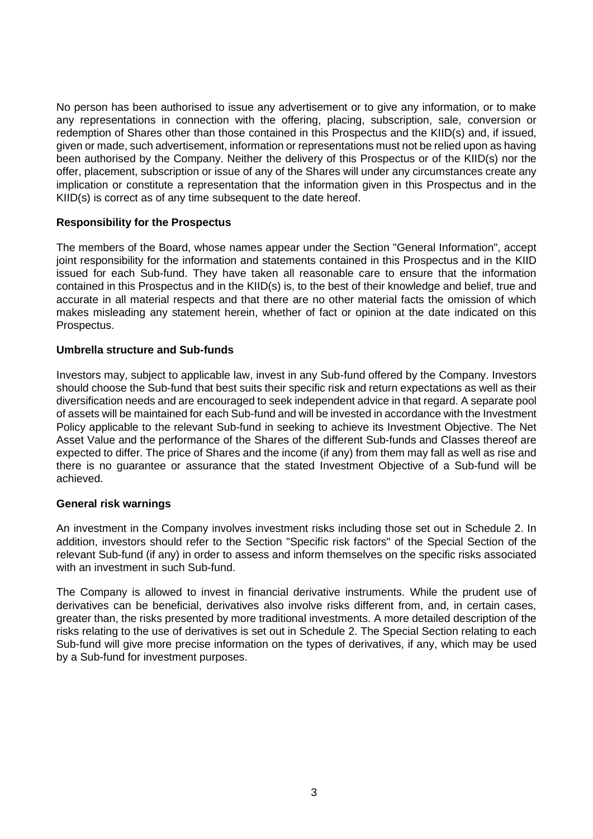No person has been authorised to issue any advertisement or to give any information, or to make any representations in connection with the offering, placing, subscription, sale, conversion or redemption of Shares other than those contained in this Prospectus and the KIID(s) and, if issued, given or made, such advertisement, information or representations must not be relied upon as having been authorised by the Company. Neither the delivery of this Prospectus or of the KIID(s) nor the offer, placement, subscription or issue of any of the Shares will under any circumstances create any implication or constitute a representation that the information given in this Prospectus and in the KIID(s) is correct as of any time subsequent to the date hereof.

### **Responsibility for the Prospectus**

The members of the Board, whose names appear under the Section "General Information", accept joint responsibility for the information and statements contained in this Prospectus and in the KIID issued for each Sub-fund. They have taken all reasonable care to ensure that the information contained in this Prospectus and in the KIID(s) is, to the best of their knowledge and belief, true and accurate in all material respects and that there are no other material facts the omission of which makes misleading any statement herein, whether of fact or opinion at the date indicated on this Prospectus.

### **Umbrella structure and Sub-funds**

Investors may, subject to applicable law, invest in any Sub-fund offered by the Company. Investors should choose the Sub-fund that best suits their specific risk and return expectations as well as their diversification needs and are encouraged to seek independent advice in that regard. A separate pool of assets will be maintained for each Sub-fund and will be invested in accordance with the Investment Policy applicable to the relevant Sub-fund in seeking to achieve its Investment Objective. The Net Asset Value and the performance of the Shares of the different Sub-funds and Classes thereof are expected to differ. The price of Shares and the income (if any) from them may fall as well as rise and there is no guarantee or assurance that the stated Investment Objective of a Sub-fund will be achieved.

### **General risk warnings**

An investment in the Company involves investment risks including those set out in [Schedule 2.](#page-113-0) In addition, investors should refer to the Section "Specific risk factors" of the Special Section of the relevant Sub-fund (if any) in order to assess and inform themselves on the specific risks associated with an investment in such Sub-fund.

The Company is allowed to invest in financial derivative instruments. While the prudent use of derivatives can be beneficial, derivatives also involve risks different from, and, in certain cases, greater than, the risks presented by more traditional investments. A more detailed description of the risks relating to the use of derivatives is set out in [Schedule 2.](#page-113-0) The Special Section relating to each Sub-fund will give more precise information on the types of derivatives, if any, which may be used by a Sub-fund for investment purposes.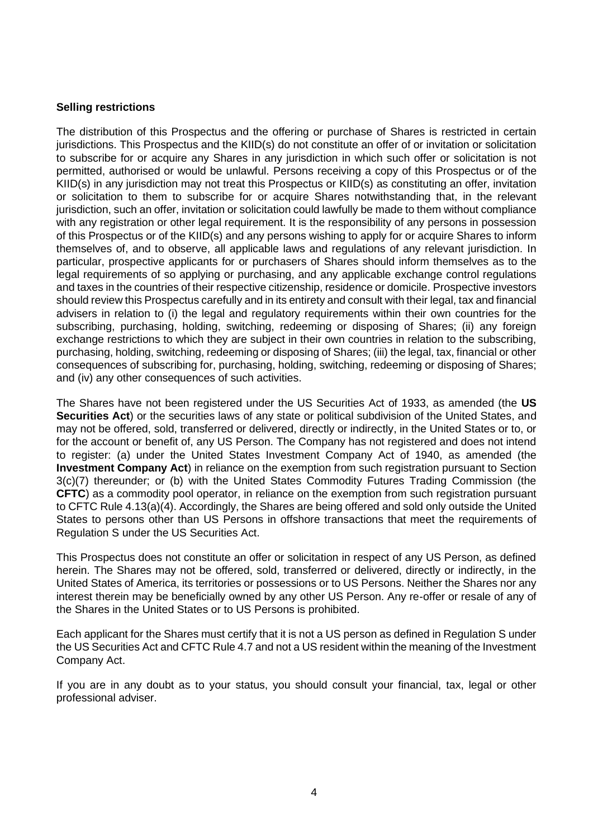### **Selling restrictions**

The distribution of this Prospectus and the offering or purchase of Shares is restricted in certain jurisdictions. This Prospectus and the KIID(s) do not constitute an offer of or invitation or solicitation to subscribe for or acquire any Shares in any jurisdiction in which such offer or solicitation is not permitted, authorised or would be unlawful. Persons receiving a copy of this Prospectus or of the KIID(s) in any jurisdiction may not treat this Prospectus or KIID(s) as constituting an offer, invitation or solicitation to them to subscribe for or acquire Shares notwithstanding that, in the relevant jurisdiction, such an offer, invitation or solicitation could lawfully be made to them without compliance with any registration or other legal requirement. It is the responsibility of any persons in possession of this Prospectus or of the KIID(s) and any persons wishing to apply for or acquire Shares to inform themselves of, and to observe, all applicable laws and regulations of any relevant jurisdiction. In particular, prospective applicants for or purchasers of Shares should inform themselves as to the legal requirements of so applying or purchasing, and any applicable exchange control regulations and taxes in the countries of their respective citizenship, residence or domicile. Prospective investors should review this Prospectus carefully and in its entirety and consult with their legal, tax and financial advisers in relation to (i) the legal and regulatory requirements within their own countries for the subscribing, purchasing, holding, switching, redeeming or disposing of Shares; (ii) any foreign exchange restrictions to which they are subject in their own countries in relation to the subscribing, purchasing, holding, switching, redeeming or disposing of Shares; (iii) the legal, tax, financial or other consequences of subscribing for, purchasing, holding, switching, redeeming or disposing of Shares; and (iv) any other consequences of such activities.

The Shares have not been registered under the US Securities Act of 1933, as amended (the **US Securities Act**) or the securities laws of any state or political subdivision of the United States, and may not be offered, sold, transferred or delivered, directly or indirectly, in the United States or to, or for the account or benefit of, any US Person. The Company has not registered and does not intend to register: (a) under the United States Investment Company Act of 1940, as amended (the **Investment Company Act**) in reliance on the exemption from such registration pursuant to Section 3(c)(7) thereunder; or (b) with the United States Commodity Futures Trading Commission (the **CFTC**) as a commodity pool operator, in reliance on the exemption from such registration pursuant to CFTC Rule 4.13(a)(4). Accordingly, the Shares are being offered and sold only outside the United States to persons other than US Persons in offshore transactions that meet the requirements of Regulation S under the US Securities Act.

This Prospectus does not constitute an offer or solicitation in respect of any US Person, as defined herein. The Shares may not be offered, sold, transferred or delivered, directly or indirectly, in the United States of America, its territories or possessions or to US Persons. Neither the Shares nor any interest therein may be beneficially owned by any other US Person. Any re-offer or resale of any of the Shares in the United States or to US Persons is prohibited.

Each applicant for the Shares must certify that it is not a US person as defined in Regulation S under the US Securities Act and CFTC Rule 4.7 and not a US resident within the meaning of the Investment Company Act.

If you are in any doubt as to your status, you should consult your financial, tax, legal or other professional adviser.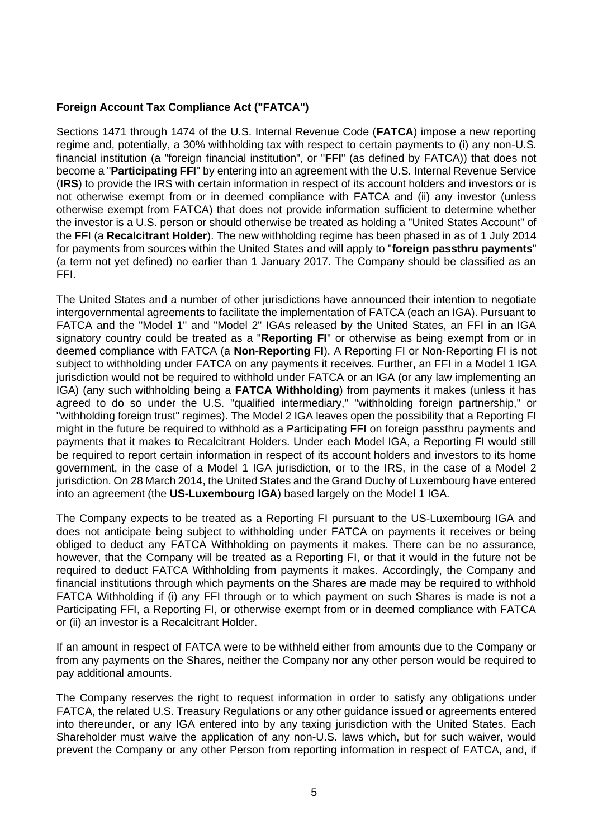### **Foreign Account Tax Compliance Act ("FATCA")**

Sections 1471 through 1474 of the U.S. Internal Revenue Code (**FATCA**) impose a new reporting regime and, potentially, a 30% withholding tax with respect to certain payments to (i) any non-U.S. financial institution (a "foreign financial institution", or "**FFI**" (as defined by FATCA)) that does not become a "**Participating FFI**" by entering into an agreement with the U.S. Internal Revenue Service (**IRS**) to provide the IRS with certain information in respect of its account holders and investors or is not otherwise exempt from or in deemed compliance with FATCA and (ii) any investor (unless otherwise exempt from FATCA) that does not provide information sufficient to determine whether the investor is a U.S. person or should otherwise be treated as holding a "United States Account" of the FFI (a **Recalcitrant Holder**). The new withholding regime has been phased in as of 1 July 2014 for payments from sources within the United States and will apply to "**foreign passthru payments**" (a term not yet defined) no earlier than 1 January 2017. The Company should be classified as an FFI.

The United States and a number of other jurisdictions have announced their intention to negotiate intergovernmental agreements to facilitate the implementation of FATCA (each an IGA). Pursuant to FATCA and the "Model 1" and "Model 2" IGAs released by the United States, an FFI in an IGA signatory country could be treated as a "**Reporting FI**" or otherwise as being exempt from or in deemed compliance with FATCA (a **Non-Reporting FI**). A Reporting FI or Non-Reporting FI is not subject to withholding under FATCA on any payments it receives. Further, an FFI in a Model 1 IGA jurisdiction would not be required to withhold under FATCA or an IGA (or any law implementing an IGA) (any such withholding being a **FATCA Withholding**) from payments it makes (unless it has agreed to do so under the U.S. "qualified intermediary," "withholding foreign partnership," or "withholding foreign trust" regimes). The Model 2 IGA leaves open the possibility that a Reporting FI might in the future be required to withhold as a Participating FFI on foreign passthru payments and payments that it makes to Recalcitrant Holders. Under each Model IGA, a Reporting FI would still be required to report certain information in respect of its account holders and investors to its home government, in the case of a Model 1 IGA jurisdiction, or to the IRS, in the case of a Model 2 jurisdiction. On 28 March 2014, the United States and the Grand Duchy of Luxembourg have entered into an agreement (the **US-Luxembourg IGA**) based largely on the Model 1 IGA.

The Company expects to be treated as a Reporting FI pursuant to the US-Luxembourg IGA and does not anticipate being subject to withholding under FATCA on payments it receives or being obliged to deduct any FATCA Withholding on payments it makes. There can be no assurance, however, that the Company will be treated as a Reporting FI, or that it would in the future not be required to deduct FATCA Withholding from payments it makes. Accordingly, the Company and financial institutions through which payments on the Shares are made may be required to withhold FATCA Withholding if (i) any FFI through or to which payment on such Shares is made is not a Participating FFI, a Reporting FI, or otherwise exempt from or in deemed compliance with FATCA or (ii) an investor is a Recalcitrant Holder.

If an amount in respect of FATCA were to be withheld either from amounts due to the Company or from any payments on the Shares, neither the Company nor any other person would be required to pay additional amounts.

The Company reserves the right to request information in order to satisfy any obligations under FATCA, the related U.S. Treasury Regulations or any other guidance issued or agreements entered into thereunder, or any IGA entered into by any taxing jurisdiction with the United States. Each Shareholder must waive the application of any non-U.S. laws which, but for such waiver, would prevent the Company or any other Person from reporting information in respect of FATCA, and, if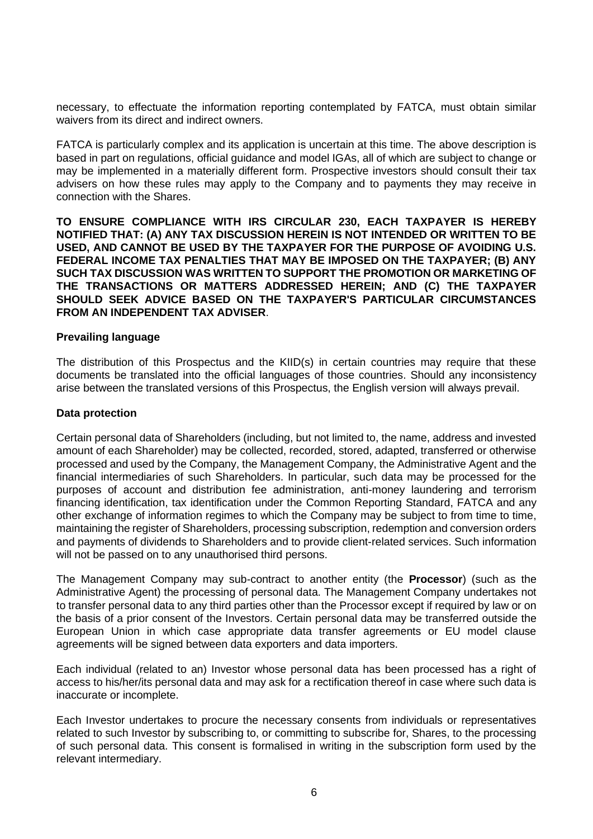necessary, to effectuate the information reporting contemplated by FATCA, must obtain similar waivers from its direct and indirect owners.

FATCA is particularly complex and its application is uncertain at this time. The above description is based in part on regulations, official guidance and model IGAs, all of which are subject to change or may be implemented in a materially different form. Prospective investors should consult their tax advisers on how these rules may apply to the Company and to payments they may receive in connection with the Shares.

**TO ENSURE COMPLIANCE WITH IRS CIRCULAR 230, EACH TAXPAYER IS HEREBY NOTIFIED THAT: (A) ANY TAX DISCUSSION HEREIN IS NOT INTENDED OR WRITTEN TO BE USED, AND CANNOT BE USED BY THE TAXPAYER FOR THE PURPOSE OF AVOIDING U.S. FEDERAL INCOME TAX PENALTIES THAT MAY BE IMPOSED ON THE TAXPAYER; (B) ANY SUCH TAX DISCUSSION WAS WRITTEN TO SUPPORT THE PROMOTION OR MARKETING OF THE TRANSACTIONS OR MATTERS ADDRESSED HEREIN; AND (C) THE TAXPAYER SHOULD SEEK ADVICE BASED ON THE TAXPAYER'S PARTICULAR CIRCUMSTANCES FROM AN INDEPENDENT TAX ADVISER**.

### **Prevailing language**

The distribution of this Prospectus and the KIID(s) in certain countries may require that these documents be translated into the official languages of those countries. Should any inconsistency arise between the translated versions of this Prospectus, the English version will always prevail.

#### **Data protection**

Certain personal data of Shareholders (including, but not limited to, the name, address and invested amount of each Shareholder) may be collected, recorded, stored, adapted, transferred or otherwise processed and used by the Company, the Management Company, the Administrative Agent and the financial intermediaries of such Shareholders. In particular, such data may be processed for the purposes of account and distribution fee administration, anti-money laundering and terrorism financing identification, tax identification under the Common Reporting Standard, FATCA and any other exchange of information regimes to which the Company may be subject to from time to time, maintaining the register of Shareholders, processing subscription, redemption and conversion orders and payments of dividends to Shareholders and to provide client-related services. Such information will not be passed on to any unauthorised third persons.

The Management Company may sub-contract to another entity (the **Processor**) (such as the Administrative Agent) the processing of personal data. The Management Company undertakes not to transfer personal data to any third parties other than the Processor except if required by law or on the basis of a prior consent of the Investors. Certain personal data may be transferred outside the European Union in which case appropriate data transfer agreements or EU model clause agreements will be signed between data exporters and data importers.

Each individual (related to an) Investor whose personal data has been processed has a right of access to his/her/its personal data and may ask for a rectification thereof in case where such data is inaccurate or incomplete.

Each Investor undertakes to procure the necessary consents from individuals or representatives related to such Investor by subscribing to, or committing to subscribe for, Shares, to the processing of such personal data. This consent is formalised in writing in the subscription form used by the relevant intermediary.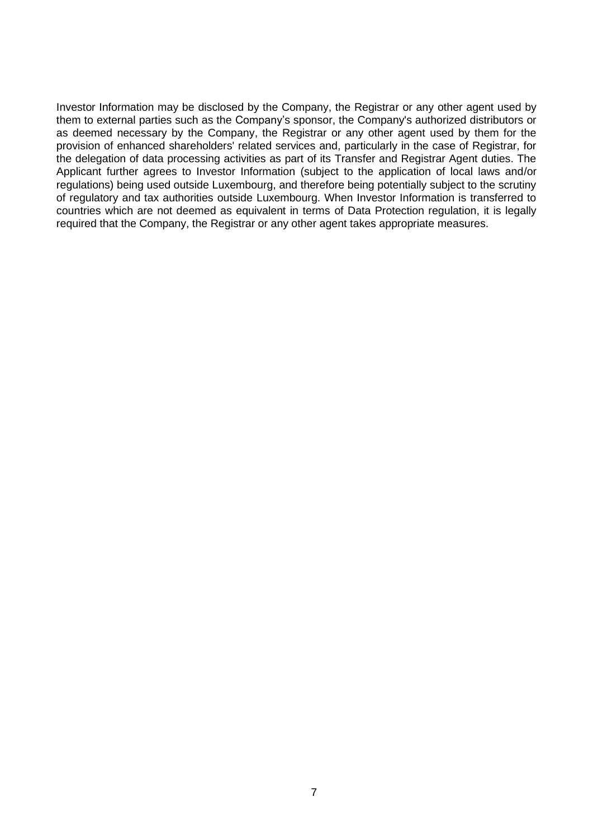Investor Information may be disclosed by the Company, the Registrar or any other agent used by them to external parties such as the Company's sponsor, the Company's authorized distributors or as deemed necessary by the Company, the Registrar or any other agent used by them for the provision of enhanced shareholders' related services and, particularly in the case of Registrar, for the delegation of data processing activities as part of its Transfer and Registrar Agent duties. The Applicant further agrees to Investor Information (subject to the application of local laws and/or regulations) being used outside Luxembourg, and therefore being potentially subject to the scrutiny of regulatory and tax authorities outside Luxembourg. When Investor Information is transferred to countries which are not deemed as equivalent in terms of Data Protection regulation, it is legally required that the Company, the Registrar or any other agent takes appropriate measures.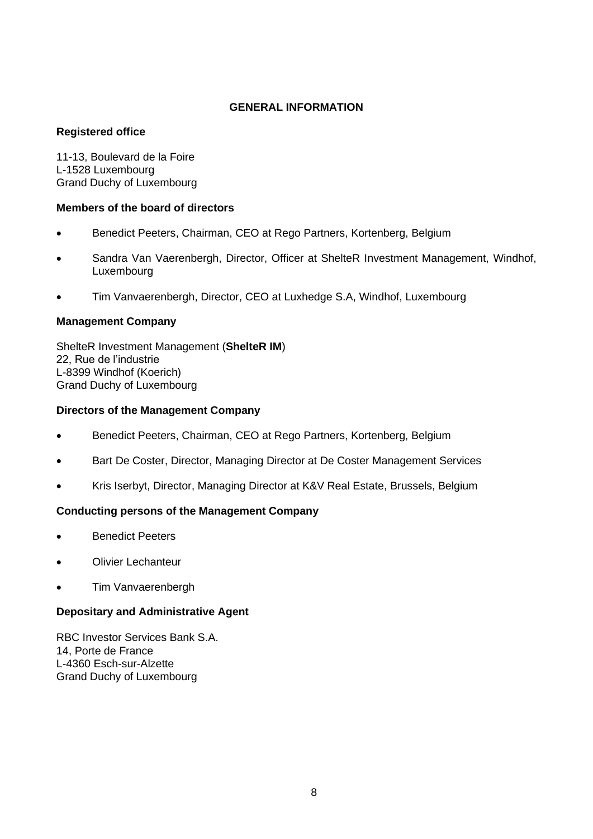### **GENERAL INFORMATION**

### **Registered office**

11-13, Boulevard de la Foire L-1528 Luxembourg Grand Duchy of Luxembourg

### **Members of the board of directors**

- Benedict Peeters, Chairman, CEO at Rego Partners, Kortenberg, Belgium
- Sandra Van Vaerenbergh, Director, Officer at ShelteR Investment Management, Windhof, Luxembourg
- Tim Vanvaerenbergh, Director, CEO at Luxhedge S.A, Windhof, Luxembourg

### **Management Company**

ShelteR Investment Management (**ShelteR IM**) 22, Rue de l'industrie L-8399 Windhof (Koerich) Grand Duchy of Luxembourg

### **Directors of the Management Company**

- Benedict Peeters, Chairman, CEO at Rego Partners, Kortenberg, Belgium
- Bart De Coster, Director, Managing Director at De Coster Management Services
- Kris Iserbyt, Director, Managing Director at K&V Real Estate, Brussels, Belgium

### **Conducting persons of the Management Company**

- Benedict Peeters
- Olivier Lechanteur
- Tim Vanvaerenbergh

### **Depositary and Administrative Agent**

RBC Investor Services Bank S.A. 14, Porte de France L-4360 Esch-sur-Alzette Grand Duchy of Luxembourg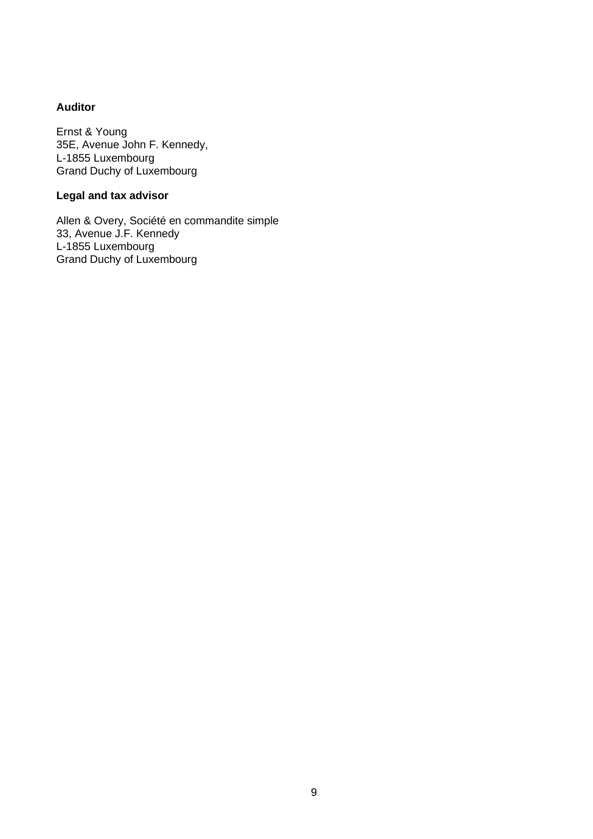## **Auditor**

Ernst & Young 35E, Avenue John F. Kennedy, L-1855 Luxembourg Grand Duchy of Luxembourg

# **Legal and tax advisor**

Allen & Overy, Société en commandite simple 33, Avenue J.F. Kennedy L-1855 Luxembourg Grand Duchy of Luxembourg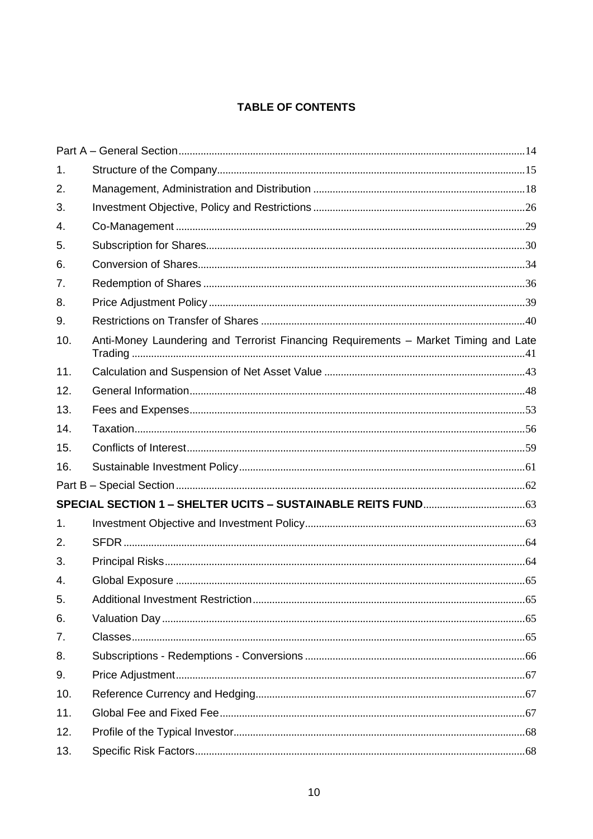# **TABLE OF CONTENTS**

| 1.  |                                                                                     |  |
|-----|-------------------------------------------------------------------------------------|--|
| 2.  |                                                                                     |  |
| 3.  |                                                                                     |  |
| 4.  |                                                                                     |  |
| 5.  |                                                                                     |  |
| 6.  |                                                                                     |  |
| 7.  |                                                                                     |  |
| 8.  |                                                                                     |  |
| 9.  |                                                                                     |  |
| 10. | Anti-Money Laundering and Terrorist Financing Requirements - Market Timing and Late |  |
| 11. |                                                                                     |  |
| 12. |                                                                                     |  |
| 13. |                                                                                     |  |
| 14. |                                                                                     |  |
| 15. |                                                                                     |  |
| 16. |                                                                                     |  |
|     |                                                                                     |  |
|     |                                                                                     |  |
| 1.  |                                                                                     |  |
| 2.  |                                                                                     |  |
| 3.  |                                                                                     |  |
| 4.  |                                                                                     |  |
| 5.  |                                                                                     |  |
| 6.  |                                                                                     |  |
| 7.  |                                                                                     |  |
| 8.  |                                                                                     |  |
| 9.  |                                                                                     |  |
| 10. |                                                                                     |  |
| 11. |                                                                                     |  |
| 12. |                                                                                     |  |
| 13. |                                                                                     |  |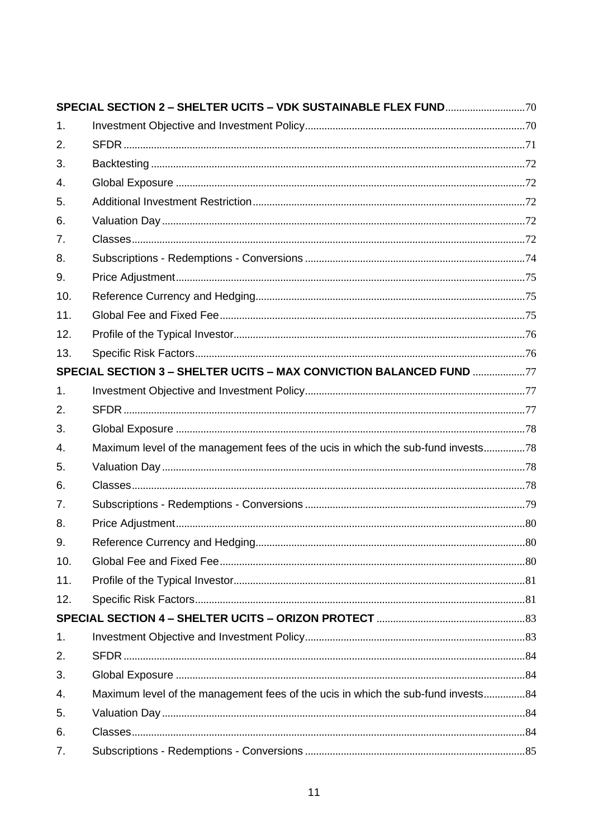| 1.             |                                                                                  |  |
|----------------|----------------------------------------------------------------------------------|--|
| 2.             |                                                                                  |  |
| 3.             |                                                                                  |  |
| 4.             |                                                                                  |  |
| 5.             |                                                                                  |  |
| 6.             |                                                                                  |  |
| 7.             |                                                                                  |  |
| 8.             |                                                                                  |  |
| 9.             |                                                                                  |  |
| 10.            |                                                                                  |  |
| 11.            |                                                                                  |  |
| 12.            |                                                                                  |  |
| 13.            |                                                                                  |  |
|                | SPECIAL SECTION 3 - SHELTER UCITS - MAX CONVICTION BALANCED FUND 77              |  |
| 1 <sub>1</sub> |                                                                                  |  |
| 2.             |                                                                                  |  |
| 3.             |                                                                                  |  |
| 4.             | Maximum level of the management fees of the ucis in which the sub-fund invests78 |  |
| 5.             |                                                                                  |  |
| 6.             |                                                                                  |  |
| 7.             |                                                                                  |  |
| 8.             |                                                                                  |  |
| 9.             |                                                                                  |  |
| 10.            |                                                                                  |  |
| 11.            |                                                                                  |  |
| 12.            |                                                                                  |  |
|                |                                                                                  |  |
| 1.             |                                                                                  |  |
| 2.             |                                                                                  |  |
| 3.             |                                                                                  |  |
| 4.             | Maximum level of the management fees of the ucis in which the sub-fund invests84 |  |
| 5.             |                                                                                  |  |
| 6.             |                                                                                  |  |
| 7.             |                                                                                  |  |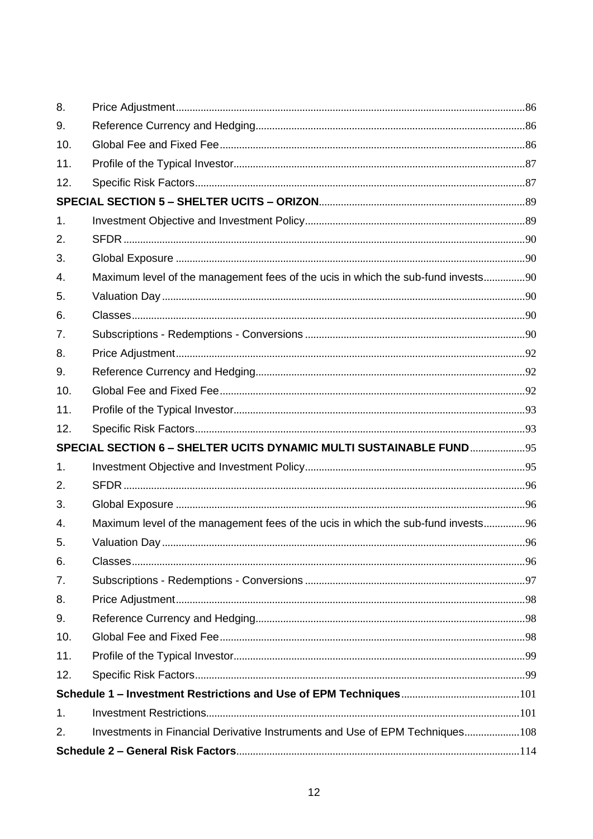| 8.  |                                                                                  |  |
|-----|----------------------------------------------------------------------------------|--|
| 9.  |                                                                                  |  |
| 10. |                                                                                  |  |
| 11. |                                                                                  |  |
| 12. |                                                                                  |  |
|     |                                                                                  |  |
| 1.  |                                                                                  |  |
| 2.  |                                                                                  |  |
| 3.  |                                                                                  |  |
| 4.  | Maximum level of the management fees of the ucis in which the sub-fund invests90 |  |
| 5.  |                                                                                  |  |
| 6.  |                                                                                  |  |
| 7.  |                                                                                  |  |
| 8.  |                                                                                  |  |
| 9.  |                                                                                  |  |
| 10. |                                                                                  |  |
| 11. |                                                                                  |  |
| 12. |                                                                                  |  |
|     | SPECIAL SECTION 6 - SHELTER UCITS DYNAMIC MULTI SUSTAINABLE FUND 95              |  |
| 1.  |                                                                                  |  |
| 2.  |                                                                                  |  |
| 3.  |                                                                                  |  |
| 4.  | Maximum level of the management fees of the ucis in which the sub-fund invests96 |  |
| 5.  |                                                                                  |  |
| 6.  |                                                                                  |  |
| 7.  |                                                                                  |  |
| 8.  |                                                                                  |  |
| 9.  |                                                                                  |  |
| 10. |                                                                                  |  |
| 11. |                                                                                  |  |
| 12. |                                                                                  |  |
|     |                                                                                  |  |
| 1.  |                                                                                  |  |
| 2.  | Investments in Financial Derivative Instruments and Use of EPM Techniques108     |  |
|     |                                                                                  |  |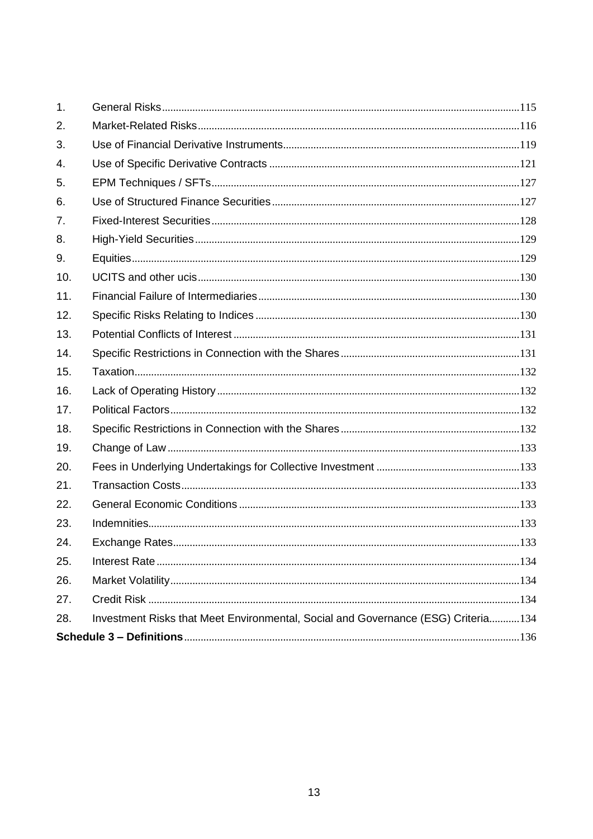| 1.  |                                                                                   |  |
|-----|-----------------------------------------------------------------------------------|--|
| 2.  |                                                                                   |  |
| 3.  |                                                                                   |  |
| 4.  |                                                                                   |  |
| 5.  |                                                                                   |  |
| 6.  |                                                                                   |  |
| 7.  |                                                                                   |  |
| 8.  |                                                                                   |  |
| 9.  |                                                                                   |  |
| 10. |                                                                                   |  |
| 11. |                                                                                   |  |
| 12. |                                                                                   |  |
| 13. |                                                                                   |  |
| 14. |                                                                                   |  |
| 15. |                                                                                   |  |
| 16. |                                                                                   |  |
| 17. |                                                                                   |  |
| 18. |                                                                                   |  |
| 19. |                                                                                   |  |
| 20. |                                                                                   |  |
| 21. |                                                                                   |  |
| 22. |                                                                                   |  |
| 23. |                                                                                   |  |
| 24. |                                                                                   |  |
| 25. |                                                                                   |  |
| 26. |                                                                                   |  |
| 27. |                                                                                   |  |
| 28. | Investment Risks that Meet Environmental, Social and Governance (ESG) Criteria134 |  |
|     |                                                                                   |  |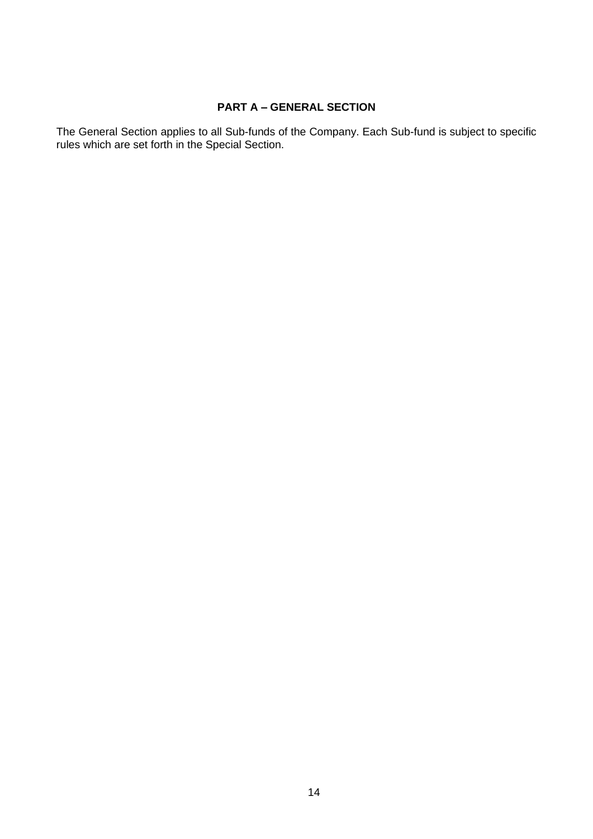# **PART A – GENERAL SECTION**

<span id="page-13-0"></span>The General Section applies to all Sub-funds of the Company. Each Sub-fund is subject to specific rules which are set forth in the Special Section.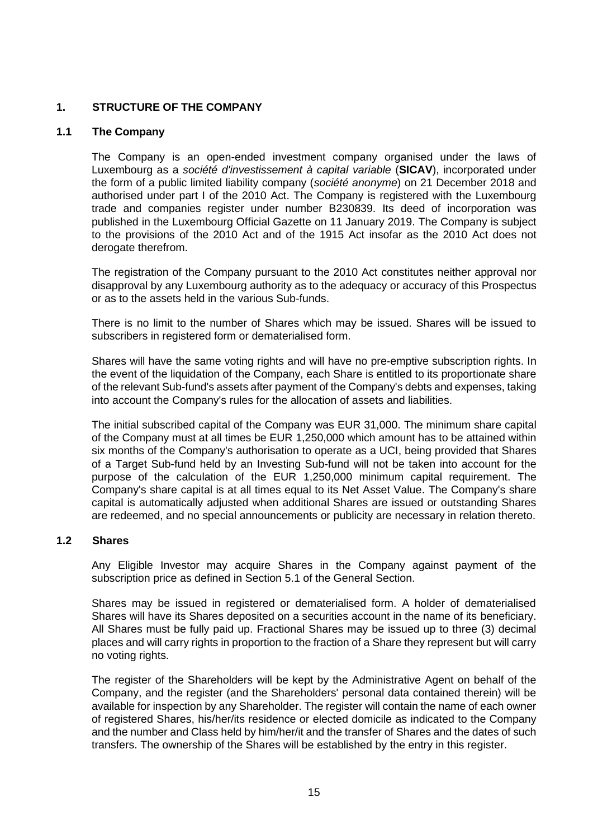### <span id="page-14-0"></span>**1. STRUCTURE OF THE COMPANY**

### **1.1 The Company**

The Company is an open-ended investment company organised under the laws of Luxembourg as a *société d'investissement à capital variable* (**SICAV**), incorporated under the form of a public limited liability company (*société anonyme*) on 21 December 2018 and authorised under part I of the 2010 Act. The Company is registered with the Luxembourg trade and companies register under number B230839. Its deed of incorporation was published in the Luxembourg Official Gazette on 11 January 2019. The Company is subject to the provisions of the 2010 Act and of the 1915 Act insofar as the 2010 Act does not derogate therefrom.

The registration of the Company pursuant to the 2010 Act constitutes neither approval nor disapproval by any Luxembourg authority as to the adequacy or accuracy of this Prospectus or as to the assets held in the various Sub-funds.

There is no limit to the number of Shares which may be issued. Shares will be issued to subscribers in registered form or dematerialised form.

Shares will have the same voting rights and will have no pre-emptive subscription rights. In the event of the liquidation of the Company, each Share is entitled to its proportionate share of the relevant Sub-fund's assets after payment of the Company's debts and expenses, taking into account the Company's rules for the allocation of assets and liabilities.

The initial subscribed capital of the Company was EUR 31,000. The minimum share capital of the Company must at all times be EUR 1,250,000 which amount has to be attained within six months of the Company's authorisation to operate as a UCI, being provided that Shares of a Target Sub-fund held by an Investing Sub-fund will not be taken into account for the purpose of the calculation of the EUR 1,250,000 minimum capital requirement. The Company's share capital is at all times equal to its Net Asset Value. The Company's share capital is automatically adjusted when additional Shares are issued or outstanding Shares are redeemed, and no special announcements or publicity are necessary in relation thereto.

### **1.2 Shares**

Any Eligible Investor may acquire Shares in the Company against payment of the subscription price as defined in Section [5.1](#page-29-1) of the General Section.

Shares may be issued in registered or dematerialised form. A holder of dematerialised Shares will have its Shares deposited on a securities account in the name of its beneficiary. All Shares must be fully paid up. Fractional Shares may be issued up to three (3) decimal places and will carry rights in proportion to the fraction of a Share they represent but will carry no voting rights.

The register of the Shareholders will be kept by the Administrative Agent on behalf of the Company, and the register (and the Shareholders' personal data contained therein) will be available for inspection by any Shareholder. The register will contain the name of each owner of registered Shares, his/her/its residence or elected domicile as indicated to the Company and the number and Class held by him/her/it and the transfer of Shares and the dates of such transfers. The ownership of the Shares will be established by the entry in this register.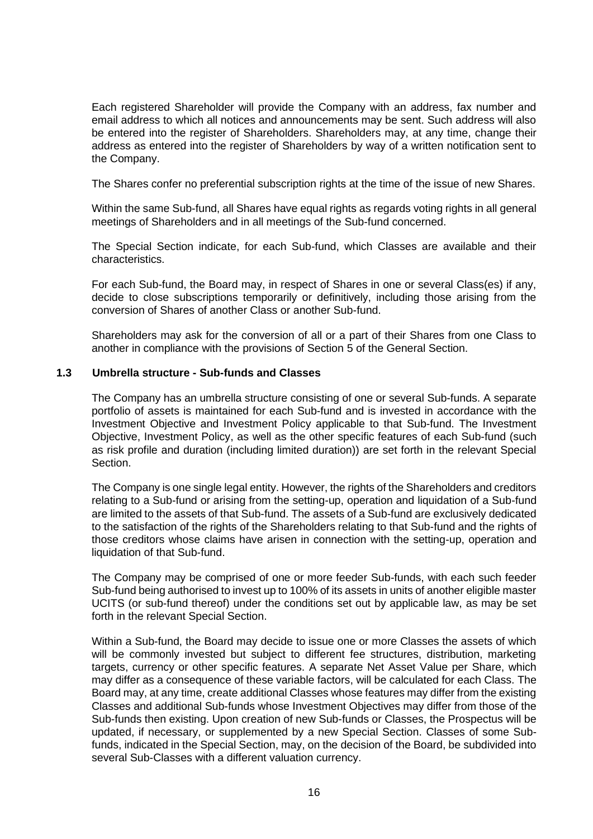Each registered Shareholder will provide the Company with an address, fax number and email address to which all notices and announcements may be sent. Such address will also be entered into the register of Shareholders. Shareholders may, at any time, change their address as entered into the register of Shareholders by way of a written notification sent to the Company.

The Shares confer no preferential subscription rights at the time of the issue of new Shares.

Within the same Sub-fund, all Shares have equal rights as regards voting rights in all general meetings of Shareholders and in all meetings of the Sub-fund concerned.

The Special Section indicate, for each Sub-fund, which Classes are available and their characteristics.

For each Sub-fund, the Board may, in respect of Shares in one or several Class(es) if any, decide to close subscriptions temporarily or definitively, including those arising from the conversion of Shares of another Class or another Sub-fund.

Shareholders may ask for the conversion of all or a part of their Shares from one Class to another in compliance with the provisions of Section [5](#page-29-0) of the General Section.

#### **1.3 Umbrella structure - Sub-funds and Classes**

The Company has an umbrella structure consisting of one or several Sub-funds. A separate portfolio of assets is maintained for each Sub-fund and is invested in accordance with the Investment Objective and Investment Policy applicable to that Sub-fund. The Investment Objective, Investment Policy, as well as the other specific features of each Sub-fund (such as risk profile and duration (including limited duration)) are set forth in the relevant Special Section.

The Company is one single legal entity. However, the rights of the Shareholders and creditors relating to a Sub-fund or arising from the setting-up, operation and liquidation of a Sub-fund are limited to the assets of that Sub-fund. The assets of a Sub-fund are exclusively dedicated to the satisfaction of the rights of the Shareholders relating to that Sub-fund and the rights of those creditors whose claims have arisen in connection with the setting-up, operation and liquidation of that Sub-fund.

The Company may be comprised of one or more feeder Sub-funds, with each such feeder Sub-fund being authorised to invest up to 100% of its assets in units of another eligible master UCITS (or sub-fund thereof) under the conditions set out by applicable law, as may be set forth in the relevant Special Section.

Within a Sub-fund, the Board may decide to issue one or more Classes the assets of which will be commonly invested but subject to different fee structures, distribution, marketing targets, currency or other specific features. A separate Net Asset Value per Share, which may differ as a consequence of these variable factors, will be calculated for each Class. The Board may, at any time, create additional Classes whose features may differ from the existing Classes and additional Sub-funds whose Investment Objectives may differ from those of the Sub-funds then existing. Upon creation of new Sub-funds or Classes, the Prospectus will be updated, if necessary, or supplemented by a new Special Section. Classes of some Subfunds, indicated in the Special Section, may, on the decision of the Board, be subdivided into several Sub-Classes with a different valuation currency.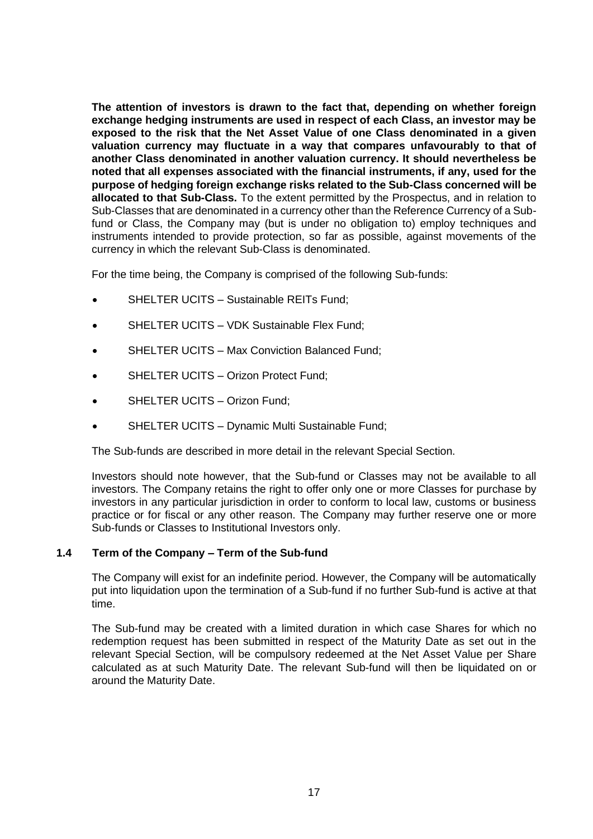**The attention of investors is drawn to the fact that, depending on whether foreign exchange hedging instruments are used in respect of each Class, an investor may be exposed to the risk that the Net Asset Value of one Class denominated in a given valuation currency may fluctuate in a way that compares unfavourably to that of another Class denominated in another valuation currency. It should nevertheless be noted that all expenses associated with the financial instruments, if any, used for the purpose of hedging foreign exchange risks related to the Sub-Class concerned will be allocated to that Sub-Class.** To the extent permitted by the Prospectus, and in relation to Sub-Classes that are denominated in a currency other than the Reference Currency of a Subfund or Class, the Company may (but is under no obligation to) employ techniques and instruments intended to provide protection, so far as possible, against movements of the currency in which the relevant Sub-Class is denominated.

For the time being, the Company is comprised of the following Sub-funds:

- SHELTER UCITS Sustainable REITs Fund;
- SHELTER UCITS VDK Sustainable Flex Fund:
- SHELTER UCITS Max Conviction Balanced Fund;
- SHELTER UCITS Orizon Protect Fund;
- SHELTER UCITS Orizon Fund;
- SHELTER UCITS Dynamic Multi Sustainable Fund;

The Sub-funds are described in more detail in the relevant Special Section.

Investors should note however, that the Sub-fund or Classes may not be available to all investors. The Company retains the right to offer only one or more Classes for purchase by investors in any particular jurisdiction in order to conform to local law, customs or business practice or for fiscal or any other reason. The Company may further reserve one or more Sub-funds or Classes to Institutional Investors only.

### **1.4 Term of the Company – Term of the Sub-fund**

The Company will exist for an indefinite period. However, the Company will be automatically put into liquidation upon the termination of a Sub-fund if no further Sub-fund is active at that time.

The Sub-fund may be created with a limited duration in which case Shares for which no redemption request has been submitted in respect of the Maturity Date as set out in the relevant Special Section, will be compulsory redeemed at the Net Asset Value per Share calculated as at such Maturity Date. The relevant Sub-fund will then be liquidated on or around the Maturity Date.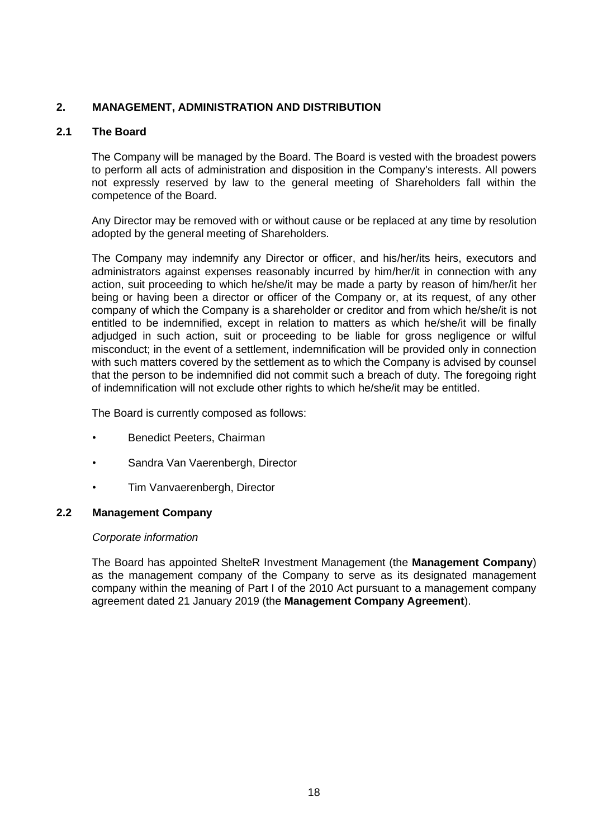### <span id="page-17-0"></span>**2. MANAGEMENT, ADMINISTRATION AND DISTRIBUTION**

### **2.1 The Board**

The Company will be managed by the Board. The Board is vested with the broadest powers to perform all acts of administration and disposition in the Company's interests. All powers not expressly reserved by law to the general meeting of Shareholders fall within the competence of the Board.

Any Director may be removed with or without cause or be replaced at any time by resolution adopted by the general meeting of Shareholders.

The Company may indemnify any Director or officer, and his/her/its heirs, executors and administrators against expenses reasonably incurred by him/her/it in connection with any action, suit proceeding to which he/she/it may be made a party by reason of him/her/it her being or having been a director or officer of the Company or, at its request, of any other company of which the Company is a shareholder or creditor and from which he/she/it is not entitled to be indemnified, except in relation to matters as which he/she/it will be finally adjudged in such action, suit or proceeding to be liable for gross negligence or wilful misconduct; in the event of a settlement, indemnification will be provided only in connection with such matters covered by the settlement as to which the Company is advised by counsel that the person to be indemnified did not commit such a breach of duty. The foregoing right of indemnification will not exclude other rights to which he/she/it may be entitled.

The Board is currently composed as follows:

- Benedict Peeters, Chairman
- Sandra Van Vaerenbergh, Director
- Tim Vanvaerenbergh, Director

### **2.2 Management Company**

#### *Corporate information*

The Board has appointed ShelteR Investment Management (the **Management Company**) as the management company of the Company to serve as its designated management company within the meaning of Part I of the 2010 Act pursuant to a management company agreement dated 21 January 2019 (the **Management Company Agreement**).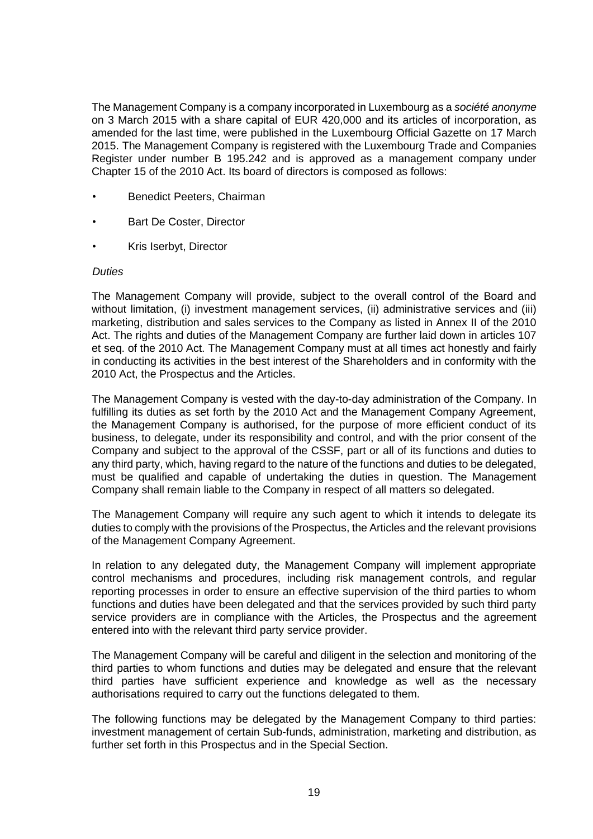The Management Company is a company incorporated in Luxembourg as a *société anonyme* on 3 March 2015 with a share capital of EUR 420,000 and its articles of incorporation, as amended for the last time, were published in the Luxembourg Official Gazette on 17 March 2015. The Management Company is registered with the Luxembourg Trade and Companies Register under number B 195.242 and is approved as a management company under Chapter 15 of the 2010 Act. Its board of directors is composed as follows:

- Benedict Peeters, Chairman
- Bart De Coster, Director
- Kris Iserbyt, Director

#### *Duties*

The Management Company will provide, subject to the overall control of the Board and without limitation, (i) investment management services, (ii) administrative services and (iii) marketing, distribution and sales services to the Company as listed in Annex II of the 2010 Act. The rights and duties of the Management Company are further laid down in articles 107 et seq. of the 2010 Act. The Management Company must at all times act honestly and fairly in conducting its activities in the best interest of the Shareholders and in conformity with the 2010 Act, the Prospectus and the Articles.

The Management Company is vested with the day-to-day administration of the Company. In fulfilling its duties as set forth by the 2010 Act and the Management Company Agreement, the Management Company is authorised, for the purpose of more efficient conduct of its business, to delegate, under its responsibility and control, and with the prior consent of the Company and subject to the approval of the CSSF, part or all of its functions and duties to any third party, which, having regard to the nature of the functions and duties to be delegated, must be qualified and capable of undertaking the duties in question. The Management Company shall remain liable to the Company in respect of all matters so delegated.

The Management Company will require any such agent to which it intends to delegate its duties to comply with the provisions of the Prospectus, the Articles and the relevant provisions of the Management Company Agreement.

In relation to any delegated duty, the Management Company will implement appropriate control mechanisms and procedures, including risk management controls, and regular reporting processes in order to ensure an effective supervision of the third parties to whom functions and duties have been delegated and that the services provided by such third party service providers are in compliance with the Articles, the Prospectus and the agreement entered into with the relevant third party service provider.

The Management Company will be careful and diligent in the selection and monitoring of the third parties to whom functions and duties may be delegated and ensure that the relevant third parties have sufficient experience and knowledge as well as the necessary authorisations required to carry out the functions delegated to them.

The following functions may be delegated by the Management Company to third parties: investment management of certain Sub-funds, administration, marketing and distribution, as further set forth in this Prospectus and in the Special Section.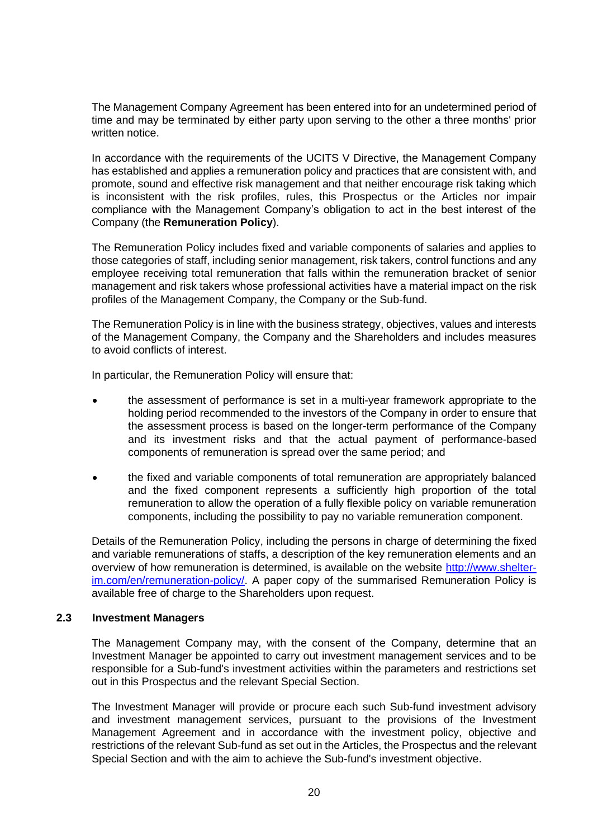The Management Company Agreement has been entered into for an undetermined period of time and may be terminated by either party upon serving to the other a three months' prior written notice.

In accordance with the requirements of the UCITS V Directive, the Management Company has established and applies a remuneration policy and practices that are consistent with, and promote, sound and effective risk management and that neither encourage risk taking which is inconsistent with the risk profiles, rules, this Prospectus or the Articles nor impair compliance with the Management Company's obligation to act in the best interest of the Company (the **Remuneration Policy**).

The Remuneration Policy includes fixed and variable components of salaries and applies to those categories of staff, including senior management, risk takers, control functions and any employee receiving total remuneration that falls within the remuneration bracket of senior management and risk takers whose professional activities have a material impact on the risk profiles of the Management Company, the Company or the Sub-fund.

The Remuneration Policy is in line with the business strategy, objectives, values and interests of the Management Company, the Company and the Shareholders and includes measures to avoid conflicts of interest.

In particular, the Remuneration Policy will ensure that:

- the assessment of performance is set in a multi-year framework appropriate to the holding period recommended to the investors of the Company in order to ensure that the assessment process is based on the longer-term performance of the Company and its investment risks and that the actual payment of performance-based components of remuneration is spread over the same period; and
- the fixed and variable components of total remuneration are appropriately balanced and the fixed component represents a sufficiently high proportion of the total remuneration to allow the operation of a fully flexible policy on variable remuneration components, including the possibility to pay no variable remuneration component.

Details of the Remuneration Policy, including the persons in charge of determining the fixed and variable remunerations of staffs, a description of the key remuneration elements and an overview of how remuneration is determined, is available on the website [http://www.shelter](http://www.shelter-im.com/en/remuneration-policy/)[im.com/en/remuneration-policy/.](http://www.shelter-im.com/en/remuneration-policy/) A paper copy of the summarised Remuneration Policy is available free of charge to the Shareholders upon request.

#### **2.3 Investment Managers**

The Management Company may, with the consent of the Company, determine that an Investment Manager be appointed to carry out investment management services and to be responsible for a Sub-fund's investment activities within the parameters and restrictions set out in this Prospectus and the relevant Special Section.

The Investment Manager will provide or procure each such Sub-fund investment advisory and investment management services, pursuant to the provisions of the Investment Management Agreement and in accordance with the investment policy, objective and restrictions of the relevant Sub-fund as set out in the Articles, the Prospectus and the relevant Special Section and with the aim to achieve the Sub-fund's investment objective.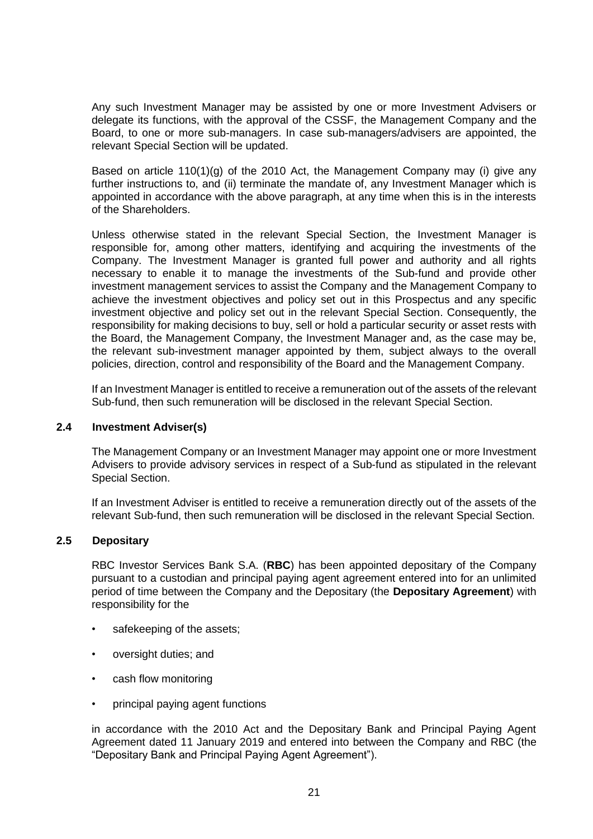Any such Investment Manager may be assisted by one or more Investment Advisers or delegate its functions, with the approval of the CSSF, the Management Company and the Board, to one or more sub-managers. In case sub-managers/advisers are appointed, the relevant Special Section will be updated.

Based on article 110(1)(g) of the 2010 Act, the Management Company may (i) give any further instructions to, and (ii) terminate the mandate of, any Investment Manager which is appointed in accordance with the above paragraph, at any time when this is in the interests of the Shareholders.

Unless otherwise stated in the relevant Special Section, the Investment Manager is responsible for, among other matters, identifying and acquiring the investments of the Company. The Investment Manager is granted full power and authority and all rights necessary to enable it to manage the investments of the Sub-fund and provide other investment management services to assist the Company and the Management Company to achieve the investment objectives and policy set out in this Prospectus and any specific investment objective and policy set out in the relevant Special Section. Consequently, the responsibility for making decisions to buy, sell or hold a particular security or asset rests with the Board, the Management Company, the Investment Manager and, as the case may be, the relevant sub-investment manager appointed by them, subject always to the overall policies, direction, control and responsibility of the Board and the Management Company.

If an Investment Manager is entitled to receive a remuneration out of the assets of the relevant Sub-fund, then such remuneration will be disclosed in the relevant Special Section.

#### **2.4 Investment Adviser(s)**

The Management Company or an Investment Manager may appoint one or more Investment Advisers to provide advisory services in respect of a Sub-fund as stipulated in the relevant Special Section.

If an Investment Adviser is entitled to receive a remuneration directly out of the assets of the relevant Sub-fund, then such remuneration will be disclosed in the relevant Special Section.

### **2.5 Depositary**

RBC Investor Services Bank S.A. (**RBC**) has been appointed depositary of the Company pursuant to a custodian and principal paying agent agreement entered into for an unlimited period of time between the Company and the Depositary (the **Depositary Agreement**) with responsibility for the

- safekeeping of the assets:
- oversight duties; and
- cash flow monitoring
- principal paying agent functions

in accordance with the 2010 Act and the Depositary Bank and Principal Paying Agent Agreement dated 11 January 2019 and entered into between the Company and RBC (the "Depositary Bank and Principal Paying Agent Agreement").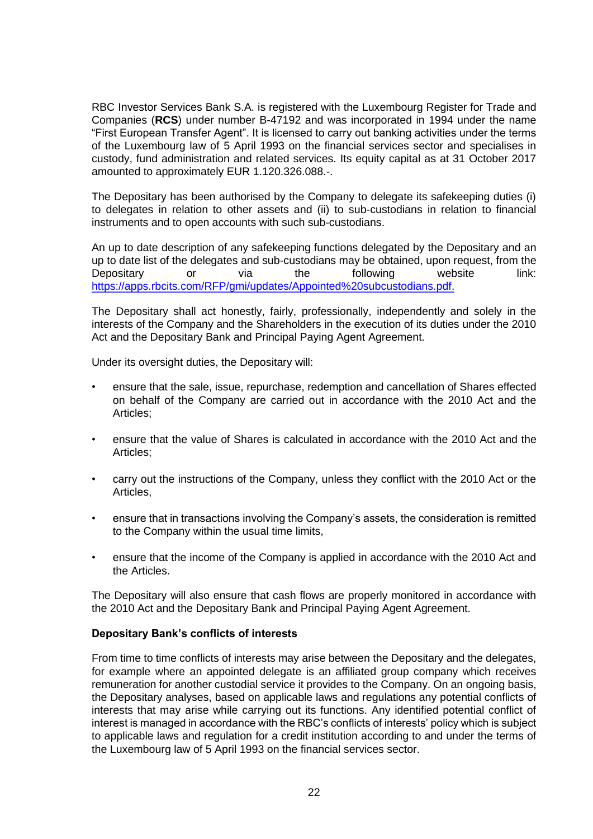RBC Investor Services Bank S.A. is registered with the Luxembourg Register for Trade and Companies (**RCS**) under number B-47192 and was incorporated in 1994 under the name "First European Transfer Agent". It is licensed to carry out banking activities under the terms of the Luxembourg law of 5 April 1993 on the financial services sector and specialises in custody, fund administration and related services. Its equity capital as at 31 October 2017 amounted to approximately EUR 1.120.326.088.-.

The Depositary has been authorised by the Company to delegate its safekeeping duties (i) to delegates in relation to other assets and (ii) to sub-custodians in relation to financial instruments and to open accounts with such sub-custodians.

An up to date description of any safekeeping functions delegated by the Depositary and an up to date list of the delegates and sub-custodians may be obtained, upon request, from the Depositary or via the following website link: [https://apps.rbcits.com/RFP/gmi/updates/Appointed%20subcustodians.pdf.](https://apps.rbcits.com/RFP/gmi/updates/Appointed%20subcustodians.pdf)

The Depositary shall act honestly, fairly, professionally, independently and solely in the interests of the Company and the Shareholders in the execution of its duties under the 2010 Act and the Depositary Bank and Principal Paying Agent Agreement.

Under its oversight duties, the Depositary will:

- ensure that the sale, issue, repurchase, redemption and cancellation of Shares effected on behalf of the Company are carried out in accordance with the 2010 Act and the Articles;
- ensure that the value of Shares is calculated in accordance with the 2010 Act and the Articles;
- carry out the instructions of the Company, unless they conflict with the 2010 Act or the Articles,
- ensure that in transactions involving the Company's assets, the consideration is remitted to the Company within the usual time limits,
- ensure that the income of the Company is applied in accordance with the 2010 Act and the Articles.

The Depositary will also ensure that cash flows are properly monitored in accordance with the 2010 Act and the Depositary Bank and Principal Paying Agent Agreement.

### **Depositary Bank's conflicts of interests**

From time to time conflicts of interests may arise between the Depositary and the delegates, for example where an appointed delegate is an affiliated group company which receives remuneration for another custodial service it provides to the Company. On an ongoing basis, the Depositary analyses, based on applicable laws and regulations any potential conflicts of interests that may arise while carrying out its functions. Any identified potential conflict of interest is managed in accordance with the RBC's conflicts of interests' policy which is subject to applicable laws and regulation for a credit institution according to and under the terms of the Luxembourg law of 5 April 1993 on the financial services sector.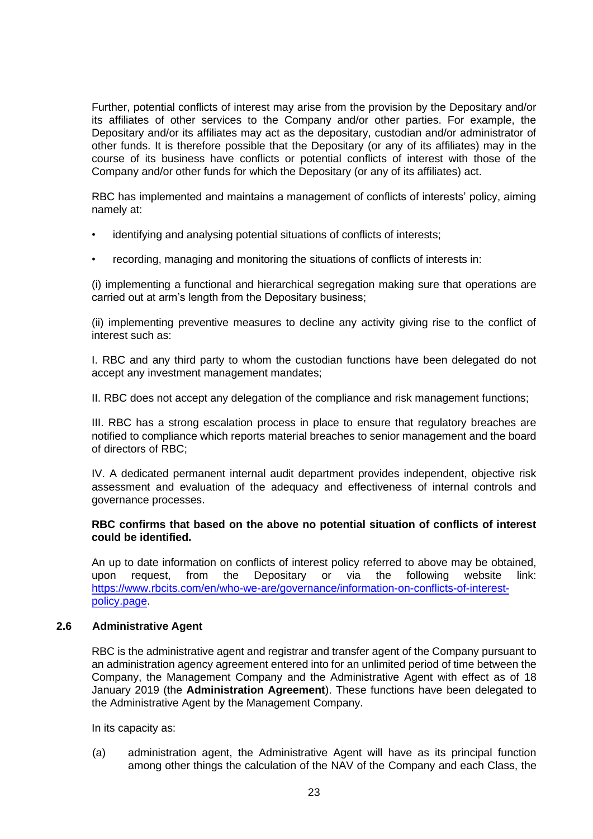Further, potential conflicts of interest may arise from the provision by the Depositary and/or its affiliates of other services to the Company and/or other parties. For example, the Depositary and/or its affiliates may act as the depositary, custodian and/or administrator of other funds. It is therefore possible that the Depositary (or any of its affiliates) may in the course of its business have conflicts or potential conflicts of interest with those of the Company and/or other funds for which the Depositary (or any of its affiliates) act.

RBC has implemented and maintains a management of conflicts of interests' policy, aiming namely at:

- identifying and analysing potential situations of conflicts of interests;
- recording, managing and monitoring the situations of conflicts of interests in:

(i) implementing a functional and hierarchical segregation making sure that operations are carried out at arm's length from the Depositary business;

(ii) implementing preventive measures to decline any activity giving rise to the conflict of interest such as:

I. RBC and any third party to whom the custodian functions have been delegated do not accept any investment management mandates;

II. RBC does not accept any delegation of the compliance and risk management functions;

III. RBC has a strong escalation process in place to ensure that regulatory breaches are notified to compliance which reports material breaches to senior management and the board of directors of RBC;

IV. A dedicated permanent internal audit department provides independent, objective risk assessment and evaluation of the adequacy and effectiveness of internal controls and governance processes.

### **RBC confirms that based on the above no potential situation of conflicts of interest could be identified.**

An up to date information on conflicts of interest policy referred to above may be obtained, upon request, from the Depositary or via the following website link: [https://www.rbcits.com/en/who-we-are/governance/information-on-conflicts-of-interest](https://www.rbcits.com/en/who-we-are/governance/information-on-conflicts-of-interest-policy.page)[policy.page.](https://www.rbcits.com/en/who-we-are/governance/information-on-conflicts-of-interest-policy.page)

#### **2.6 Administrative Agent**

RBC is the administrative agent and registrar and transfer agent of the Company pursuant to an administration agency agreement entered into for an unlimited period of time between the Company, the Management Company and the Administrative Agent with effect as of 18 January 2019 (the **Administration Agreement**). These functions have been delegated to the Administrative Agent by the Management Company.

In its capacity as:

(a) administration agent, the Administrative Agent will have as its principal function among other things the calculation of the NAV of the Company and each Class, the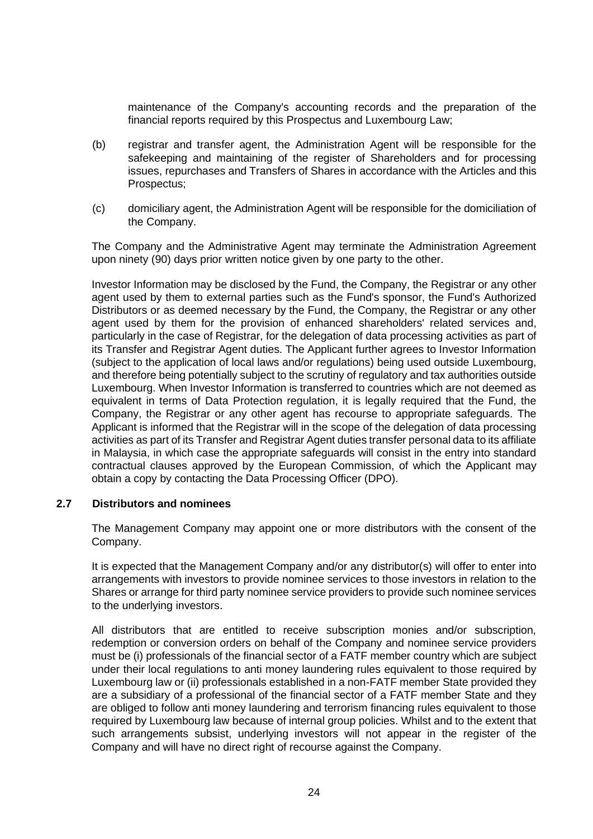maintenance of the Company's accounting records and the preparation of the financial reports required by this Prospectus and Luxembourg Law;

- (b) registrar and transfer agent, the Administration Agent will be responsible for the safekeeping and maintaining of the register of Shareholders and for processing issues, repurchases and Transfers of Shares in accordance with the Articles and this Prospectus;
- (c) domiciliary agent, the Administration Agent will be responsible for the domiciliation of the Company.

The Company and the Administrative Agent may terminate the Administration Agreement upon ninety (90) days prior written notice given by one party to the other.

Investor Information may be disclosed by the Fund, the Company, the Registrar or any other agent used by them to external parties such as the Fund's sponsor, the Fund's Authorized Distributors or as deemed necessary by the Fund, the Company, the Registrar or any other agent used by them for the provision of enhanced shareholders' related services and, particularly in the case of Registrar, for the delegation of data processing activities as part of its Transfer and Registrar Agent duties. The Applicant further agrees to Investor Information (subject to the application of local laws and/or regulations) being used outside Luxembourg, and therefore being potentially subject to the scrutiny of regulatory and tax authorities outside Luxembourg. When Investor Information is transferred to countries which are not deemed as equivalent in terms of Data Protection regulation, it is legally required that the Fund, the Company, the Registrar or any other agent has recourse to appropriate safeguards. The Applicant is informed that the Registrar will in the scope of the delegation of data processing activities as part of its Transfer and Registrar Agent duties transfer personal data to its affiliate in Malaysia, in which case the appropriate safeguards will consist in the entry into standard contractual clauses approved by the European Commission, of which the Applicant may obtain a copy by contacting the Data Processing Officer (DPO).

### **2.7 Distributors and nominees**

The Management Company may appoint one or more distributors with the consent of the Company.

It is expected that the Management Company and/or any distributor(s) will offer to enter into arrangements with investors to provide nominee services to those investors in relation to the Shares or arrange for third party nominee service providers to provide such nominee services to the underlying investors.

All distributors that are entitled to receive subscription monies and/or subscription, redemption or conversion orders on behalf of the Company and nominee service providers must be (i) professionals of the financial sector of a FATF member country which are subject under their local regulations to anti money laundering rules equivalent to those required by Luxembourg law or (ii) professionals established in a non-FATF member State provided they are a subsidiary of a professional of the financial sector of a FATF member State and they are obliged to follow anti money laundering and terrorism financing rules equivalent to those required by Luxembourg law because of internal group policies. Whilst and to the extent that such arrangements subsist, underlying investors will not appear in the register of the Company and will have no direct right of recourse against the Company.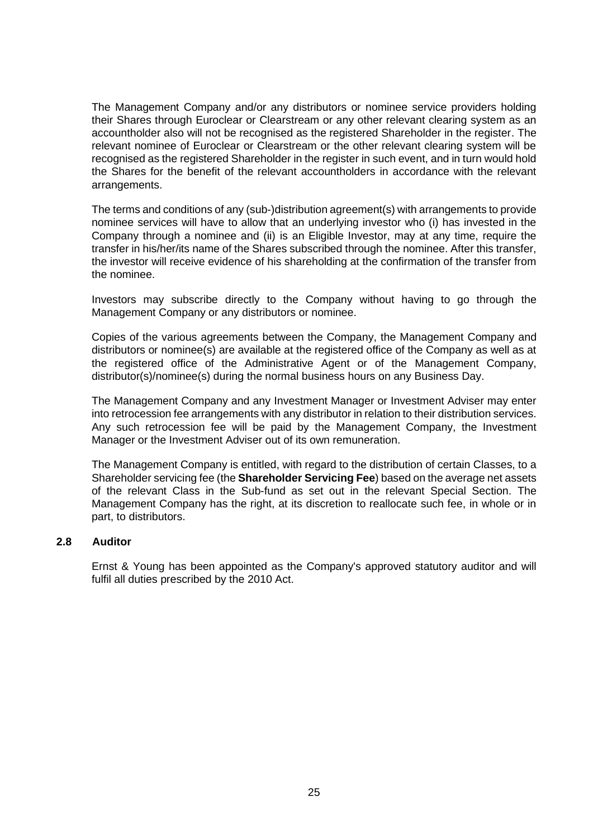The Management Company and/or any distributors or nominee service providers holding their Shares through Euroclear or Clearstream or any other relevant clearing system as an accountholder also will not be recognised as the registered Shareholder in the register. The relevant nominee of Euroclear or Clearstream or the other relevant clearing system will be recognised as the registered Shareholder in the register in such event, and in turn would hold the Shares for the benefit of the relevant accountholders in accordance with the relevant arrangements.

The terms and conditions of any (sub-)distribution agreement(s) with arrangements to provide nominee services will have to allow that an underlying investor who (i) has invested in the Company through a nominee and (ii) is an Eligible Investor, may at any time, require the transfer in his/her/its name of the Shares subscribed through the nominee. After this transfer, the investor will receive evidence of his shareholding at the confirmation of the transfer from the nominee.

Investors may subscribe directly to the Company without having to go through the Management Company or any distributors or nominee.

Copies of the various agreements between the Company, the Management Company and distributors or nominee(s) are available at the registered office of the Company as well as at the registered office of the Administrative Agent or of the Management Company, distributor(s)/nominee(s) during the normal business hours on any Business Day.

The Management Company and any Investment Manager or Investment Adviser may enter into retrocession fee arrangements with any distributor in relation to their distribution services. Any such retrocession fee will be paid by the Management Company, the Investment Manager or the Investment Adviser out of its own remuneration.

The Management Company is entitled, with regard to the distribution of certain Classes, to a Shareholder servicing fee (the **Shareholder Servicing Fee**) based on the average net assets of the relevant Class in the Sub-fund as set out in the relevant Special Section. The Management Company has the right, at its discretion to reallocate such fee, in whole or in part, to distributors.

#### **2.8 Auditor**

Ernst & Young has been appointed as the Company's approved statutory auditor and will fulfil all duties prescribed by the 2010 Act.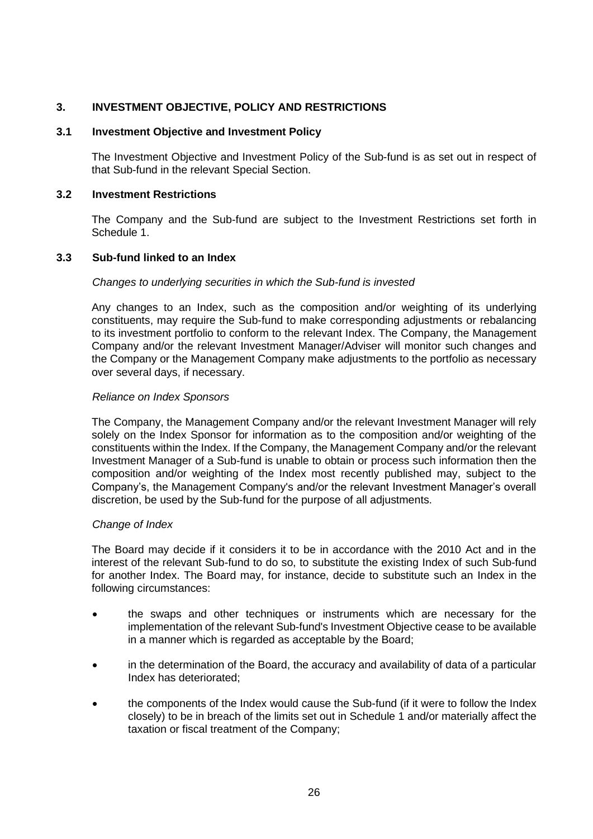### <span id="page-25-0"></span>**3. INVESTMENT OBJECTIVE, POLICY AND RESTRICTIONS**

#### **3.1 Investment Objective and Investment Policy**

The Investment Objective and Investment Policy of the Sub-fund is as set out in respect of that Sub-fund in the relevant Special Section.

#### **3.2 Investment Restrictions**

The Company and the Sub-fund are subject to the Investment Restrictions set forth in [Schedule 1.](#page-100-0)

#### **3.3 Sub-fund linked to an Index**

#### *Changes to underlying securities in which the Sub-fund is invested*

Any changes to an Index, such as the composition and/or weighting of its underlying constituents, may require the Sub-fund to make corresponding adjustments or rebalancing to its investment portfolio to conform to the relevant Index. The Company, the Management Company and/or the relevant Investment Manager/Adviser will monitor such changes and the Company or the Management Company make adjustments to the portfolio as necessary over several days, if necessary.

#### *Reliance on Index Sponsors*

The Company, the Management Company and/or the relevant Investment Manager will rely solely on the Index Sponsor for information as to the composition and/or weighting of the constituents within the Index. If the Company, the Management Company and/or the relevant Investment Manager of a Sub-fund is unable to obtain or process such information then the composition and/or weighting of the Index most recently published may, subject to the Company's, the Management Company's and/or the relevant Investment Manager's overall discretion, be used by the Sub-fund for the purpose of all adjustments.

#### *Change of Index*

The Board may decide if it considers it to be in accordance with the 2010 Act and in the interest of the relevant Sub-fund to do so, to substitute the existing Index of such Sub-fund for another Index. The Board may, for instance, decide to substitute such an Index in the following circumstances:

- the swaps and other techniques or instruments which are necessary for the implementation of the relevant Sub-fund's Investment Objective cease to be available in a manner which is regarded as acceptable by the Board;
- in the determination of the Board, the accuracy and availability of data of a particular Index has deteriorated;
- the components of the Index would cause the Sub-fund (if it were to follow the Index closely) to be in breach of the limits set out in [Schedule 1](#page-100-0) and/or materially affect the taxation or fiscal treatment of the Company;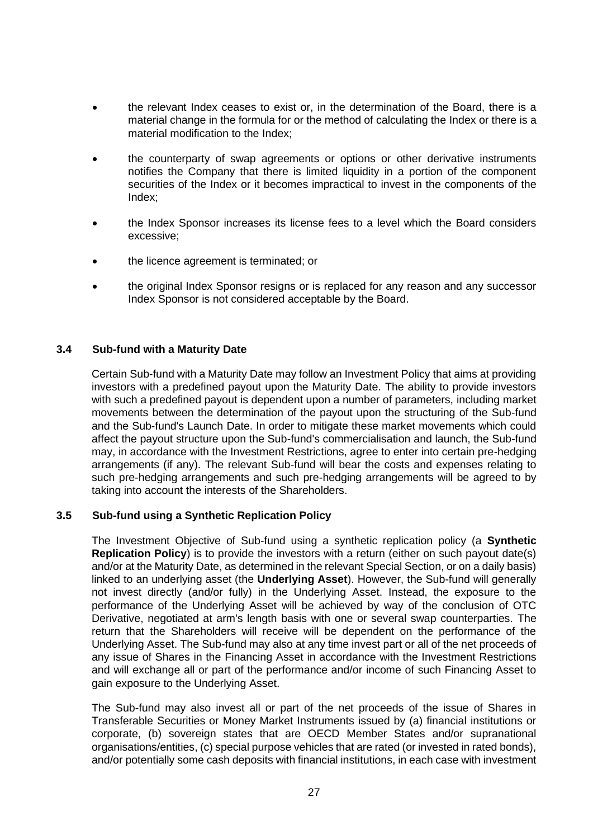- the relevant Index ceases to exist or, in the determination of the Board, there is a material change in the formula for or the method of calculating the Index or there is a material modification to the Index;
- the counterparty of swap agreements or options or other derivative instruments notifies the Company that there is limited liquidity in a portion of the component securities of the Index or it becomes impractical to invest in the components of the Index;
- the Index Sponsor increases its license fees to a level which the Board considers excessive;
- the licence agreement is terminated; or
- the original Index Sponsor resigns or is replaced for any reason and any successor Index Sponsor is not considered acceptable by the Board.

### **3.4 Sub-fund with a Maturity Date**

Certain Sub-fund with a Maturity Date may follow an Investment Policy that aims at providing investors with a predefined payout upon the Maturity Date. The ability to provide investors with such a predefined payout is dependent upon a number of parameters, including market movements between the determination of the payout upon the structuring of the Sub-fund and the Sub-fund's Launch Date. In order to mitigate these market movements which could affect the payout structure upon the Sub-fund's commercialisation and launch, the Sub-fund may, in accordance with the Investment Restrictions, agree to enter into certain pre-hedging arrangements (if any). The relevant Sub-fund will bear the costs and expenses relating to such pre-hedging arrangements and such pre-hedging arrangements will be agreed to by taking into account the interests of the Shareholders.

### **3.5 Sub-fund using a Synthetic Replication Policy**

The Investment Objective of Sub-fund using a synthetic replication policy (a **Synthetic Replication Policy**) is to provide the investors with a return (either on such payout date(s) and/or at the Maturity Date, as determined in the relevant Special Section, or on a daily basis) linked to an underlying asset (the **Underlying Asset**). However, the Sub-fund will generally not invest directly (and/or fully) in the Underlying Asset. Instead, the exposure to the performance of the Underlying Asset will be achieved by way of the conclusion of OTC Derivative, negotiated at arm's length basis with one or several swap counterparties. The return that the Shareholders will receive will be dependent on the performance of the Underlying Asset. The Sub-fund may also at any time invest part or all of the net proceeds of any issue of Shares in the Financing Asset in accordance with the Investment Restrictions and will exchange all or part of the performance and/or income of such Financing Asset to gain exposure to the Underlying Asset.

The Sub-fund may also invest all or part of the net proceeds of the issue of Shares in Transferable Securities or Money Market Instruments issued by (a) financial institutions or corporate, (b) sovereign states that are OECD Member States and/or supranational organisations/entities, (c) special purpose vehicles that are rated (or invested in rated bonds), and/or potentially some cash deposits with financial institutions, in each case with investment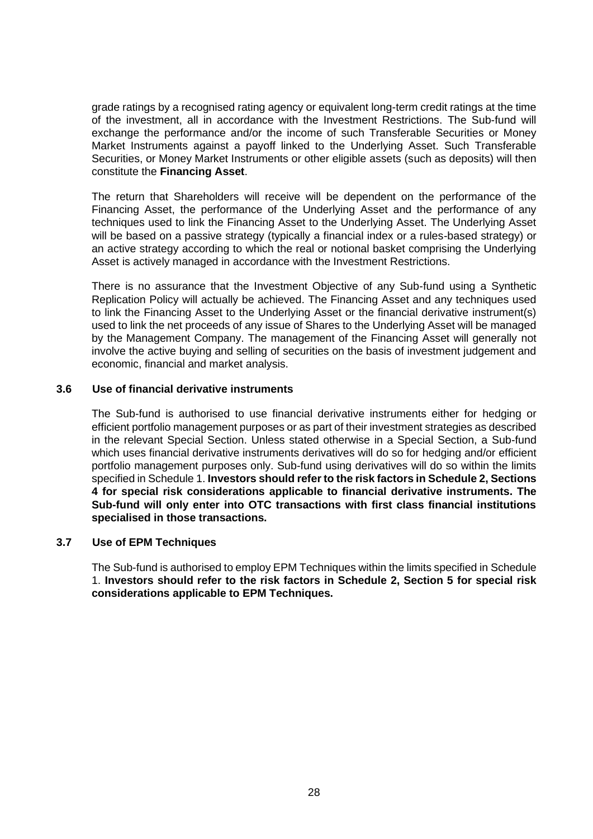grade ratings by a recognised rating agency or equivalent long-term credit ratings at the time of the investment, all in accordance with the Investment Restrictions. The Sub-fund will exchange the performance and/or the income of such Transferable Securities or Money Market Instruments against a payoff linked to the Underlying Asset. Such Transferable Securities, or Money Market Instruments or other eligible assets (such as deposits) will then constitute the **Financing Asset**.

The return that Shareholders will receive will be dependent on the performance of the Financing Asset, the performance of the Underlying Asset and the performance of any techniques used to link the Financing Asset to the Underlying Asset. The Underlying Asset will be based on a passive strategy (typically a financial index or a rules-based strategy) or an active strategy according to which the real or notional basket comprising the Underlying Asset is actively managed in accordance with the Investment Restrictions.

There is no assurance that the Investment Objective of any Sub-fund using a Synthetic Replication Policy will actually be achieved. The Financing Asset and any techniques used to link the Financing Asset to the Underlying Asset or the financial derivative instrument(s) used to link the net proceeds of any issue of Shares to the Underlying Asset will be managed by the Management Company. The management of the Financing Asset will generally not involve the active buying and selling of securities on the basis of investment judgement and economic, financial and market analysis.

#### **3.6 Use of financial derivative instruments**

The Sub-fund is authorised to use financial derivative instruments either for hedging or efficient portfolio management purposes or as part of their investment strategies as described in the relevant Special Section. Unless stated otherwise in a Special Section, a Sub-fund which uses financial derivative instruments derivatives will do so for hedging and/or efficient portfolio management purposes only. Sub-fund using derivatives will do so within the limits specified in [Schedule 1.](#page-100-0) **Investors should refer to the risk factors in [Schedule 2,](#page-113-0) Sections [4](#page-120-0) for special risk considerations applicable to financial derivative instruments. The Sub-fund will only enter into OTC transactions with first class financial institutions specialised in those transactions.** 

### **3.7 Use of EPM Techniques**

The Sub-fund is authorised to employ EPM Techniques within the limits specified in [Schedule](#page-100-0)  [1.](#page-100-0) **Investors should refer to the risk factors in [Schedule 2,](#page-113-0) Section [5](#page-126-0) for special risk considerations applicable to EPM Techniques.**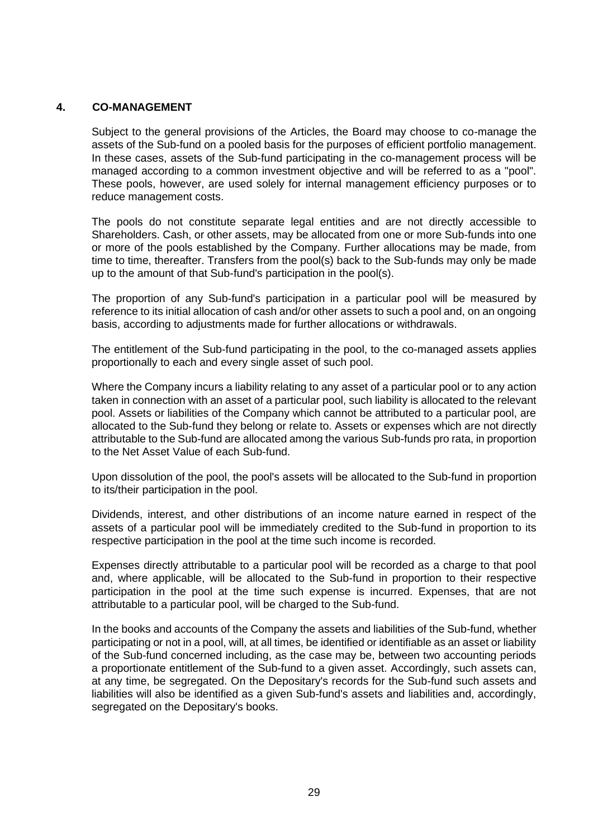### <span id="page-28-0"></span>**4. CO-MANAGEMENT**

Subject to the general provisions of the Articles, the Board may choose to co-manage the assets of the Sub-fund on a pooled basis for the purposes of efficient portfolio management. In these cases, assets of the Sub-fund participating in the co-management process will be managed according to a common investment objective and will be referred to as a "pool". These pools, however, are used solely for internal management efficiency purposes or to reduce management costs.

The pools do not constitute separate legal entities and are not directly accessible to Shareholders. Cash, or other assets, may be allocated from one or more Sub-funds into one or more of the pools established by the Company. Further allocations may be made, from time to time, thereafter. Transfers from the pool(s) back to the Sub-funds may only be made up to the amount of that Sub-fund's participation in the pool(s).

The proportion of any Sub-fund's participation in a particular pool will be measured by reference to its initial allocation of cash and/or other assets to such a pool and, on an ongoing basis, according to adjustments made for further allocations or withdrawals.

The entitlement of the Sub-fund participating in the pool, to the co-managed assets applies proportionally to each and every single asset of such pool.

Where the Company incurs a liability relating to any asset of a particular pool or to any action taken in connection with an asset of a particular pool, such liability is allocated to the relevant pool. Assets or liabilities of the Company which cannot be attributed to a particular pool, are allocated to the Sub-fund they belong or relate to. Assets or expenses which are not directly attributable to the Sub-fund are allocated among the various Sub-funds pro rata, in proportion to the Net Asset Value of each Sub-fund.

Upon dissolution of the pool, the pool's assets will be allocated to the Sub-fund in proportion to its/their participation in the pool.

Dividends, interest, and other distributions of an income nature earned in respect of the assets of a particular pool will be immediately credited to the Sub-fund in proportion to its respective participation in the pool at the time such income is recorded.

Expenses directly attributable to a particular pool will be recorded as a charge to that pool and, where applicable, will be allocated to the Sub-fund in proportion to their respective participation in the pool at the time such expense is incurred. Expenses, that are not attributable to a particular pool, will be charged to the Sub-fund.

In the books and accounts of the Company the assets and liabilities of the Sub-fund, whether participating or not in a pool, will, at all times, be identified or identifiable as an asset or liability of the Sub-fund concerned including, as the case may be, between two accounting periods a proportionate entitlement of the Sub-fund to a given asset. Accordingly, such assets can, at any time, be segregated. On the Depositary's records for the Sub-fund such assets and liabilities will also be identified as a given Sub-fund's assets and liabilities and, accordingly, segregated on the Depositary's books.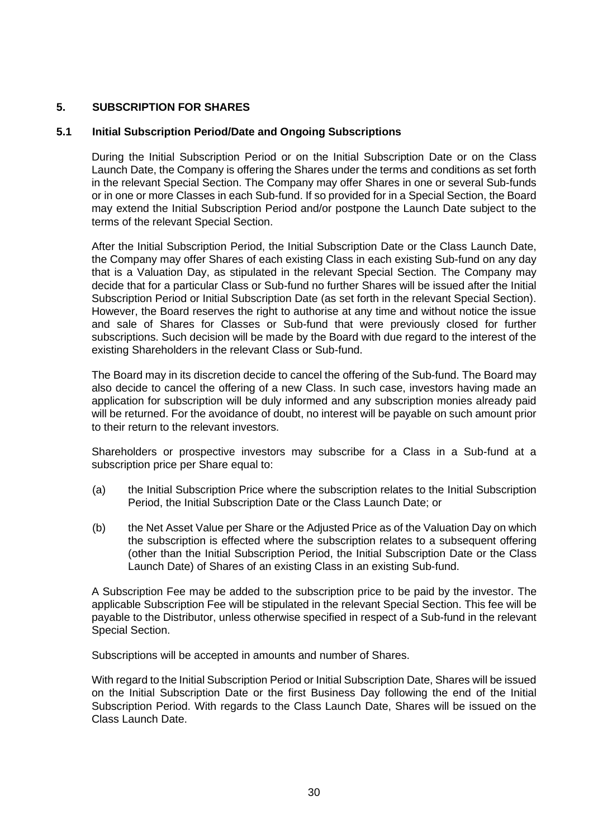### <span id="page-29-0"></span>**5. SUBSCRIPTION FOR SHARES**

### <span id="page-29-1"></span>**5.1 Initial Subscription Period/Date and Ongoing Subscriptions**

During the Initial Subscription Period or on the Initial Subscription Date or on the Class Launch Date, the Company is offering the Shares under the terms and conditions as set forth in the relevant Special Section. The Company may offer Shares in one or several Sub-funds or in one or more Classes in each Sub-fund. If so provided for in a Special Section, the Board may extend the Initial Subscription Period and/or postpone the Launch Date subject to the terms of the relevant Special Section.

After the Initial Subscription Period, the Initial Subscription Date or the Class Launch Date, the Company may offer Shares of each existing Class in each existing Sub-fund on any day that is a Valuation Day, as stipulated in the relevant Special Section. The Company may decide that for a particular Class or Sub-fund no further Shares will be issued after the Initial Subscription Period or Initial Subscription Date (as set forth in the relevant Special Section). However, the Board reserves the right to authorise at any time and without notice the issue and sale of Shares for Classes or Sub-fund that were previously closed for further subscriptions. Such decision will be made by the Board with due regard to the interest of the existing Shareholders in the relevant Class or Sub-fund.

The Board may in its discretion decide to cancel the offering of the Sub-fund. The Board may also decide to cancel the offering of a new Class. In such case, investors having made an application for subscription will be duly informed and any subscription monies already paid will be returned. For the avoidance of doubt, no interest will be payable on such amount prior to their return to the relevant investors.

Shareholders or prospective investors may subscribe for a Class in a Sub-fund at a subscription price per Share equal to:

- (a) the Initial Subscription Price where the subscription relates to the Initial Subscription Period, the Initial Subscription Date or the Class Launch Date; or
- (b) the Net Asset Value per Share or the Adjusted Price as of the Valuation Day on which the subscription is effected where the subscription relates to a subsequent offering (other than the Initial Subscription Period, the Initial Subscription Date or the Class Launch Date) of Shares of an existing Class in an existing Sub-fund.

A Subscription Fee may be added to the subscription price to be paid by the investor. The applicable Subscription Fee will be stipulated in the relevant Special Section. This fee will be payable to the Distributor, unless otherwise specified in respect of a Sub-fund in the relevant Special Section.

Subscriptions will be accepted in amounts and number of Shares.

With regard to the Initial Subscription Period or Initial Subscription Date, Shares will be issued on the Initial Subscription Date or the first Business Day following the end of the Initial Subscription Period. With regards to the Class Launch Date, Shares will be issued on the Class Launch Date.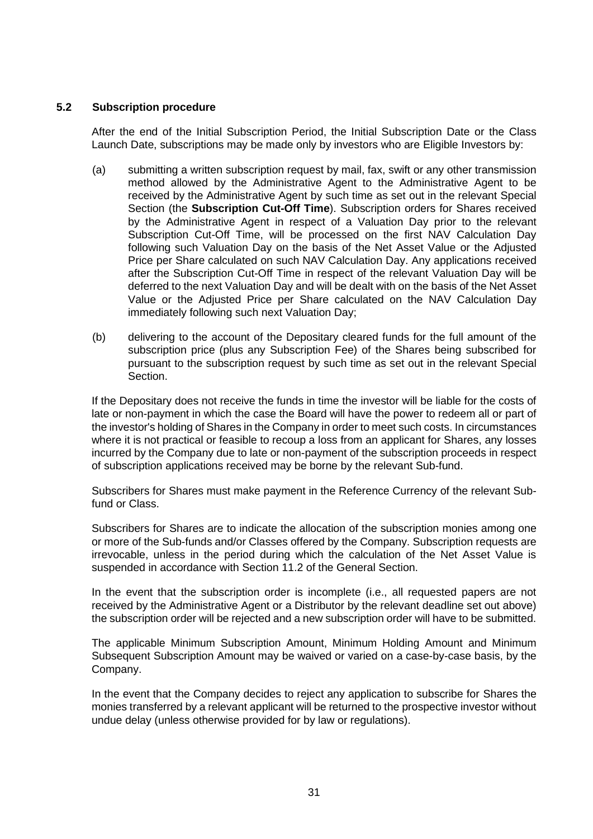### **5.2 Subscription procedure**

After the end of the Initial Subscription Period, the Initial Subscription Date or the Class Launch Date, subscriptions may be made only by investors who are Eligible Investors by:

- (a) submitting a written subscription request by mail, fax, swift or any other transmission method allowed by the Administrative Agent to the Administrative Agent to be received by the Administrative Agent by such time as set out in the relevant Special Section (the **Subscription Cut-Off Time**). Subscription orders for Shares received by the Administrative Agent in respect of a Valuation Day prior to the relevant Subscription Cut-Off Time, will be processed on the first NAV Calculation Day following such Valuation Day on the basis of the Net Asset Value or the Adjusted Price per Share calculated on such NAV Calculation Day. Any applications received after the Subscription Cut-Off Time in respect of the relevant Valuation Day will be deferred to the next Valuation Day and will be dealt with on the basis of the Net Asset Value or the Adjusted Price per Share calculated on the NAV Calculation Day immediately following such next Valuation Day;
- (b) delivering to the account of the Depositary cleared funds for the full amount of the subscription price (plus any Subscription Fee) of the Shares being subscribed for pursuant to the subscription request by such time as set out in the relevant Special Section.

If the Depositary does not receive the funds in time the investor will be liable for the costs of late or non-payment in which the case the Board will have the power to redeem all or part of the investor's holding of Shares in the Company in order to meet such costs. In circumstances where it is not practical or feasible to recoup a loss from an applicant for Shares, any losses incurred by the Company due to late or non-payment of the subscription proceeds in respect of subscription applications received may be borne by the relevant Sub-fund.

Subscribers for Shares must make payment in the Reference Currency of the relevant Subfund or Class.

Subscribers for Shares are to indicate the allocation of the subscription monies among one or more of the Sub-funds and/or Classes offered by the Company. Subscription requests are irrevocable, unless in the period during which the calculation of the Net Asset Value is suspended in accordance with Section [11.2](#page-45-0) of the General Section.

In the event that the subscription order is incomplete (i.e., all requested papers are not received by the Administrative Agent or a Distributor by the relevant deadline set out above) the subscription order will be rejected and a new subscription order will have to be submitted.

The applicable Minimum Subscription Amount, Minimum Holding Amount and Minimum Subsequent Subscription Amount may be waived or varied on a case-by-case basis, by the Company.

In the event that the Company decides to reject any application to subscribe for Shares the monies transferred by a relevant applicant will be returned to the prospective investor without undue delay (unless otherwise provided for by law or regulations).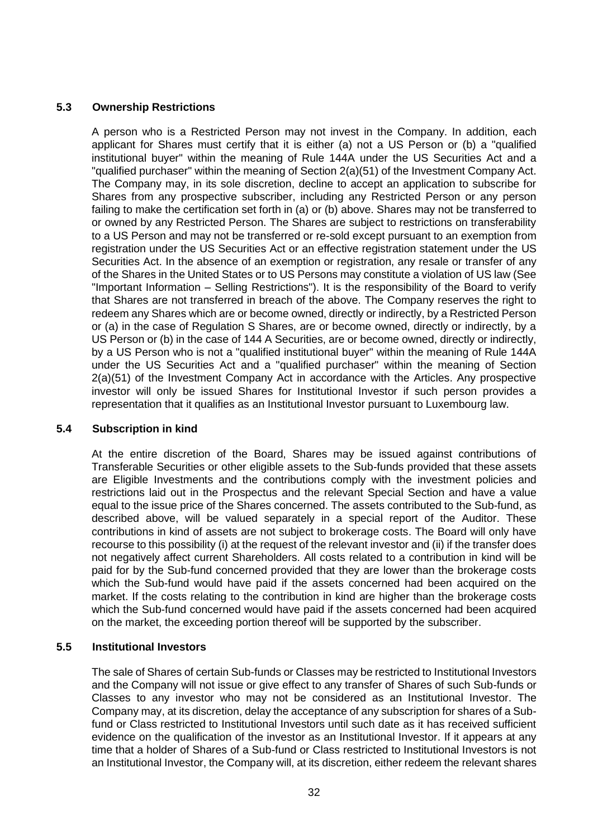### **5.3 Ownership Restrictions**

A person who is a Restricted Person may not invest in the Company. In addition, each applicant for Shares must certify that it is either (a) not a US Person or (b) a "qualified institutional buyer" within the meaning of Rule 144A under the US Securities Act and a "qualified purchaser" within the meaning of Section 2(a)(51) of the Investment Company Act. The Company may, in its sole discretion, decline to accept an application to subscribe for Shares from any prospective subscriber, including any Restricted Person or any person failing to make the certification set forth in (a) or (b) above. Shares may not be transferred to or owned by any Restricted Person. The Shares are subject to restrictions on transferability to a US Person and may not be transferred or re-sold except pursuant to an exemption from registration under the US Securities Act or an effective registration statement under the US Securities Act. In the absence of an exemption or registration, any resale or transfer of any of the Shares in the United States or to US Persons may constitute a violation of US law (See "Important Information – Selling Restrictions"). It is the responsibility of the Board to verify that Shares are not transferred in breach of the above. The Company reserves the right to redeem any Shares which are or become owned, directly or indirectly, by a Restricted Person or (a) in the case of Regulation S Shares, are or become owned, directly or indirectly, by a US Person or (b) in the case of 144 A Securities, are or become owned, directly or indirectly, by a US Person who is not a "qualified institutional buyer" within the meaning of Rule 144A under the US Securities Act and a "qualified purchaser" within the meaning of Section 2(a)(51) of the Investment Company Act in accordance with the Articles. Any prospective investor will only be issued Shares for Institutional Investor if such person provides a representation that it qualifies as an Institutional Investor pursuant to Luxembourg law.

### **5.4 Subscription in kind**

At the entire discretion of the Board, Shares may be issued against contributions of Transferable Securities or other eligible assets to the Sub-funds provided that these assets are Eligible Investments and the contributions comply with the investment policies and restrictions laid out in the Prospectus and the relevant Special Section and have a value equal to the issue price of the Shares concerned. The assets contributed to the Sub-fund, as described above, will be valued separately in a special report of the Auditor. These contributions in kind of assets are not subject to brokerage costs. The Board will only have recourse to this possibility (i) at the request of the relevant investor and (ii) if the transfer does not negatively affect current Shareholders. All costs related to a contribution in kind will be paid for by the Sub-fund concerned provided that they are lower than the brokerage costs which the Sub-fund would have paid if the assets concerned had been acquired on the market. If the costs relating to the contribution in kind are higher than the brokerage costs which the Sub-fund concerned would have paid if the assets concerned had been acquired on the market, the exceeding portion thereof will be supported by the subscriber.

### **5.5 Institutional Investors**

The sale of Shares of certain Sub-funds or Classes may be restricted to Institutional Investors and the Company will not issue or give effect to any transfer of Shares of such Sub-funds or Classes to any investor who may not be considered as an Institutional Investor. The Company may, at its discretion, delay the acceptance of any subscription for shares of a Subfund or Class restricted to Institutional Investors until such date as it has received sufficient evidence on the qualification of the investor as an Institutional Investor. If it appears at any time that a holder of Shares of a Sub-fund or Class restricted to Institutional Investors is not an Institutional Investor, the Company will, at its discretion, either redeem the relevant shares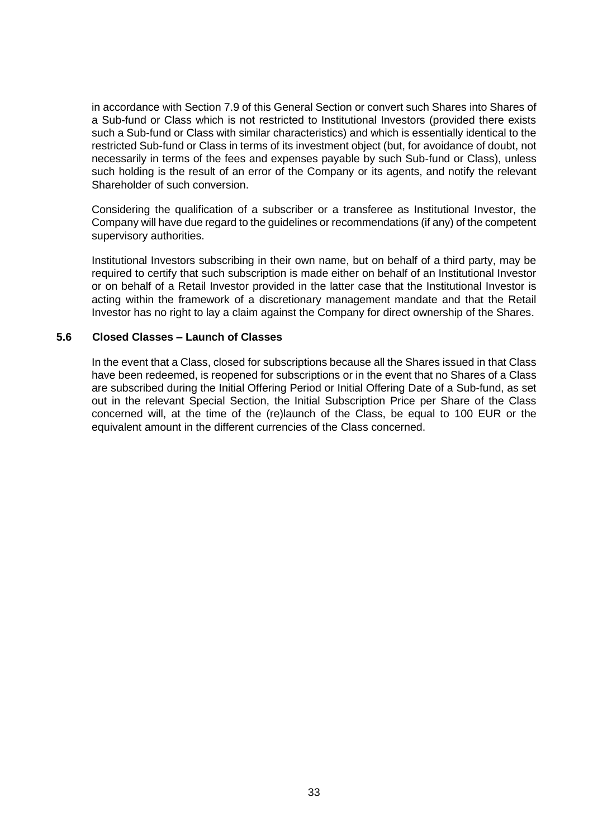in accordance with Section [7.9](#page-37-0) of this General Section or convert such Shares into Shares of a Sub-fund or Class which is not restricted to Institutional Investors (provided there exists such a Sub-fund or Class with similar characteristics) and which is essentially identical to the restricted Sub-fund or Class in terms of its investment object (but, for avoidance of doubt, not necessarily in terms of the fees and expenses payable by such Sub-fund or Class), unless such holding is the result of an error of the Company or its agents, and notify the relevant Shareholder of such conversion.

Considering the qualification of a subscriber or a transferee as Institutional Investor, the Company will have due regard to the guidelines or recommendations (if any) of the competent supervisory authorities.

Institutional Investors subscribing in their own name, but on behalf of a third party, may be required to certify that such subscription is made either on behalf of an Institutional Investor or on behalf of a Retail Investor provided in the latter case that the Institutional Investor is acting within the framework of a discretionary management mandate and that the Retail Investor has no right to lay a claim against the Company for direct ownership of the Shares.

### **5.6 Closed Classes – Launch of Classes**

In the event that a Class, closed for subscriptions because all the Shares issued in that Class have been redeemed, is reopened for subscriptions or in the event that no Shares of a Class are subscribed during the Initial Offering Period or Initial Offering Date of a Sub-fund, as set out in the relevant Special Section, the Initial Subscription Price per Share of the Class concerned will, at the time of the (re)launch of the Class, be equal to 100 EUR or the equivalent amount in the different currencies of the Class concerned.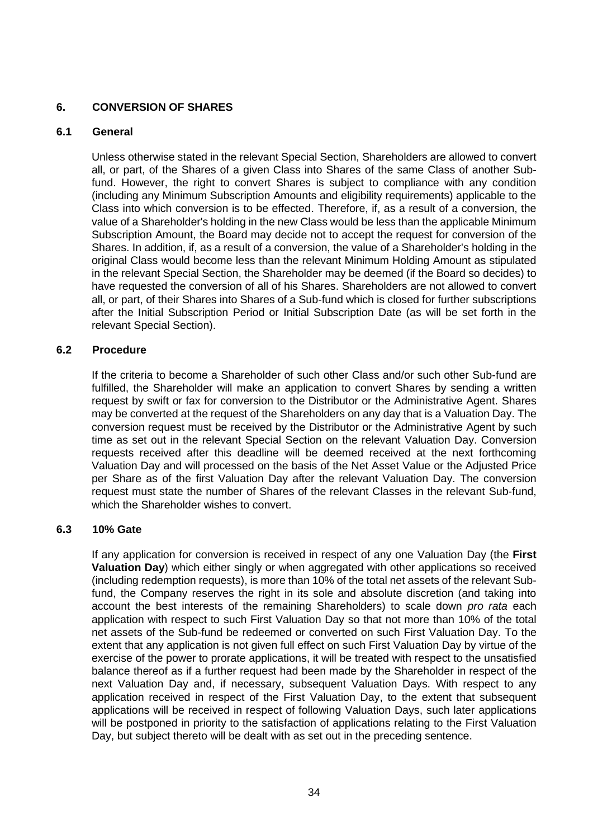### <span id="page-33-0"></span>**6. CONVERSION OF SHARES**

### **6.1 General**

Unless otherwise stated in the relevant Special Section, Shareholders are allowed to convert all, or part, of the Shares of a given Class into Shares of the same Class of another Subfund. However, the right to convert Shares is subject to compliance with any condition (including any Minimum Subscription Amounts and eligibility requirements) applicable to the Class into which conversion is to be effected. Therefore, if, as a result of a conversion, the value of a Shareholder's holding in the new Class would be less than the applicable Minimum Subscription Amount, the Board may decide not to accept the request for conversion of the Shares. In addition, if, as a result of a conversion, the value of a Shareholder's holding in the original Class would become less than the relevant Minimum Holding Amount as stipulated in the relevant Special Section, the Shareholder may be deemed (if the Board so decides) to have requested the conversion of all of his Shares. Shareholders are not allowed to convert all, or part, of their Shares into Shares of a Sub-fund which is closed for further subscriptions after the Initial Subscription Period or Initial Subscription Date (as will be set forth in the relevant Special Section).

### **6.2 Procedure**

If the criteria to become a Shareholder of such other Class and/or such other Sub-fund are fulfilled, the Shareholder will make an application to convert Shares by sending a written request by swift or fax for conversion to the Distributor or the Administrative Agent. Shares may be converted at the request of the Shareholders on any day that is a Valuation Day. The conversion request must be received by the Distributor or the Administrative Agent by such time as set out in the relevant Special Section on the relevant Valuation Day. Conversion requests received after this deadline will be deemed received at the next forthcoming Valuation Day and will processed on the basis of the Net Asset Value or the Adjusted Price per Share as of the first Valuation Day after the relevant Valuation Day. The conversion request must state the number of Shares of the relevant Classes in the relevant Sub-fund, which the Shareholder wishes to convert.

### **6.3 10% Gate**

If any application for conversion is received in respect of any one Valuation Day (the **First Valuation Day**) which either singly or when aggregated with other applications so received (including redemption requests), is more than 10% of the total net assets of the relevant Subfund, the Company reserves the right in its sole and absolute discretion (and taking into account the best interests of the remaining Shareholders) to scale down *pro rata* each application with respect to such First Valuation Day so that not more than 10% of the total net assets of the Sub-fund be redeemed or converted on such First Valuation Day. To the extent that any application is not given full effect on such First Valuation Day by virtue of the exercise of the power to prorate applications, it will be treated with respect to the unsatisfied balance thereof as if a further request had been made by the Shareholder in respect of the next Valuation Day and, if necessary, subsequent Valuation Days. With respect to any application received in respect of the First Valuation Day, to the extent that subsequent applications will be received in respect of following Valuation Days, such later applications will be postponed in priority to the satisfaction of applications relating to the First Valuation Day, but subject thereto will be dealt with as set out in the preceding sentence.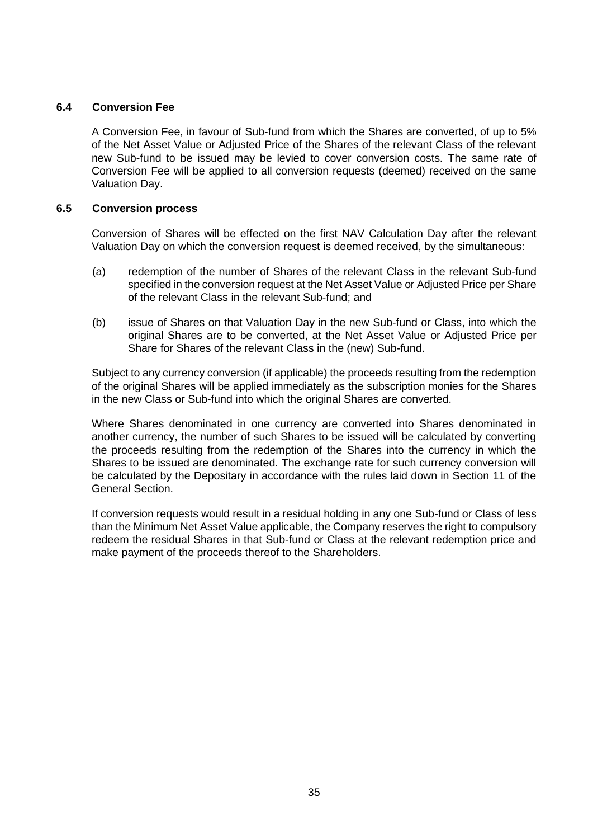### **6.4 Conversion Fee**

A Conversion Fee, in favour of Sub-fund from which the Shares are converted, of up to 5% of the Net Asset Value or Adjusted Price of the Shares of the relevant Class of the relevant new Sub-fund to be issued may be levied to cover conversion costs. The same rate of Conversion Fee will be applied to all conversion requests (deemed) received on the same Valuation Day.

### **6.5 Conversion process**

Conversion of Shares will be effected on the first NAV Calculation Day after the relevant Valuation Day on which the conversion request is deemed received, by the simultaneous:

- (a) redemption of the number of Shares of the relevant Class in the relevant Sub-fund specified in the conversion request at the Net Asset Value or Adjusted Price per Share of the relevant Class in the relevant Sub-fund; and
- (b) issue of Shares on that Valuation Day in the new Sub-fund or Class, into which the original Shares are to be converted, at the Net Asset Value or Adjusted Price per Share for Shares of the relevant Class in the (new) Sub-fund.

Subject to any currency conversion (if applicable) the proceeds resulting from the redemption of the original Shares will be applied immediately as the subscription monies for the Shares in the new Class or Sub-fund into which the original Shares are converted.

Where Shares denominated in one currency are converted into Shares denominated in another currency, the number of such Shares to be issued will be calculated by converting the proceeds resulting from the redemption of the Shares into the currency in which the Shares to be issued are denominated. The exchange rate for such currency conversion will be calculated by the Depositary in accordance with the rules laid down in Section 11 of the General Section.

If conversion requests would result in a residual holding in any one Sub-fund or Class of less than the Minimum Net Asset Value applicable, the Company reserves the right to compulsory redeem the residual Shares in that Sub-fund or Class at the relevant redemption price and make payment of the proceeds thereof to the Shareholders.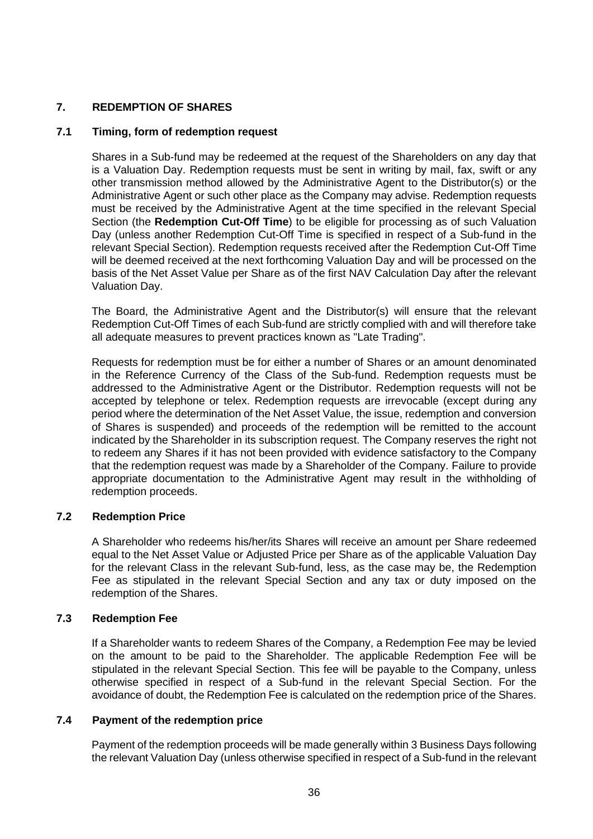### <span id="page-35-0"></span>**7. REDEMPTION OF SHARES**

### **7.1 Timing, form of redemption request**

Shares in a Sub-fund may be redeemed at the request of the Shareholders on any day that is a Valuation Day. Redemption requests must be sent in writing by mail, fax, swift or any other transmission method allowed by the Administrative Agent to the Distributor(s) or the Administrative Agent or such other place as the Company may advise. Redemption requests must be received by the Administrative Agent at the time specified in the relevant Special Section (the **Redemption Cut-Off Time**) to be eligible for processing as of such Valuation Day (unless another Redemption Cut-Off Time is specified in respect of a Sub-fund in the relevant Special Section). Redemption requests received after the Redemption Cut-Off Time will be deemed received at the next forthcoming Valuation Day and will be processed on the basis of the Net Asset Value per Share as of the first NAV Calculation Day after the relevant Valuation Day.

The Board, the Administrative Agent and the Distributor(s) will ensure that the relevant Redemption Cut-Off Times of each Sub-fund are strictly complied with and will therefore take all adequate measures to prevent practices known as "Late Trading".

Requests for redemption must be for either a number of Shares or an amount denominated in the Reference Currency of the Class of the Sub-fund. Redemption requests must be addressed to the Administrative Agent or the Distributor. Redemption requests will not be accepted by telephone or telex. Redemption requests are irrevocable (except during any period where the determination of the Net Asset Value, the issue, redemption and conversion of Shares is suspended) and proceeds of the redemption will be remitted to the account indicated by the Shareholder in its subscription request. The Company reserves the right not to redeem any Shares if it has not been provided with evidence satisfactory to the Company that the redemption request was made by a Shareholder of the Company. Failure to provide appropriate documentation to the Administrative Agent may result in the withholding of redemption proceeds.

### **7.2 Redemption Price**

A Shareholder who redeems his/her/its Shares will receive an amount per Share redeemed equal to the Net Asset Value or Adjusted Price per Share as of the applicable Valuation Day for the relevant Class in the relevant Sub-fund, less, as the case may be, the Redemption Fee as stipulated in the relevant Special Section and any tax or duty imposed on the redemption of the Shares.

### **7.3 Redemption Fee**

If a Shareholder wants to redeem Shares of the Company, a Redemption Fee may be levied on the amount to be paid to the Shareholder. The applicable Redemption Fee will be stipulated in the relevant Special Section. This fee will be payable to the Company, unless otherwise specified in respect of a Sub-fund in the relevant Special Section. For the avoidance of doubt, the Redemption Fee is calculated on the redemption price of the Shares.

#### **7.4 Payment of the redemption price**

Payment of the redemption proceeds will be made generally within 3 Business Days following the relevant Valuation Day (unless otherwise specified in respect of a Sub-fund in the relevant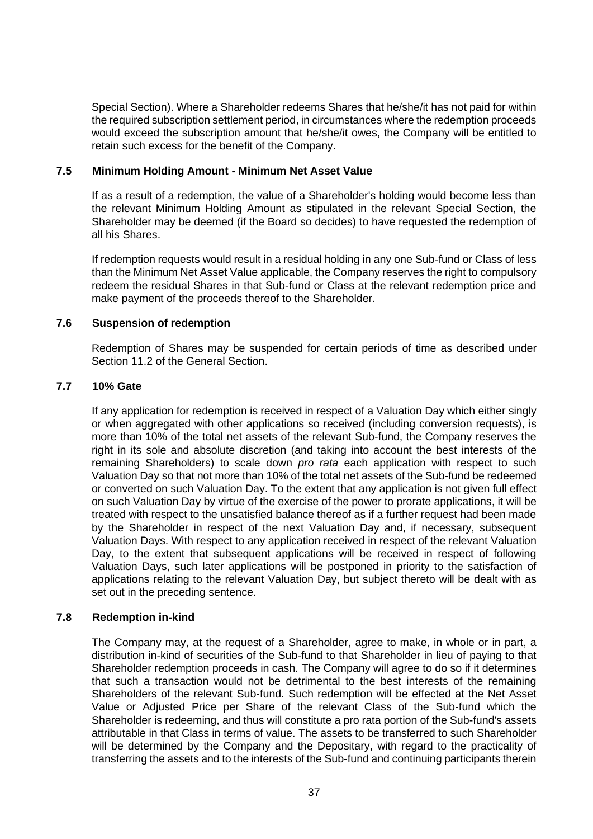Special Section). Where a Shareholder redeems Shares that he/she/it has not paid for within the required subscription settlement period, in circumstances where the redemption proceeds would exceed the subscription amount that he/she/it owes, the Company will be entitled to retain such excess for the benefit of the Company.

## **7.5 Minimum Holding Amount - Minimum Net Asset Value**

If as a result of a redemption, the value of a Shareholder's holding would become less than the relevant Minimum Holding Amount as stipulated in the relevant Special Section, the Shareholder may be deemed (if the Board so decides) to have requested the redemption of all his Shares.

If redemption requests would result in a residual holding in any one Sub-fund or Class of less than the Minimum Net Asset Value applicable, the Company reserves the right to compulsory redeem the residual Shares in that Sub-fund or Class at the relevant redemption price and make payment of the proceeds thereof to the Shareholder.

### **7.6 Suspension of redemption**

Redemption of Shares may be suspended for certain periods of time as described under Section [11.2](#page-45-0) of the General Section.

#### **7.7 10% Gate**

If any application for redemption is received in respect of a Valuation Day which either singly or when aggregated with other applications so received (including conversion requests), is more than 10% of the total net assets of the relevant Sub-fund, the Company reserves the right in its sole and absolute discretion (and taking into account the best interests of the remaining Shareholders) to scale down *pro rata* each application with respect to such Valuation Day so that not more than 10% of the total net assets of the Sub-fund be redeemed or converted on such Valuation Day. To the extent that any application is not given full effect on such Valuation Day by virtue of the exercise of the power to prorate applications, it will be treated with respect to the unsatisfied balance thereof as if a further request had been made by the Shareholder in respect of the next Valuation Day and, if necessary, subsequent Valuation Days. With respect to any application received in respect of the relevant Valuation Day, to the extent that subsequent applications will be received in respect of following Valuation Days, such later applications will be postponed in priority to the satisfaction of applications relating to the relevant Valuation Day, but subject thereto will be dealt with as set out in the preceding sentence.

# **7.8 Redemption in-kind**

The Company may, at the request of a Shareholder, agree to make, in whole or in part, a distribution in-kind of securities of the Sub-fund to that Shareholder in lieu of paying to that Shareholder redemption proceeds in cash. The Company will agree to do so if it determines that such a transaction would not be detrimental to the best interests of the remaining Shareholders of the relevant Sub-fund. Such redemption will be effected at the Net Asset Value or Adjusted Price per Share of the relevant Class of the Sub-fund which the Shareholder is redeeming, and thus will constitute a pro rata portion of the Sub-fund's assets attributable in that Class in terms of value. The assets to be transferred to such Shareholder will be determined by the Company and the Depositary, with regard to the practicality of transferring the assets and to the interests of the Sub-fund and continuing participants therein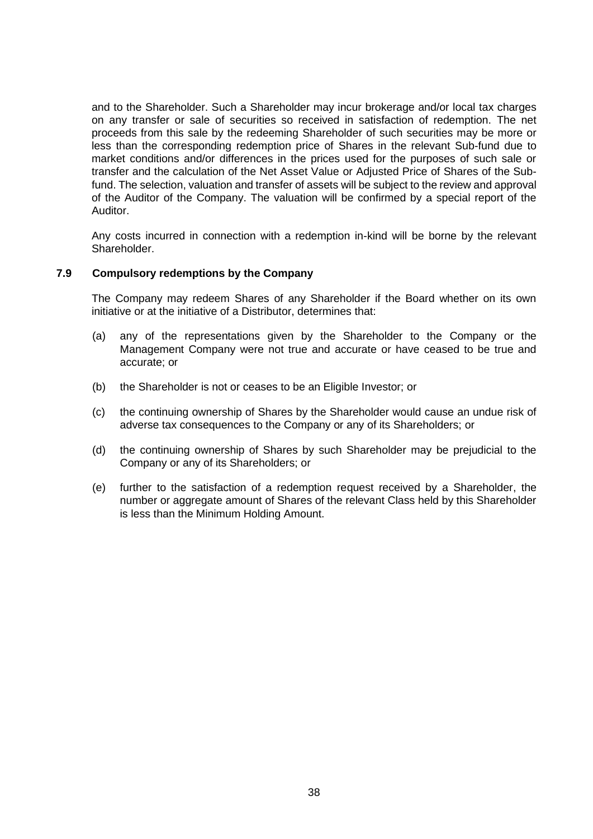and to the Shareholder. Such a Shareholder may incur brokerage and/or local tax charges on any transfer or sale of securities so received in satisfaction of redemption. The net proceeds from this sale by the redeeming Shareholder of such securities may be more or less than the corresponding redemption price of Shares in the relevant Sub-fund due to market conditions and/or differences in the prices used for the purposes of such sale or transfer and the calculation of the Net Asset Value or Adjusted Price of Shares of the Subfund. The selection, valuation and transfer of assets will be subject to the review and approval of the Auditor of the Company. The valuation will be confirmed by a special report of the Auditor.

Any costs incurred in connection with a redemption in-kind will be borne by the relevant Shareholder.

#### **7.9 Compulsory redemptions by the Company**

The Company may redeem Shares of any Shareholder if the Board whether on its own initiative or at the initiative of a Distributor, determines that:

- (a) any of the representations given by the Shareholder to the Company or the Management Company were not true and accurate or have ceased to be true and accurate; or
- (b) the Shareholder is not or ceases to be an Eligible Investor; or
- (c) the continuing ownership of Shares by the Shareholder would cause an undue risk of adverse tax consequences to the Company or any of its Shareholders; or
- (d) the continuing ownership of Shares by such Shareholder may be prejudicial to the Company or any of its Shareholders; or
- (e) further to the satisfaction of a redemption request received by a Shareholder, the number or aggregate amount of Shares of the relevant Class held by this Shareholder is less than the Minimum Holding Amount.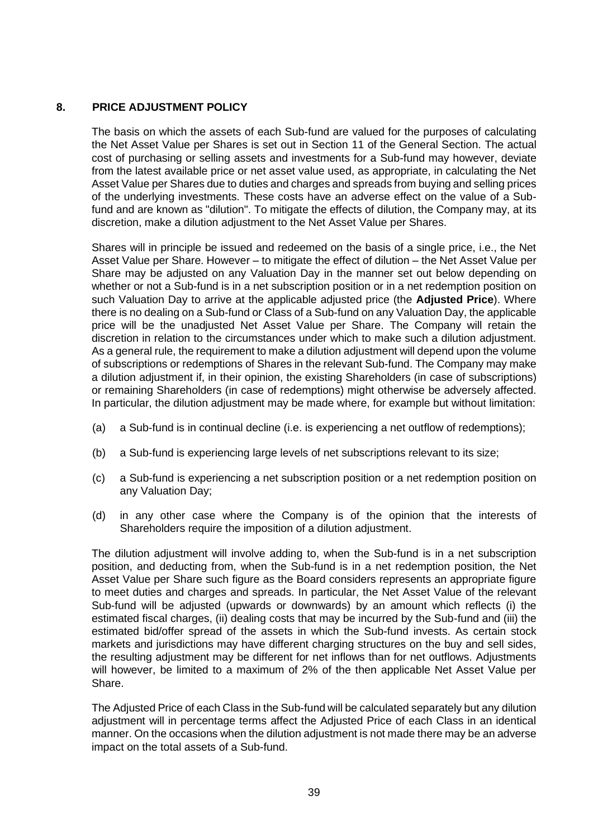# <span id="page-38-0"></span>**8. PRICE ADJUSTMENT POLICY**

The basis on which the assets of each Sub-fund are valued for the purposes of calculating the Net Asset Value per Shares is set out in Section [11](#page-41-0) of the General Section. The actual cost of purchasing or selling assets and investments for a Sub-fund may however, deviate from the latest available price or net asset value used, as appropriate, in calculating the Net Asset Value per Shares due to duties and charges and spreads from buying and selling prices of the underlying investments. These costs have an adverse effect on the value of a Subfund and are known as "dilution". To mitigate the effects of dilution, the Company may, at its discretion, make a dilution adjustment to the Net Asset Value per Shares.

Shares will in principle be issued and redeemed on the basis of a single price, i.e., the Net Asset Value per Share. However – to mitigate the effect of dilution – the Net Asset Value per Share may be adjusted on any Valuation Day in the manner set out below depending on whether or not a Sub-fund is in a net subscription position or in a net redemption position on such Valuation Day to arrive at the applicable adjusted price (the **Adjusted Price**). Where there is no dealing on a Sub-fund or Class of a Sub-fund on any Valuation Day, the applicable price will be the unadjusted Net Asset Value per Share. The Company will retain the discretion in relation to the circumstances under which to make such a dilution adjustment. As a general rule, the requirement to make a dilution adjustment will depend upon the volume of subscriptions or redemptions of Shares in the relevant Sub-fund. The Company may make a dilution adjustment if, in their opinion, the existing Shareholders (in case of subscriptions) or remaining Shareholders (in case of redemptions) might otherwise be adversely affected. In particular, the dilution adjustment may be made where, for example but without limitation:

- (a) a Sub-fund is in continual decline (i.e. is experiencing a net outflow of redemptions);
- (b) a Sub-fund is experiencing large levels of net subscriptions relevant to its size;
- (c) a Sub-fund is experiencing a net subscription position or a net redemption position on any Valuation Day;
- (d) in any other case where the Company is of the opinion that the interests of Shareholders require the imposition of a dilution adjustment.

The dilution adjustment will involve adding to, when the Sub-fund is in a net subscription position, and deducting from, when the Sub-fund is in a net redemption position, the Net Asset Value per Share such figure as the Board considers represents an appropriate figure to meet duties and charges and spreads. In particular, the Net Asset Value of the relevant Sub-fund will be adjusted (upwards or downwards) by an amount which reflects (i) the estimated fiscal charges, (ii) dealing costs that may be incurred by the Sub-fund and (iii) the estimated bid/offer spread of the assets in which the Sub-fund invests. As certain stock markets and jurisdictions may have different charging structures on the buy and sell sides, the resulting adjustment may be different for net inflows than for net outflows. Adjustments will however, be limited to a maximum of 2% of the then applicable Net Asset Value per Share.

The Adjusted Price of each Class in the Sub-fund will be calculated separately but any dilution adjustment will in percentage terms affect the Adjusted Price of each Class in an identical manner. On the occasions when the dilution adjustment is not made there may be an adverse impact on the total assets of a Sub-fund.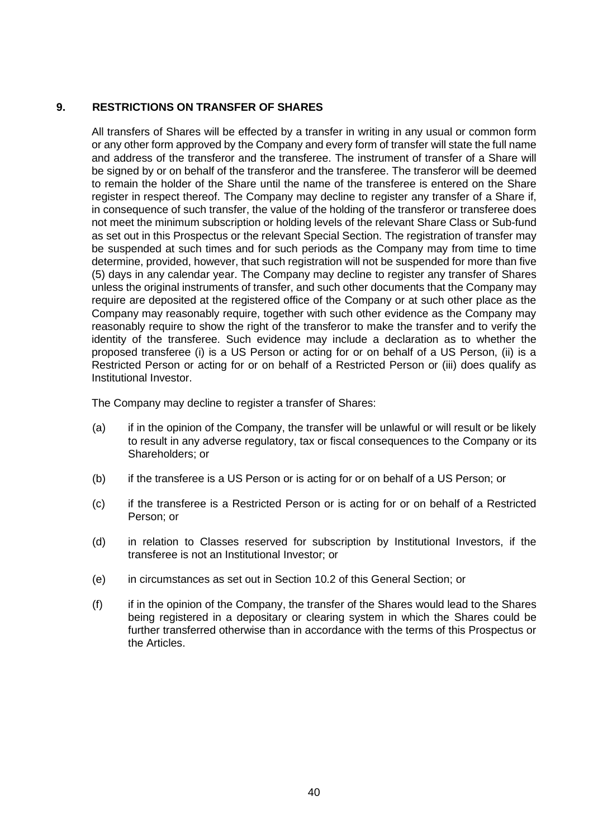# **9. RESTRICTIONS ON TRANSFER OF SHARES**

All transfers of Shares will be effected by a transfer in writing in any usual or common form or any other form approved by the Company and every form of transfer will state the full name and address of the transferor and the transferee. The instrument of transfer of a Share will be signed by or on behalf of the transferor and the transferee. The transferor will be deemed to remain the holder of the Share until the name of the transferee is entered on the Share register in respect thereof. The Company may decline to register any transfer of a Share if, in consequence of such transfer, the value of the holding of the transferor or transferee does not meet the minimum subscription or holding levels of the relevant Share Class or Sub-fund as set out in this Prospectus or the relevant Special Section. The registration of transfer may be suspended at such times and for such periods as the Company may from time to time determine, provided, however, that such registration will not be suspended for more than five (5) days in any calendar year. The Company may decline to register any transfer of Shares unless the original instruments of transfer, and such other documents that the Company may require are deposited at the registered office of the Company or at such other place as the Company may reasonably require, together with such other evidence as the Company may reasonably require to show the right of the transferor to make the transfer and to verify the identity of the transferee. Such evidence may include a declaration as to whether the proposed transferee (i) is a US Person or acting for or on behalf of a US Person, (ii) is a Restricted Person or acting for or on behalf of a Restricted Person or (iii) does qualify as Institutional Investor.

The Company may decline to register a transfer of Shares:

- (a) if in the opinion of the Company, the transfer will be unlawful or will result or be likely to result in any adverse regulatory, tax or fiscal consequences to the Company or its Shareholders; or
- (b) if the transferee is a US Person or is acting for or on behalf of a US Person; or
- (c) if the transferee is a Restricted Person or is acting for or on behalf of a Restricted Person; or
- (d) in relation to Classes reserved for subscription by Institutional Investors, if the transferee is not an Institutional Investor; or
- (e) in circumstances as set out in Section [10.2](#page-40-0) of this General Section; or
- (f) if in the opinion of the Company, the transfer of the Shares would lead to the Shares being registered in a depositary or clearing system in which the Shares could be further transferred otherwise than in accordance with the terms of this Prospectus or the Articles.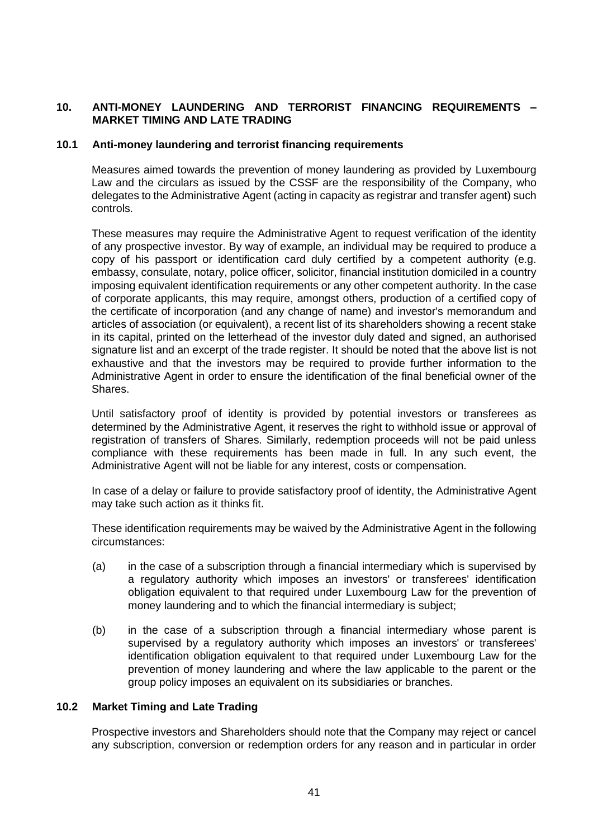# **10. ANTI-MONEY LAUNDERING AND TERRORIST FINANCING REQUIREMENTS – MARKET TIMING AND LATE TRADING**

#### **10.1 Anti-money laundering and terrorist financing requirements**

Measures aimed towards the prevention of money laundering as provided by Luxembourg Law and the circulars as issued by the CSSF are the responsibility of the Company, who delegates to the Administrative Agent (acting in capacity as registrar and transfer agent) such controls.

These measures may require the Administrative Agent to request verification of the identity of any prospective investor. By way of example, an individual may be required to produce a copy of his passport or identification card duly certified by a competent authority (e.g. embassy, consulate, notary, police officer, solicitor, financial institution domiciled in a country imposing equivalent identification requirements or any other competent authority. In the case of corporate applicants, this may require, amongst others, production of a certified copy of the certificate of incorporation (and any change of name) and investor's memorandum and articles of association (or equivalent), a recent list of its shareholders showing a recent stake in its capital, printed on the letterhead of the investor duly dated and signed, an authorised signature list and an excerpt of the trade register. It should be noted that the above list is not exhaustive and that the investors may be required to provide further information to the Administrative Agent in order to ensure the identification of the final beneficial owner of the Shares.

Until satisfactory proof of identity is provided by potential investors or transferees as determined by the Administrative Agent, it reserves the right to withhold issue or approval of registration of transfers of Shares. Similarly, redemption proceeds will not be paid unless compliance with these requirements has been made in full. In any such event, the Administrative Agent will not be liable for any interest, costs or compensation.

In case of a delay or failure to provide satisfactory proof of identity, the Administrative Agent may take such action as it thinks fit.

These identification requirements may be waived by the Administrative Agent in the following circumstances:

- (a) in the case of a subscription through a financial intermediary which is supervised by a regulatory authority which imposes an investors' or transferees' identification obligation equivalent to that required under Luxembourg Law for the prevention of money laundering and to which the financial intermediary is subject;
- (b) in the case of a subscription through a financial intermediary whose parent is supervised by a regulatory authority which imposes an investors' or transferees' identification obligation equivalent to that required under Luxembourg Law for the prevention of money laundering and where the law applicable to the parent or the group policy imposes an equivalent on its subsidiaries or branches.

#### <span id="page-40-0"></span>**10.2 Market Timing and Late Trading**

Prospective investors and Shareholders should note that the Company may reject or cancel any subscription, conversion or redemption orders for any reason and in particular in order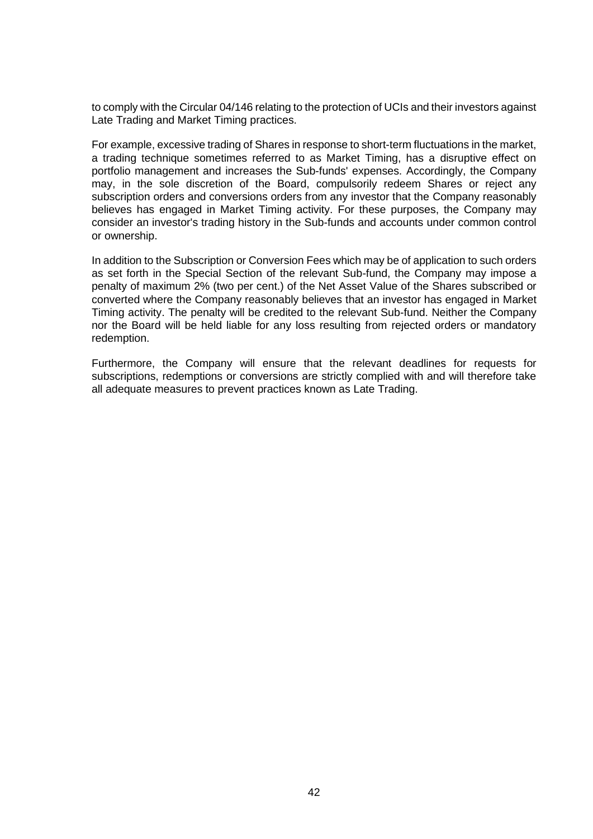to comply with the Circular 04/146 relating to the protection of UCIs and their investors against Late Trading and Market Timing practices.

For example, excessive trading of Shares in response to short-term fluctuations in the market, a trading technique sometimes referred to as Market Timing, has a disruptive effect on portfolio management and increases the Sub-funds' expenses. Accordingly, the Company may, in the sole discretion of the Board, compulsorily redeem Shares or reject any subscription orders and conversions orders from any investor that the Company reasonably believes has engaged in Market Timing activity. For these purposes, the Company may consider an investor's trading history in the Sub-funds and accounts under common control or ownership.

In addition to the Subscription or Conversion Fees which may be of application to such orders as set forth in the Special Section of the relevant Sub-fund, the Company may impose a penalty of maximum 2% (two per cent.) of the Net Asset Value of the Shares subscribed or converted where the Company reasonably believes that an investor has engaged in Market Timing activity. The penalty will be credited to the relevant Sub-fund. Neither the Company nor the Board will be held liable for any loss resulting from rejected orders or mandatory redemption.

<span id="page-41-0"></span>Furthermore, the Company will ensure that the relevant deadlines for requests for subscriptions, redemptions or conversions are strictly complied with and will therefore take all adequate measures to prevent practices known as Late Trading.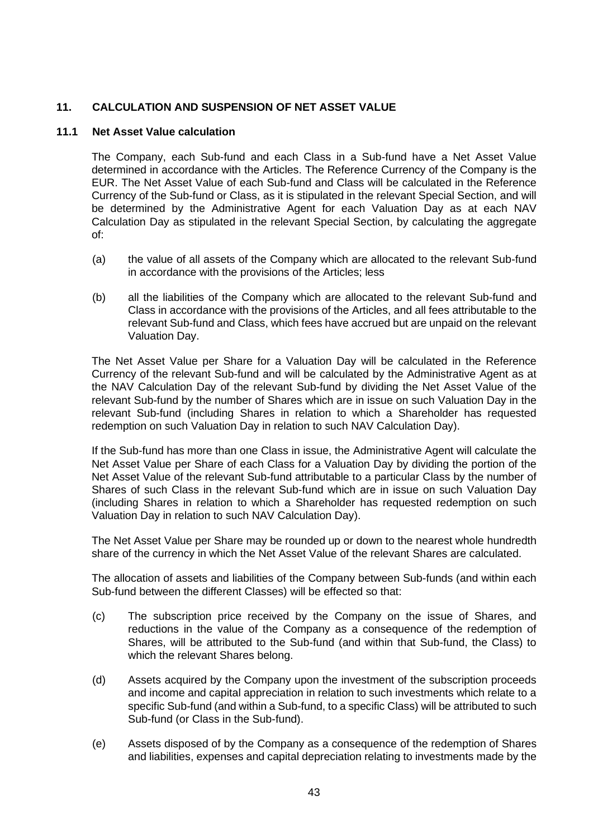# **11. CALCULATION AND SUSPENSION OF NET ASSET VALUE**

## **11.1 Net Asset Value calculation**

The Company, each Sub-fund and each Class in a Sub-fund have a Net Asset Value determined in accordance with the Articles. The Reference Currency of the Company is the EUR. The Net Asset Value of each Sub-fund and Class will be calculated in the Reference Currency of the Sub-fund or Class, as it is stipulated in the relevant Special Section, and will be determined by the Administrative Agent for each Valuation Day as at each NAV Calculation Day as stipulated in the relevant Special Section, by calculating the aggregate of:

- (a) the value of all assets of the Company which are allocated to the relevant Sub-fund in accordance with the provisions of the Articles; less
- (b) all the liabilities of the Company which are allocated to the relevant Sub-fund and Class in accordance with the provisions of the Articles, and all fees attributable to the relevant Sub-fund and Class, which fees have accrued but are unpaid on the relevant Valuation Day.

The Net Asset Value per Share for a Valuation Day will be calculated in the Reference Currency of the relevant Sub-fund and will be calculated by the Administrative Agent as at the NAV Calculation Day of the relevant Sub-fund by dividing the Net Asset Value of the relevant Sub-fund by the number of Shares which are in issue on such Valuation Day in the relevant Sub-fund (including Shares in relation to which a Shareholder has requested redemption on such Valuation Day in relation to such NAV Calculation Day).

If the Sub-fund has more than one Class in issue, the Administrative Agent will calculate the Net Asset Value per Share of each Class for a Valuation Day by dividing the portion of the Net Asset Value of the relevant Sub-fund attributable to a particular Class by the number of Shares of such Class in the relevant Sub-fund which are in issue on such Valuation Day (including Shares in relation to which a Shareholder has requested redemption on such Valuation Day in relation to such NAV Calculation Day).

The Net Asset Value per Share may be rounded up or down to the nearest whole hundredth share of the currency in which the Net Asset Value of the relevant Shares are calculated.

The allocation of assets and liabilities of the Company between Sub-funds (and within each Sub-fund between the different Classes) will be effected so that:

- (c) The subscription price received by the Company on the issue of Shares, and reductions in the value of the Company as a consequence of the redemption of Shares, will be attributed to the Sub-fund (and within that Sub-fund, the Class) to which the relevant Shares belong.
- (d) Assets acquired by the Company upon the investment of the subscription proceeds and income and capital appreciation in relation to such investments which relate to a specific Sub-fund (and within a Sub-fund, to a specific Class) will be attributed to such Sub-fund (or Class in the Sub-fund).
- (e) Assets disposed of by the Company as a consequence of the redemption of Shares and liabilities, expenses and capital depreciation relating to investments made by the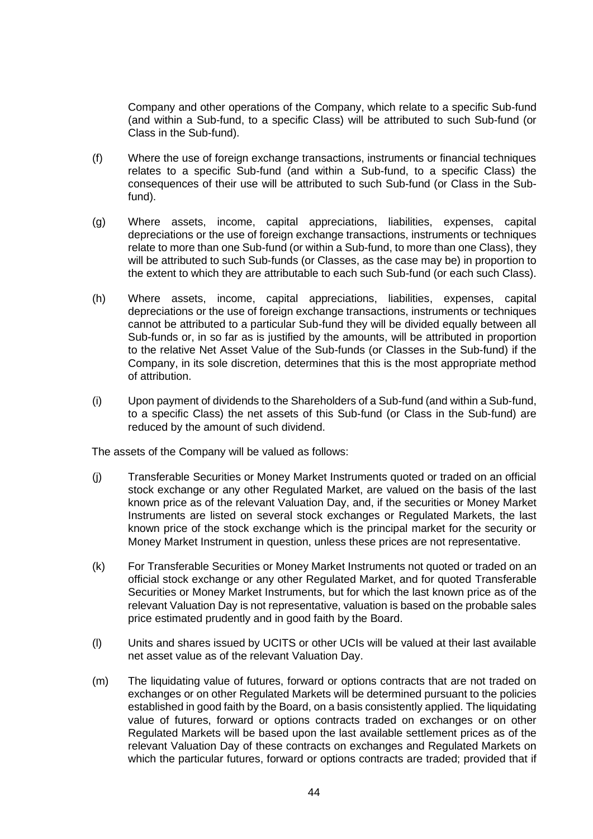Company and other operations of the Company, which relate to a specific Sub-fund (and within a Sub-fund, to a specific Class) will be attributed to such Sub-fund (or Class in the Sub-fund).

- (f) Where the use of foreign exchange transactions, instruments or financial techniques relates to a specific Sub-fund (and within a Sub-fund, to a specific Class) the consequences of their use will be attributed to such Sub-fund (or Class in the Subfund).
- (g) Where assets, income, capital appreciations, liabilities, expenses, capital depreciations or the use of foreign exchange transactions, instruments or techniques relate to more than one Sub-fund (or within a Sub-fund, to more than one Class), they will be attributed to such Sub-funds (or Classes, as the case may be) in proportion to the extent to which they are attributable to each such Sub-fund (or each such Class).
- (h) Where assets, income, capital appreciations, liabilities, expenses, capital depreciations or the use of foreign exchange transactions, instruments or techniques cannot be attributed to a particular Sub-fund they will be divided equally between all Sub-funds or, in so far as is justified by the amounts, will be attributed in proportion to the relative Net Asset Value of the Sub-funds (or Classes in the Sub-fund) if the Company, in its sole discretion, determines that this is the most appropriate method of attribution.
- (i) Upon payment of dividends to the Shareholders of a Sub-fund (and within a Sub-fund, to a specific Class) the net assets of this Sub-fund (or Class in the Sub-fund) are reduced by the amount of such dividend.

The assets of the Company will be valued as follows:

- (j) Transferable Securities or Money Market Instruments quoted or traded on an official stock exchange or any other Regulated Market, are valued on the basis of the last known price as of the relevant Valuation Day, and, if the securities or Money Market Instruments are listed on several stock exchanges or Regulated Markets, the last known price of the stock exchange which is the principal market for the security or Money Market Instrument in question, unless these prices are not representative.
- (k) For Transferable Securities or Money Market Instruments not quoted or traded on an official stock exchange or any other Regulated Market, and for quoted Transferable Securities or Money Market Instruments, but for which the last known price as of the relevant Valuation Day is not representative, valuation is based on the probable sales price estimated prudently and in good faith by the Board.
- (l) Units and shares issued by UCITS or other UCIs will be valued at their last available net asset value as of the relevant Valuation Day.
- (m) The liquidating value of futures, forward or options contracts that are not traded on exchanges or on other Regulated Markets will be determined pursuant to the policies established in good faith by the Board, on a basis consistently applied. The liquidating value of futures, forward or options contracts traded on exchanges or on other Regulated Markets will be based upon the last available settlement prices as of the relevant Valuation Day of these contracts on exchanges and Regulated Markets on which the particular futures, forward or options contracts are traded; provided that if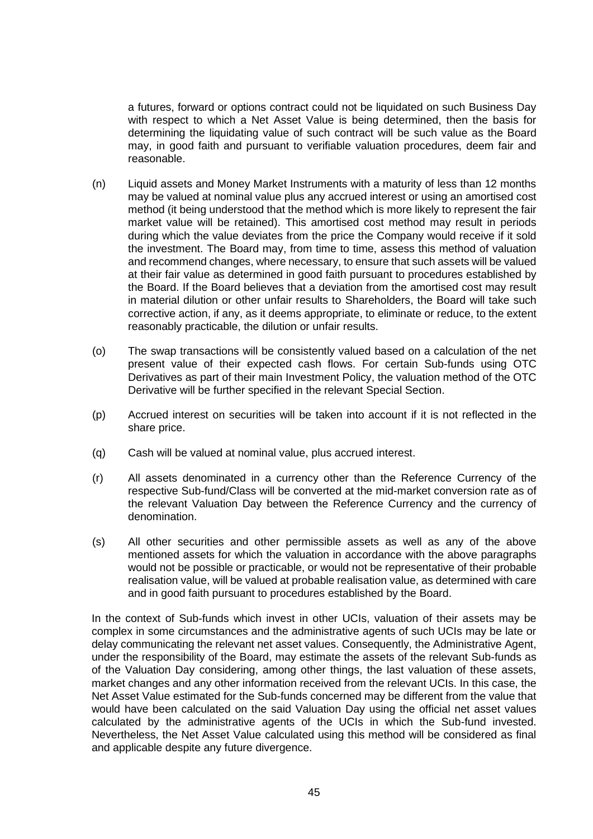a futures, forward or options contract could not be liquidated on such Business Day with respect to which a Net Asset Value is being determined, then the basis for determining the liquidating value of such contract will be such value as the Board may, in good faith and pursuant to verifiable valuation procedures, deem fair and reasonable.

- (n) Liquid assets and Money Market Instruments with a maturity of less than 12 months may be valued at nominal value plus any accrued interest or using an amortised cost method (it being understood that the method which is more likely to represent the fair market value will be retained). This amortised cost method may result in periods during which the value deviates from the price the Company would receive if it sold the investment. The Board may, from time to time, assess this method of valuation and recommend changes, where necessary, to ensure that such assets will be valued at their fair value as determined in good faith pursuant to procedures established by the Board. If the Board believes that a deviation from the amortised cost may result in material dilution or other unfair results to Shareholders, the Board will take such corrective action, if any, as it deems appropriate, to eliminate or reduce, to the extent reasonably practicable, the dilution or unfair results.
- (o) The swap transactions will be consistently valued based on a calculation of the net present value of their expected cash flows. For certain Sub-funds using OTC Derivatives as part of their main Investment Policy, the valuation method of the OTC Derivative will be further specified in the relevant Special Section.
- (p) Accrued interest on securities will be taken into account if it is not reflected in the share price.
- (q) Cash will be valued at nominal value, plus accrued interest.
- (r) All assets denominated in a currency other than the Reference Currency of the respective Sub-fund/Class will be converted at the mid-market conversion rate as of the relevant Valuation Day between the Reference Currency and the currency of denomination.
- (s) All other securities and other permissible assets as well as any of the above mentioned assets for which the valuation in accordance with the above paragraphs would not be possible or practicable, or would not be representative of their probable realisation value, will be valued at probable realisation value, as determined with care and in good faith pursuant to procedures established by the Board.

In the context of Sub-funds which invest in other UCIs, valuation of their assets may be complex in some circumstances and the administrative agents of such UCIs may be late or delay communicating the relevant net asset values. Consequently, the Administrative Agent, under the responsibility of the Board, may estimate the assets of the relevant Sub-funds as of the Valuation Day considering, among other things, the last valuation of these assets, market changes and any other information received from the relevant UCIs. In this case, the Net Asset Value estimated for the Sub-funds concerned may be different from the value that would have been calculated on the said Valuation Day using the official net asset values calculated by the administrative agents of the UCIs in which the Sub-fund invested. Nevertheless, the Net Asset Value calculated using this method will be considered as final and applicable despite any future divergence.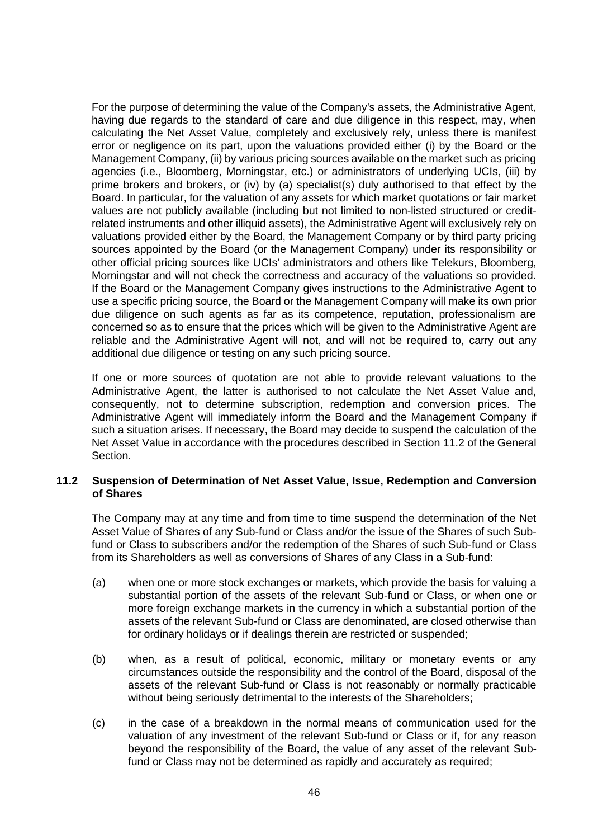For the purpose of determining the value of the Company's assets, the Administrative Agent, having due regards to the standard of care and due diligence in this respect, may, when calculating the Net Asset Value, completely and exclusively rely, unless there is manifest error or negligence on its part, upon the valuations provided either (i) by the Board or the Management Company, (ii) by various pricing sources available on the market such as pricing agencies (i.e., Bloomberg, Morningstar, etc.) or administrators of underlying UCIs, (iii) by prime brokers and brokers, or (iv) by (a) specialist(s) duly authorised to that effect by the Board. In particular, for the valuation of any assets for which market quotations or fair market values are not publicly available (including but not limited to non-listed structured or creditrelated instruments and other illiquid assets), the Administrative Agent will exclusively rely on valuations provided either by the Board, the Management Company or by third party pricing sources appointed by the Board (or the Management Company) under its responsibility or other official pricing sources like UCIs' administrators and others like Telekurs, Bloomberg, Morningstar and will not check the correctness and accuracy of the valuations so provided. If the Board or the Management Company gives instructions to the Administrative Agent to use a specific pricing source, the Board or the Management Company will make its own prior due diligence on such agents as far as its competence, reputation, professionalism are concerned so as to ensure that the prices which will be given to the Administrative Agent are reliable and the Administrative Agent will not, and will not be required to, carry out any additional due diligence or testing on any such pricing source.

If one or more sources of quotation are not able to provide relevant valuations to the Administrative Agent, the latter is authorised to not calculate the Net Asset Value and, consequently, not to determine subscription, redemption and conversion prices. The Administrative Agent will immediately inform the Board and the Management Company if such a situation arises. If necessary, the Board may decide to suspend the calculation of the Net Asset Value in accordance with the procedures described in Section [11.2](#page-45-0) of the General Section.

#### <span id="page-45-0"></span>**11.2 Suspension of Determination of Net Asset Value, Issue, Redemption and Conversion of Shares**

The Company may at any time and from time to time suspend the determination of the Net Asset Value of Shares of any Sub-fund or Class and/or the issue of the Shares of such Subfund or Class to subscribers and/or the redemption of the Shares of such Sub-fund or Class from its Shareholders as well as conversions of Shares of any Class in a Sub-fund:

- (a) when one or more stock exchanges or markets, which provide the basis for valuing a substantial portion of the assets of the relevant Sub-fund or Class, or when one or more foreign exchange markets in the currency in which a substantial portion of the assets of the relevant Sub-fund or Class are denominated, are closed otherwise than for ordinary holidays or if dealings therein are restricted or suspended;
- (b) when, as a result of political, economic, military or monetary events or any circumstances outside the responsibility and the control of the Board, disposal of the assets of the relevant Sub-fund or Class is not reasonably or normally practicable without being seriously detrimental to the interests of the Shareholders:
- (c) in the case of a breakdown in the normal means of communication used for the valuation of any investment of the relevant Sub-fund or Class or if, for any reason beyond the responsibility of the Board, the value of any asset of the relevant Subfund or Class may not be determined as rapidly and accurately as required;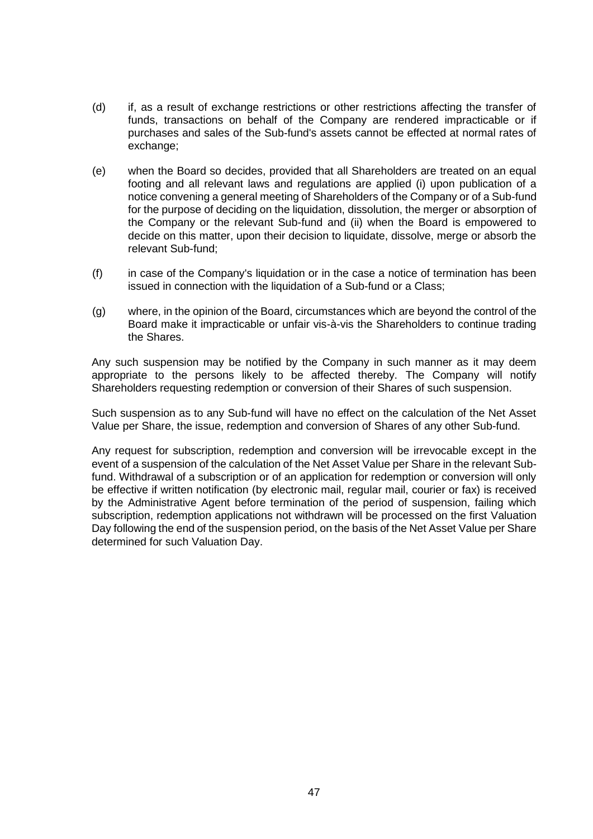- (d) if, as a result of exchange restrictions or other restrictions affecting the transfer of funds, transactions on behalf of the Company are rendered impracticable or if purchases and sales of the Sub-fund's assets cannot be effected at normal rates of exchange:
- (e) when the Board so decides, provided that all Shareholders are treated on an equal footing and all relevant laws and regulations are applied (i) upon publication of a notice convening a general meeting of Shareholders of the Company or of a Sub-fund for the purpose of deciding on the liquidation, dissolution, the merger or absorption of the Company or the relevant Sub-fund and (ii) when the Board is empowered to decide on this matter, upon their decision to liquidate, dissolve, merge or absorb the relevant Sub-fund;
- (f) in case of the Company's liquidation or in the case a notice of termination has been issued in connection with the liquidation of a Sub-fund or a Class;
- (g) where, in the opinion of the Board, circumstances which are beyond the control of the Board make it impracticable or unfair vis-à-vis the Shareholders to continue trading the Shares.

Any such suspension may be notified by the Company in such manner as it may deem appropriate to the persons likely to be affected thereby. The Company will notify Shareholders requesting redemption or conversion of their Shares of such suspension.

Such suspension as to any Sub-fund will have no effect on the calculation of the Net Asset Value per Share, the issue, redemption and conversion of Shares of any other Sub-fund.

Any request for subscription, redemption and conversion will be irrevocable except in the event of a suspension of the calculation of the Net Asset Value per Share in the relevant Subfund. Withdrawal of a subscription or of an application for redemption or conversion will only be effective if written notification (by electronic mail, regular mail, courier or fax) is received by the Administrative Agent before termination of the period of suspension, failing which subscription, redemption applications not withdrawn will be processed on the first Valuation Day following the end of the suspension period, on the basis of the Net Asset Value per Share determined for such Valuation Day.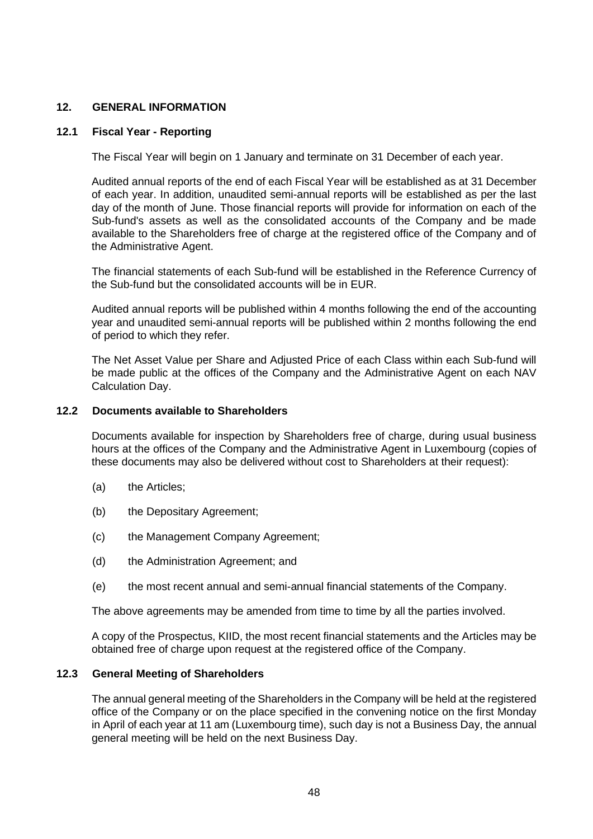## **12. GENERAL INFORMATION**

## **12.1 Fiscal Year - Reporting**

The Fiscal Year will begin on 1 January and terminate on 31 December of each year.

Audited annual reports of the end of each Fiscal Year will be established as at 31 December of each year. In addition, unaudited semi-annual reports will be established as per the last day of the month of June. Those financial reports will provide for information on each of the Sub-fund's assets as well as the consolidated accounts of the Company and be made available to the Shareholders free of charge at the registered office of the Company and of the Administrative Agent.

The financial statements of each Sub-fund will be established in the Reference Currency of the Sub-fund but the consolidated accounts will be in EUR.

Audited annual reports will be published within 4 months following the end of the accounting year and unaudited semi-annual reports will be published within 2 months following the end of period to which they refer.

The Net Asset Value per Share and Adjusted Price of each Class within each Sub-fund will be made public at the offices of the Company and the Administrative Agent on each NAV Calculation Day.

#### **12.2 Documents available to Shareholders**

Documents available for inspection by Shareholders free of charge, during usual business hours at the offices of the Company and the Administrative Agent in Luxembourg (copies of these documents may also be delivered without cost to Shareholders at their request):

- (a) the Articles;
- (b) the Depositary Agreement;
- (c) the Management Company Agreement;
- (d) the Administration Agreement; and
- (e) the most recent annual and semi-annual financial statements of the Company.

The above agreements may be amended from time to time by all the parties involved.

A copy of the Prospectus, KIID, the most recent financial statements and the Articles may be obtained free of charge upon request at the registered office of the Company.

#### **12.3 General Meeting of Shareholders**

The annual general meeting of the Shareholders in the Company will be held at the registered office of the Company or on the place specified in the convening notice on the first Monday in April of each year at 11 am (Luxembourg time), such day is not a Business Day, the annual general meeting will be held on the next Business Day.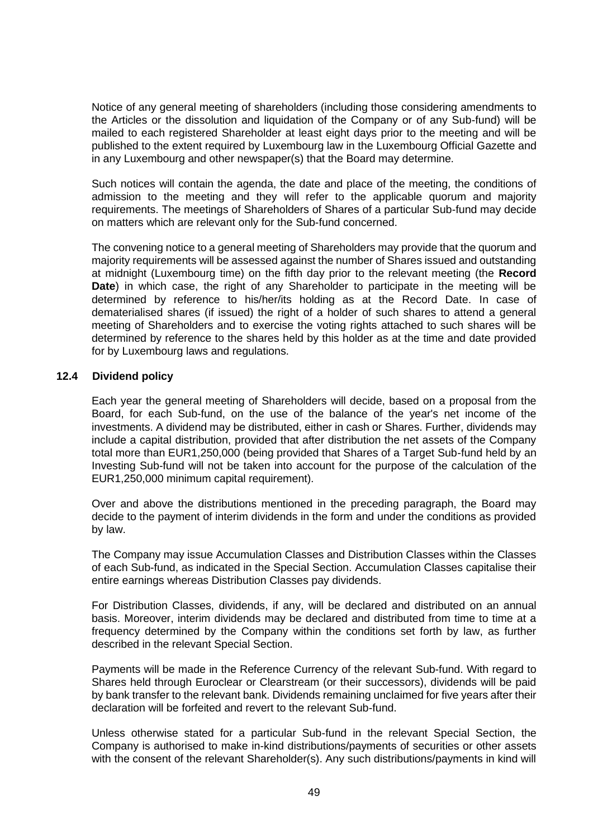Notice of any general meeting of shareholders (including those considering amendments to the Articles or the dissolution and liquidation of the Company or of any Sub-fund) will be mailed to each registered Shareholder at least eight days prior to the meeting and will be published to the extent required by Luxembourg law in the Luxembourg Official Gazette and in any Luxembourg and other newspaper(s) that the Board may determine.

Such notices will contain the agenda, the date and place of the meeting, the conditions of admission to the meeting and they will refer to the applicable quorum and majority requirements. The meetings of Shareholders of Shares of a particular Sub-fund may decide on matters which are relevant only for the Sub-fund concerned.

The convening notice to a general meeting of Shareholders may provide that the quorum and majority requirements will be assessed against the number of Shares issued and outstanding at midnight (Luxembourg time) on the fifth day prior to the relevant meeting (the **Record Date**) in which case, the right of any Shareholder to participate in the meeting will be determined by reference to his/her/its holding as at the Record Date. In case of dematerialised shares (if issued) the right of a holder of such shares to attend a general meeting of Shareholders and to exercise the voting rights attached to such shares will be determined by reference to the shares held by this holder as at the time and date provided for by Luxembourg laws and regulations.

## **12.4 Dividend policy**

Each year the general meeting of Shareholders will decide, based on a proposal from the Board, for each Sub-fund, on the use of the balance of the year's net income of the investments. A dividend may be distributed, either in cash or Shares. Further, dividends may include a capital distribution, provided that after distribution the net assets of the Company total more than EUR1,250,000 (being provided that Shares of a Target Sub-fund held by an Investing Sub-fund will not be taken into account for the purpose of the calculation of the EUR1,250,000 minimum capital requirement).

Over and above the distributions mentioned in the preceding paragraph, the Board may decide to the payment of interim dividends in the form and under the conditions as provided by law.

The Company may issue Accumulation Classes and Distribution Classes within the Classes of each Sub-fund, as indicated in the Special Section. Accumulation Classes capitalise their entire earnings whereas Distribution Classes pay dividends.

For Distribution Classes, dividends, if any, will be declared and distributed on an annual basis. Moreover, interim dividends may be declared and distributed from time to time at a frequency determined by the Company within the conditions set forth by law, as further described in the relevant Special Section.

Payments will be made in the Reference Currency of the relevant Sub-fund. With regard to Shares held through Euroclear or Clearstream (or their successors), dividends will be paid by bank transfer to the relevant bank. Dividends remaining unclaimed for five years after their declaration will be forfeited and revert to the relevant Sub-fund.

Unless otherwise stated for a particular Sub-fund in the relevant Special Section, the Company is authorised to make in-kind distributions/payments of securities or other assets with the consent of the relevant Shareholder(s). Any such distributions/payments in kind will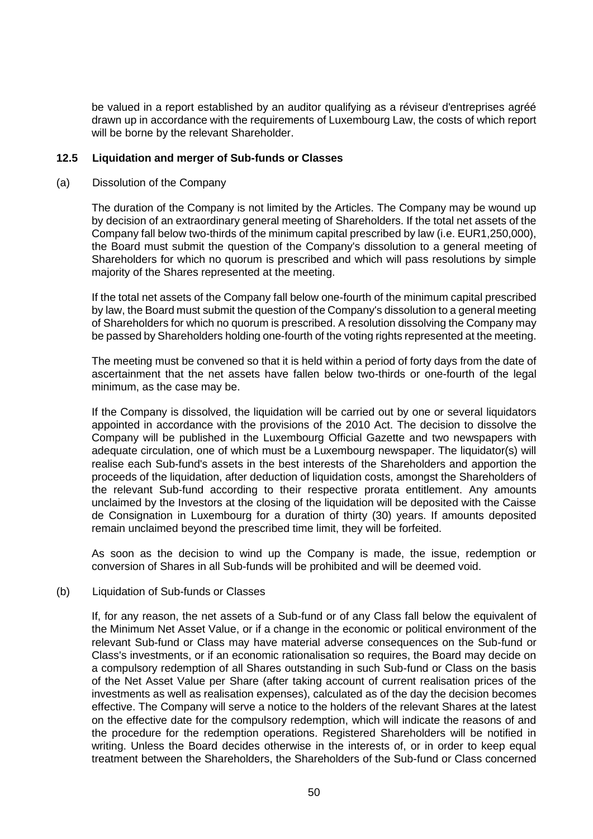be valued in a report established by an auditor qualifying as a réviseur d'entreprises agréé drawn up in accordance with the requirements of Luxembourg Law, the costs of which report will be borne by the relevant Shareholder.

#### **12.5 Liquidation and merger of Sub-funds or Classes**

#### (a) Dissolution of the Company

The duration of the Company is not limited by the Articles. The Company may be wound up by decision of an extraordinary general meeting of Shareholders. If the total net assets of the Company fall below two-thirds of the minimum capital prescribed by law (i.e. EUR1,250,000), the Board must submit the question of the Company's dissolution to a general meeting of Shareholders for which no quorum is prescribed and which will pass resolutions by simple majority of the Shares represented at the meeting.

If the total net assets of the Company fall below one-fourth of the minimum capital prescribed by law, the Board must submit the question of the Company's dissolution to a general meeting of Shareholders for which no quorum is prescribed. A resolution dissolving the Company may be passed by Shareholders holding one-fourth of the voting rights represented at the meeting.

The meeting must be convened so that it is held within a period of forty days from the date of ascertainment that the net assets have fallen below two-thirds or one-fourth of the legal minimum, as the case may be.

If the Company is dissolved, the liquidation will be carried out by one or several liquidators appointed in accordance with the provisions of the 2010 Act. The decision to dissolve the Company will be published in the Luxembourg Official Gazette and two newspapers with adequate circulation, one of which must be a Luxembourg newspaper. The liquidator(s) will realise each Sub-fund's assets in the best interests of the Shareholders and apportion the proceeds of the liquidation, after deduction of liquidation costs, amongst the Shareholders of the relevant Sub-fund according to their respective prorata entitlement. Any amounts unclaimed by the Investors at the closing of the liquidation will be deposited with the Caisse de Consignation in Luxembourg for a duration of thirty (30) years. If amounts deposited remain unclaimed beyond the prescribed time limit, they will be forfeited.

As soon as the decision to wind up the Company is made, the issue, redemption or conversion of Shares in all Sub-funds will be prohibited and will be deemed void.

#### <span id="page-49-0"></span>(b) Liquidation of Sub-funds or Classes

If, for any reason, the net assets of a Sub-fund or of any Class fall below the equivalent of the Minimum Net Asset Value, or if a change in the economic or political environment of the relevant Sub-fund or Class may have material adverse consequences on the Sub-fund or Class's investments, or if an economic rationalisation so requires, the Board may decide on a compulsory redemption of all Shares outstanding in such Sub-fund or Class on the basis of the Net Asset Value per Share (after taking account of current realisation prices of the investments as well as realisation expenses), calculated as of the day the decision becomes effective. The Company will serve a notice to the holders of the relevant Shares at the latest on the effective date for the compulsory redemption, which will indicate the reasons of and the procedure for the redemption operations. Registered Shareholders will be notified in writing. Unless the Board decides otherwise in the interests of, or in order to keep equal treatment between the Shareholders, the Shareholders of the Sub-fund or Class concerned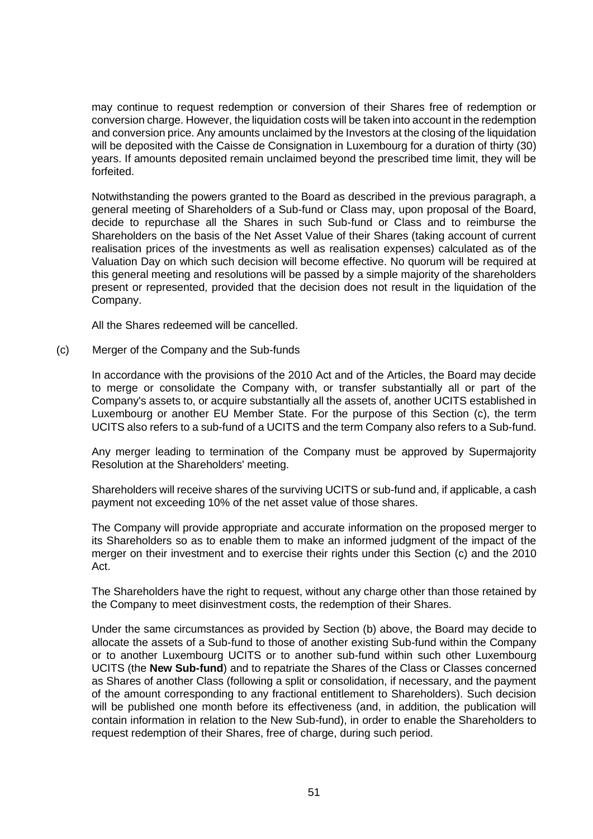may continue to request redemption or conversion of their Shares free of redemption or conversion charge. However, the liquidation costs will be taken into account in the redemption and conversion price. Any amounts unclaimed by the Investors at the closing of the liquidation will be deposited with the Caisse de Consignation in Luxembourg for a duration of thirty (30) years. If amounts deposited remain unclaimed beyond the prescribed time limit, they will be forfeited.

Notwithstanding the powers granted to the Board as described in the previous paragraph, a general meeting of Shareholders of a Sub-fund or Class may, upon proposal of the Board, decide to repurchase all the Shares in such Sub-fund or Class and to reimburse the Shareholders on the basis of the Net Asset Value of their Shares (taking account of current realisation prices of the investments as well as realisation expenses) calculated as of the Valuation Day on which such decision will become effective. No quorum will be required at this general meeting and resolutions will be passed by a simple majority of the shareholders present or represented, provided that the decision does not result in the liquidation of the Company.

All the Shares redeemed will be cancelled.

<span id="page-50-0"></span>(c) Merger of the Company and the Sub-funds

In accordance with the provisions of the 2010 Act and of the Articles, the Board may decide to merge or consolidate the Company with, or transfer substantially all or part of the Company's assets to, or acquire substantially all the assets of, another UCITS established in Luxembourg or another EU Member State. For the purpose of this Section [\(c\),](#page-50-0) the term UCITS also refers to a sub-fund of a UCITS and the term Company also refers to a Sub-fund.

Any merger leading to termination of the Company must be approved by Supermajority Resolution at the Shareholders' meeting.

Shareholders will receive shares of the surviving UCITS or sub-fund and, if applicable, a cash payment not exceeding 10% of the net asset value of those shares.

The Company will provide appropriate and accurate information on the proposed merger to its Shareholders so as to enable them to make an informed judgment of the impact of the merger on their investment and to exercise their rights under this Section [\(c\)](#page-50-0) and the 2010 Act.

The Shareholders have the right to request, without any charge other than those retained by the Company to meet disinvestment costs, the redemption of their Shares.

Under the same circumstances as provided by Section [\(b\)](#page-49-0) above, the Board may decide to allocate the assets of a Sub-fund to those of another existing Sub-fund within the Company or to another Luxembourg UCITS or to another sub-fund within such other Luxembourg UCITS (the **New Sub-fund**) and to repatriate the Shares of the Class or Classes concerned as Shares of another Class (following a split or consolidation, if necessary, and the payment of the amount corresponding to any fractional entitlement to Shareholders). Such decision will be published one month before its effectiveness (and, in addition, the publication will contain information in relation to the New Sub-fund), in order to enable the Shareholders to request redemption of their Shares, free of charge, during such period.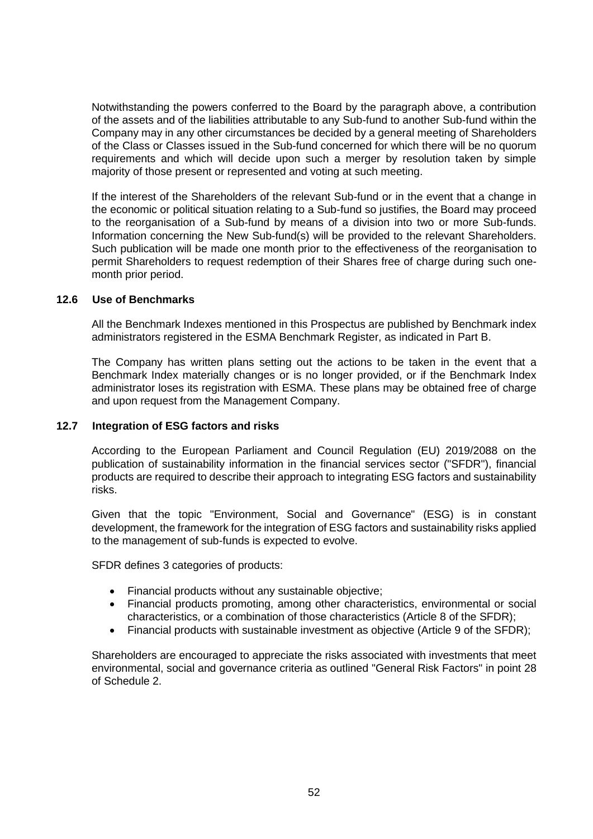Notwithstanding the powers conferred to the Board by the paragraph above, a contribution of the assets and of the liabilities attributable to any Sub-fund to another Sub-fund within the Company may in any other circumstances be decided by a general meeting of Shareholders of the Class or Classes issued in the Sub-fund concerned for which there will be no quorum requirements and which will decide upon such a merger by resolution taken by simple majority of those present or represented and voting at such meeting.

If the interest of the Shareholders of the relevant Sub-fund or in the event that a change in the economic or political situation relating to a Sub-fund so justifies, the Board may proceed to the reorganisation of a Sub-fund by means of a division into two or more Sub-funds. Information concerning the New Sub-fund(s) will be provided to the relevant Shareholders. Such publication will be made one month prior to the effectiveness of the reorganisation to permit Shareholders to request redemption of their Shares free of charge during such onemonth prior period.

#### **12.6 Use of Benchmarks**

All the Benchmark Indexes mentioned in this Prospectus are published by Benchmark index administrators registered in the ESMA Benchmark Register, as indicated in Part B.

The Company has written plans setting out the actions to be taken in the event that a Benchmark Index materially changes or is no longer provided, or if the Benchmark Index administrator loses its registration with ESMA. These plans may be obtained free of charge and upon request from the Management Company.

#### **12.7 Integration of ESG factors and risks**

According to the European Parliament and Council Regulation (EU) 2019/2088 on the publication of sustainability information in the financial services sector ("SFDR"), financial products are required to describe their approach to integrating ESG factors and sustainability risks.

Given that the topic "Environment, Social and Governance" (ESG) is in constant development, the framework for the integration of ESG factors and sustainability risks applied to the management of sub-funds is expected to evolve.

SFDR defines 3 categories of products:

- Financial products without any sustainable objective;
- Financial products promoting, among other characteristics, environmental or social characteristics, or a combination of those characteristics (Article 8 of the SFDR);
- Financial products with sustainable investment as objective (Article 9 of the SFDR);

Shareholders are encouraged to appreciate the risks associated with investments that meet environmental, social and governance criteria as outlined "General Risk Factors" in point [28](#page-133-0) of Schedule 2.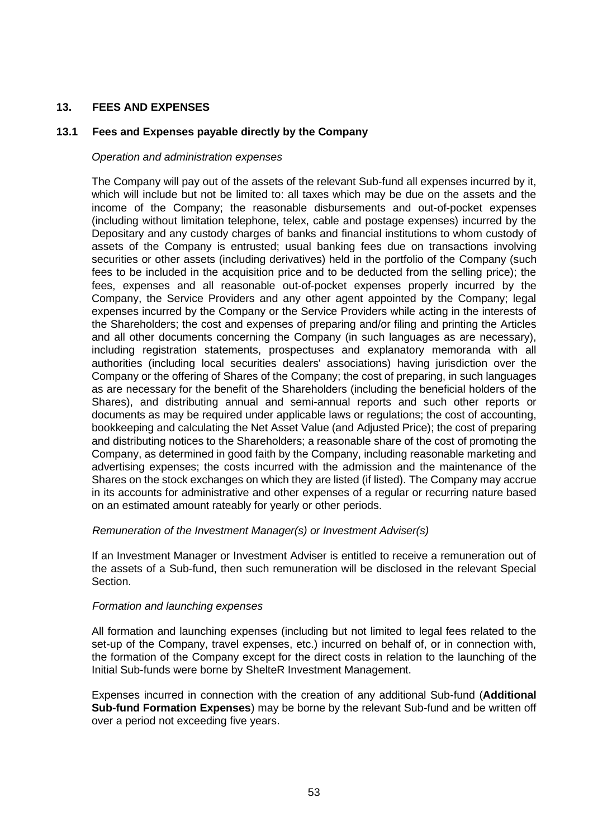# **13. FEES AND EXPENSES**

## <span id="page-52-0"></span>**13.1 Fees and Expenses payable directly by the Company**

## *Operation and administration expenses*

The Company will pay out of the assets of the relevant Sub-fund all expenses incurred by it, which will include but not be limited to: all taxes which may be due on the assets and the income of the Company; the reasonable disbursements and out-of-pocket expenses (including without limitation telephone, telex, cable and postage expenses) incurred by the Depositary and any custody charges of banks and financial institutions to whom custody of assets of the Company is entrusted; usual banking fees due on transactions involving securities or other assets (including derivatives) held in the portfolio of the Company (such fees to be included in the acquisition price and to be deducted from the selling price); the fees, expenses and all reasonable out-of-pocket expenses properly incurred by the Company, the Service Providers and any other agent appointed by the Company; legal expenses incurred by the Company or the Service Providers while acting in the interests of the Shareholders; the cost and expenses of preparing and/or filing and printing the Articles and all other documents concerning the Company (in such languages as are necessary), including registration statements, prospectuses and explanatory memoranda with all authorities (including local securities dealers' associations) having jurisdiction over the Company or the offering of Shares of the Company; the cost of preparing, in such languages as are necessary for the benefit of the Shareholders (including the beneficial holders of the Shares), and distributing annual and semi-annual reports and such other reports or documents as may be required under applicable laws or regulations; the cost of accounting, bookkeeping and calculating the Net Asset Value (and Adjusted Price); the cost of preparing and distributing notices to the Shareholders; a reasonable share of the cost of promoting the Company, as determined in good faith by the Company, including reasonable marketing and advertising expenses; the costs incurred with the admission and the maintenance of the Shares on the stock exchanges on which they are listed (if listed). The Company may accrue in its accounts for administrative and other expenses of a regular or recurring nature based on an estimated amount rateably for yearly or other periods.

## *Remuneration of the Investment Manager(s) or Investment Adviser(s)*

If an Investment Manager or Investment Adviser is entitled to receive a remuneration out of the assets of a Sub-fund, then such remuneration will be disclosed in the relevant Special Section.

## *Formation and launching expenses*

All formation and launching expenses (including but not limited to legal fees related to the set-up of the Company, travel expenses, etc.) incurred on behalf of, or in connection with, the formation of the Company except for the direct costs in relation to the launching of the Initial Sub-funds were borne by ShelteR Investment Management.

Expenses incurred in connection with the creation of any additional Sub-fund (**Additional Sub-fund Formation Expenses**) may be borne by the relevant Sub-fund and be written off over a period not exceeding five years.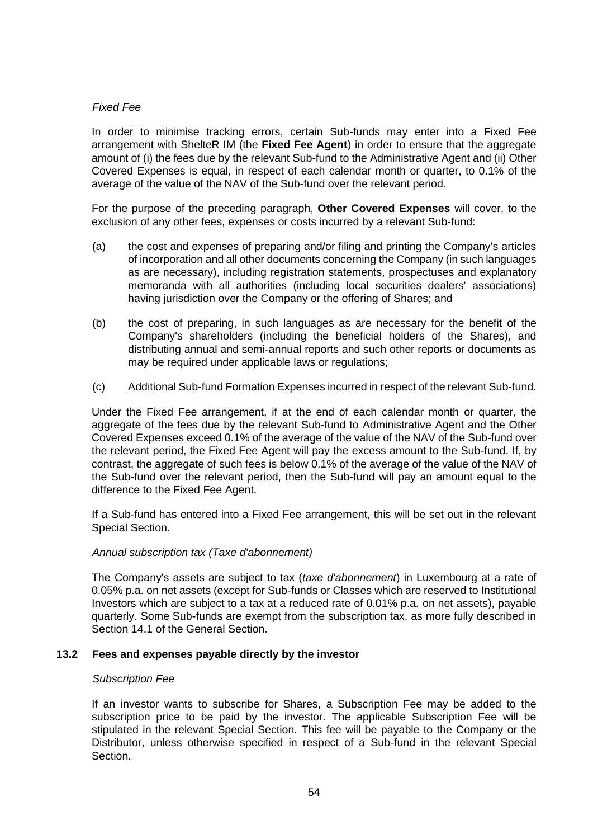## *Fixed Fee*

In order to minimise tracking errors, certain Sub-funds may enter into a Fixed Fee arrangement with ShelteR IM (the **Fixed Fee Agent**) in order to ensure that the aggregate amount of (i) the fees due by the relevant Sub-fund to the Administrative Agent and (ii) Other Covered Expenses is equal, in respect of each calendar month or quarter, to 0.1% of the average of the value of the NAV of the Sub-fund over the relevant period.

For the purpose of the preceding paragraph, **Other Covered Expenses** will cover, to the exclusion of any other fees, expenses or costs incurred by a relevant Sub-fund:

- (a) the cost and expenses of preparing and/or filing and printing the Company's articles of incorporation and all other documents concerning the Company (in such languages as are necessary), including registration statements, prospectuses and explanatory memoranda with all authorities (including local securities dealers' associations) having jurisdiction over the Company or the offering of Shares; and
- (b) the cost of preparing, in such languages as are necessary for the benefit of the Company's shareholders (including the beneficial holders of the Shares), and distributing annual and semi-annual reports and such other reports or documents as may be required under applicable laws or regulations;
- (c) Additional Sub-fund Formation Expenses incurred in respect of the relevant Sub-fund.

Under the Fixed Fee arrangement, if at the end of each calendar month or quarter, the aggregate of the fees due by the relevant Sub-fund to Administrative Agent and the Other Covered Expenses exceed 0.1% of the average of the value of the NAV of the Sub-fund over the relevant period, the Fixed Fee Agent will pay the excess amount to the Sub-fund. If, by contrast, the aggregate of such fees is below 0.1% of the average of the value of the NAV of the Sub-fund over the relevant period, then the Sub-fund will pay an amount equal to the difference to the Fixed Fee Agent.

If a Sub-fund has entered into a Fixed Fee arrangement, this will be set out in the relevant Special Section.

## *Annual subscription tax (Taxe d'abonnement)*

The Company's assets are subject to tax (*taxe d'abonnement*) in Luxembourg at a rate of 0.05% p.a. on net assets (except for Sub-funds or Classes which are reserved to Institutional Investors which are subject to a tax at a reduced rate of 0.01% p.a. on net assets), payable quarterly. Some Sub-funds are exempt from the subscription tax, as more fully described in Section [14.1](#page-55-0) of the General Section.

## **13.2 Fees and expenses payable directly by the investor**

#### *Subscription Fee*

If an investor wants to subscribe for Shares, a Subscription Fee may be added to the subscription price to be paid by the investor. The applicable Subscription Fee will be stipulated in the relevant Special Section. This fee will be payable to the Company or the Distributor, unless otherwise specified in respect of a Sub-fund in the relevant Special Section.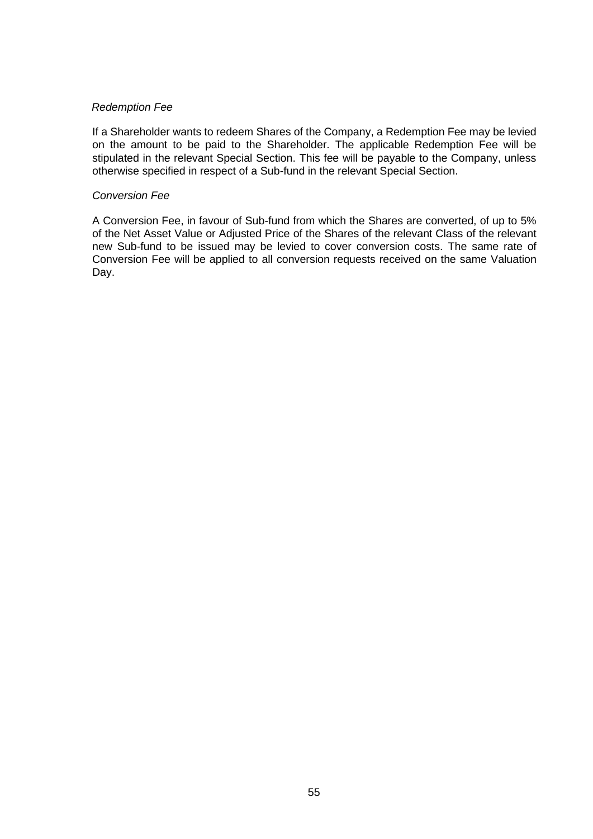## *Redemption Fee*

If a Shareholder wants to redeem Shares of the Company, a Redemption Fee may be levied on the amount to be paid to the Shareholder. The applicable Redemption Fee will be stipulated in the relevant Special Section. This fee will be payable to the Company, unless otherwise specified in respect of a Sub-fund in the relevant Special Section.

#### *Conversion Fee*

A Conversion Fee, in favour of Sub-fund from which the Shares are converted, of up to 5% of the Net Asset Value or Adjusted Price of the Shares of the relevant Class of the relevant new Sub-fund to be issued may be levied to cover conversion costs. The same rate of Conversion Fee will be applied to all conversion requests received on the same Valuation Day.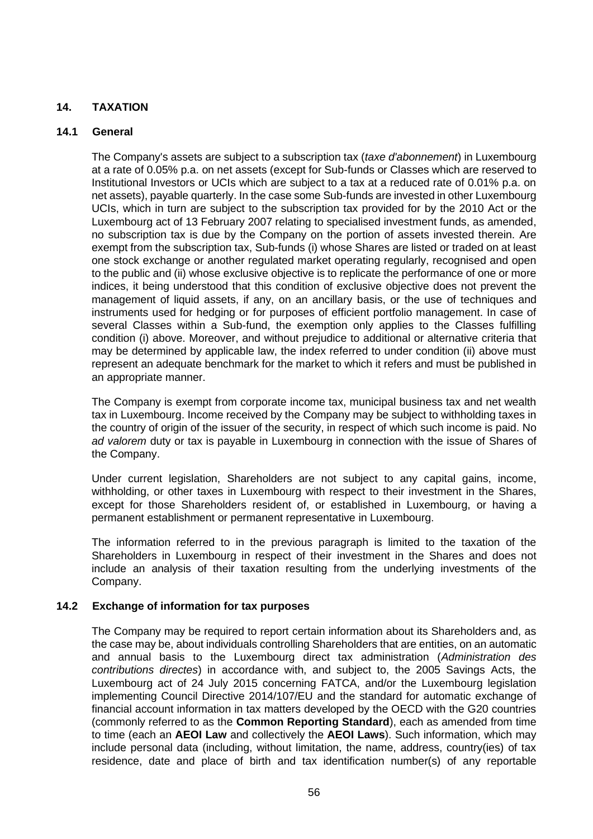# **14. TAXATION**

## <span id="page-55-0"></span>**14.1 General**

The Company's assets are subject to a subscription tax (*taxe d'abonnement*) in Luxembourg at a rate of 0.05% p.a. on net assets (except for Sub-funds or Classes which are reserved to Institutional Investors or UCIs which are subject to a tax at a reduced rate of 0.01% p.a. on net assets), payable quarterly. In the case some Sub-funds are invested in other Luxembourg UCIs, which in turn are subject to the subscription tax provided for by the 2010 Act or the Luxembourg act of 13 February 2007 relating to specialised investment funds, as amended, no subscription tax is due by the Company on the portion of assets invested therein. Are exempt from the subscription tax, Sub-funds (i) whose Shares are listed or traded on at least one stock exchange or another regulated market operating regularly, recognised and open to the public and (ii) whose exclusive objective is to replicate the performance of one or more indices, it being understood that this condition of exclusive objective does not prevent the management of liquid assets, if any, on an ancillary basis, or the use of techniques and instruments used for hedging or for purposes of efficient portfolio management. In case of several Classes within a Sub-fund, the exemption only applies to the Classes fulfilling condition (i) above. Moreover, and without prejudice to additional or alternative criteria that may be determined by applicable law, the index referred to under condition (ii) above must represent an adequate benchmark for the market to which it refers and must be published in an appropriate manner.

The Company is exempt from corporate income tax, municipal business tax and net wealth tax in Luxembourg. Income received by the Company may be subject to withholding taxes in the country of origin of the issuer of the security, in respect of which such income is paid. No *ad valorem* duty or tax is payable in Luxembourg in connection with the issue of Shares of the Company.

Under current legislation, Shareholders are not subject to any capital gains, income, withholding, or other taxes in Luxembourg with respect to their investment in the Shares, except for those Shareholders resident of, or established in Luxembourg, or having a permanent establishment or permanent representative in Luxembourg.

The information referred to in the previous paragraph is limited to the taxation of the Shareholders in Luxembourg in respect of their investment in the Shares and does not include an analysis of their taxation resulting from the underlying investments of the Company.

## **14.2 Exchange of information for tax purposes**

The Company may be required to report certain information about its Shareholders and, as the case may be, about individuals controlling Shareholders that are entities, on an automatic and annual basis to the Luxembourg direct tax administration (*Administration des contributions directes*) in accordance with, and subject to, the 2005 Savings Acts, the Luxembourg act of 24 July 2015 concerning FATCA, and/or the Luxembourg legislation implementing Council Directive 2014/107/EU and the standard for automatic exchange of financial account information in tax matters developed by the OECD with the G20 countries (commonly referred to as the **Common Reporting Standard**), each as amended from time to time (each an **AEOI Law** and collectively the **AEOI Laws**). Such information, which may include personal data (including, without limitation, the name, address, country(ies) of tax residence, date and place of birth and tax identification number(s) of any reportable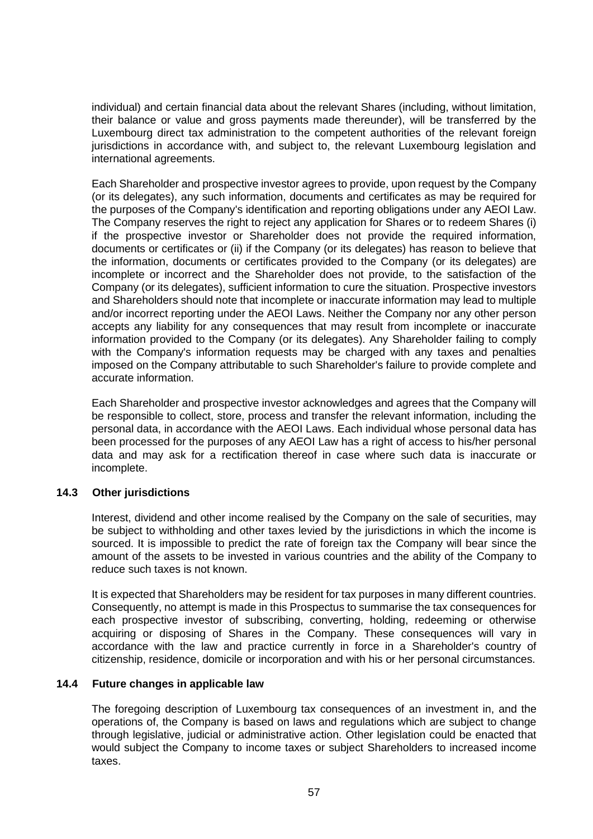individual) and certain financial data about the relevant Shares (including, without limitation, their balance or value and gross payments made thereunder), will be transferred by the Luxembourg direct tax administration to the competent authorities of the relevant foreign jurisdictions in accordance with, and subject to, the relevant Luxembourg legislation and international agreements.

Each Shareholder and prospective investor agrees to provide, upon request by the Company (or its delegates), any such information, documents and certificates as may be required for the purposes of the Company's identification and reporting obligations under any AEOI Law. The Company reserves the right to reject any application for Shares or to redeem Shares (i) if the prospective investor or Shareholder does not provide the required information, documents or certificates or (ii) if the Company (or its delegates) has reason to believe that the information, documents or certificates provided to the Company (or its delegates) are incomplete or incorrect and the Shareholder does not provide, to the satisfaction of the Company (or its delegates), sufficient information to cure the situation. Prospective investors and Shareholders should note that incomplete or inaccurate information may lead to multiple and/or incorrect reporting under the AEOI Laws. Neither the Company nor any other person accepts any liability for any consequences that may result from incomplete or inaccurate information provided to the Company (or its delegates). Any Shareholder failing to comply with the Company's information requests may be charged with any taxes and penalties imposed on the Company attributable to such Shareholder's failure to provide complete and accurate information.

Each Shareholder and prospective investor acknowledges and agrees that the Company will be responsible to collect, store, process and transfer the relevant information, including the personal data, in accordance with the AEOI Laws. Each individual whose personal data has been processed for the purposes of any AEOI Law has a right of access to his/her personal data and may ask for a rectification thereof in case where such data is inaccurate or incomplete.

## **14.3 Other jurisdictions**

Interest, dividend and other income realised by the Company on the sale of securities, may be subject to withholding and other taxes levied by the jurisdictions in which the income is sourced. It is impossible to predict the rate of foreign tax the Company will bear since the amount of the assets to be invested in various countries and the ability of the Company to reduce such taxes is not known.

It is expected that Shareholders may be resident for tax purposes in many different countries. Consequently, no attempt is made in this Prospectus to summarise the tax consequences for each prospective investor of subscribing, converting, holding, redeeming or otherwise acquiring or disposing of Shares in the Company. These consequences will vary in accordance with the law and practice currently in force in a Shareholder's country of citizenship, residence, domicile or incorporation and with his or her personal circumstances.

## **14.4 Future changes in applicable law**

The foregoing description of Luxembourg tax consequences of an investment in, and the operations of, the Company is based on laws and regulations which are subject to change through legislative, judicial or administrative action. Other legislation could be enacted that would subject the Company to income taxes or subject Shareholders to increased income taxes.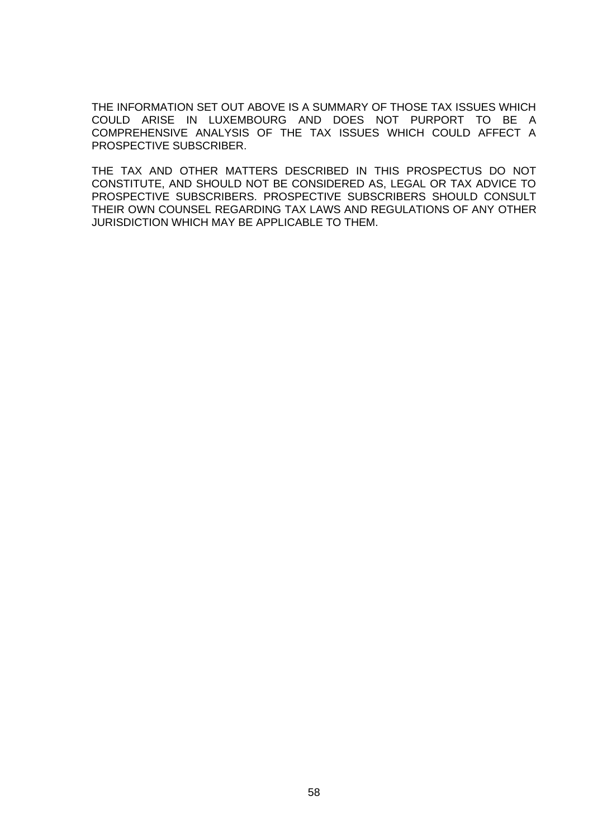THE INFORMATION SET OUT ABOVE IS A SUMMARY OF THOSE TAX ISSUES WHICH COULD ARISE IN LUXEMBOURG AND DOES NOT PURPORT TO BE A COMPREHENSIVE ANALYSIS OF THE TAX ISSUES WHICH COULD AFFECT A PROSPECTIVE SUBSCRIBER.

THE TAX AND OTHER MATTERS DESCRIBED IN THIS PROSPECTUS DO NOT CONSTITUTE, AND SHOULD NOT BE CONSIDERED AS, LEGAL OR TAX ADVICE TO PROSPECTIVE SUBSCRIBERS. PROSPECTIVE SUBSCRIBERS SHOULD CONSULT THEIR OWN COUNSEL REGARDING TAX LAWS AND REGULATIONS OF ANY OTHER JURISDICTION WHICH MAY BE APPLICABLE TO THEM.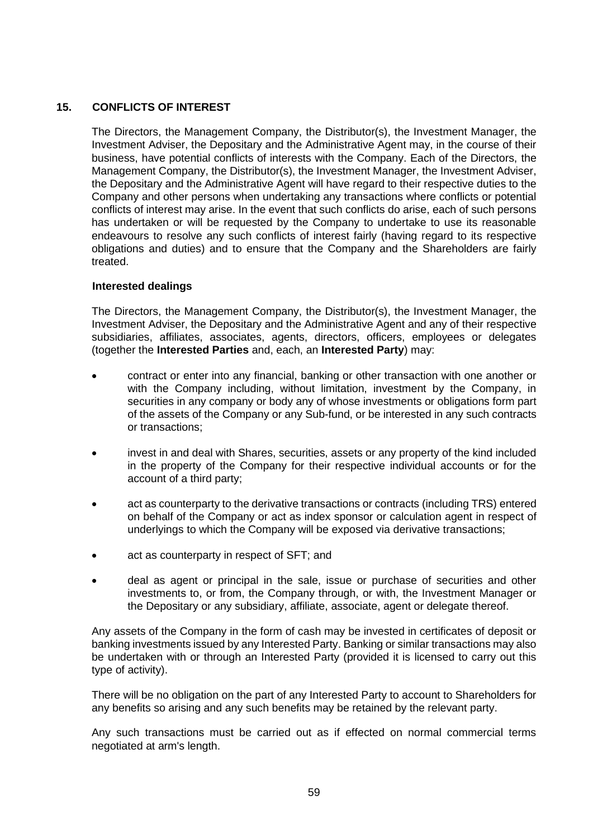# **15. CONFLICTS OF INTEREST**

The Directors, the Management Company, the Distributor(s), the Investment Manager, the Investment Adviser, the Depositary and the Administrative Agent may, in the course of their business, have potential conflicts of interests with the Company. Each of the Directors, the Management Company, the Distributor(s), the Investment Manager, the Investment Adviser, the Depositary and the Administrative Agent will have regard to their respective duties to the Company and other persons when undertaking any transactions where conflicts or potential conflicts of interest may arise. In the event that such conflicts do arise, each of such persons has undertaken or will be requested by the Company to undertake to use its reasonable endeavours to resolve any such conflicts of interest fairly (having regard to its respective obligations and duties) and to ensure that the Company and the Shareholders are fairly treated.

## **Interested dealings**

The Directors, the Management Company, the Distributor(s), the Investment Manager, the Investment Adviser, the Depositary and the Administrative Agent and any of their respective subsidiaries, affiliates, associates, agents, directors, officers, employees or delegates (together the **Interested Parties** and, each, an **Interested Party**) may:

- contract or enter into any financial, banking or other transaction with one another or with the Company including, without limitation, investment by the Company, in securities in any company or body any of whose investments or obligations form part of the assets of the Company or any Sub-fund, or be interested in any such contracts or transactions;
- invest in and deal with Shares, securities, assets or any property of the kind included in the property of the Company for their respective individual accounts or for the account of a third party;
- act as counterparty to the derivative transactions or contracts (including TRS) entered on behalf of the Company or act as index sponsor or calculation agent in respect of underlyings to which the Company will be exposed via derivative transactions;
- act as counterparty in respect of SFT; and
- deal as agent or principal in the sale, issue or purchase of securities and other investments to, or from, the Company through, or with, the Investment Manager or the Depositary or any subsidiary, affiliate, associate, agent or delegate thereof.

Any assets of the Company in the form of cash may be invested in certificates of deposit or banking investments issued by any Interested Party. Banking or similar transactions may also be undertaken with or through an Interested Party (provided it is licensed to carry out this type of activity).

There will be no obligation on the part of any Interested Party to account to Shareholders for any benefits so arising and any such benefits may be retained by the relevant party.

Any such transactions must be carried out as if effected on normal commercial terms negotiated at arm's length.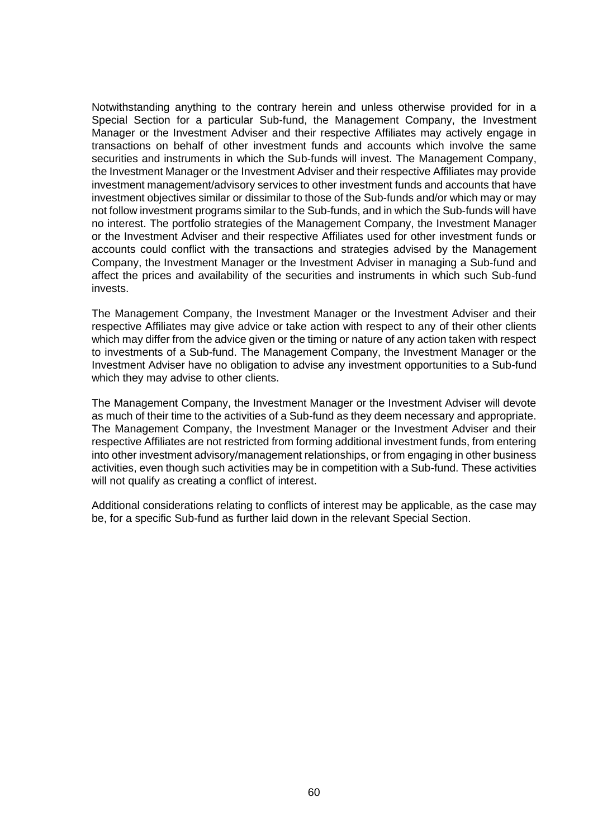Notwithstanding anything to the contrary herein and unless otherwise provided for in a Special Section for a particular Sub-fund, the Management Company, the Investment Manager or the Investment Adviser and their respective Affiliates may actively engage in transactions on behalf of other investment funds and accounts which involve the same securities and instruments in which the Sub-funds will invest. The Management Company, the Investment Manager or the Investment Adviser and their respective Affiliates may provide investment management/advisory services to other investment funds and accounts that have investment objectives similar or dissimilar to those of the Sub-funds and/or which may or may not follow investment programs similar to the Sub-funds, and in which the Sub-funds will have no interest. The portfolio strategies of the Management Company, the Investment Manager or the Investment Adviser and their respective Affiliates used for other investment funds or accounts could conflict with the transactions and strategies advised by the Management Company, the Investment Manager or the Investment Adviser in managing a Sub-fund and affect the prices and availability of the securities and instruments in which such Sub-fund invests.

The Management Company, the Investment Manager or the Investment Adviser and their respective Affiliates may give advice or take action with respect to any of their other clients which may differ from the advice given or the timing or nature of any action taken with respect to investments of a Sub-fund. The Management Company, the Investment Manager or the Investment Adviser have no obligation to advise any investment opportunities to a Sub-fund which they may advise to other clients.

The Management Company, the Investment Manager or the Investment Adviser will devote as much of their time to the activities of a Sub-fund as they deem necessary and appropriate. The Management Company, the Investment Manager or the Investment Adviser and their respective Affiliates are not restricted from forming additional investment funds, from entering into other investment advisory/management relationships, or from engaging in other business activities, even though such activities may be in competition with a Sub-fund. These activities will not qualify as creating a conflict of interest.

Additional considerations relating to conflicts of interest may be applicable, as the case may be, for a specific Sub-fund as further laid down in the relevant Special Section.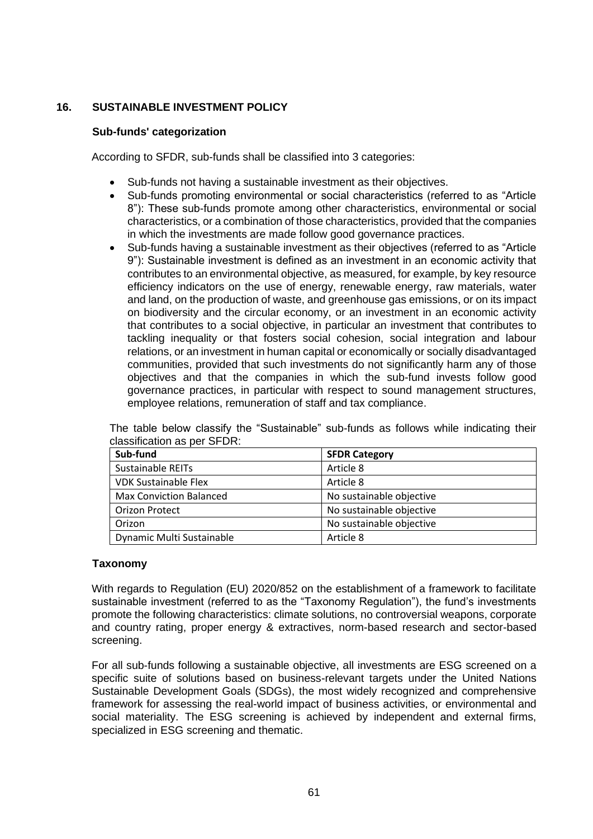# **16. SUSTAINABLE INVESTMENT POLICY**

## **Sub-funds' categorization**

According to SFDR, sub-funds shall be classified into 3 categories:

- Sub-funds not having a sustainable investment as their objectives.
- Sub-funds promoting environmental or social characteristics (referred to as "Article 8"): These sub-funds promote among other characteristics, environmental or social characteristics, or a combination of those characteristics, provided that the companies in which the investments are made follow good governance practices.
- Sub-funds having a sustainable investment as their objectives (referred to as "Article 9"): Sustainable investment is defined as an investment in an economic activity that contributes to an environmental objective, as measured, for example, by key resource efficiency indicators on the use of energy, renewable energy, raw materials, water and land, on the production of waste, and greenhouse gas emissions, or on its impact on biodiversity and the circular economy, or an investment in an economic activity that contributes to a social objective, in particular an investment that contributes to tackling inequality or that fosters social cohesion, social integration and labour relations, or an investment in human capital or economically or socially disadvantaged communities, provided that such investments do not significantly harm any of those objectives and that the companies in which the sub-fund invests follow good governance practices, in particular with respect to sound management structures, employee relations, remuneration of staff and tax compliance.

| Sub-fund                       | <b>SFDR Category</b>     |
|--------------------------------|--------------------------|
| Sustainable REITs              | Article 8                |
| <b>VDK Sustainable Flex</b>    | Article 8                |
| <b>Max Conviction Balanced</b> | No sustainable objective |
| <b>Orizon Protect</b>          | No sustainable objective |
| Orizon                         | No sustainable objective |
| Dynamic Multi Sustainable      | Article 8                |

The table below classify the "Sustainable" sub-funds as follows while indicating their classification as per SFDR:

## **Taxonomy**

With regards to Regulation (EU) 2020/852 on the establishment of a framework to facilitate sustainable investment (referred to as the "Taxonomy Regulation"), the fund's investments promote the following characteristics: climate solutions, no controversial weapons, corporate and country rating, proper energy & extractives, norm-based research and sector-based screening.

For all sub-funds following a sustainable objective, all investments are ESG screened on a specific suite of solutions based on business-relevant targets under the United Nations Sustainable Development Goals (SDGs), the most widely recognized and comprehensive framework for assessing the real-world impact of business activities, or environmental and social materiality. The ESG screening is achieved by independent and external firms, specialized in ESG screening and thematic.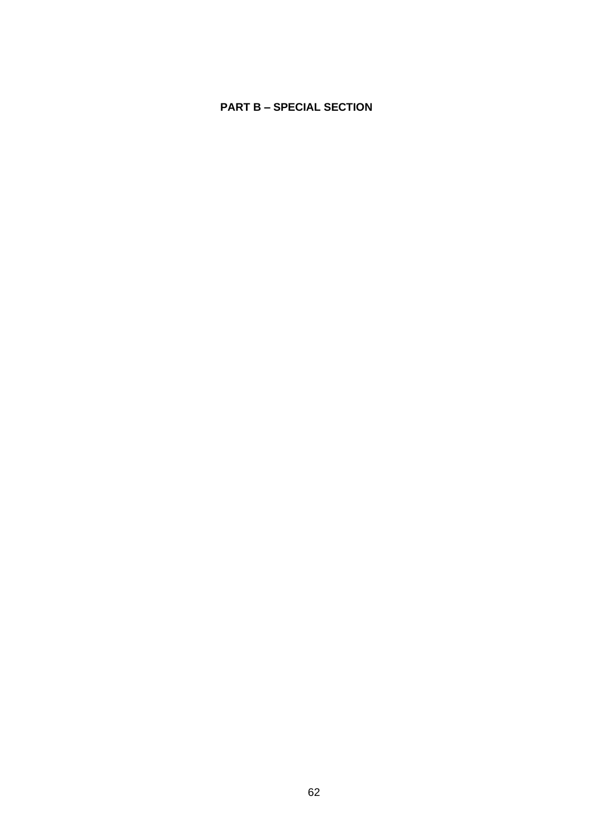# **PART B – SPECIAL SECTION**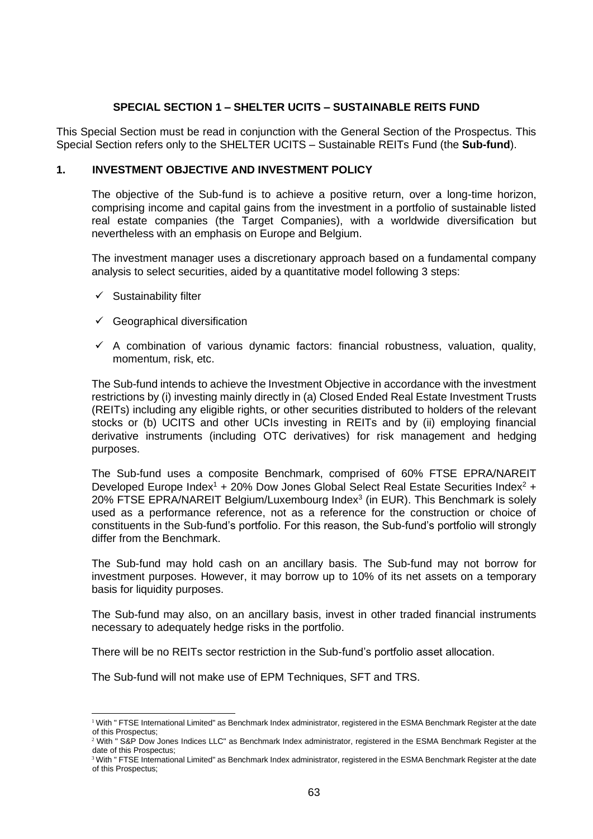## **SPECIAL SECTION 1 – SHELTER UCITS – SUSTAINABLE REITS FUND**

This Special Section must be read in conjunction with the General Section of the Prospectus. This Special Section refers only to the SHELTER UCITS – Sustainable REITs Fund (the **Sub-fund**).

## **1. INVESTMENT OBJECTIVE AND INVESTMENT POLICY**

The objective of the Sub-fund is to achieve a positive return, over a long-time horizon, comprising income and capital gains from the investment in a portfolio of sustainable listed real estate companies (the Target Companies), with a worldwide diversification but nevertheless with an emphasis on Europe and Belgium.

The investment manager uses a discretionary approach based on a fundamental company analysis to select securities, aided by a quantitative model following 3 steps:

- $\checkmark$  Sustainability filter
- $\checkmark$  Geographical diversification
- $\checkmark$  A combination of various dynamic factors: financial robustness, valuation, quality, momentum, risk, etc.

The Sub-fund intends to achieve the Investment Objective in accordance with the investment restrictions by (i) investing mainly directly in (a) Closed Ended Real Estate Investment Trusts (REITs) including any eligible rights, or other securities distributed to holders of the relevant stocks or (b) UCITS and other UCIs investing in REITs and by (ii) employing financial derivative instruments (including OTC derivatives) for risk management and hedging purposes.

The Sub-fund uses a composite Benchmark, comprised of 60% FTSE EPRA/NAREIT Developed Europe Index<sup>1</sup> + 20% Dow Jones Global Select Real Estate Securities Index<sup>2</sup> + 20% FTSE EPRA/NAREIT Belgium/Luxembourg Index<sup>3</sup> (in EUR). This Benchmark is solely used as a performance reference, not as a reference for the construction or choice of constituents in the Sub-fund's portfolio. For this reason, the Sub-fund's portfolio will strongly differ from the Benchmark.

The Sub-fund may hold cash on an ancillary basis. The Sub-fund may not borrow for investment purposes. However, it may borrow up to 10% of its net assets on a temporary basis for liquidity purposes.

The Sub-fund may also, on an ancillary basis, invest in other traded financial instruments necessary to adequately hedge risks in the portfolio.

There will be no REITs sector restriction in the Sub-fund's portfolio asset allocation.

The Sub-fund will not make use of EPM Techniques, SFT and TRS.

<sup>&</sup>lt;sup>1</sup> With " FTSE International Limited" as Benchmark Index administrator, registered in the ESMA Benchmark Register at the date of this Prospectus;

<sup>&</sup>lt;sup>2</sup> With " S&P Dow Jones Indices LLC" as Benchmark Index administrator, registered in the ESMA Benchmark Register at the date of this Prospectus;

<sup>&</sup>lt;sup>3</sup> With " FTSE International Limited" as Benchmark Index administrator, registered in the ESMA Benchmark Register at the date of this Prospectus;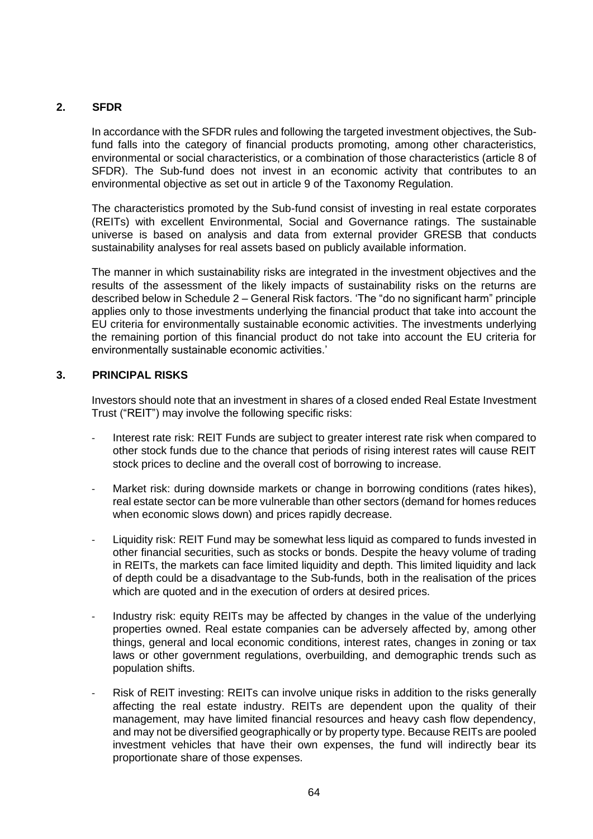# **2. SFDR**

In accordance with the SFDR rules and following the targeted investment objectives, the Subfund falls into the category of financial products promoting, among other characteristics, environmental or social characteristics, or a combination of those characteristics (article 8 of SFDR). The Sub-fund does not invest in an economic activity that contributes to an environmental objective as set out in article 9 of the Taxonomy Regulation.

The characteristics promoted by the Sub-fund consist of investing in real estate corporates (REITs) with excellent Environmental, Social and Governance ratings. The sustainable universe is based on analysis and data from external provider GRESB that conducts sustainability analyses for real assets based on publicly available information.

The manner in which sustainability risks are integrated in the investment objectives and the results of the assessment of the likely impacts of sustainability risks on the returns are described below in Schedule 2 – General Risk factors. 'The "do no significant harm" principle applies only to those investments underlying the financial product that take into account the EU criteria for environmentally sustainable economic activities. The investments underlying the remaining portion of this financial product do not take into account the EU criteria for environmentally sustainable economic activities.'

# **3. PRINCIPAL RISKS**

Investors should note that an investment in shares of a closed ended Real Estate Investment Trust ("REIT") may involve the following specific risks:

- Interest rate risk: REIT Funds are subject to greater interest rate risk when compared to other stock funds due to the chance that periods of rising interest rates will cause REIT stock prices to decline and the overall cost of borrowing to increase.
- Market risk: during downside markets or change in borrowing conditions (rates hikes), real estate sector can be more vulnerable than other sectors (demand for homes reduces when economic slows down) and prices rapidly decrease.
- Liquidity risk: REIT Fund may be somewhat less liquid as compared to funds invested in other financial securities, such as stocks or bonds. Despite the heavy volume of trading in REITs, the markets can face limited liquidity and depth. This limited liquidity and lack of depth could be a disadvantage to the Sub-funds, both in the realisation of the prices which are quoted and in the execution of orders at desired prices.
- Industry risk: equity REITs may be affected by changes in the value of the underlying properties owned. Real estate companies can be adversely affected by, among other things, general and local economic conditions, interest rates, changes in zoning or tax laws or other government regulations, overbuilding, and demographic trends such as population shifts.
- Risk of REIT investing: REITs can involve unique risks in addition to the risks generally affecting the real estate industry. REITs are dependent upon the quality of their management, may have limited financial resources and heavy cash flow dependency, and may not be diversified geographically or by property type. Because REITs are pooled investment vehicles that have their own expenses, the fund will indirectly bear its proportionate share of those expenses.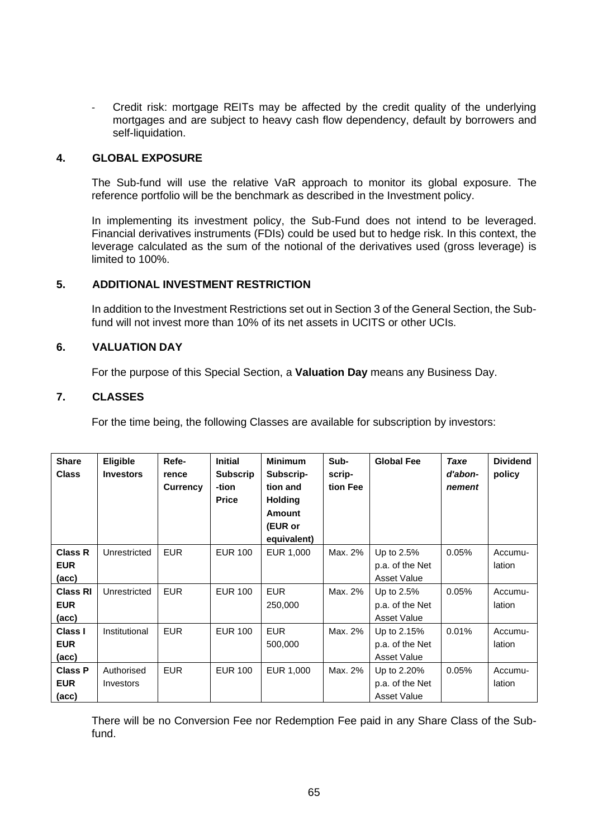- Credit risk: mortgage REITs may be affected by the credit quality of the underlying mortgages and are subject to heavy cash flow dependency, default by borrowers and self-liquidation.

#### **4. GLOBAL EXPOSURE**

The Sub-fund will use the relative VaR approach to monitor its global exposure. The reference portfolio will be the benchmark as described in the Investment policy.

In implementing its investment policy, the Sub-Fund does not intend to be leveraged. Financial derivatives instruments (FDIs) could be used but to hedge risk. In this context, the leverage calculated as the sum of the notional of the derivatives used (gross leverage) is limited to 100%.

#### **5. ADDITIONAL INVESTMENT RESTRICTION**

In addition to the Investment Restrictions set out in Section 3 of the General Section, the Subfund will not invest more than 10% of its net assets in UCITS or other UCIs.

## **6. VALUATION DAY**

For the purpose of this Special Section, a **Valuation Day** means any Business Day.

#### <span id="page-64-0"></span>**7. CLASSES**

For the time being, the following Classes are available for subscription by investors:

| <b>Share</b><br><b>Class</b>          | Eligible<br><b>Investors</b> | Refe-<br>rence<br><b>Currency</b> | <b>Initial</b><br><b>Subscrip</b><br>-tion<br><b>Price</b> | <b>Minimum</b><br>Subscrip-<br>tion and<br><b>Holding</b><br><b>Amount</b><br>(EUR or<br>equivalent) | Sub-<br>scrip-<br>tion Fee | <b>Global Fee</b>                                    | Taxe<br>d'abon-<br>nement | <b>Dividend</b><br>policy |
|---------------------------------------|------------------------------|-----------------------------------|------------------------------------------------------------|------------------------------------------------------------------------------------------------------|----------------------------|------------------------------------------------------|---------------------------|---------------------------|
| <b>Class R</b><br><b>EUR</b><br>(acc) | Unrestricted                 | <b>EUR</b>                        | <b>EUR 100</b>                                             | EUR 1,000                                                                                            | Max. 2%                    | Up to 2.5%<br>p.a. of the Net<br>Asset Value         | 0.05%                     | Accumu-<br>lation         |
| <b>Class RI</b><br><b>EUR</b><br>(ac) | Unrestricted                 | <b>EUR</b>                        | <b>EUR 100</b>                                             | <b>EUR</b><br>250,000                                                                                | Max. 2%                    | Up to 2.5%<br>p.a. of the Net<br>Asset Value         | 0.05%                     | Accumu-<br>lation         |
| <b>Class I</b><br><b>EUR</b><br>(acc) | Institutional                | <b>EUR</b>                        | <b>EUR 100</b>                                             | <b>EUR</b><br>500,000                                                                                | Max. 2%                    | Up to 2.15%<br>p.a. of the Net<br><b>Asset Value</b> | 0.01%                     | Accumu-<br>lation         |
| <b>Class P</b><br><b>EUR</b><br>(acc) | Authorised<br>Investors      | <b>EUR</b>                        | <b>EUR 100</b>                                             | EUR 1,000                                                                                            | Max. 2%                    | Up to 2.20%<br>p.a. of the Net<br><b>Asset Value</b> | 0.05%                     | Accumu-<br>lation         |

There will be no Conversion Fee nor Redemption Fee paid in any Share Class of the Subfund.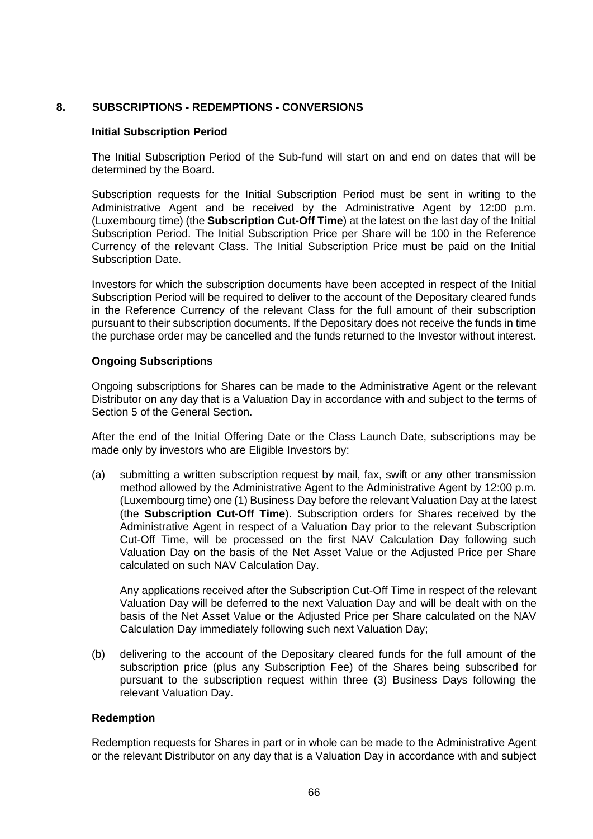# **8. SUBSCRIPTIONS - REDEMPTIONS - CONVERSIONS**

#### **Initial Subscription Period**

The Initial Subscription Period of the Sub-fund will start on and end on dates that will be determined by the Board.

Subscription requests for the Initial Subscription Period must be sent in writing to the Administrative Agent and be received by the Administrative Agent by 12:00 p.m. (Luxembourg time) (the **Subscription Cut-Off Time**) at the latest on the last day of the Initial Subscription Period. The Initial Subscription Price per Share will be 100 in the Reference Currency of the relevant Class. The Initial Subscription Price must be paid on the Initial Subscription Date.

Investors for which the subscription documents have been accepted in respect of the Initial Subscription Period will be required to deliver to the account of the Depositary cleared funds in the Reference Currency of the relevant Class for the full amount of their subscription pursuant to their subscription documents. If the Depositary does not receive the funds in time the purchase order may be cancelled and the funds returned to the Investor without interest.

#### **Ongoing Subscriptions**

Ongoing subscriptions for Shares can be made to the Administrative Agent or the relevant Distributor on any day that is a Valuation Day in accordance with and subject to the terms of Section [5](#page-29-0) of the General Section.

After the end of the Initial Offering Date or the Class Launch Date, subscriptions may be made only by investors who are Eligible Investors by:

(a) submitting a written subscription request by mail, fax, swift or any other transmission method allowed by the Administrative Agent to the Administrative Agent by 12:00 p.m. (Luxembourg time) one (1) Business Day before the relevant Valuation Day at the latest (the **Subscription Cut-Off Time**). Subscription orders for Shares received by the Administrative Agent in respect of a Valuation Day prior to the relevant Subscription Cut-Off Time, will be processed on the first NAV Calculation Day following such Valuation Day on the basis of the Net Asset Value or the Adjusted Price per Share calculated on such NAV Calculation Day.

Any applications received after the Subscription Cut-Off Time in respect of the relevant Valuation Day will be deferred to the next Valuation Day and will be dealt with on the basis of the Net Asset Value or the Adjusted Price per Share calculated on the NAV Calculation Day immediately following such next Valuation Day;

(b) delivering to the account of the Depositary cleared funds for the full amount of the subscription price (plus any Subscription Fee) of the Shares being subscribed for pursuant to the subscription request within three (3) Business Days following the relevant Valuation Day.

#### **Redemption**

Redemption requests for Shares in part or in whole can be made to the Administrative Agent or the relevant Distributor on any day that is a Valuation Day in accordance with and subject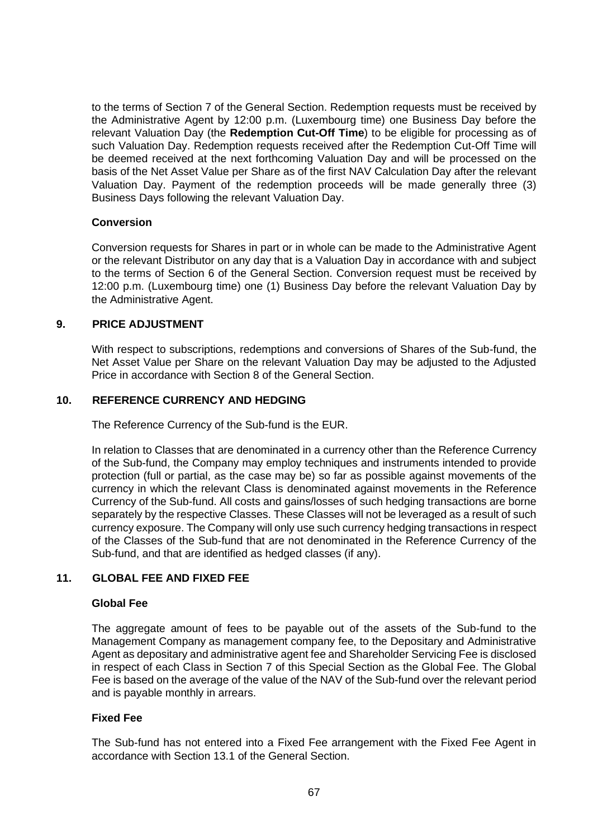to the terms of Section [7](#page-35-0) of the General Section. Redemption requests must be received by the Administrative Agent by 12:00 p.m. (Luxembourg time) one Business Day before the relevant Valuation Day (the **Redemption Cut-Off Time**) to be eligible for processing as of such Valuation Day. Redemption requests received after the Redemption Cut-Off Time will be deemed received at the next forthcoming Valuation Day and will be processed on the basis of the Net Asset Value per Share as of the first NAV Calculation Day after the relevant Valuation Day. Payment of the redemption proceeds will be made generally three (3) Business Days following the relevant Valuation Day.

#### **Conversion**

Conversion requests for Shares in part or in whole can be made to the Administrative Agent or the relevant Distributor on any day that is a Valuation Day in accordance with and subject to the terms of Section [6](#page-33-0) of the General Section. Conversion request must be received by 12:00 p.m. (Luxembourg time) one (1) Business Day before the relevant Valuation Day by the Administrative Agent.

#### **9. PRICE ADJUSTMENT**

With respect to subscriptions, redemptions and conversions of Shares of the Sub-fund, the Net Asset Value per Share on the relevant Valuation Day may be adjusted to the Adjusted Price in accordance with Section [8](#page-38-0) of the General Section.

#### **10. REFERENCE CURRENCY AND HEDGING**

The Reference Currency of the Sub-fund is the EUR.

In relation to Classes that are denominated in a currency other than the Reference Currency of the Sub-fund, the Company may employ techniques and instruments intended to provide protection (full or partial, as the case may be) so far as possible against movements of the currency in which the relevant Class is denominated against movements in the Reference Currency of the Sub-fund. All costs and gains/losses of such hedging transactions are borne separately by the respective Classes. These Classes will not be leveraged as a result of such currency exposure. The Company will only use such currency hedging transactions in respect of the Classes of the Sub-fund that are not denominated in the Reference Currency of the Sub-fund, and that are identified as hedged classes (if any).

## **11. GLOBAL FEE AND FIXED FEE**

#### **Global Fee**

The aggregate amount of fees to be payable out of the assets of the Sub-fund to the Management Company as management company fee, to the Depositary and Administrative Agent as depositary and administrative agent fee and Shareholder Servicing Fee is disclosed in respect of each Class in Section [7](#page-64-0) of this Special Section as the Global Fee. The Global Fee is based on the average of the value of the NAV of the Sub-fund over the relevant period and is payable monthly in arrears.

#### **Fixed Fee**

The Sub-fund has not entered into a Fixed Fee arrangement with the Fixed Fee Agent in accordance with Section [13.1](#page-52-0) of the General Section.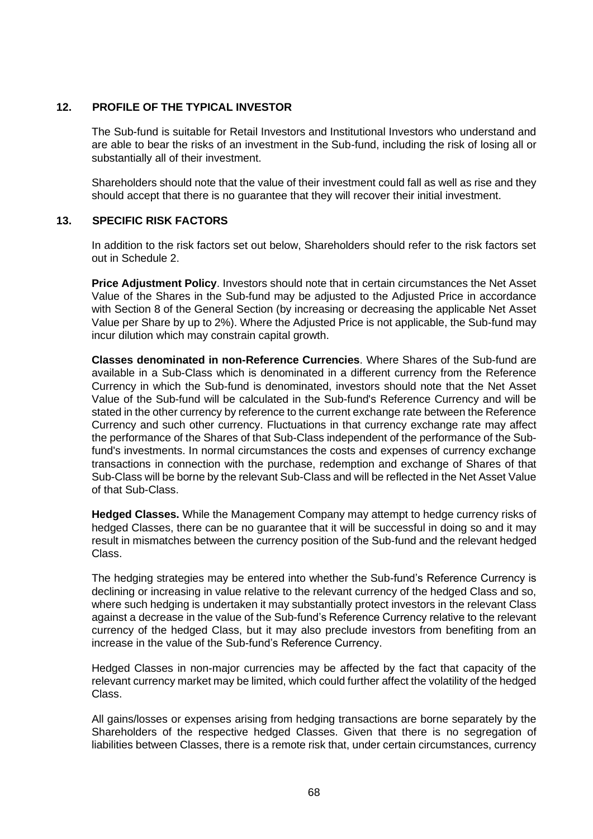## **12. PROFILE OF THE TYPICAL INVESTOR**

The Sub-fund is suitable for Retail Investors and Institutional Investors who understand and are able to bear the risks of an investment in the Sub-fund, including the risk of losing all or substantially all of their investment.

Shareholders should note that the value of their investment could fall as well as rise and they should accept that there is no guarantee that they will recover their initial investment.

# **13. SPECIFIC RISK FACTORS**

In addition to the risk factors set out below, Shareholders should refer to the risk factors set out in [Schedule 2.](#page-113-0)

**Price Adjustment Policy**. Investors should note that in certain circumstances the Net Asset Value of the Shares in the Sub-fund may be adjusted to the Adjusted Price in accordance with Section [8](#page-38-0) of the General Section (by increasing or decreasing the applicable Net Asset Value per Share by up to 2%). Where the Adjusted Price is not applicable, the Sub-fund may incur dilution which may constrain capital growth.

**Classes denominated in non-Reference Currencies**. Where Shares of the Sub-fund are available in a Sub-Class which is denominated in a different currency from the Reference Currency in which the Sub-fund is denominated, investors should note that the Net Asset Value of the Sub-fund will be calculated in the Sub-fund's Reference Currency and will be stated in the other currency by reference to the current exchange rate between the Reference Currency and such other currency. Fluctuations in that currency exchange rate may affect the performance of the Shares of that Sub-Class independent of the performance of the Subfund's investments. In normal circumstances the costs and expenses of currency exchange transactions in connection with the purchase, redemption and exchange of Shares of that Sub-Class will be borne by the relevant Sub-Class and will be reflected in the Net Asset Value of that Sub-Class.

**Hedged Classes.** While the Management Company may attempt to hedge currency risks of hedged Classes, there can be no guarantee that it will be successful in doing so and it may result in mismatches between the currency position of the Sub-fund and the relevant hedged Class.

The hedging strategies may be entered into whether the Sub-fund's Reference Currency is declining or increasing in value relative to the relevant currency of the hedged Class and so, where such hedging is undertaken it may substantially protect investors in the relevant Class against a decrease in the value of the Sub-fund's Reference Currency relative to the relevant currency of the hedged Class, but it may also preclude investors from benefiting from an increase in the value of the Sub-fund's Reference Currency.

Hedged Classes in non-major currencies may be affected by the fact that capacity of the relevant currency market may be limited, which could further affect the volatility of the hedged Class.

All gains/losses or expenses arising from hedging transactions are borne separately by the Shareholders of the respective hedged Classes. Given that there is no segregation of liabilities between Classes, there is a remote risk that, under certain circumstances, currency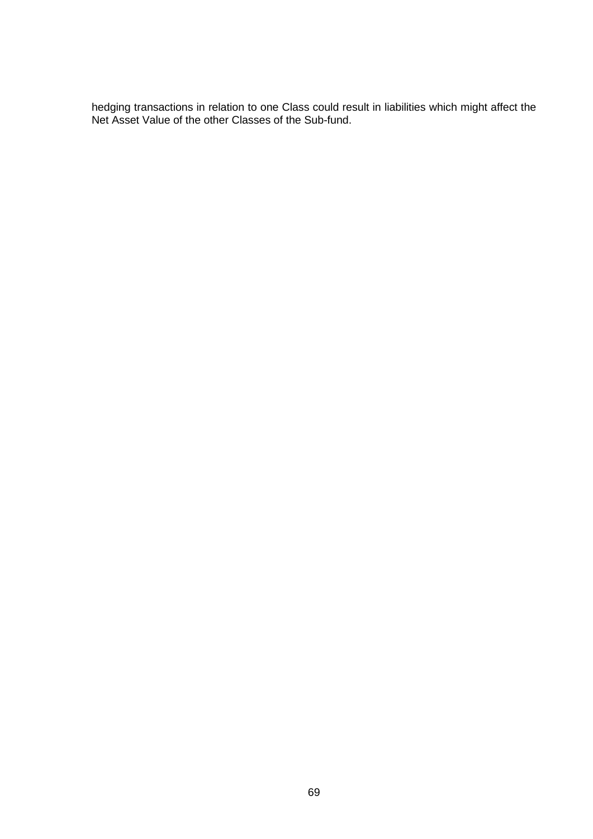hedging transactions in relation to one Class could result in liabilities which might affect the Net Asset Value of the other Classes of the Sub-fund.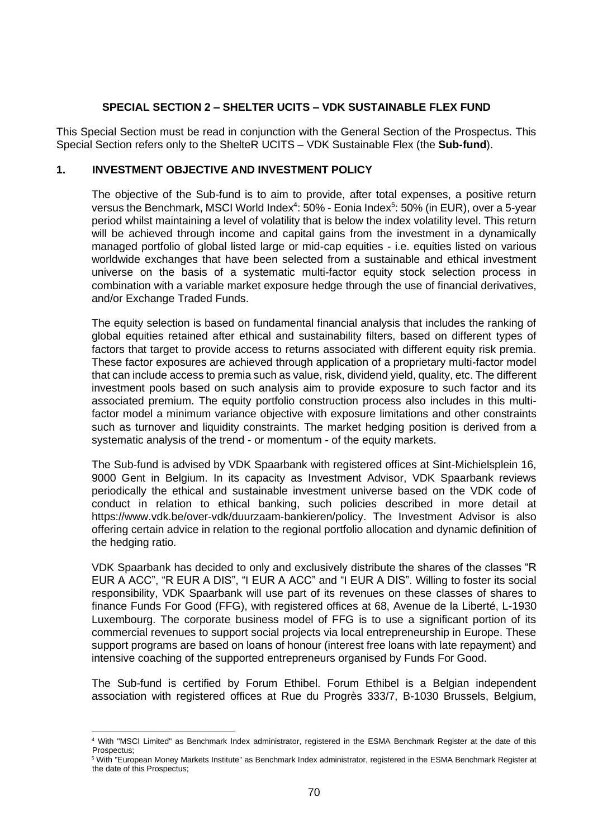## **SPECIAL SECTION 2 – SHELTER UCITS – VDK SUSTAINABLE FLEX FUND**

This Special Section must be read in conjunction with the General Section of the Prospectus. This Special Section refers only to the ShelteR UCITS – VDK Sustainable Flex (the **Sub-fund**).

## **1. INVESTMENT OBJECTIVE AND INVESTMENT POLICY**

The objective of the Sub-fund is to aim to provide, after total expenses, a positive return versus the Benchmark, MSCI World Index<sup>4</sup>: 50% - Eonia Index<sup>5</sup>: 50% (in EUR), over a 5-year period whilst maintaining a level of volatility that is below the index volatility level. This return will be achieved through income and capital gains from the investment in a dynamically managed portfolio of global listed large or mid-cap equities - i.e. equities listed on various worldwide exchanges that have been selected from a sustainable and ethical investment universe on the basis of a systematic multi-factor equity stock selection process in combination with a variable market exposure hedge through the use of financial derivatives, and/or Exchange Traded Funds.

The equity selection is based on fundamental financial analysis that includes the ranking of global equities retained after ethical and sustainability filters, based on different types of factors that target to provide access to returns associated with different equity risk premia. These factor exposures are achieved through application of a proprietary multi-factor model that can include access to premia such as value, risk, dividend yield, quality, etc. The different investment pools based on such analysis aim to provide exposure to such factor and its associated premium. The equity portfolio construction process also includes in this multifactor model a minimum variance objective with exposure limitations and other constraints such as turnover and liquidity constraints. The market hedging position is derived from a systematic analysis of the trend - or momentum - of the equity markets.

The Sub-fund is advised by VDK Spaarbank with registered offices at Sint-Michielsplein 16, 9000 Gent in Belgium. In its capacity as Investment Advisor, VDK Spaarbank reviews periodically the ethical and sustainable investment universe based on the VDK code of conduct in relation to ethical banking, such policies described in more detail at https://www.vdk.be/over-vdk/duurzaam-bankieren/policy. The Investment Advisor is also offering certain advice in relation to the regional portfolio allocation and dynamic definition of the hedging ratio.

VDK Spaarbank has decided to only and exclusively distribute the shares of the classes "R EUR A ACC", "R EUR A DIS", "I EUR A ACC" and "I EUR A DIS". Willing to foster its social responsibility, VDK Spaarbank will use part of its revenues on these classes of shares to finance Funds For Good (FFG), with registered offices at 68, Avenue de la Liberté, L-1930 Luxembourg. The corporate business model of FFG is to use a significant portion of its commercial revenues to support social projects via local entrepreneurship in Europe. These support programs are based on loans of honour (interest free loans with late repayment) and intensive coaching of the supported entrepreneurs organised by Funds For Good.

The Sub-fund is certified by Forum Ethibel. Forum Ethibel is a Belgian independent association with registered offices at Rue du Progrès 333/7, B-1030 Brussels, Belgium,

<sup>4</sup> With "MSCI Limited" as Benchmark Index administrator, registered in the ESMA Benchmark Register at the date of this Prospectus;

<sup>5</sup> With "European Money Markets Institute" as Benchmark Index administrator, registered in the ESMA Benchmark Register at the date of this Prospectus;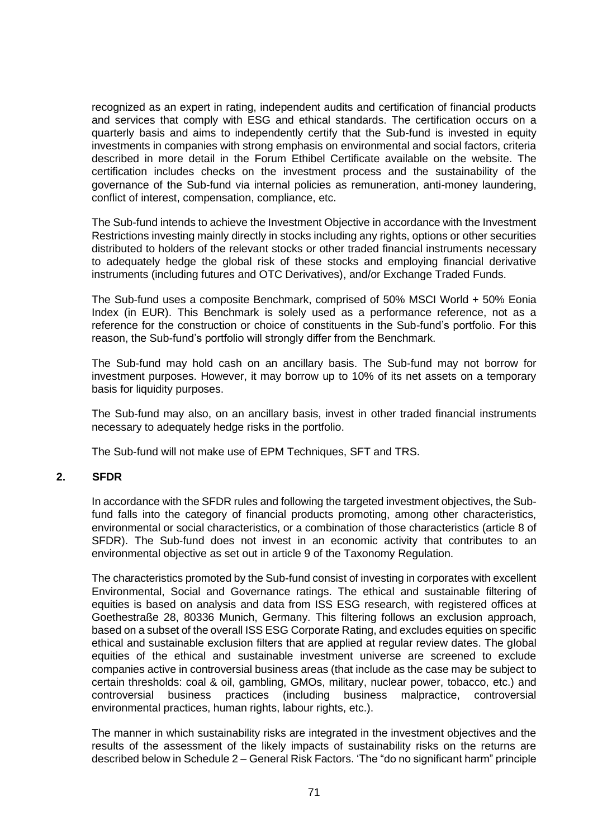recognized as an expert in rating, independent audits and certification of financial products and services that comply with ESG and ethical standards. The certification occurs on a quarterly basis and aims to independently certify that the Sub-fund is invested in equity investments in companies with strong emphasis on environmental and social factors, criteria described in more detail in the Forum Ethibel Certificate available on the website. The certification includes checks on the investment process and the sustainability of the governance of the Sub-fund via internal policies as remuneration, anti-money laundering, conflict of interest, compensation, compliance, etc.

The Sub-fund intends to achieve the Investment Objective in accordance with the Investment Restrictions investing mainly directly in stocks including any rights, options or other securities distributed to holders of the relevant stocks or other traded financial instruments necessary to adequately hedge the global risk of these stocks and employing financial derivative instruments (including futures and OTC Derivatives), and/or Exchange Traded Funds.

The Sub-fund uses a composite Benchmark, comprised of 50% MSCI World + 50% Eonia Index (in EUR). This Benchmark is solely used as a performance reference, not as a reference for the construction or choice of constituents in the Sub-fund's portfolio. For this reason, the Sub-fund's portfolio will strongly differ from the Benchmark.

The Sub-fund may hold cash on an ancillary basis. The Sub-fund may not borrow for investment purposes. However, it may borrow up to 10% of its net assets on a temporary basis for liquidity purposes.

The Sub-fund may also, on an ancillary basis, invest in other traded financial instruments necessary to adequately hedge risks in the portfolio.

The Sub-fund will not make use of EPM Techniques, SFT and TRS.

# **2. SFDR**

In accordance with the SFDR rules and following the targeted investment objectives, the Subfund falls into the category of financial products promoting, among other characteristics, environmental or social characteristics, or a combination of those characteristics (article 8 of SFDR). The Sub-fund does not invest in an economic activity that contributes to an environmental objective as set out in article 9 of the Taxonomy Regulation.

The characteristics promoted by the Sub-fund consist of investing in corporates with excellent Environmental, Social and Governance ratings. The ethical and sustainable filtering of equities is based on analysis and data from ISS ESG research, with registered offices at Goethestraße 28, 80336 Munich, Germany. This filtering follows an exclusion approach, based on a subset of the overall ISS ESG Corporate Rating, and excludes equities on specific ethical and sustainable exclusion filters that are applied at regular review dates. The global equities of the ethical and sustainable investment universe are screened to exclude companies active in controversial business areas (that include as the case may be subject to certain thresholds: coal & oil, gambling, GMOs, military, nuclear power, tobacco, etc.) and controversial business practices (including business malpractice, controversial environmental practices, human rights, labour rights, etc.).

The manner in which sustainability risks are integrated in the investment objectives and the results of the assessment of the likely impacts of sustainability risks on the returns are described below in Schedule 2 – General Risk Factors. 'The "do no significant harm" principle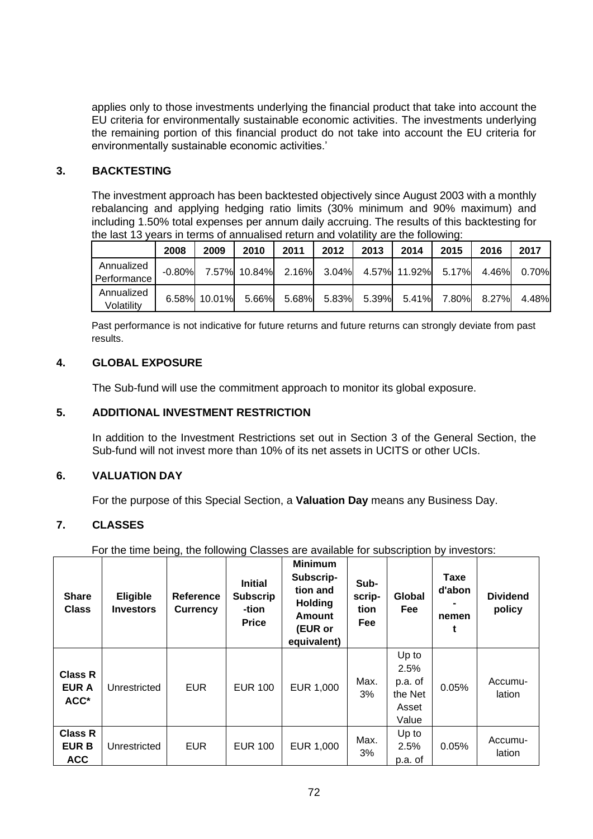applies only to those investments underlying the financial product that take into account the EU criteria for environmentally sustainable economic activities. The investments underlying the remaining portion of this financial product do not take into account the EU criteria for environmentally sustainable economic activities.'

# **3. BACKTESTING**

The investment approach has been backtested objectively since August 2003 with a monthly rebalancing and applying hedging ratio limits (30% minimum and 90% maximum) and including 1.50% total expenses per annum daily accruing. The results of this backtesting for the last 13 years in terms of annualised return and volatility are the following:

|             | 2008     | 2009         | 2010                                        | 2011  | 2012  | 2013  | 2014 | 2015                                | 2016 | 2017        |       |
|-------------|----------|--------------|---------------------------------------------|-------|-------|-------|------|-------------------------------------|------|-------------|-------|
| Annualized  | $-0.80%$ |              | 7.57% 10.84% 2.16% 3.04% 4.57% 11.92% 5.17% |       |       |       |      |                                     |      | 4.46% 0.70% |       |
| Performance |          |              |                                             |       |       |       |      |                                     |      |             |       |
| Annualized  |          | 6.58% 10.01% |                                             | 5.66% | 5.68% | 5.83% |      | $5.39\%$ $5.41\%$ $7.80\%$ $8.27\%$ |      |             | 4.48% |
| Volatility  |          |              |                                             |       |       |       |      |                                     |      |             |       |

Past performance is not indicative for future returns and future returns can strongly deviate from past results.

# **4. GLOBAL EXPOSURE**

The Sub-fund will use the commitment approach to monitor its global exposure.

## **5. ADDITIONAL INVESTMENT RESTRICTION**

In addition to the Investment Restrictions set out in Section 3 of the General Section, the Sub-fund will not invest more than 10% of its net assets in UCITS or other UCIs.

# **6. VALUATION DAY**

For the purpose of this Special Section, a **Valuation Day** means any Business Day.

# **7. CLASSES**

For the time being, the following Classes are available for subscription by investors:

| <b>Share</b><br><b>Class</b>                 | <b>Eligible</b><br><b>Investors</b> | <b>Reference</b><br>Currency | <b>Initial</b><br><b>Subscrip</b><br>-tion<br><b>Price</b> | <b>Minimum</b><br>Subscrip-<br>tion and<br><b>Holding</b><br><b>Amount</b><br>(EUR or<br>equivalent) | Sub-<br>scrip-<br>tion<br>Fee | Global<br>Fee                                         | <b>Taxe</b><br>d'abon<br>nemen | <b>Dividend</b><br>policy |
|----------------------------------------------|-------------------------------------|------------------------------|------------------------------------------------------------|------------------------------------------------------------------------------------------------------|-------------------------------|-------------------------------------------------------|--------------------------------|---------------------------|
| <b>Class R</b><br><b>EUR A</b><br>ACC*       | Unrestricted                        | <b>EUR</b>                   | <b>EUR 100</b>                                             | EUR 1,000                                                                                            | Max.<br>3%                    | Up to<br>2.5%<br>p.a. of<br>the Net<br>Asset<br>Value | 0.05%                          | Accumu-<br>lation         |
| <b>Class R</b><br><b>EUR B</b><br><b>ACC</b> | Unrestricted                        | <b>EUR</b>                   | <b>EUR 100</b>                                             | EUR 1,000                                                                                            | Max.<br>3%                    | Up to<br>2.5%<br>p.a. of                              | 0.05%                          | Accumu-<br>lation         |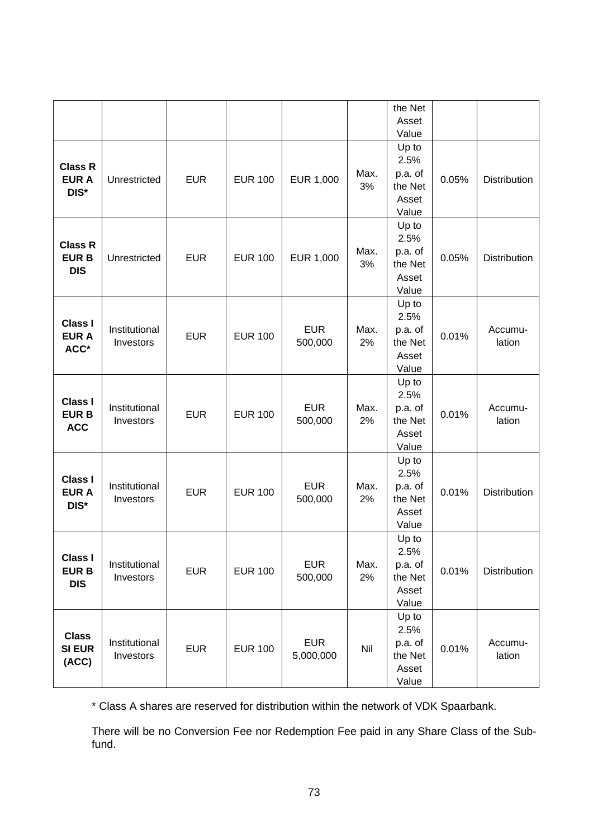|                                             |                            |            |                |                         |            | the Net<br>Asset<br>Value                             |       |                   |
|---------------------------------------------|----------------------------|------------|----------------|-------------------------|------------|-------------------------------------------------------|-------|-------------------|
| <b>Class R</b><br><b>EUR A</b><br>DIS*      | Unrestricted               | <b>EUR</b> | <b>EUR 100</b> | EUR 1,000               | Max.<br>3% | Up to<br>2.5%<br>p.a. of<br>the Net<br>Asset<br>Value | 0.05% | Distribution      |
| <b>Class R</b><br><b>EURB</b><br><b>DIS</b> | Unrestricted               | <b>EUR</b> | <b>EUR 100</b> | EUR 1,000               | Max.<br>3% | Up to<br>2.5%<br>p.a. of<br>the Net<br>Asset<br>Value | 0.05% | Distribution      |
| <b>Class I</b><br><b>EUR A</b><br>ACC*      | Institutional<br>Investors | <b>EUR</b> | <b>EUR 100</b> | <b>EUR</b><br>500,000   | Max.<br>2% | Up to<br>2.5%<br>p.a. of<br>the Net<br>Asset<br>Value | 0.01% | Accumu-<br>lation |
| <b>Class I</b><br><b>EURB</b><br><b>ACC</b> | Institutional<br>Investors | <b>EUR</b> | <b>EUR 100</b> | <b>EUR</b><br>500,000   | Max.<br>2% | Up to<br>2.5%<br>p.a. of<br>the Net<br>Asset<br>Value | 0.01% | Accumu-<br>lation |
| <b>Class I</b><br><b>EUR A</b><br>DIS*      | Institutional<br>Investors | <b>EUR</b> | <b>EUR 100</b> | <b>EUR</b><br>500,000   | Max.<br>2% | Up to<br>2.5%<br>p.a. of<br>the Net<br>Asset<br>Value | 0.01% | Distribution      |
| <b>Class I</b><br><b>EURB</b><br><b>DIS</b> | Institutional<br>Investors | <b>EUR</b> | <b>EUR 100</b> | <b>EUR</b><br>500,000   | Max.<br>2% | Up to<br>2.5%<br>p.a. of<br>the Net<br>Asset<br>Value | 0.01% | Distribution      |
| <b>Class</b><br><b>SI EUR</b><br>(ACC)      | Institutional<br>Investors | <b>EUR</b> | <b>EUR 100</b> | <b>EUR</b><br>5,000,000 | Nil        | Up to<br>2.5%<br>p.a. of<br>the Net<br>Asset<br>Value | 0.01% | Accumu-<br>lation |

\* Class A shares are reserved for distribution within the network of VDK Spaarbank.

There will be no Conversion Fee nor Redemption Fee paid in any Share Class of the Subfund.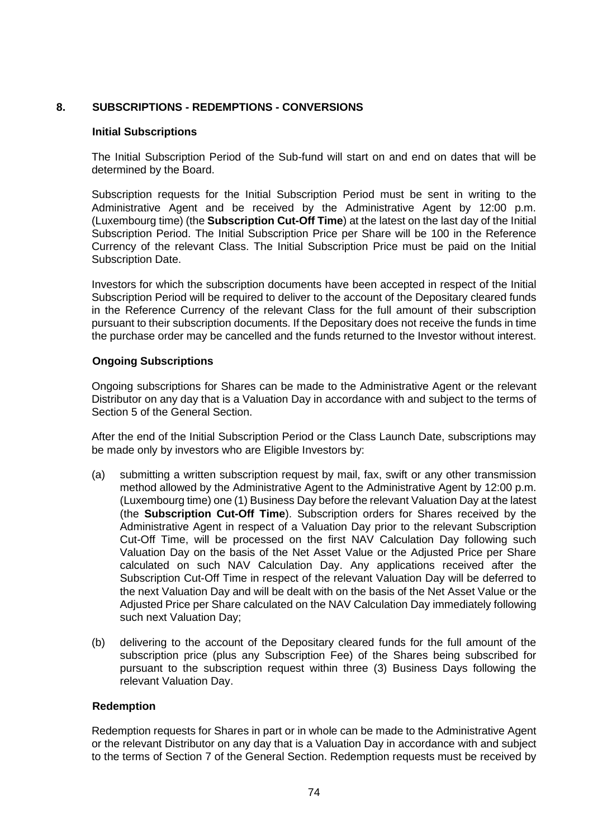# **8. SUBSCRIPTIONS - REDEMPTIONS - CONVERSIONS**

### **Initial Subscriptions**

The Initial Subscription Period of the Sub-fund will start on and end on dates that will be determined by the Board.

Subscription requests for the Initial Subscription Period must be sent in writing to the Administrative Agent and be received by the Administrative Agent by 12:00 p.m. (Luxembourg time) (the **Subscription Cut-Off Time**) at the latest on the last day of the Initial Subscription Period. The Initial Subscription Price per Share will be 100 in the Reference Currency of the relevant Class. The Initial Subscription Price must be paid on the Initial Subscription Date.

Investors for which the subscription documents have been accepted in respect of the Initial Subscription Period will be required to deliver to the account of the Depositary cleared funds in the Reference Currency of the relevant Class for the full amount of their subscription pursuant to their subscription documents. If the Depositary does not receive the funds in time the purchase order may be cancelled and the funds returned to the Investor without interest.

## **Ongoing Subscriptions**

Ongoing subscriptions for Shares can be made to the Administrative Agent or the relevant Distributor on any day that is a Valuation Day in accordance with and subject to the terms of Section [5](#page-29-0) of the General Section.

After the end of the Initial Subscription Period or the Class Launch Date, subscriptions may be made only by investors who are Eligible Investors by:

- (a) submitting a written subscription request by mail, fax, swift or any other transmission method allowed by the Administrative Agent to the Administrative Agent by 12:00 p.m. (Luxembourg time) one (1) Business Day before the relevant Valuation Day at the latest (the **Subscription Cut-Off Time**). Subscription orders for Shares received by the Administrative Agent in respect of a Valuation Day prior to the relevant Subscription Cut-Off Time, will be processed on the first NAV Calculation Day following such Valuation Day on the basis of the Net Asset Value or the Adjusted Price per Share calculated on such NAV Calculation Day. Any applications received after the Subscription Cut-Off Time in respect of the relevant Valuation Day will be deferred to the next Valuation Day and will be dealt with on the basis of the Net Asset Value or the Adjusted Price per Share calculated on the NAV Calculation Day immediately following such next Valuation Day;
- (b) delivering to the account of the Depositary cleared funds for the full amount of the subscription price (plus any Subscription Fee) of the Shares being subscribed for pursuant to the subscription request within three (3) Business Days following the relevant Valuation Day.

#### **Redemption**

Redemption requests for Shares in part or in whole can be made to the Administrative Agent or the relevant Distributor on any day that is a Valuation Day in accordance with and subject to the terms of Section [7](#page-35-0) of the General Section. Redemption requests must be received by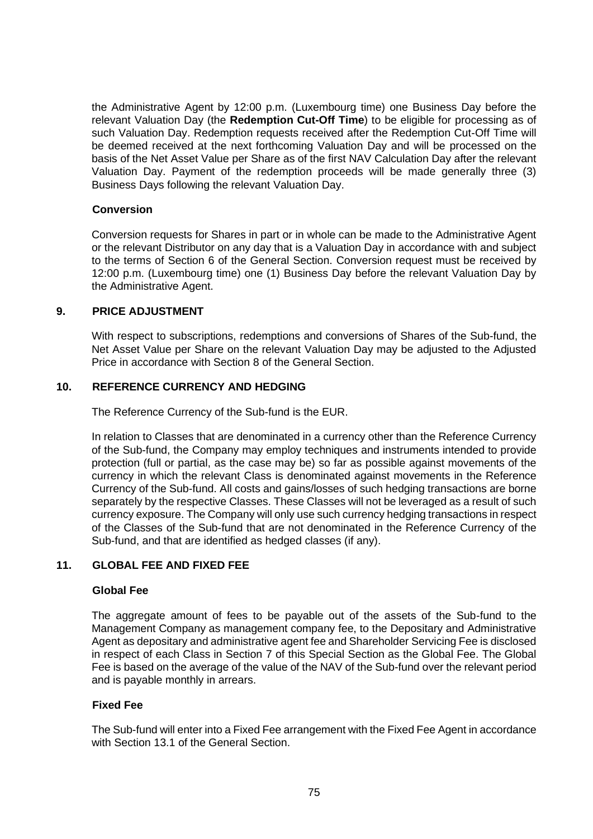the Administrative Agent by 12:00 p.m. (Luxembourg time) one Business Day before the relevant Valuation Day (the **Redemption Cut-Off Time**) to be eligible for processing as of such Valuation Day. Redemption requests received after the Redemption Cut-Off Time will be deemed received at the next forthcoming Valuation Day and will be processed on the basis of the Net Asset Value per Share as of the first NAV Calculation Day after the relevant Valuation Day. Payment of the redemption proceeds will be made generally three (3) Business Days following the relevant Valuation Day.

### **Conversion**

Conversion requests for Shares in part or in whole can be made to the Administrative Agent or the relevant Distributor on any day that is a Valuation Day in accordance with and subject to the terms of Section [6](#page-33-0) of the General Section. Conversion request must be received by 12:00 p.m. (Luxembourg time) one (1) Business Day before the relevant Valuation Day by the Administrative Agent.

#### **9. PRICE ADJUSTMENT**

With respect to subscriptions, redemptions and conversions of Shares of the Sub-fund, the Net Asset Value per Share on the relevant Valuation Day may be adjusted to the Adjusted Price in accordance with Section [8](#page-38-0) of the General Section.

## **10. REFERENCE CURRENCY AND HEDGING**

The Reference Currency of the Sub-fund is the EUR.

In relation to Classes that are denominated in a currency other than the Reference Currency of the Sub-fund, the Company may employ techniques and instruments intended to provide protection (full or partial, as the case may be) so far as possible against movements of the currency in which the relevant Class is denominated against movements in the Reference Currency of the Sub-fund. All costs and gains/losses of such hedging transactions are borne separately by the respective Classes. These Classes will not be leveraged as a result of such currency exposure. The Company will only use such currency hedging transactions in respect of the Classes of the Sub-fund that are not denominated in the Reference Currency of the Sub-fund, and that are identified as hedged classes (if any).

## **11. GLOBAL FEE AND FIXED FEE**

#### **Global Fee**

The aggregate amount of fees to be payable out of the assets of the Sub-fund to the Management Company as management company fee, to the Depositary and Administrative Agent as depositary and administrative agent fee and Shareholder Servicing Fee is disclosed in respect of each Class in Section [7](#page-71-0) of this Special Section as the Global Fee. The Global Fee is based on the average of the value of the NAV of the Sub-fund over the relevant period and is payable monthly in arrears.

#### **Fixed Fee**

The Sub-fund will enter into a Fixed Fee arrangement with the Fixed Fee Agent in accordance with Section [13.1](#page-52-0) of the General Section.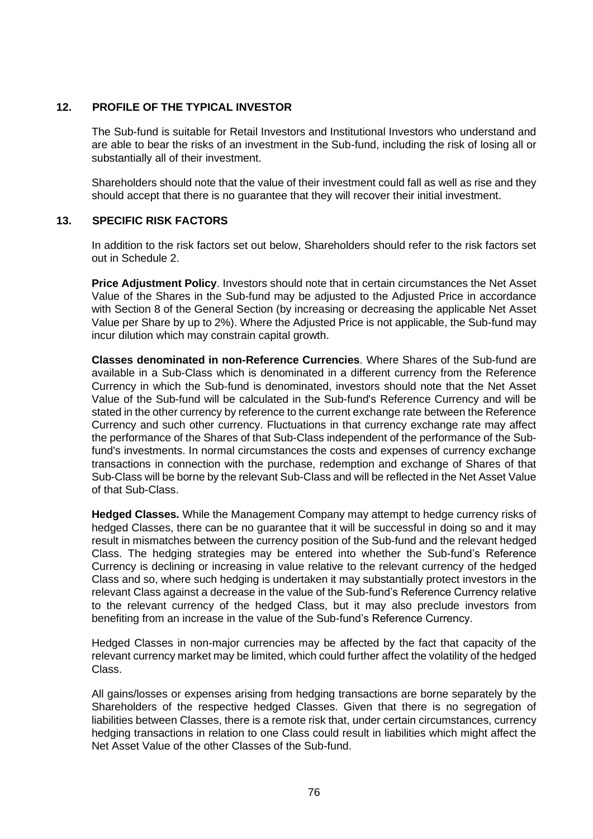# **12. PROFILE OF THE TYPICAL INVESTOR**

The Sub-fund is suitable for Retail Investors and Institutional Investors who understand and are able to bear the risks of an investment in the Sub-fund, including the risk of losing all or substantially all of their investment.

Shareholders should note that the value of their investment could fall as well as rise and they should accept that there is no guarantee that they will recover their initial investment.

# **13. SPECIFIC RISK FACTORS**

In addition to the risk factors set out below, Shareholders should refer to the risk factors set out in [Schedule 2.](#page-113-0)

**Price Adjustment Policy**. Investors should note that in certain circumstances the Net Asset Value of the Shares in the Sub-fund may be adjusted to the Adjusted Price in accordance with Section [8](#page-38-0) of the General Section (by increasing or decreasing the applicable Net Asset Value per Share by up to 2%). Where the Adjusted Price is not applicable, the Sub-fund may incur dilution which may constrain capital growth.

**Classes denominated in non-Reference Currencies**. Where Shares of the Sub-fund are available in a Sub-Class which is denominated in a different currency from the Reference Currency in which the Sub-fund is denominated, investors should note that the Net Asset Value of the Sub-fund will be calculated in the Sub-fund's Reference Currency and will be stated in the other currency by reference to the current exchange rate between the Reference Currency and such other currency. Fluctuations in that currency exchange rate may affect the performance of the Shares of that Sub-Class independent of the performance of the Subfund's investments. In normal circumstances the costs and expenses of currency exchange transactions in connection with the purchase, redemption and exchange of Shares of that Sub-Class will be borne by the relevant Sub-Class and will be reflected in the Net Asset Value of that Sub-Class.

**Hedged Classes.** While the Management Company may attempt to hedge currency risks of hedged Classes, there can be no guarantee that it will be successful in doing so and it may result in mismatches between the currency position of the Sub-fund and the relevant hedged Class. The hedging strategies may be entered into whether the Sub-fund's Reference Currency is declining or increasing in value relative to the relevant currency of the hedged Class and so, where such hedging is undertaken it may substantially protect investors in the relevant Class against a decrease in the value of the Sub-fund's Reference Currency relative to the relevant currency of the hedged Class, but it may also preclude investors from benefiting from an increase in the value of the Sub-fund's Reference Currency.

Hedged Classes in non-major currencies may be affected by the fact that capacity of the relevant currency market may be limited, which could further affect the volatility of the hedged Class.

All gains/losses or expenses arising from hedging transactions are borne separately by the Shareholders of the respective hedged Classes. Given that there is no segregation of liabilities between Classes, there is a remote risk that, under certain circumstances, currency hedging transactions in relation to one Class could result in liabilities which might affect the Net Asset Value of the other Classes of the Sub-fund.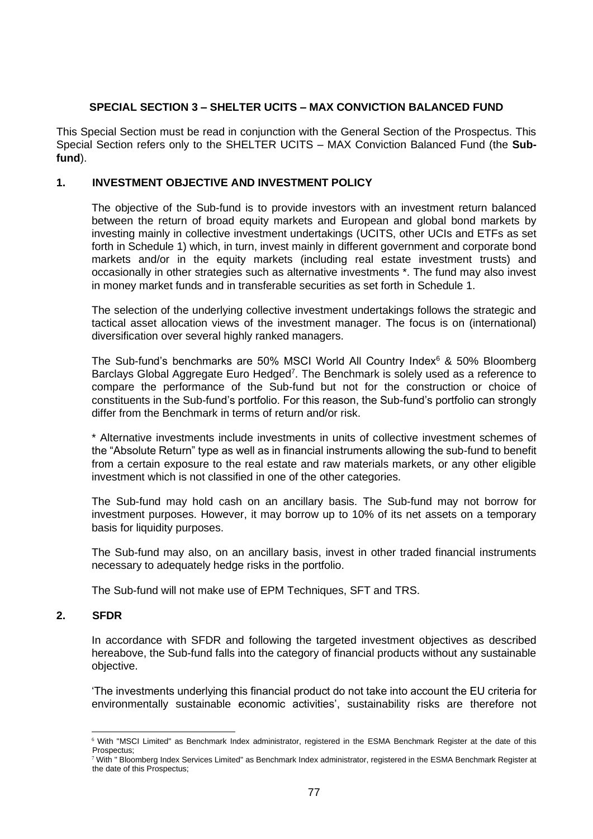## **SPECIAL SECTION 3 – SHELTER UCITS – MAX CONVICTION BALANCED FUND**

This Special Section must be read in conjunction with the General Section of the Prospectus. This Special Section refers only to the SHELTER UCITS – MAX Conviction Balanced Fund (the **Subfund**).

# **1. INVESTMENT OBJECTIVE AND INVESTMENT POLICY**

The objective of the Sub-fund is to provide investors with an investment return balanced between the return of broad equity markets and European and global bond markets by investing mainly in collective investment undertakings (UCITS, other UCIs and ETFs as set forth in Schedule [1\)](#page-100-0) which, in turn, invest mainly in different government and corporate bond markets and/or in the equity markets (including real estate investment trusts) and occasionally in other strategies such as alternative investments \*. The fund may also invest in money market funds and in transferable securities as set forth in Schedule [1.](#page-100-0)

The selection of the underlying collective investment undertakings follows the strategic and tactical asset allocation views of the investment manager. The focus is on (international) diversification over several highly ranked managers.

The Sub-fund's benchmarks are 50% MSCI World All Country Index $6$  & 50% Bloomberg Barclays Global Aggregate Euro Hedged<sup>7</sup>. The Benchmark is solely used as a reference to compare the performance of the Sub-fund but not for the construction or choice of constituents in the Sub-fund's portfolio. For this reason, the Sub-fund's portfolio can strongly differ from the Benchmark in terms of return and/or risk.

\* Alternative investments include investments in units of collective investment schemes of the "Absolute Return" type as well as in financial instruments allowing the sub-fund to benefit from a certain exposure to the real estate and raw materials markets, or any other eligible investment which is not classified in one of the other categories.

The Sub-fund may hold cash on an ancillary basis. The Sub-fund may not borrow for investment purposes. However, it may borrow up to 10% of its net assets on a temporary basis for liquidity purposes.

The Sub-fund may also, on an ancillary basis, invest in other traded financial instruments necessary to adequately hedge risks in the portfolio.

The Sub-fund will not make use of EPM Techniques, SFT and TRS.

# **2. SFDR**

In accordance with SFDR and following the targeted investment objectives as described hereabove, the Sub-fund falls into the category of financial products without any sustainable objective.

'The investments underlying this financial product do not take into account the EU criteria for environmentally sustainable economic activities', sustainability risks are therefore not

<sup>6</sup> With "MSCI Limited" as Benchmark Index administrator, registered in the ESMA Benchmark Register at the date of this Prospectus;

<sup>7</sup> With " Bloomberg Index Services Limited" as Benchmark Index administrator, registered in the ESMA Benchmark Register at the date of this Prospectus;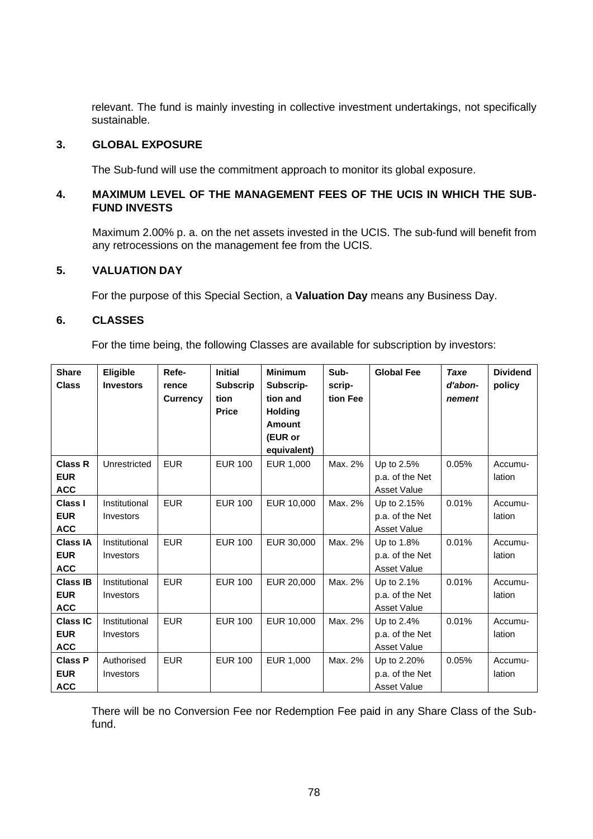relevant. The fund is mainly investing in collective investment undertakings, not specifically sustainable.

#### **3. GLOBAL EXPOSURE**

The Sub-fund will use the commitment approach to monitor its global exposure.

# **4. MAXIMUM LEVEL OF THE MANAGEMENT FEES OF THE UCIS IN WHICH THE SUB-FUND INVESTS**

Maximum 2.00% p. a. on the net assets invested in the UCIS. The sub-fund will benefit from any retrocessions on the management fee from the UCIS.

# **5. VALUATION DAY**

For the purpose of this Special Section, a **Valuation Day** means any Business Day.

#### <span id="page-77-0"></span>**6. CLASSES**

For the time being, the following Classes are available for subscription by investors:

| <b>Share</b><br><b>Class</b> | <b>Eligible</b><br><b>Investors</b> | Refe-<br>rence<br><b>Currency</b> | <b>Initial</b><br><b>Subscrip</b><br>tion<br><b>Price</b> | <b>Minimum</b><br>Subscrip-<br>tion and<br><b>Holding</b><br><b>Amount</b><br>(EUR or<br>equivalent) | Sub-<br>scrip-<br>tion Fee | <b>Global Fee</b>              | <b>Taxe</b><br>d'abon-<br>nement | <b>Dividend</b><br>policy |
|------------------------------|-------------------------------------|-----------------------------------|-----------------------------------------------------------|------------------------------------------------------------------------------------------------------|----------------------------|--------------------------------|----------------------------------|---------------------------|
| <b>Class R</b>               | Unrestricted                        | <b>EUR</b>                        | <b>EUR 100</b>                                            | EUR 1,000                                                                                            | Max. 2%                    | Up to 2.5%                     | 0.05%                            | Accumu-                   |
| <b>EUR</b><br><b>ACC</b>     |                                     |                                   |                                                           |                                                                                                      |                            | p.a. of the Net<br>Asset Value |                                  | lation                    |
| <b>Class I</b>               | Institutional                       | <b>EUR</b>                        | <b>EUR 100</b>                                            | EUR 10,000                                                                                           | Max. 2%                    | Up to 2.15%                    | 0.01%                            | Accumu-                   |
| <b>EUR</b>                   | Investors                           |                                   |                                                           |                                                                                                      |                            | p.a. of the Net                |                                  | lation                    |
| <b>ACC</b>                   |                                     |                                   |                                                           |                                                                                                      |                            | <b>Asset Value</b>             |                                  |                           |
| <b>Class IA</b>              | Institutional                       | <b>EUR</b>                        | <b>EUR 100</b>                                            | EUR 30,000                                                                                           | Max. 2%                    | Up to 1.8%                     | 0.01%                            | Accumu-                   |
| <b>EUR</b>                   | Investors                           |                                   |                                                           |                                                                                                      |                            | p.a. of the Net                |                                  | lation                    |
| <b>ACC</b>                   |                                     |                                   |                                                           |                                                                                                      |                            | Asset Value                    |                                  |                           |
| <b>Class IB</b>              | Institutional                       | <b>EUR</b>                        | <b>EUR 100</b>                                            | EUR 20,000                                                                                           | Max. 2%                    | Up to 2.1%                     | 0.01%                            | Accumu-                   |
| <b>EUR</b>                   | Investors                           |                                   |                                                           |                                                                                                      |                            | p.a. of the Net                |                                  | lation                    |
| <b>ACC</b>                   |                                     |                                   |                                                           |                                                                                                      |                            | <b>Asset Value</b>             |                                  |                           |
| <b>Class IC</b>              | Institutional                       | <b>EUR</b>                        | <b>EUR 100</b>                                            | EUR 10,000                                                                                           | Max. 2%                    | Up to 2.4%                     | 0.01%                            | Accumu-                   |
| <b>EUR</b>                   | Investors                           |                                   |                                                           |                                                                                                      |                            | p.a. of the Net                |                                  | lation                    |
| <b>ACC</b>                   |                                     |                                   |                                                           |                                                                                                      |                            | <b>Asset Value</b>             |                                  |                           |
| <b>Class P</b>               | Authorised                          | <b>EUR</b>                        | <b>EUR 100</b>                                            | EUR 1,000                                                                                            | Max. 2%                    | Up to 2.20%                    | 0.05%                            | Accumu-                   |
| <b>EUR</b>                   | Investors                           |                                   |                                                           |                                                                                                      |                            | p.a. of the Net                |                                  | lation                    |
| <b>ACC</b>                   |                                     |                                   |                                                           |                                                                                                      |                            | <b>Asset Value</b>             |                                  |                           |

There will be no Conversion Fee nor Redemption Fee paid in any Share Class of the Subfund.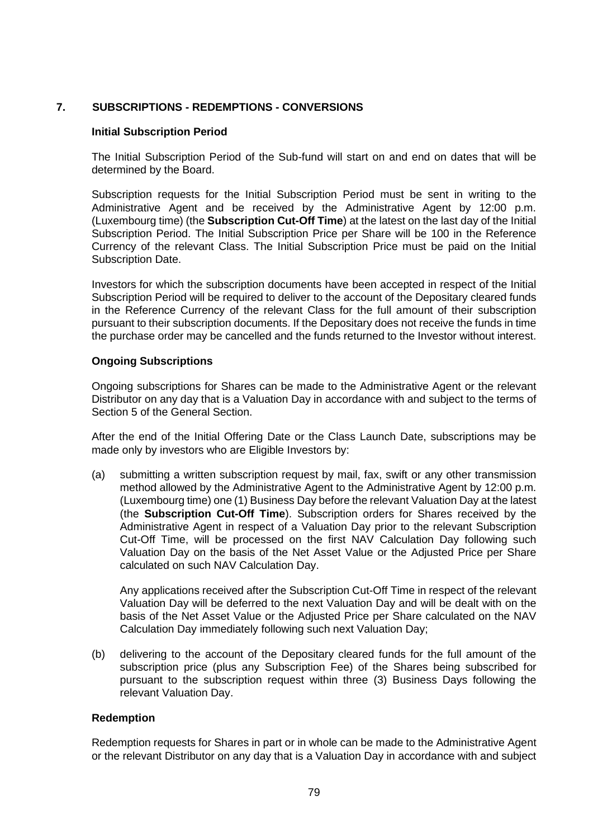# **7. SUBSCRIPTIONS - REDEMPTIONS - CONVERSIONS**

### **Initial Subscription Period**

The Initial Subscription Period of the Sub-fund will start on and end on dates that will be determined by the Board.

Subscription requests for the Initial Subscription Period must be sent in writing to the Administrative Agent and be received by the Administrative Agent by 12:00 p.m. (Luxembourg time) (the **Subscription Cut-Off Time**) at the latest on the last day of the Initial Subscription Period. The Initial Subscription Price per Share will be 100 in the Reference Currency of the relevant Class. The Initial Subscription Price must be paid on the Initial Subscription Date.

Investors for which the subscription documents have been accepted in respect of the Initial Subscription Period will be required to deliver to the account of the Depositary cleared funds in the Reference Currency of the relevant Class for the full amount of their subscription pursuant to their subscription documents. If the Depositary does not receive the funds in time the purchase order may be cancelled and the funds returned to the Investor without interest.

#### **Ongoing Subscriptions**

Ongoing subscriptions for Shares can be made to the Administrative Agent or the relevant Distributor on any day that is a Valuation Day in accordance with and subject to the terms of Section [5](#page-29-0) of the General Section.

After the end of the Initial Offering Date or the Class Launch Date, subscriptions may be made only by investors who are Eligible Investors by:

(a) submitting a written subscription request by mail, fax, swift or any other transmission method allowed by the Administrative Agent to the Administrative Agent by 12:00 p.m. (Luxembourg time) one (1) Business Day before the relevant Valuation Day at the latest (the **Subscription Cut-Off Time**). Subscription orders for Shares received by the Administrative Agent in respect of a Valuation Day prior to the relevant Subscription Cut-Off Time, will be processed on the first NAV Calculation Day following such Valuation Day on the basis of the Net Asset Value or the Adjusted Price per Share calculated on such NAV Calculation Day.

Any applications received after the Subscription Cut-Off Time in respect of the relevant Valuation Day will be deferred to the next Valuation Day and will be dealt with on the basis of the Net Asset Value or the Adjusted Price per Share calculated on the NAV Calculation Day immediately following such next Valuation Day;

(b) delivering to the account of the Depositary cleared funds for the full amount of the subscription price (plus any Subscription Fee) of the Shares being subscribed for pursuant to the subscription request within three (3) Business Days following the relevant Valuation Day.

#### **Redemption**

Redemption requests for Shares in part or in whole can be made to the Administrative Agent or the relevant Distributor on any day that is a Valuation Day in accordance with and subject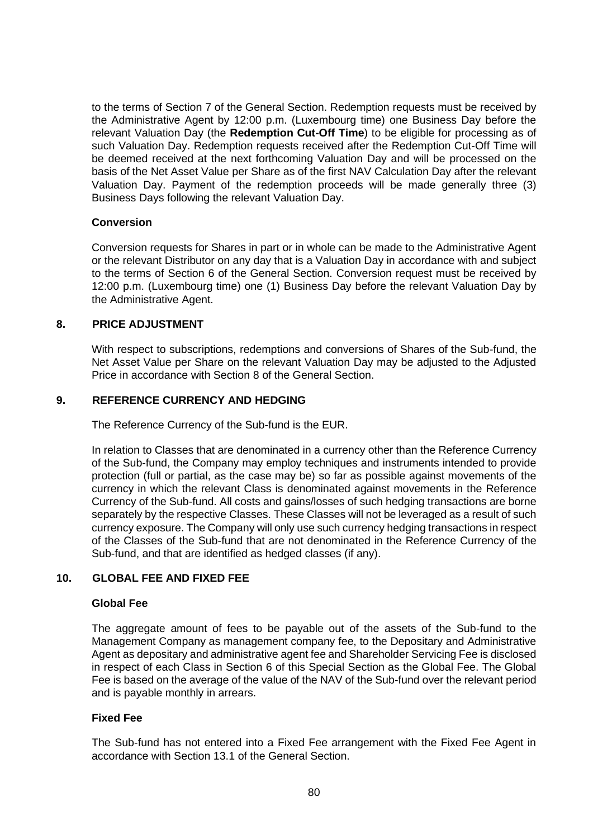to the terms of Section [7](#page-35-0) of the General Section. Redemption requests must be received by the Administrative Agent by 12:00 p.m. (Luxembourg time) one Business Day before the relevant Valuation Day (the **Redemption Cut-Off Time**) to be eligible for processing as of such Valuation Day. Redemption requests received after the Redemption Cut-Off Time will be deemed received at the next forthcoming Valuation Day and will be processed on the basis of the Net Asset Value per Share as of the first NAV Calculation Day after the relevant Valuation Day. Payment of the redemption proceeds will be made generally three (3) Business Days following the relevant Valuation Day.

#### **Conversion**

Conversion requests for Shares in part or in whole can be made to the Administrative Agent or the relevant Distributor on any day that is a Valuation Day in accordance with and subject to the terms of Section [6](#page-33-0) of the General Section. Conversion request must be received by 12:00 p.m. (Luxembourg time) one (1) Business Day before the relevant Valuation Day by the Administrative Agent.

### **8. PRICE ADJUSTMENT**

With respect to subscriptions, redemptions and conversions of Shares of the Sub-fund, the Net Asset Value per Share on the relevant Valuation Day may be adjusted to the Adjusted Price in accordance with Section [8](#page-38-0) of the General Section.

#### **9. REFERENCE CURRENCY AND HEDGING**

The Reference Currency of the Sub-fund is the EUR.

In relation to Classes that are denominated in a currency other than the Reference Currency of the Sub-fund, the Company may employ techniques and instruments intended to provide protection (full or partial, as the case may be) so far as possible against movements of the currency in which the relevant Class is denominated against movements in the Reference Currency of the Sub-fund. All costs and gains/losses of such hedging transactions are borne separately by the respective Classes. These Classes will not be leveraged as a result of such currency exposure. The Company will only use such currency hedging transactions in respect of the Classes of the Sub-fund that are not denominated in the Reference Currency of the Sub-fund, and that are identified as hedged classes (if any).

## **10. GLOBAL FEE AND FIXED FEE**

#### **Global Fee**

The aggregate amount of fees to be payable out of the assets of the Sub-fund to the Management Company as management company fee, to the Depositary and Administrative Agent as depositary and administrative agent fee and Shareholder Servicing Fee is disclosed in respect of each Class in Section [6](#page-77-0) of this Special Section as the Global Fee. The Global Fee is based on the average of the value of the NAV of the Sub-fund over the relevant period and is payable monthly in arrears.

#### **Fixed Fee**

The Sub-fund has not entered into a Fixed Fee arrangement with the Fixed Fee Agent in accordance with Section [13.1](#page-52-0) of the General Section.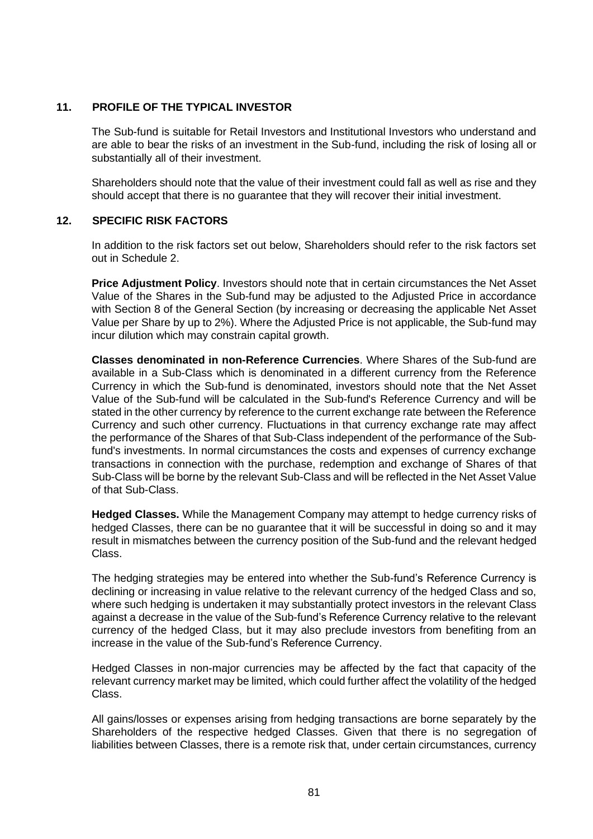# **11. PROFILE OF THE TYPICAL INVESTOR**

The Sub-fund is suitable for Retail Investors and Institutional Investors who understand and are able to bear the risks of an investment in the Sub-fund, including the risk of losing all or substantially all of their investment.

Shareholders should note that the value of their investment could fall as well as rise and they should accept that there is no guarantee that they will recover their initial investment.

# **12. SPECIFIC RISK FACTORS**

In addition to the risk factors set out below, Shareholders should refer to the risk factors set out in [Schedule](#page-113-0) 2.

**Price Adjustment Policy**. Investors should note that in certain circumstances the Net Asset Value of the Shares in the Sub-fund may be adjusted to the Adjusted Price in accordance with Section [8](#page-38-0) of the General Section (by increasing or decreasing the applicable Net Asset Value per Share by up to 2%). Where the Adjusted Price is not applicable, the Sub-fund may incur dilution which may constrain capital growth.

**Classes denominated in non-Reference Currencies**. Where Shares of the Sub-fund are available in a Sub-Class which is denominated in a different currency from the Reference Currency in which the Sub-fund is denominated, investors should note that the Net Asset Value of the Sub-fund will be calculated in the Sub-fund's Reference Currency and will be stated in the other currency by reference to the current exchange rate between the Reference Currency and such other currency. Fluctuations in that currency exchange rate may affect the performance of the Shares of that Sub-Class independent of the performance of the Subfund's investments. In normal circumstances the costs and expenses of currency exchange transactions in connection with the purchase, redemption and exchange of Shares of that Sub-Class will be borne by the relevant Sub-Class and will be reflected in the Net Asset Value of that Sub-Class.

**Hedged Classes.** While the Management Company may attempt to hedge currency risks of hedged Classes, there can be no guarantee that it will be successful in doing so and it may result in mismatches between the currency position of the Sub-fund and the relevant hedged Class.

The hedging strategies may be entered into whether the Sub-fund's Reference Currency is declining or increasing in value relative to the relevant currency of the hedged Class and so, where such hedging is undertaken it may substantially protect investors in the relevant Class against a decrease in the value of the Sub-fund's Reference Currency relative to the relevant currency of the hedged Class, but it may also preclude investors from benefiting from an increase in the value of the Sub-fund's Reference Currency.

Hedged Classes in non-major currencies may be affected by the fact that capacity of the relevant currency market may be limited, which could further affect the volatility of the hedged Class.

All gains/losses or expenses arising from hedging transactions are borne separately by the Shareholders of the respective hedged Classes. Given that there is no segregation of liabilities between Classes, there is a remote risk that, under certain circumstances, currency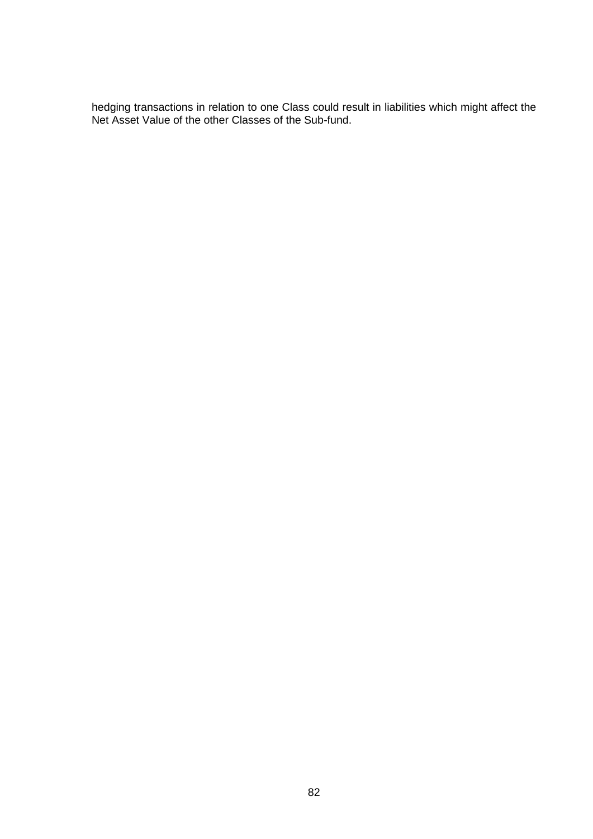hedging transactions in relation to one Class could result in liabilities which might affect the Net Asset Value of the other Classes of the Sub-fund.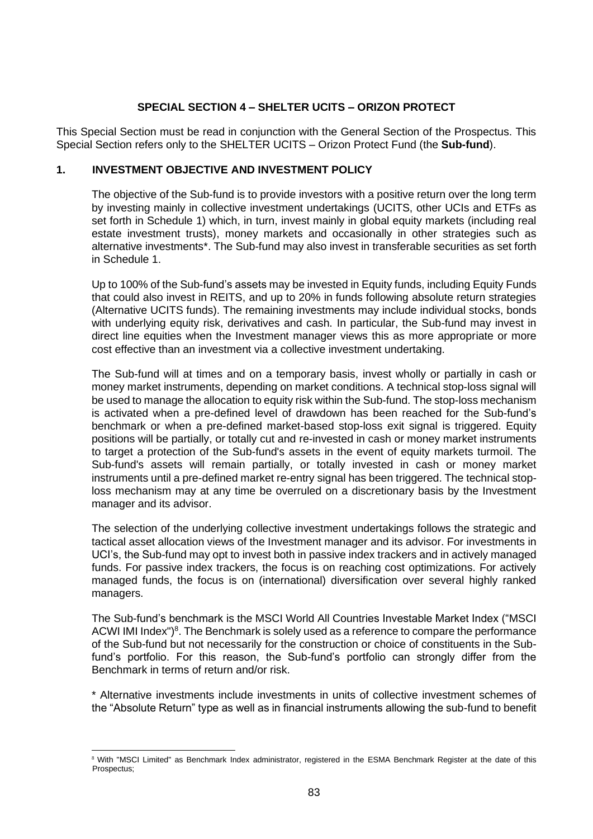# **SPECIAL SECTION 4 – SHELTER UCITS – ORIZON PROTECT**

This Special Section must be read in conjunction with the General Section of the Prospectus. This Special Section refers only to the SHELTER UCITS – Orizon Protect Fund (the **Sub-fund**).

# **1. INVESTMENT OBJECTIVE AND INVESTMENT POLICY**

The objective of the Sub-fund is to provide investors with a positive return over the long term by investing mainly in collective investment undertakings (UCITS, other UCIs and ETFs as set forth in Schedule [1\)](#page-100-0) which, in turn, invest mainly in global equity markets (including real estate investment trusts), money markets and occasionally in other strategies such as alternative investments\*. The Sub-fund may also invest in transferable securities as set forth in Schedule [1.](#page-100-0)

Up to 100% of the Sub-fund's assets may be invested in Equity funds, including Equity Funds that could also invest in REITS, and up to 20% in funds following absolute return strategies (Alternative UCITS funds). The remaining investments may include individual stocks, bonds with underlying equity risk, derivatives and cash. In particular, the Sub-fund may invest in direct line equities when the Investment manager views this as more appropriate or more cost effective than an investment via a collective investment undertaking.

The Sub-fund will at times and on a temporary basis, invest wholly or partially in cash or money market instruments, depending on market conditions. A technical stop-loss signal will be used to manage the allocation to equity risk within the Sub-fund. The stop-loss mechanism is activated when a pre-defined level of drawdown has been reached for the Sub-fund's benchmark or when a pre-defined market-based stop-loss exit signal is triggered. Equity positions will be partially, or totally cut and re-invested in cash or money market instruments to target a protection of the Sub-fund's assets in the event of equity markets turmoil. The Sub-fund's assets will remain partially, or totally invested in cash or money market instruments until a pre-defined market re-entry signal has been triggered. The technical stoploss mechanism may at any time be overruled on a discretionary basis by the Investment manager and its advisor.

The selection of the underlying collective investment undertakings follows the strategic and tactical asset allocation views of the Investment manager and its advisor. For investments in UCI's, the Sub-fund may opt to invest both in passive index trackers and in actively managed funds. For passive index trackers, the focus is on reaching cost optimizations. For actively managed funds, the focus is on (international) diversification over several highly ranked managers.

The Sub-fund's benchmark is the MSCI World All Countries Investable Market Index ("MSCI ACWI IMI Index")<sup>8</sup>. The Benchmark is solely used as a reference to compare the performance of the Sub-fund but not necessarily for the construction or choice of constituents in the Subfund's portfolio. For this reason, the Sub-fund's portfolio can strongly differ from the Benchmark in terms of return and/or risk.

\* Alternative investments include investments in units of collective investment schemes of the "Absolute Return" type as well as in financial instruments allowing the sub-fund to benefit

<sup>&</sup>lt;sup>8</sup> With "MSCI Limited" as Benchmark Index administrator, registered in the ESMA Benchmark Register at the date of this Prospectus;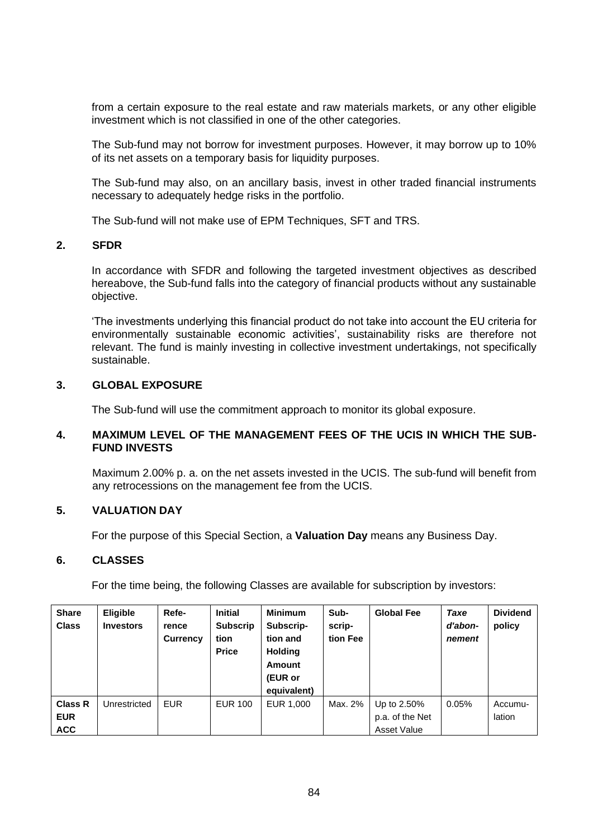from a certain exposure to the real estate and raw materials markets, or any other eligible investment which is not classified in one of the other categories.

The Sub-fund may not borrow for investment purposes. However, it may borrow up to 10% of its net assets on a temporary basis for liquidity purposes.

The Sub-fund may also, on an ancillary basis, invest in other traded financial instruments necessary to adequately hedge risks in the portfolio.

The Sub-fund will not make use of EPM Techniques, SFT and TRS.

## **2. SFDR**

In accordance with SFDR and following the targeted investment objectives as described hereabove, the Sub-fund falls into the category of financial products without any sustainable objective.

'The investments underlying this financial product do not take into account the EU criteria for environmentally sustainable economic activities', sustainability risks are therefore not relevant. The fund is mainly investing in collective investment undertakings, not specifically sustainable.

## **3. GLOBAL EXPOSURE**

The Sub-fund will use the commitment approach to monitor its global exposure.

# **4. MAXIMUM LEVEL OF THE MANAGEMENT FEES OF THE UCIS IN WHICH THE SUB-FUND INVESTS**

Maximum 2.00% p. a. on the net assets invested in the UCIS. The sub-fund will benefit from any retrocessions on the management fee from the UCIS.

# **5. VALUATION DAY**

For the purpose of this Special Section, a **Valuation Day** means any Business Day.

## **6. CLASSES**

For the time being, the following Classes are available for subscription by investors:

| <b>Share</b><br><b>Class</b> | <b>Eligible</b><br><b>Investors</b> | Refe-<br>rence<br><b>Currency</b> | <b>Initial</b><br><b>Subscrip</b><br>tion<br><b>Price</b> | <b>Minimum</b><br>Subscrip-<br>tion and<br><b>Holding</b><br><b>Amount</b><br>(EUR or<br>equivalent) | Sub-<br>scrip-<br>tion Fee | <b>Global Fee</b>              | Taxe<br>d'abon-<br>nement | <b>Dividend</b><br>policy |
|------------------------------|-------------------------------------|-----------------------------------|-----------------------------------------------------------|------------------------------------------------------------------------------------------------------|----------------------------|--------------------------------|---------------------------|---------------------------|
| <b>Class R</b><br><b>EUR</b> | Unrestricted                        | <b>EUR</b>                        | <b>EUR 100</b>                                            | EUR 1.000                                                                                            | Max. 2%                    | Up to 2.50%<br>p.a. of the Net | 0.05%                     | Accumu-<br>lation         |
| <b>ACC</b>                   |                                     |                                   |                                                           |                                                                                                      |                            | Asset Value                    |                           |                           |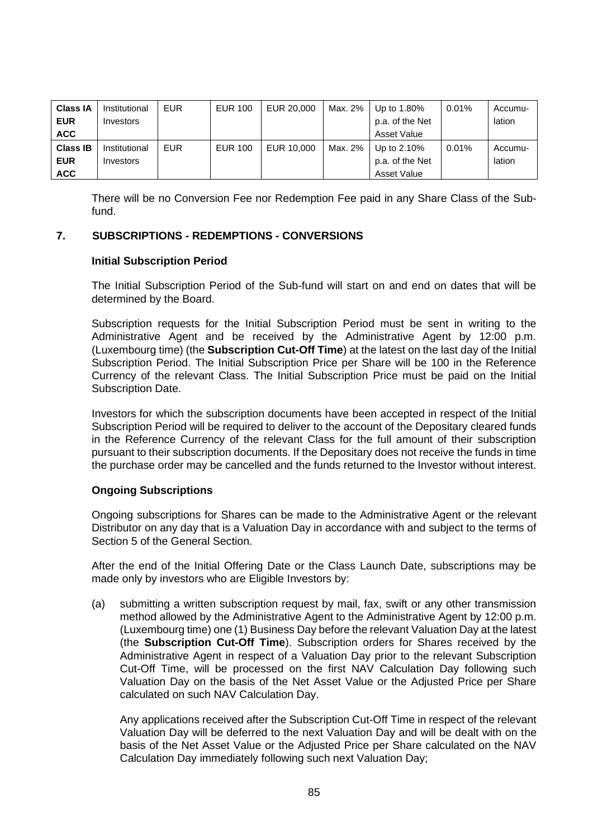| <b>Class IA</b> | Institutional | <b>EUR</b> | <b>EUR 100</b> | EUR 20,000 | Max. 2% | Up to 1.80%     | 0.01% | Accumu- |
|-----------------|---------------|------------|----------------|------------|---------|-----------------|-------|---------|
| <b>EUR</b>      | Investors     |            |                |            |         | p.a. of the Net |       | lation  |
| <b>ACC</b>      |               |            |                |            |         | Asset Value     |       |         |
| <b>Class IB</b> | Institutional | <b>EUR</b> | <b>EUR 100</b> | EUR 10,000 | Max. 2% | Up to $2.10\%$  | 0.01% | Accumu- |
| <b>EUR</b>      | Investors     |            |                |            |         | p.a. of the Net |       | lation  |
| <b>ACC</b>      |               |            |                |            |         | Asset Value     |       |         |

There will be no Conversion Fee nor Redemption Fee paid in any Share Class of the Subfund.

## **7. SUBSCRIPTIONS - REDEMPTIONS - CONVERSIONS**

## **Initial Subscription Period**

The Initial Subscription Period of the Sub-fund will start on and end on dates that will be determined by the Board.

Subscription requests for the Initial Subscription Period must be sent in writing to the Administrative Agent and be received by the Administrative Agent by 12:00 p.m. (Luxembourg time) (the **Subscription Cut-Off Time**) at the latest on the last day of the Initial Subscription Period. The Initial Subscription Price per Share will be 100 in the Reference Currency of the relevant Class. The Initial Subscription Price must be paid on the Initial Subscription Date.

Investors for which the subscription documents have been accepted in respect of the Initial Subscription Period will be required to deliver to the account of the Depositary cleared funds in the Reference Currency of the relevant Class for the full amount of their subscription pursuant to their subscription documents. If the Depositary does not receive the funds in time the purchase order may be cancelled and the funds returned to the Investor without interest.

## **Ongoing Subscriptions**

Ongoing subscriptions for Shares can be made to the Administrative Agent or the relevant Distributor on any day that is a Valuation Day in accordance with and subject to the terms of Section [5](#page-29-0) of the General Section.

After the end of the Initial Offering Date or the Class Launch Date, subscriptions may be made only by investors who are Eligible Investors by:

(a) submitting a written subscription request by mail, fax, swift or any other transmission method allowed by the Administrative Agent to the Administrative Agent by 12:00 p.m. (Luxembourg time) one (1) Business Day before the relevant Valuation Day at the latest (the **Subscription Cut-Off Time**). Subscription orders for Shares received by the Administrative Agent in respect of a Valuation Day prior to the relevant Subscription Cut-Off Time, will be processed on the first NAV Calculation Day following such Valuation Day on the basis of the Net Asset Value or the Adjusted Price per Share calculated on such NAV Calculation Day.

Any applications received after the Subscription Cut-Off Time in respect of the relevant Valuation Day will be deferred to the next Valuation Day and will be dealt with on the basis of the Net Asset Value or the Adjusted Price per Share calculated on the NAV Calculation Day immediately following such next Valuation Day;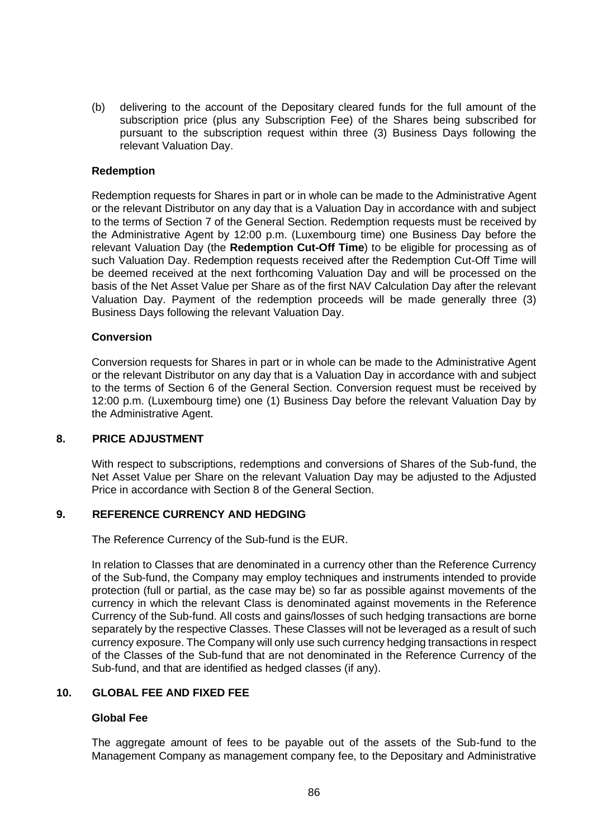(b) delivering to the account of the Depositary cleared funds for the full amount of the subscription price (plus any Subscription Fee) of the Shares being subscribed for pursuant to the subscription request within three (3) Business Days following the relevant Valuation Day.

#### **Redemption**

Redemption requests for Shares in part or in whole can be made to the Administrative Agent or the relevant Distributor on any day that is a Valuation Day in accordance with and subject to the terms of Section [7](#page-35-0) of the General Section. Redemption requests must be received by the Administrative Agent by 12:00 p.m. (Luxembourg time) one Business Day before the relevant Valuation Day (the **Redemption Cut-Off Time**) to be eligible for processing as of such Valuation Day. Redemption requests received after the Redemption Cut-Off Time will be deemed received at the next forthcoming Valuation Day and will be processed on the basis of the Net Asset Value per Share as of the first NAV Calculation Day after the relevant Valuation Day. Payment of the redemption proceeds will be made generally three (3) Business Days following the relevant Valuation Day.

#### **Conversion**

Conversion requests for Shares in part or in whole can be made to the Administrative Agent or the relevant Distributor on any day that is a Valuation Day in accordance with and subject to the terms of Section [6](#page-33-0) of the General Section. Conversion request must be received by 12:00 p.m. (Luxembourg time) one (1) Business Day before the relevant Valuation Day by the Administrative Agent.

#### **8. PRICE ADJUSTMENT**

With respect to subscriptions, redemptions and conversions of Shares of the Sub-fund, the Net Asset Value per Share on the relevant Valuation Day may be adjusted to the Adjusted Price in accordance with Section [8](#page-38-0) of the General Section.

## **9. REFERENCE CURRENCY AND HEDGING**

The Reference Currency of the Sub-fund is the EUR.

In relation to Classes that are denominated in a currency other than the Reference Currency of the Sub-fund, the Company may employ techniques and instruments intended to provide protection (full or partial, as the case may be) so far as possible against movements of the currency in which the relevant Class is denominated against movements in the Reference Currency of the Sub-fund. All costs and gains/losses of such hedging transactions are borne separately by the respective Classes. These Classes will not be leveraged as a result of such currency exposure. The Company will only use such currency hedging transactions in respect of the Classes of the Sub-fund that are not denominated in the Reference Currency of the Sub-fund, and that are identified as hedged classes (if any).

## **10. GLOBAL FEE AND FIXED FEE**

## **Global Fee**

The aggregate amount of fees to be payable out of the assets of the Sub-fund to the Management Company as management company fee, to the Depositary and Administrative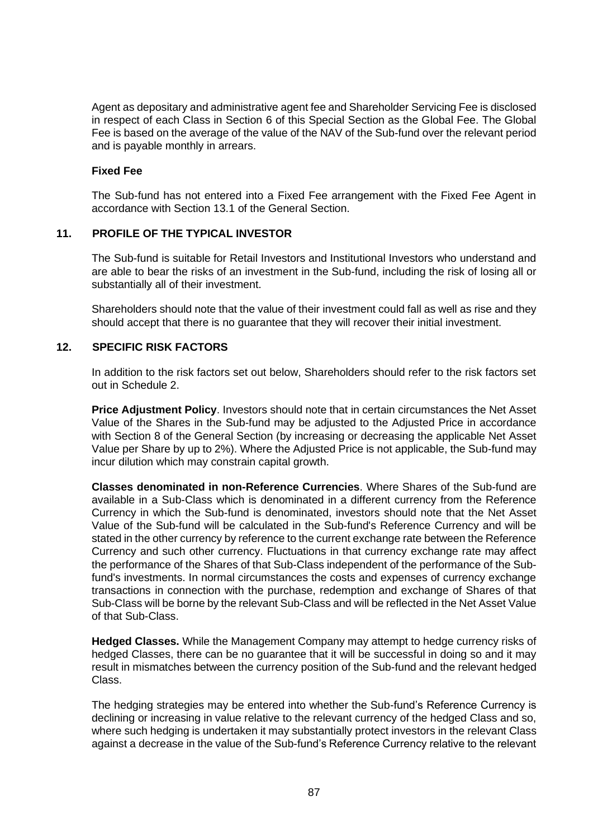Agent as depositary and administrative agent fee and Shareholder Servicing Fee is disclosed in respect of each Class in Section [6](#page-77-0) of this Special Section as the Global Fee. The Global Fee is based on the average of the value of the NAV of the Sub-fund over the relevant period and is payable monthly in arrears.

### **Fixed Fee**

The Sub-fund has not entered into a Fixed Fee arrangement with the Fixed Fee Agent in accordance with Section [13.1](#page-52-0) of the General Section.

## **11. PROFILE OF THE TYPICAL INVESTOR**

The Sub-fund is suitable for Retail Investors and Institutional Investors who understand and are able to bear the risks of an investment in the Sub-fund, including the risk of losing all or substantially all of their investment.

Shareholders should note that the value of their investment could fall as well as rise and they should accept that there is no guarantee that they will recover their initial investment.

# **12. SPECIFIC RISK FACTORS**

In addition to the risk factors set out below, Shareholders should refer to the risk factors set out in [Schedule 2.](#page-113-0)

**Price Adjustment Policy**. Investors should note that in certain circumstances the Net Asset Value of the Shares in the Sub-fund may be adjusted to the Adjusted Price in accordance with Section [8](#page-38-0) of the General Section (by increasing or decreasing the applicable Net Asset Value per Share by up to 2%). Where the Adjusted Price is not applicable, the Sub-fund may incur dilution which may constrain capital growth.

**Classes denominated in non-Reference Currencies**. Where Shares of the Sub-fund are available in a Sub-Class which is denominated in a different currency from the Reference Currency in which the Sub-fund is denominated, investors should note that the Net Asset Value of the Sub-fund will be calculated in the Sub-fund's Reference Currency and will be stated in the other currency by reference to the current exchange rate between the Reference Currency and such other currency. Fluctuations in that currency exchange rate may affect the performance of the Shares of that Sub-Class independent of the performance of the Subfund's investments. In normal circumstances the costs and expenses of currency exchange transactions in connection with the purchase, redemption and exchange of Shares of that Sub-Class will be borne by the relevant Sub-Class and will be reflected in the Net Asset Value of that Sub-Class.

**Hedged Classes.** While the Management Company may attempt to hedge currency risks of hedged Classes, there can be no guarantee that it will be successful in doing so and it may result in mismatches between the currency position of the Sub-fund and the relevant hedged Class.

The hedging strategies may be entered into whether the Sub-fund's Reference Currency is declining or increasing in value relative to the relevant currency of the hedged Class and so, where such hedging is undertaken it may substantially protect investors in the relevant Class against a decrease in the value of the Sub-fund's Reference Currency relative to the relevant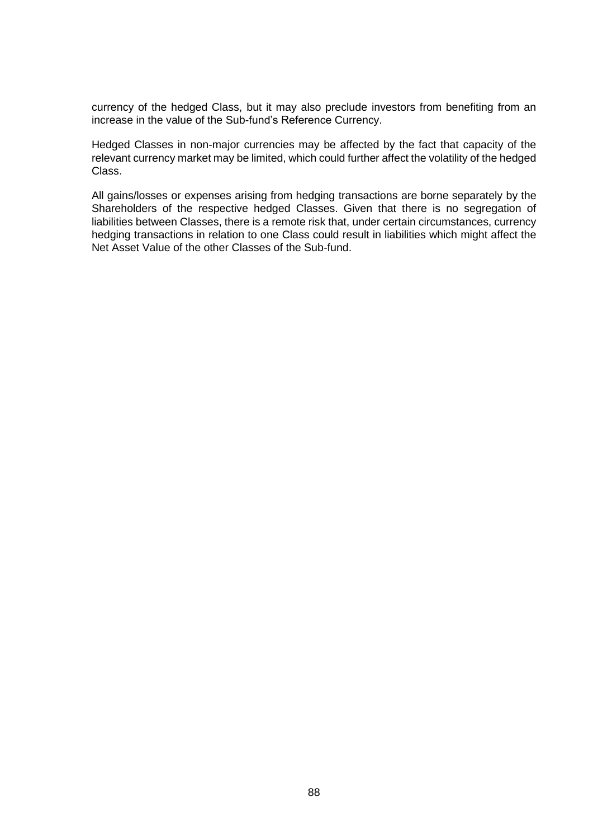currency of the hedged Class, but it may also preclude investors from benefiting from an increase in the value of the Sub-fund's Reference Currency.

Hedged Classes in non-major currencies may be affected by the fact that capacity of the relevant currency market may be limited, which could further affect the volatility of the hedged Class.

All gains/losses or expenses arising from hedging transactions are borne separately by the Shareholders of the respective hedged Classes. Given that there is no segregation of liabilities between Classes, there is a remote risk that, under certain circumstances, currency hedging transactions in relation to one Class could result in liabilities which might affect the Net Asset Value of the other Classes of the Sub-fund.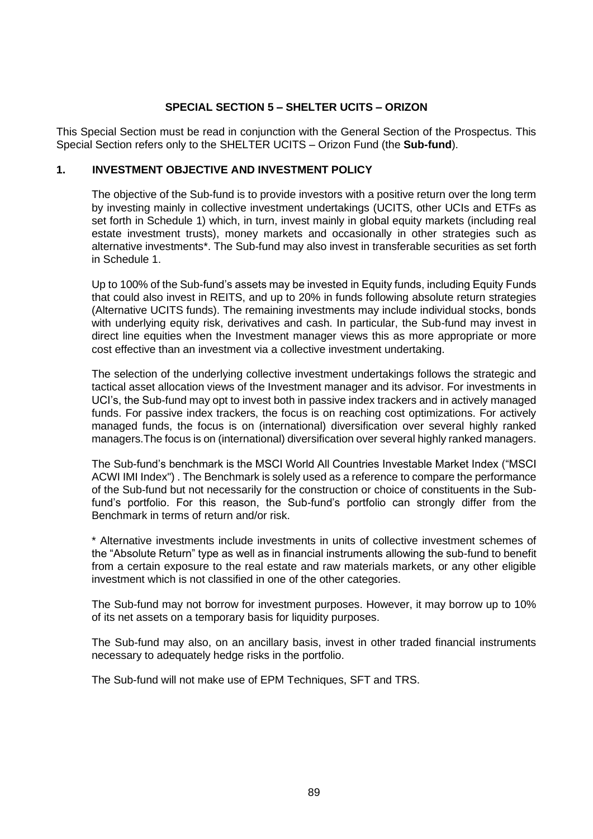# **SPECIAL SECTION 5 – SHELTER UCITS – ORIZON**

This Special Section must be read in conjunction with the General Section of the Prospectus. This Special Section refers only to the SHELTER UCITS – Orizon Fund (the **Sub-fund**).

# **1. INVESTMENT OBJECTIVE AND INVESTMENT POLICY**

The objective of the Sub-fund is to provide investors with a positive return over the long term by investing mainly in collective investment undertakings (UCITS, other UCIs and ETFs as set forth in Schedule 1) which, in turn, invest mainly in global equity markets (including real estate investment trusts), money markets and occasionally in other strategies such as alternative investments\*. The Sub-fund may also invest in transferable securities as set forth in Schedule 1.

Up to 100% of the Sub-fund's assets may be invested in Equity funds, including Equity Funds that could also invest in REITS, and up to 20% in funds following absolute return strategies (Alternative UCITS funds). The remaining investments may include individual stocks, bonds with underlying equity risk, derivatives and cash. In particular, the Sub-fund may invest in direct line equities when the Investment manager views this as more appropriate or more cost effective than an investment via a collective investment undertaking.

The selection of the underlying collective investment undertakings follows the strategic and tactical asset allocation views of the Investment manager and its advisor. For investments in UCI's, the Sub-fund may opt to invest both in passive index trackers and in actively managed funds. For passive index trackers, the focus is on reaching cost optimizations. For actively managed funds, the focus is on (international) diversification over several highly ranked managers.The focus is on (international) diversification over several highly ranked managers.

The Sub-fund's benchmark is the MSCI World All Countries Investable Market Index ("MSCI ACWI IMI Index") . The Benchmark is solely used as a reference to compare the performance of the Sub-fund but not necessarily for the construction or choice of constituents in the Subfund's portfolio. For this reason, the Sub-fund's portfolio can strongly differ from the Benchmark in terms of return and/or risk.

\* Alternative investments include investments in units of collective investment schemes of the "Absolute Return" type as well as in financial instruments allowing the sub-fund to benefit from a certain exposure to the real estate and raw materials markets, or any other eligible investment which is not classified in one of the other categories.

The Sub-fund may not borrow for investment purposes. However, it may borrow up to 10% of its net assets on a temporary basis for liquidity purposes.

The Sub-fund may also, on an ancillary basis, invest in other traded financial instruments necessary to adequately hedge risks in the portfolio.

The Sub-fund will not make use of EPM Techniques, SFT and TRS.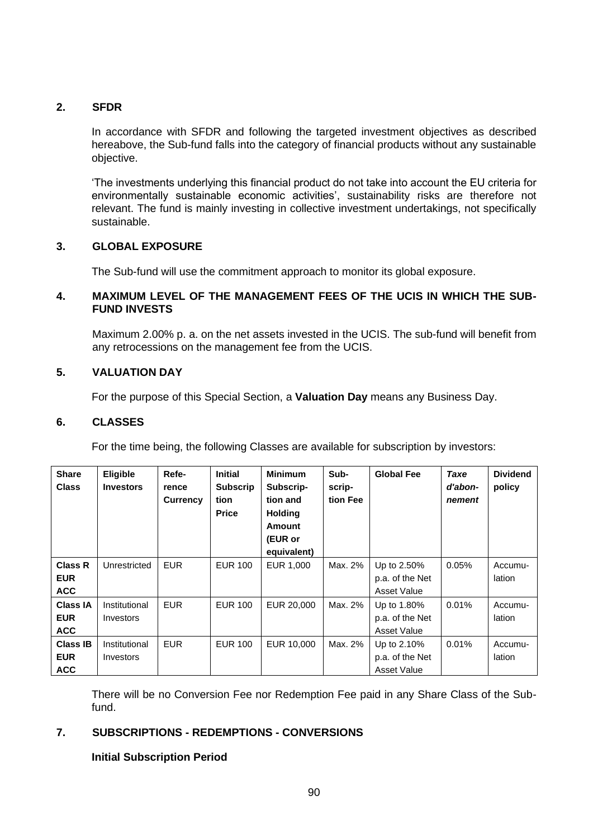# **2. SFDR**

In accordance with SFDR and following the targeted investment objectives as described hereabove, the Sub-fund falls into the category of financial products without any sustainable objective.

'The investments underlying this financial product do not take into account the EU criteria for environmentally sustainable economic activities', sustainability risks are therefore not relevant. The fund is mainly investing in collective investment undertakings, not specifically sustainable.

# **3. GLOBAL EXPOSURE**

The Sub-fund will use the commitment approach to monitor its global exposure.

## **4. MAXIMUM LEVEL OF THE MANAGEMENT FEES OF THE UCIS IN WHICH THE SUB-FUND INVESTS**

Maximum 2.00% p. a. on the net assets invested in the UCIS. The sub-fund will benefit from any retrocessions on the management fee from the UCIS.

## **5. VALUATION DAY**

For the purpose of this Special Section, a **Valuation Day** means any Business Day.

## **6. CLASSES**

For the time being, the following Classes are available for subscription by investors:

| <b>Share</b><br><b>Class</b>                | <b>Eligible</b><br><b>Investors</b> | Refe-<br>rence<br><b>Currency</b> | <b>Initial</b><br><b>Subscrip</b><br>tion<br><b>Price</b> | <b>Minimum</b><br>Subscrip-<br>tion and<br><b>Holding</b><br><b>Amount</b><br>(EUR or<br>equivalent) | Sub-<br>scrip-<br>tion Fee | <b>Global Fee</b>                             | Taxe<br>d'abon-<br>nement | <b>Dividend</b><br>policy |
|---------------------------------------------|-------------------------------------|-----------------------------------|-----------------------------------------------------------|------------------------------------------------------------------------------------------------------|----------------------------|-----------------------------------------------|---------------------------|---------------------------|
| <b>Class R</b><br><b>EUR</b><br><b>ACC</b>  | Unrestricted                        | <b>EUR</b>                        | <b>EUR 100</b>                                            | EUR 1,000                                                                                            | Max. 2%                    | Up to 2.50%<br>p.a. of the Net<br>Asset Value | 0.05%                     | Accumu-<br>lation         |
| <b>Class IA</b><br><b>EUR</b><br><b>ACC</b> | Institutional<br>Investors          | <b>EUR</b>                        | <b>EUR 100</b>                                            | EUR 20,000                                                                                           | Max. 2%                    | Up to 1.80%<br>p.a. of the Net<br>Asset Value | 0.01%                     | Accumu-<br>lation         |
| <b>Class IB</b><br><b>EUR</b><br><b>ACC</b> | Institutional<br>Investors          | <b>EUR</b>                        | <b>EUR 100</b>                                            | EUR 10,000                                                                                           | Max. 2%                    | Up to 2.10%<br>p.a. of the Net<br>Asset Value | 0.01%                     | Accumu-<br>lation         |

There will be no Conversion Fee nor Redemption Fee paid in any Share Class of the Subfund.

# **7. SUBSCRIPTIONS - REDEMPTIONS - CONVERSIONS**

## **Initial Subscription Period**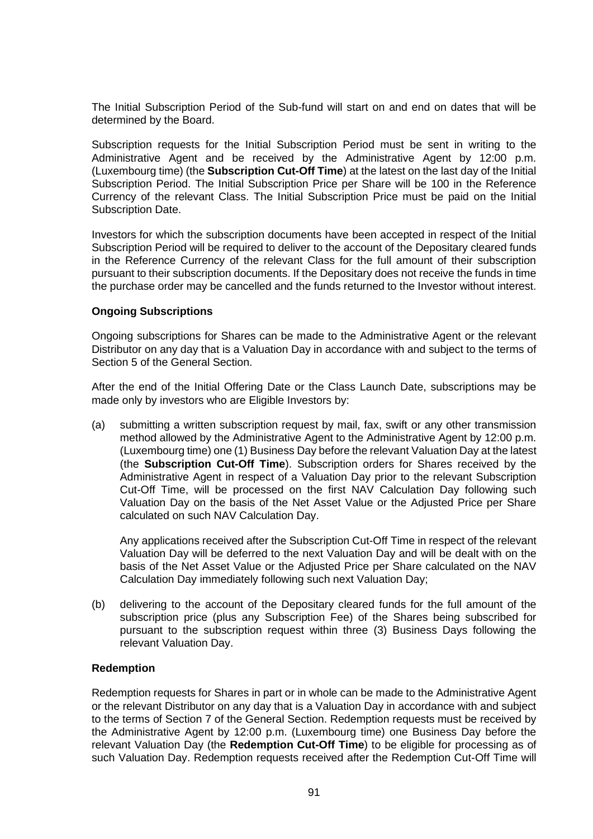The Initial Subscription Period of the Sub-fund will start on and end on dates that will be determined by the Board.

Subscription requests for the Initial Subscription Period must be sent in writing to the Administrative Agent and be received by the Administrative Agent by 12:00 p.m. (Luxembourg time) (the **Subscription Cut-Off Time**) at the latest on the last day of the Initial Subscription Period. The Initial Subscription Price per Share will be 100 in the Reference Currency of the relevant Class. The Initial Subscription Price must be paid on the Initial Subscription Date.

Investors for which the subscription documents have been accepted in respect of the Initial Subscription Period will be required to deliver to the account of the Depositary cleared funds in the Reference Currency of the relevant Class for the full amount of their subscription pursuant to their subscription documents. If the Depositary does not receive the funds in time the purchase order may be cancelled and the funds returned to the Investor without interest.

## **Ongoing Subscriptions**

Ongoing subscriptions for Shares can be made to the Administrative Agent or the relevant Distributor on any day that is a Valuation Day in accordance with and subject to the terms of Section [5](#page-29-0) of the General Section.

After the end of the Initial Offering Date or the Class Launch Date, subscriptions may be made only by investors who are Eligible Investors by:

(a) submitting a written subscription request by mail, fax, swift or any other transmission method allowed by the Administrative Agent to the Administrative Agent by 12:00 p.m. (Luxembourg time) one (1) Business Day before the relevant Valuation Day at the latest (the **Subscription Cut-Off Time**). Subscription orders for Shares received by the Administrative Agent in respect of a Valuation Day prior to the relevant Subscription Cut-Off Time, will be processed on the first NAV Calculation Day following such Valuation Day on the basis of the Net Asset Value or the Adjusted Price per Share calculated on such NAV Calculation Day.

Any applications received after the Subscription Cut-Off Time in respect of the relevant Valuation Day will be deferred to the next Valuation Day and will be dealt with on the basis of the Net Asset Value or the Adjusted Price per Share calculated on the NAV Calculation Day immediately following such next Valuation Day;

(b) delivering to the account of the Depositary cleared funds for the full amount of the subscription price (plus any Subscription Fee) of the Shares being subscribed for pursuant to the subscription request within three (3) Business Days following the relevant Valuation Day.

#### **Redemption**

Redemption requests for Shares in part or in whole can be made to the Administrative Agent or the relevant Distributor on any day that is a Valuation Day in accordance with and subject to the terms of Section [7](#page-35-0) of the General Section. Redemption requests must be received by the Administrative Agent by 12:00 p.m. (Luxembourg time) one Business Day before the relevant Valuation Day (the **Redemption Cut-Off Time**) to be eligible for processing as of such Valuation Day. Redemption requests received after the Redemption Cut-Off Time will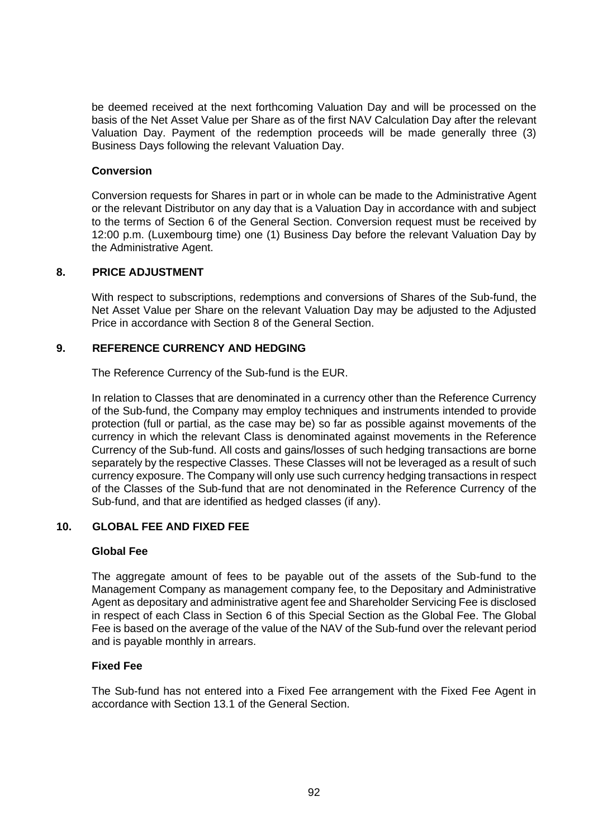be deemed received at the next forthcoming Valuation Day and will be processed on the basis of the Net Asset Value per Share as of the first NAV Calculation Day after the relevant Valuation Day. Payment of the redemption proceeds will be made generally three (3) Business Days following the relevant Valuation Day.

#### **Conversion**

Conversion requests for Shares in part or in whole can be made to the Administrative Agent or the relevant Distributor on any day that is a Valuation Day in accordance with and subject to the terms of Section [6](#page-33-0) of the General Section. Conversion request must be received by 12:00 p.m. (Luxembourg time) one (1) Business Day before the relevant Valuation Day by the Administrative Agent.

#### **8. PRICE ADJUSTMENT**

With respect to subscriptions, redemptions and conversions of Shares of the Sub-fund, the Net Asset Value per Share on the relevant Valuation Day may be adjusted to the Adjusted Price in accordance with Section [8](#page-38-0) of the General Section.

#### **9. REFERENCE CURRENCY AND HEDGING**

The Reference Currency of the Sub-fund is the EUR.

In relation to Classes that are denominated in a currency other than the Reference Currency of the Sub-fund, the Company may employ techniques and instruments intended to provide protection (full or partial, as the case may be) so far as possible against movements of the currency in which the relevant Class is denominated against movements in the Reference Currency of the Sub-fund. All costs and gains/losses of such hedging transactions are borne separately by the respective Classes. These Classes will not be leveraged as a result of such currency exposure. The Company will only use such currency hedging transactions in respect of the Classes of the Sub-fund that are not denominated in the Reference Currency of the Sub-fund, and that are identified as hedged classes (if any).

# **10. GLOBAL FEE AND FIXED FEE**

#### **Global Fee**

The aggregate amount of fees to be payable out of the assets of the Sub-fund to the Management Company as management company fee, to the Depositary and Administrative Agent as depositary and administrative agent fee and Shareholder Servicing Fee is disclosed in respect of each Class in Section [6](#page-77-0) of this Special Section as the Global Fee. The Global Fee is based on the average of the value of the NAV of the Sub-fund over the relevant period and is payable monthly in arrears.

#### **Fixed Fee**

The Sub-fund has not entered into a Fixed Fee arrangement with the Fixed Fee Agent in accordance with Section [13.1](#page-52-0) of the General Section.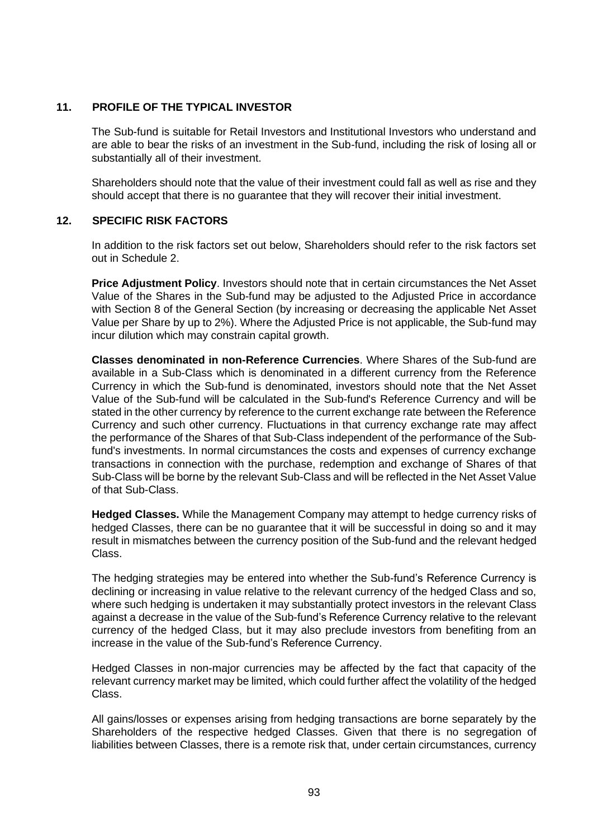# **11. PROFILE OF THE TYPICAL INVESTOR**

The Sub-fund is suitable for Retail Investors and Institutional Investors who understand and are able to bear the risks of an investment in the Sub-fund, including the risk of losing all or substantially all of their investment.

Shareholders should note that the value of their investment could fall as well as rise and they should accept that there is no guarantee that they will recover their initial investment.

# **12. SPECIFIC RISK FACTORS**

In addition to the risk factors set out below, Shareholders should refer to the risk factors set out in [Schedule 2.](#page-113-0)

**Price Adjustment Policy**. Investors should note that in certain circumstances the Net Asset Value of the Shares in the Sub-fund may be adjusted to the Adjusted Price in accordance with Section [8](#page-38-0) of the General Section (by increasing or decreasing the applicable Net Asset Value per Share by up to 2%). Where the Adjusted Price is not applicable, the Sub-fund may incur dilution which may constrain capital growth.

**Classes denominated in non-Reference Currencies**. Where Shares of the Sub-fund are available in a Sub-Class which is denominated in a different currency from the Reference Currency in which the Sub-fund is denominated, investors should note that the Net Asset Value of the Sub-fund will be calculated in the Sub-fund's Reference Currency and will be stated in the other currency by reference to the current exchange rate between the Reference Currency and such other currency. Fluctuations in that currency exchange rate may affect the performance of the Shares of that Sub-Class independent of the performance of the Subfund's investments. In normal circumstances the costs and expenses of currency exchange transactions in connection with the purchase, redemption and exchange of Shares of that Sub-Class will be borne by the relevant Sub-Class and will be reflected in the Net Asset Value of that Sub-Class.

**Hedged Classes.** While the Management Company may attempt to hedge currency risks of hedged Classes, there can be no guarantee that it will be successful in doing so and it may result in mismatches between the currency position of the Sub-fund and the relevant hedged Class.

The hedging strategies may be entered into whether the Sub-fund's Reference Currency is declining or increasing in value relative to the relevant currency of the hedged Class and so, where such hedging is undertaken it may substantially protect investors in the relevant Class against a decrease in the value of the Sub-fund's Reference Currency relative to the relevant currency of the hedged Class, but it may also preclude investors from benefiting from an increase in the value of the Sub-fund's Reference Currency.

Hedged Classes in non-major currencies may be affected by the fact that capacity of the relevant currency market may be limited, which could further affect the volatility of the hedged Class.

All gains/losses or expenses arising from hedging transactions are borne separately by the Shareholders of the respective hedged Classes. Given that there is no segregation of liabilities between Classes, there is a remote risk that, under certain circumstances, currency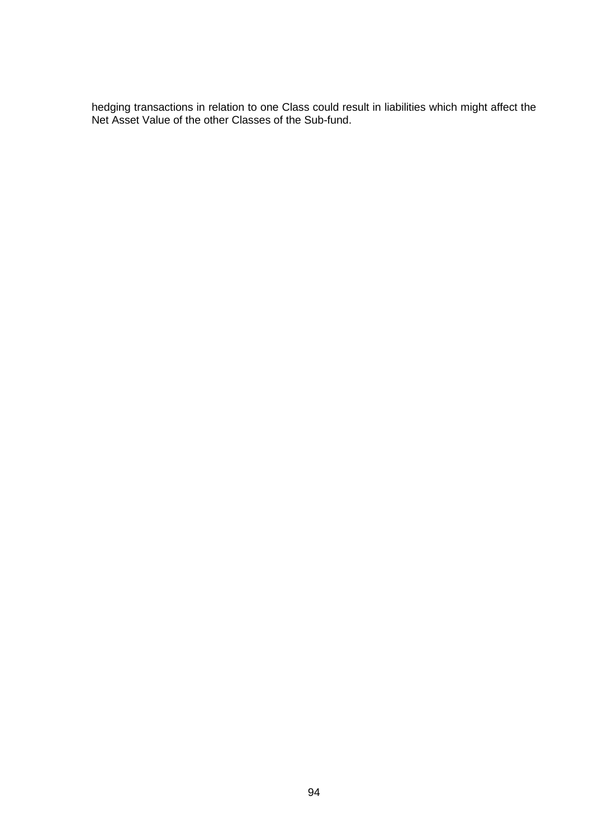hedging transactions in relation to one Class could result in liabilities which might affect the Net Asset Value of the other Classes of the Sub-fund.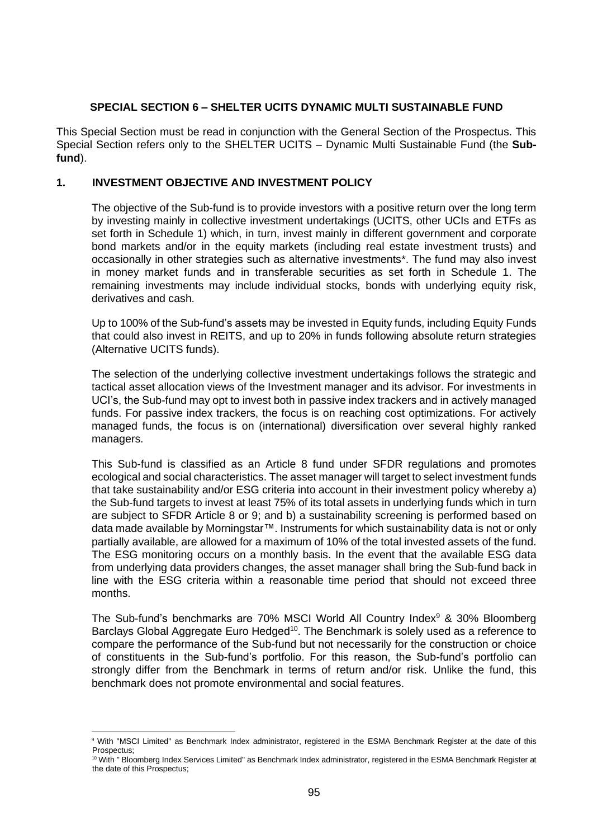## **SPECIAL SECTION 6 – SHELTER UCITS DYNAMIC MULTI SUSTAINABLE FUND**

This Special Section must be read in conjunction with the General Section of the Prospectus. This Special Section refers only to the SHELTER UCITS – Dynamic Multi Sustainable Fund (the **Subfund**).

## **1. INVESTMENT OBJECTIVE AND INVESTMENT POLICY**

The objective of the Sub-fund is to provide investors with a positive return over the long term by investing mainly in collective investment undertakings (UCITS, other UCIs and ETFs as set forth in Schedule [1\)](#page-100-0) which, in turn, invest mainly in different government and corporate bond markets and/or in the equity markets (including real estate investment trusts) and occasionally in other strategies such as alternative investments\*. The fund may also invest in money market funds and in transferable securities as set forth in Schedule [1.](#page-100-0) The remaining investments may include individual stocks, bonds with underlying equity risk, derivatives and cash.

Up to 100% of the Sub-fund's assets may be invested in Equity funds, including Equity Funds that could also invest in REITS, and up to 20% in funds following absolute return strategies (Alternative UCITS funds).

The selection of the underlying collective investment undertakings follows the strategic and tactical asset allocation views of the Investment manager and its advisor. For investments in UCI's, the Sub-fund may opt to invest both in passive index trackers and in actively managed funds. For passive index trackers, the focus is on reaching cost optimizations. For actively managed funds, the focus is on (international) diversification over several highly ranked managers.

This Sub-fund is classified as an Article 8 fund under SFDR regulations and promotes ecological and social characteristics. The asset manager will target to select investment funds that take sustainability and/or ESG criteria into account in their investment policy whereby a) the Sub-fund targets to invest at least 75% of its total assets in underlying funds which in turn are subject to SFDR Article 8 or 9; and b) a sustainability screening is performed based on data made available by Morningstar™. Instruments for which sustainability data is not or only partially available, are allowed for a maximum of 10% of the total invested assets of the fund. The ESG monitoring occurs on a monthly basis. In the event that the available ESG data from underlying data providers changes, the asset manager shall bring the Sub-fund back in line with the ESG criteria within a reasonable time period that should not exceed three months.

The Sub-fund's benchmarks are 70% MSCI World All Country Index<sup>9</sup> & 30% Bloomberg Barclays Global Aggregate Euro Hedged<sup>10</sup>. The Benchmark is solely used as a reference to compare the performance of the Sub-fund but not necessarily for the construction or choice of constituents in the Sub-fund's portfolio. For this reason, the Sub-fund's portfolio can strongly differ from the Benchmark in terms of return and/or risk. Unlike the fund, this benchmark does not promote environmental and social features.

<sup>9</sup> With "MSCI Limited" as Benchmark Index administrator, registered in the ESMA Benchmark Register at the date of this Prospectus;

<sup>&</sup>lt;sup>10</sup> With " Bloomberg Index Services Limited" as Benchmark Index administrator, registered in the ESMA Benchmark Register at the date of this Prospectus;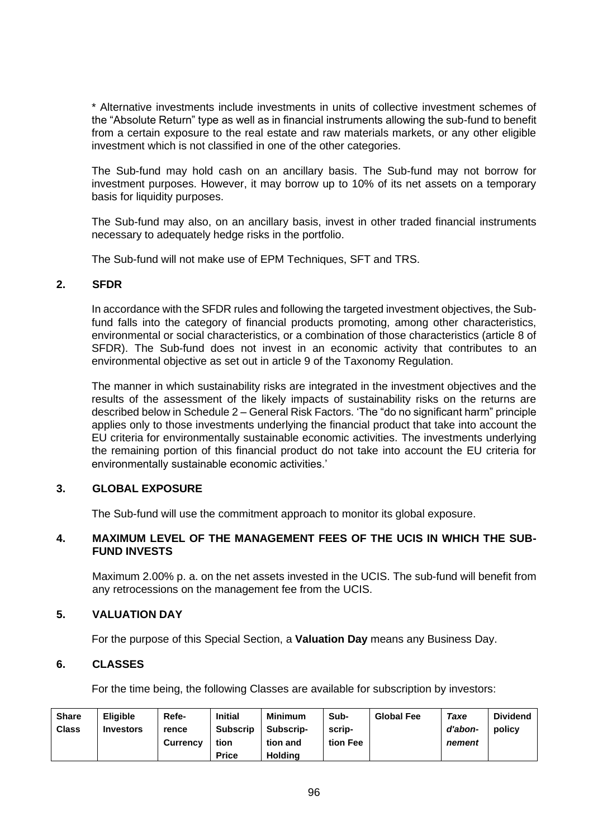\* Alternative investments include investments in units of collective investment schemes of the "Absolute Return" type as well as in financial instruments allowing the sub-fund to benefit from a certain exposure to the real estate and raw materials markets, or any other eligible investment which is not classified in one of the other categories.

The Sub-fund may hold cash on an ancillary basis. The Sub-fund may not borrow for investment purposes. However, it may borrow up to 10% of its net assets on a temporary basis for liquidity purposes.

The Sub-fund may also, on an ancillary basis, invest in other traded financial instruments necessary to adequately hedge risks in the portfolio.

The Sub-fund will not make use of EPM Techniques, SFT and TRS.

#### **2. SFDR**

In accordance with the SFDR rules and following the targeted investment objectives, the Subfund falls into the category of financial products promoting, among other characteristics, environmental or social characteristics, or a combination of those characteristics (article 8 of SFDR). The Sub-fund does not invest in an economic activity that contributes to an environmental objective as set out in article 9 of the Taxonomy Regulation.

The manner in which sustainability risks are integrated in the investment objectives and the results of the assessment of the likely impacts of sustainability risks on the returns are described below in Schedule 2 – General Risk Factors. 'The "do no significant harm" principle applies only to those investments underlying the financial product that take into account the EU criteria for environmentally sustainable economic activities. The investments underlying the remaining portion of this financial product do not take into account the EU criteria for environmentally sustainable economic activities.'

# **3. GLOBAL EXPOSURE**

The Sub-fund will use the commitment approach to monitor its global exposure.

## **4. MAXIMUM LEVEL OF THE MANAGEMENT FEES OF THE UCIS IN WHICH THE SUB-FUND INVESTS**

Maximum 2.00% p. a. on the net assets invested in the UCIS. The sub-fund will benefit from any retrocessions on the management fee from the UCIS.

## **5. VALUATION DAY**

For the purpose of this Special Section, a **Valuation Day** means any Business Day.

#### **6. CLASSES**

For the time being, the following Classes are available for subscription by investors:

| <b>Share</b><br><b>Class</b> | <b>Eligible</b><br><b>Investors</b> | Refe-<br>rence  | <b>Initial</b><br>Subscrip | <b>Minimum</b><br>Subscrip- | Sub-<br>scrip- | <b>Global Fee</b> | Taxe<br>d'abon- | <b>Dividend</b><br>policy |
|------------------------------|-------------------------------------|-----------------|----------------------------|-----------------------------|----------------|-------------------|-----------------|---------------------------|
|                              |                                     | <b>Currency</b> | tion                       | tion and                    | tion Fee       |                   | nement          |                           |
|                              |                                     |                 | <b>Price</b>               | Holdina                     |                |                   |                 |                           |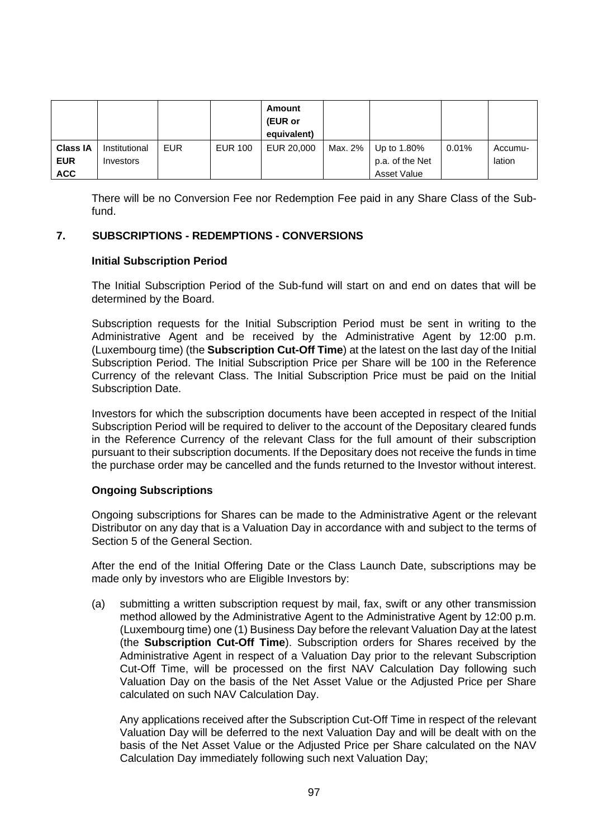|                 |               |            |                | Amount<br>(EUR or<br>equivalent) |         |                 |       |         |
|-----------------|---------------|------------|----------------|----------------------------------|---------|-----------------|-------|---------|
| <b>Class IA</b> | Institutional | <b>EUR</b> | <b>EUR 100</b> | EUR 20,000                       | Max. 2% | Up to 1.80%     | 0.01% | Accumu- |
| <b>EUR</b>      | Investors     |            |                |                                  |         | p.a. of the Net |       | lation  |
| <b>ACC</b>      |               |            |                |                                  |         | Asset Value     |       |         |

There will be no Conversion Fee nor Redemption Fee paid in any Share Class of the Subfund.

## **7. SUBSCRIPTIONS - REDEMPTIONS - CONVERSIONS**

## **Initial Subscription Period**

The Initial Subscription Period of the Sub-fund will start on and end on dates that will be determined by the Board.

Subscription requests for the Initial Subscription Period must be sent in writing to the Administrative Agent and be received by the Administrative Agent by 12:00 p.m. (Luxembourg time) (the **Subscription Cut-Off Time**) at the latest on the last day of the Initial Subscription Period. The Initial Subscription Price per Share will be 100 in the Reference Currency of the relevant Class. The Initial Subscription Price must be paid on the Initial Subscription Date.

Investors for which the subscription documents have been accepted in respect of the Initial Subscription Period will be required to deliver to the account of the Depositary cleared funds in the Reference Currency of the relevant Class for the full amount of their subscription pursuant to their subscription documents. If the Depositary does not receive the funds in time the purchase order may be cancelled and the funds returned to the Investor without interest.

## **Ongoing Subscriptions**

Ongoing subscriptions for Shares can be made to the Administrative Agent or the relevant Distributor on any day that is a Valuation Day in accordance with and subject to the terms of Section [5](#page-29-0) of the General Section.

After the end of the Initial Offering Date or the Class Launch Date, subscriptions may be made only by investors who are Eligible Investors by:

(a) submitting a written subscription request by mail, fax, swift or any other transmission method allowed by the Administrative Agent to the Administrative Agent by 12:00 p.m. (Luxembourg time) one (1) Business Day before the relevant Valuation Day at the latest (the **Subscription Cut-Off Time**). Subscription orders for Shares received by the Administrative Agent in respect of a Valuation Day prior to the relevant Subscription Cut-Off Time, will be processed on the first NAV Calculation Day following such Valuation Day on the basis of the Net Asset Value or the Adjusted Price per Share calculated on such NAV Calculation Day.

Any applications received after the Subscription Cut-Off Time in respect of the relevant Valuation Day will be deferred to the next Valuation Day and will be dealt with on the basis of the Net Asset Value or the Adjusted Price per Share calculated on the NAV Calculation Day immediately following such next Valuation Day;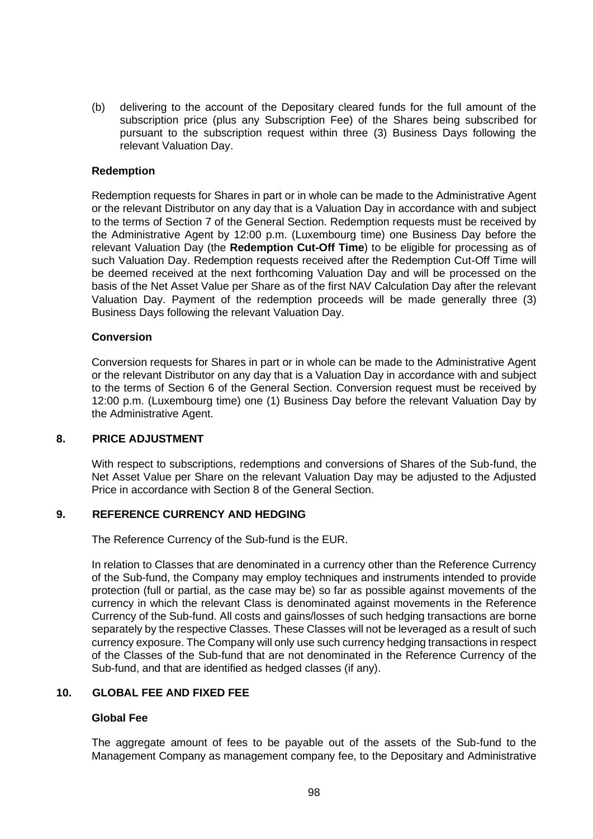(b) delivering to the account of the Depositary cleared funds for the full amount of the subscription price (plus any Subscription Fee) of the Shares being subscribed for pursuant to the subscription request within three (3) Business Days following the relevant Valuation Day.

#### **Redemption**

Redemption requests for Shares in part or in whole can be made to the Administrative Agent or the relevant Distributor on any day that is a Valuation Day in accordance with and subject to the terms of Section [7](#page-35-0) of the General Section. Redemption requests must be received by the Administrative Agent by 12:00 p.m. (Luxembourg time) one Business Day before the relevant Valuation Day (the **Redemption Cut-Off Time**) to be eligible for processing as of such Valuation Day. Redemption requests received after the Redemption Cut-Off Time will be deemed received at the next forthcoming Valuation Day and will be processed on the basis of the Net Asset Value per Share as of the first NAV Calculation Day after the relevant Valuation Day. Payment of the redemption proceeds will be made generally three (3) Business Days following the relevant Valuation Day.

#### **Conversion**

Conversion requests for Shares in part or in whole can be made to the Administrative Agent or the relevant Distributor on any day that is a Valuation Day in accordance with and subject to the terms of Section [6](#page-33-0) of the General Section. Conversion request must be received by 12:00 p.m. (Luxembourg time) one (1) Business Day before the relevant Valuation Day by the Administrative Agent.

#### **8. PRICE ADJUSTMENT**

With respect to subscriptions, redemptions and conversions of Shares of the Sub-fund, the Net Asset Value per Share on the relevant Valuation Day may be adjusted to the Adjusted Price in accordance with Section [8](#page-38-0) of the General Section.

## **9. REFERENCE CURRENCY AND HEDGING**

The Reference Currency of the Sub-fund is the EUR.

In relation to Classes that are denominated in a currency other than the Reference Currency of the Sub-fund, the Company may employ techniques and instruments intended to provide protection (full or partial, as the case may be) so far as possible against movements of the currency in which the relevant Class is denominated against movements in the Reference Currency of the Sub-fund. All costs and gains/losses of such hedging transactions are borne separately by the respective Classes. These Classes will not be leveraged as a result of such currency exposure. The Company will only use such currency hedging transactions in respect of the Classes of the Sub-fund that are not denominated in the Reference Currency of the Sub-fund, and that are identified as hedged classes (if any).

#### **10. GLOBAL FEE AND FIXED FEE**

## **Global Fee**

The aggregate amount of fees to be payable out of the assets of the Sub-fund to the Management Company as management company fee, to the Depositary and Administrative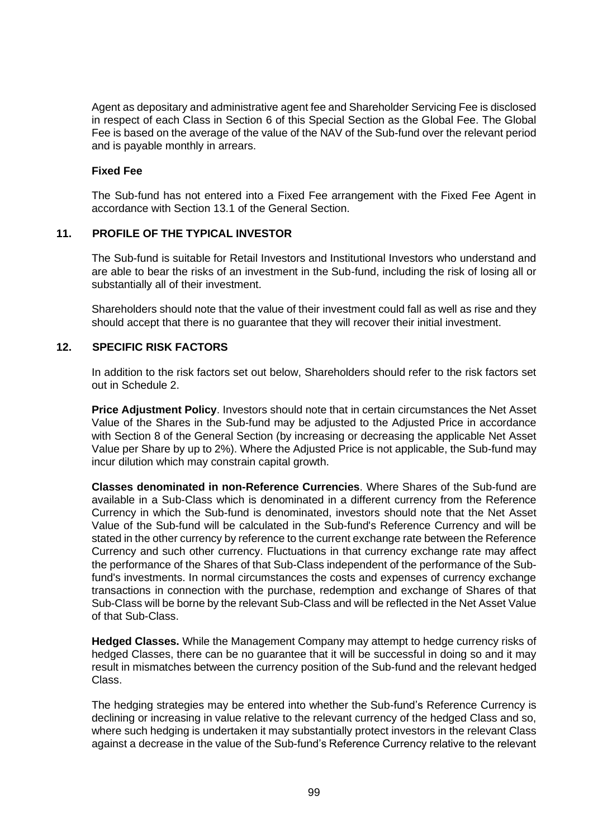Agent as depositary and administrative agent fee and Shareholder Servicing Fee is disclosed in respect of each Class in Section [6](#page-77-0) of this Special Section as the Global Fee. The Global Fee is based on the average of the value of the NAV of the Sub-fund over the relevant period and is payable monthly in arrears.

### **Fixed Fee**

The Sub-fund has not entered into a Fixed Fee arrangement with the Fixed Fee Agent in accordance with Section [13.1](#page-52-0) of the General Section.

## **11. PROFILE OF THE TYPICAL INVESTOR**

The Sub-fund is suitable for Retail Investors and Institutional Investors who understand and are able to bear the risks of an investment in the Sub-fund, including the risk of losing all or substantially all of their investment.

Shareholders should note that the value of their investment could fall as well as rise and they should accept that there is no guarantee that they will recover their initial investment.

# **12. SPECIFIC RISK FACTORS**

In addition to the risk factors set out below, Shareholders should refer to the risk factors set out in [Schedule 2.](#page-113-0)

**Price Adjustment Policy**. Investors should note that in certain circumstances the Net Asset Value of the Shares in the Sub-fund may be adjusted to the Adjusted Price in accordance with Section [8](#page-38-0) of the General Section (by increasing or decreasing the applicable Net Asset Value per Share by up to 2%). Where the Adjusted Price is not applicable, the Sub-fund may incur dilution which may constrain capital growth.

**Classes denominated in non-Reference Currencies**. Where Shares of the Sub-fund are available in a Sub-Class which is denominated in a different currency from the Reference Currency in which the Sub-fund is denominated, investors should note that the Net Asset Value of the Sub-fund will be calculated in the Sub-fund's Reference Currency and will be stated in the other currency by reference to the current exchange rate between the Reference Currency and such other currency. Fluctuations in that currency exchange rate may affect the performance of the Shares of that Sub-Class independent of the performance of the Subfund's investments. In normal circumstances the costs and expenses of currency exchange transactions in connection with the purchase, redemption and exchange of Shares of that Sub-Class will be borne by the relevant Sub-Class and will be reflected in the Net Asset Value of that Sub-Class.

**Hedged Classes.** While the Management Company may attempt to hedge currency risks of hedged Classes, there can be no guarantee that it will be successful in doing so and it may result in mismatches between the currency position of the Sub-fund and the relevant hedged Class.

The hedging strategies may be entered into whether the Sub-fund's Reference Currency is declining or increasing in value relative to the relevant currency of the hedged Class and so, where such hedging is undertaken it may substantially protect investors in the relevant Class against a decrease in the value of the Sub-fund's Reference Currency relative to the relevant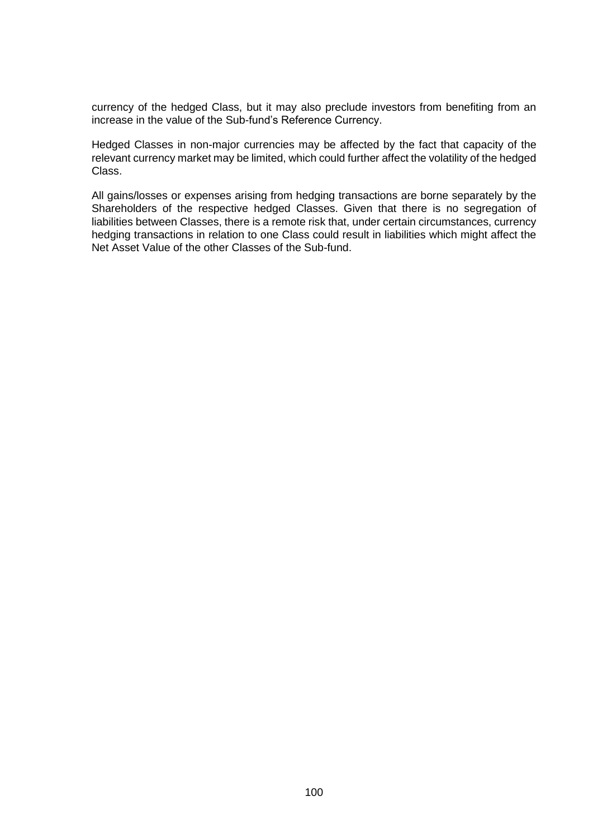currency of the hedged Class, but it may also preclude investors from benefiting from an increase in the value of the Sub-fund's Reference Currency.

Hedged Classes in non-major currencies may be affected by the fact that capacity of the relevant currency market may be limited, which could further affect the volatility of the hedged Class.

All gains/losses or expenses arising from hedging transactions are borne separately by the Shareholders of the respective hedged Classes. Given that there is no segregation of liabilities between Classes, there is a remote risk that, under certain circumstances, currency hedging transactions in relation to one Class could result in liabilities which might affect the Net Asset Value of the other Classes of the Sub-fund.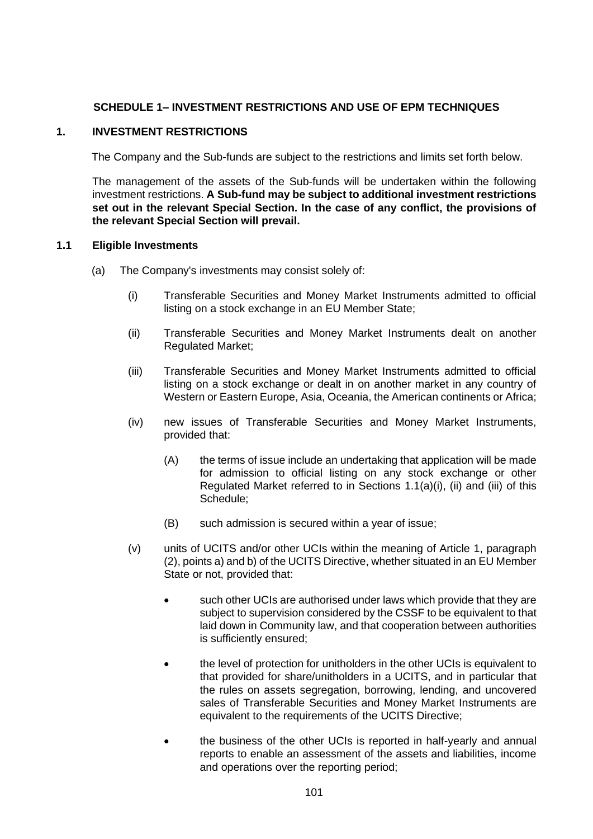# **SCHEDULE 1– INVESTMENT RESTRICTIONS AND USE OF EPM TECHNIQUES**

## <span id="page-100-0"></span>**1. INVESTMENT RESTRICTIONS**

The Company and the Sub-funds are subject to the restrictions and limits set forth below.

The management of the assets of the Sub-funds will be undertaken within the following investment restrictions. **A Sub-fund may be subject to additional investment restrictions set out in the relevant Special Section. In the case of any conflict, the provisions of the relevant Special Section will prevail.**

#### <span id="page-100-4"></span><span id="page-100-1"></span>**1.1 Eligible Investments**

- <span id="page-100-5"></span><span id="page-100-3"></span><span id="page-100-2"></span>(a) The Company's investments may consist solely of:
	- (i) Transferable Securities and Money Market Instruments admitted to official listing on a stock exchange in an EU Member State;
	- (ii) Transferable Securities and Money Market Instruments dealt on another Regulated Market;
	- (iii) Transferable Securities and Money Market Instruments admitted to official listing on a stock exchange or dealt in on another market in any country of Western or Eastern Europe, Asia, Oceania, the American continents or Africa;
	- (iv) new issues of Transferable Securities and Money Market Instruments, provided that:
		- (A) the terms of issue include an undertaking that application will be made for admission to official listing on any stock exchange or other Regulated Market referred to in Sections [1.1\(a\)\(i\),](#page-100-1) [\(ii\)](#page-100-2) and [\(iii\)](#page-100-3) of this Schedule;
		- (B) such admission is secured within a year of issue;
	- (v) units of UCITS and/or other UCIs within the meaning of Article 1, paragraph (2), points a) and b) of the UCITS Directive, whether situated in an EU Member State or not, provided that:
		- such other UCIs are authorised under laws which provide that they are subject to supervision considered by the CSSF to be equivalent to that laid down in Community law, and that cooperation between authorities is sufficiently ensured;
		- the level of protection for unitholders in the other UCIs is equivalent to that provided for share/unitholders in a UCITS, and in particular that the rules on assets segregation, borrowing, lending, and uncovered sales of Transferable Securities and Money Market Instruments are equivalent to the requirements of the UCITS Directive;
		- the business of the other UCIs is reported in half-yearly and annual reports to enable an assessment of the assets and liabilities, income and operations over the reporting period;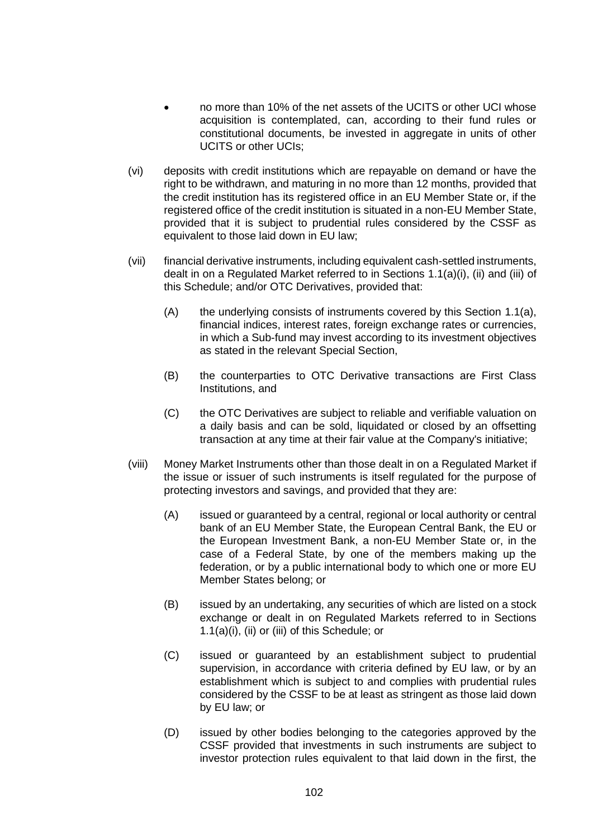- no more than 10% of the net assets of the UCITS or other UCI whose acquisition is contemplated, can, according to their fund rules or constitutional documents, be invested in aggregate in units of other UCITS or other UCIs;
- (vi) deposits with credit institutions which are repayable on demand or have the right to be withdrawn, and maturing in no more than 12 months, provided that the credit institution has its registered office in an EU Member State or, if the registered office of the credit institution is situated in a non-EU Member State, provided that it is subject to prudential rules considered by the CSSF as equivalent to those laid down in EU law;
- <span id="page-101-0"></span>(vii) financial derivative instruments, including equivalent cash-settled instruments, dealt in on a Regulated Market referred to in Sections [1.1\(a\)\(i\),](#page-100-1) [\(ii\)](#page-100-2) and [\(iii\)](#page-100-3) of this Schedule; and/or OTC Derivatives, provided that:
	- (A) the underlying consists of instruments covered by this Section [1.1\(a\),](#page-100-4) financial indices, interest rates, foreign exchange rates or currencies, in which a Sub-fund may invest according to its investment objectives as stated in the relevant Special Section,
	- (B) the counterparties to OTC Derivative transactions are First Class Institutions, and
	- (C) the OTC Derivatives are subject to reliable and verifiable valuation on a daily basis and can be sold, liquidated or closed by an offsetting transaction at any time at their fair value at the Company's initiative;
- <span id="page-101-1"></span>(viii) Money Market Instruments other than those dealt in on a Regulated Market if the issue or issuer of such instruments is itself regulated for the purpose of protecting investors and savings, and provided that they are:
	- (A) issued or guaranteed by a central, regional or local authority or central bank of an EU Member State, the European Central Bank, the EU or the European Investment Bank, a non-EU Member State or, in the case of a Federal State, by one of the members making up the federation, or by a public international body to which one or more EU Member States belong; or
	- (B) issued by an undertaking, any securities of which are listed on a stock exchange or dealt in on Regulated Markets referred to in Sections [1.1\(a\)\(i\),](#page-100-1) [\(ii\)](#page-100-2) or [\(iii\)](#page-100-3) of this Schedule; or
	- (C) issued or guaranteed by an establishment subject to prudential supervision, in accordance with criteria defined by EU law, or by an establishment which is subject to and complies with prudential rules considered by the CSSF to be at least as stringent as those laid down by EU law; or
	- (D) issued by other bodies belonging to the categories approved by the CSSF provided that investments in such instruments are subject to investor protection rules equivalent to that laid down in the first, the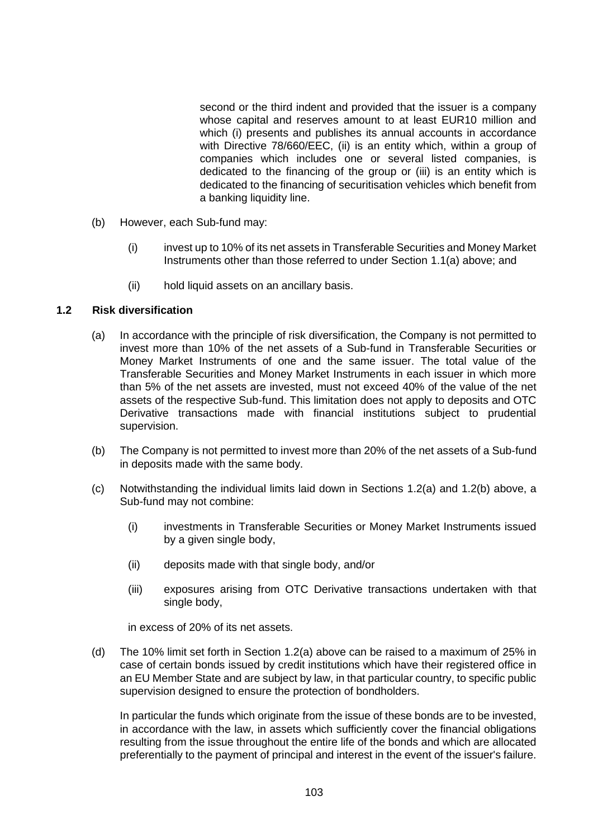second or the third indent and provided that the issuer is a company whose capital and reserves amount to at least EUR10 million and which (i) presents and publishes its annual accounts in accordance with Directive 78/660/EEC, (ii) is an entity which, within a group of companies which includes one or several listed companies, is dedicated to the financing of the group or (iii) is an entity which is dedicated to the financing of securitisation vehicles which benefit from a banking liquidity line.

- (b) However, each Sub-fund may:
	- (i) invest up to 10% of its net assets in Transferable Securities and Money Market Instruments other than those referred to under Section [1.1\(a\)](#page-100-4) above; and
	- (ii) hold liquid assets on an ancillary basis.

### <span id="page-102-3"></span><span id="page-102-0"></span>**1.2 Risk diversification**

- (a) In accordance with the principle of risk diversification, the Company is not permitted to invest more than 10% of the net assets of a Sub-fund in Transferable Securities or Money Market Instruments of one and the same issuer. The total value of the Transferable Securities and Money Market Instruments in each issuer in which more than 5% of the net assets are invested, must not exceed 40% of the value of the net assets of the respective Sub-fund. This limitation does not apply to deposits and OTC Derivative transactions made with financial institutions subject to prudential supervision.
- <span id="page-102-1"></span>(b) The Company is not permitted to invest more than 20% of the net assets of a Sub-fund in deposits made with the same body.
- (c) Notwithstanding the individual limits laid down in Sections [1.2\(a\)](#page-102-0) and [1.2\(b\)](#page-102-1) above, a Sub-fund may not combine:
	- (i) investments in Transferable Securities or Money Market Instruments issued by a given single body,
	- (ii) deposits made with that single body, and/or
	- (iii) exposures arising from OTC Derivative transactions undertaken with that single body,

in excess of 20% of its net assets.

<span id="page-102-2"></span>(d) The 10% limit set forth in Section [1.2\(a\)](#page-102-0) above can be raised to a maximum of 25% in case of certain bonds issued by credit institutions which have their registered office in an EU Member State and are subject by law, in that particular country, to specific public supervision designed to ensure the protection of bondholders.

In particular the funds which originate from the issue of these bonds are to be invested, in accordance with the law, in assets which sufficiently cover the financial obligations resulting from the issue throughout the entire life of the bonds and which are allocated preferentially to the payment of principal and interest in the event of the issuer's failure.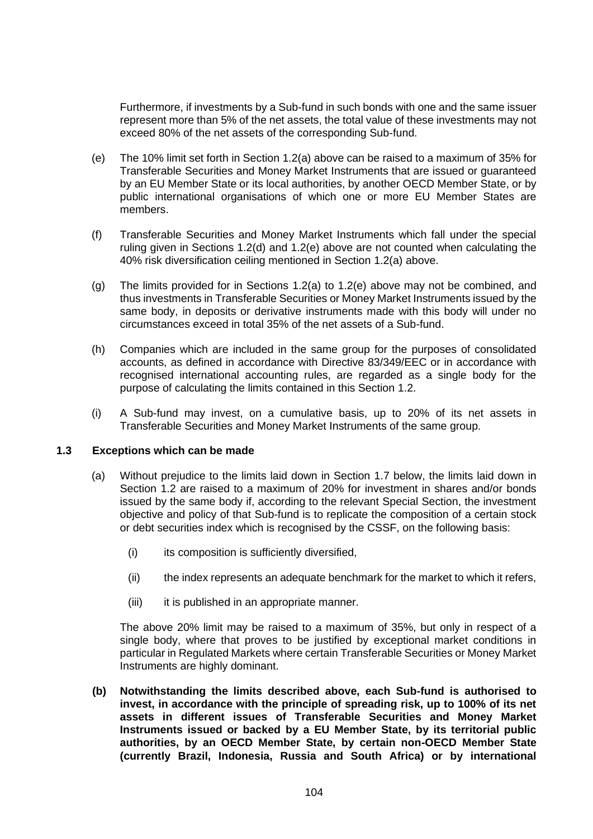Furthermore, if investments by a Sub-fund in such bonds with one and the same issuer represent more than 5% of the net assets, the total value of these investments may not exceed 80% of the net assets of the corresponding Sub-fund.

- <span id="page-103-0"></span>(e) The 10% limit set forth in Section [1.2\(a\)](#page-102-0) above can be raised to a maximum of 35% for Transferable Securities and Money Market Instruments that are issued or guaranteed by an EU Member State or its local authorities, by another OECD Member State, or by public international organisations of which one or more EU Member States are members.
- (f) Transferable Securities and Money Market Instruments which fall under the special ruling given in Sections [1.2\(d\)](#page-102-2) and [1.2\(e\)](#page-103-0) above are not counted when calculating the 40% risk diversification ceiling mentioned in Section [1.2\(a\)](#page-102-0) above.
- (g) The limits provided for in Sections [1.2\(a\)](#page-102-0) to [1.2\(e\)](#page-103-0) above may not be combined, and thus investments in Transferable Securities or Money Market Instruments issued by the same body, in deposits or derivative instruments made with this body will under no circumstances exceed in total 35% of the net assets of a Sub-fund.
- (h) Companies which are included in the same group for the purposes of consolidated accounts, as defined in accordance with Directive 83/349/EEC or in accordance with recognised international accounting rules, are regarded as a single body for the purpose of calculating the limits contained in this Section [1.2.](#page-102-3)
- (i) A Sub-fund may invest, on a cumulative basis, up to 20% of its net assets in Transferable Securities and Money Market Instruments of the same group.

#### <span id="page-103-2"></span><span id="page-103-1"></span>**1.3 Exceptions which can be made**

- (a) Without prejudice to the limits laid down in Section [1.7](#page-105-0) below, the limits laid down in Section [1.2](#page-102-3) are raised to a maximum of 20% for investment in shares and/or bonds issued by the same body if, according to the relevant Special Section, the investment objective and policy of that Sub-fund is to replicate the composition of a certain stock or debt securities index which is recognised by the CSSF, on the following basis:
	- (i) its composition is sufficiently diversified,
	- (ii) the index represents an adequate benchmark for the market to which it refers,
	- (iii) it is published in an appropriate manner.

The above 20% limit may be raised to a maximum of 35%, but only in respect of a single body, where that proves to be justified by exceptional market conditions in particular in Regulated Markets where certain Transferable Securities or Money Market Instruments are highly dominant.

**(b) Notwithstanding the limits described above, each Sub-fund is authorised to invest, in accordance with the principle of spreading risk, up to 100% of its net assets in different issues of Transferable Securities and Money Market Instruments issued or backed by a EU Member State, by its territorial public authorities, by an OECD Member State, by certain non-OECD Member State (currently Brazil, Indonesia, Russia and South Africa) or by international**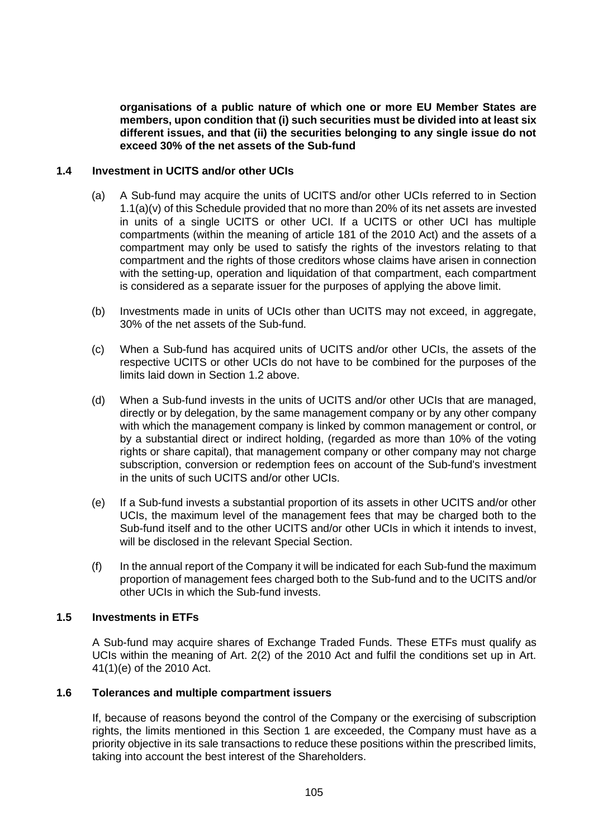**organisations of a public nature of which one or more EU Member States are members, upon condition that (i) such securities must be divided into at least six different issues, and that (ii) the securities belonging to any single issue do not exceed 30% of the net assets of the Sub-fund**

#### <span id="page-104-0"></span>**1.4 Investment in UCITS and/or other UCIs**

- (a) A Sub-fund may acquire the units of UCITS and/or other UCIs referred to in Section [1.1\(a\)\(v\)](#page-100-5) of this Schedule provided that no more than 20% of its net assets are invested in units of a single UCITS or other UCI. If a UCITS or other UCI has multiple compartments (within the meaning of article 181 of the 2010 Act) and the assets of a compartment may only be used to satisfy the rights of the investors relating to that compartment and the rights of those creditors whose claims have arisen in connection with the setting-up, operation and liquidation of that compartment, each compartment is considered as a separate issuer for the purposes of applying the above limit.
- (b) Investments made in units of UCIs other than UCITS may not exceed, in aggregate, 30% of the net assets of the Sub-fund.
- (c) When a Sub-fund has acquired units of UCITS and/or other UCIs, the assets of the respective UCITS or other UCIs do not have to be combined for the purposes of the limits laid down in Section [1.2](#page-102-3) above.
- (d) When a Sub-fund invests in the units of UCITS and/or other UCIs that are managed, directly or by delegation, by the same management company or by any other company with which the management company is linked by common management or control, or by a substantial direct or indirect holding, (regarded as more than 10% of the voting rights or share capital), that management company or other company may not charge subscription, conversion or redemption fees on account of the Sub-fund's investment in the units of such UCITS and/or other UCIs.
- (e) If a Sub-fund invests a substantial proportion of its assets in other UCITS and/or other UCIs, the maximum level of the management fees that may be charged both to the Sub-fund itself and to the other UCITS and/or other UCIs in which it intends to invest, will be disclosed in the relevant Special Section.
- (f) In the annual report of the Company it will be indicated for each Sub-fund the maximum proportion of management fees charged both to the Sub-fund and to the UCITS and/or other UCIs in which the Sub-fund invests.

#### **1.5 Investments in ETFs**

A Sub-fund may acquire shares of Exchange Traded Funds. These ETFs must qualify as UCIs within the meaning of Art. 2(2) of the 2010 Act and fulfil the conditions set up in Art. 41(1)(e) of the 2010 Act.

## **1.6 Tolerances and multiple compartment issuers**

If, because of reasons beyond the control of the Company or the exercising of subscription rights, the limits mentioned in this Section [1](#page-100-0) are exceeded, the Company must have as a priority objective in its sale transactions to reduce these positions within the prescribed limits, taking into account the best interest of the Shareholders.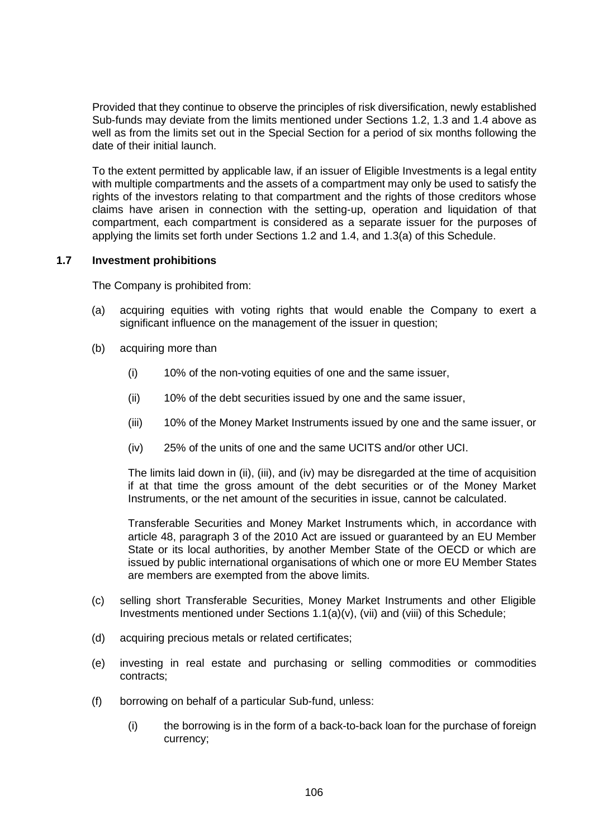Provided that they continue to observe the principles of risk diversification, newly established Sub-funds may deviate from the limits mentioned under Sections [1.2,](#page-102-3) [1.3](#page-103-1) and [1.4](#page-104-0) above as well as from the limits set out in the Special Section for a period of six months following the date of their initial launch.

To the extent permitted by applicable law, if an issuer of Eligible Investments is a legal entity with multiple compartments and the assets of a compartment may only be used to satisfy the rights of the investors relating to that compartment and the rights of those creditors whose claims have arisen in connection with the setting-up, operation and liquidation of that compartment, each compartment is considered as a separate issuer for the purposes of applying the limits set forth under Sections [1.2](#page-102-3) and [1.4,](#page-104-0) and [1.3\(a\)](#page-103-2) of this Schedule.

#### <span id="page-105-0"></span>**1.7 Investment prohibitions**

The Company is prohibited from:

- (a) acquiring equities with voting rights that would enable the Company to exert a significant influence on the management of the issuer in question;
- (b) acquiring more than
	- (i) 10% of the non-voting equities of one and the same issuer,
	- (ii) 10% of the debt securities issued by one and the same issuer,
	- (iii) 10% of the Money Market Instruments issued by one and the same issuer, or
	- (iv) 25% of the units of one and the same UCITS and/or other UCI.

The limits laid down in (ii), (iii), and (iv) may be disregarded at the time of acquisition if at that time the gross amount of the debt securities or of the Money Market Instruments, or the net amount of the securities in issue, cannot be calculated.

Transferable Securities and Money Market Instruments which, in accordance with article 48, paragraph 3 of the 2010 Act are issued or guaranteed by an EU Member State or its local authorities, by another Member State of the OECD or which are issued by public international organisations of which one or more EU Member States are members are exempted from the above limits.

- (c) selling short Transferable Securities, Money Market Instruments and other Eligible Investments mentioned under Sections [1.1\(a\)\(v\),](#page-100-5) [\(vii\)](#page-101-0) and [\(viii\)](#page-101-1) of this Schedule;
- (d) acquiring precious metals or related certificates;
- (e) investing in real estate and purchasing or selling commodities or commodities contracts;
- (f) borrowing on behalf of a particular Sub-fund, unless:
	- (i) the borrowing is in the form of a back-to-back loan for the purchase of foreign currency;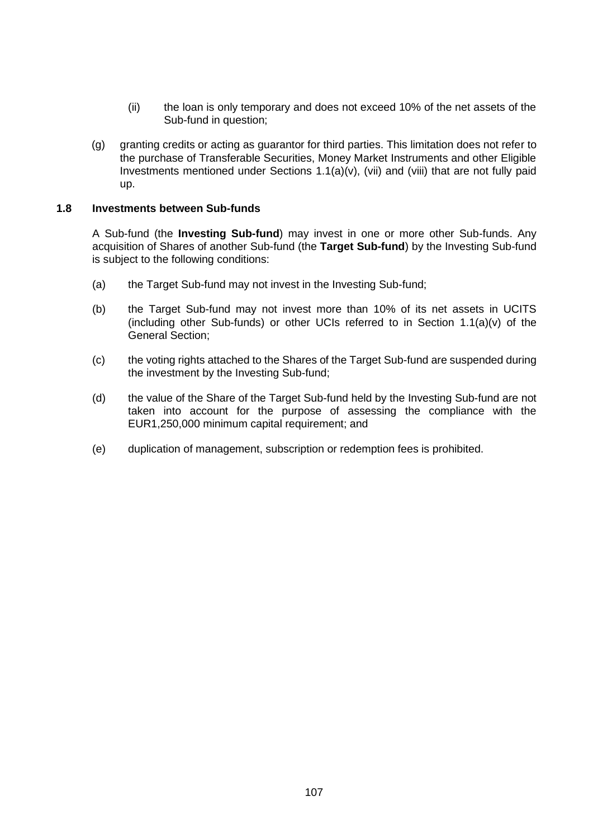- (ii) the loan is only temporary and does not exceed 10% of the net assets of the Sub-fund in question;
- (g) granting credits or acting as guarantor for third parties. This limitation does not refer to the purchase of Transferable Securities, Money Market Instruments and other Eligible Investments mentioned under Sections [1.1\(a\)\(v\),](#page-100-5) [\(vii\)](#page-101-0) and [\(viii\)](#page-101-1) that are not fully paid up.

#### **1.8 Investments between Sub-funds**

A Sub-fund (the **Investing Sub-fund**) may invest in one or more other Sub-funds. Any acquisition of Shares of another Sub-fund (the **Target Sub-fund**) by the Investing Sub-fund is subject to the following conditions:

- (a) the Target Sub-fund may not invest in the Investing Sub-fund;
- (b) the Target Sub-fund may not invest more than 10% of its net assets in UCITS (including other Sub-funds) or other UCIs referred to in Section [1.1\(a\)\(v\)](#page-100-5) of the General Section;
- (c) the voting rights attached to the Shares of the Target Sub-fund are suspended during the investment by the Investing Sub-fund;
- (d) the value of the Share of the Target Sub-fund held by the Investing Sub-fund are not taken into account for the purpose of assessing the compliance with the EUR1,250,000 minimum capital requirement; and
- (e) duplication of management, subscription or redemption fees is prohibited.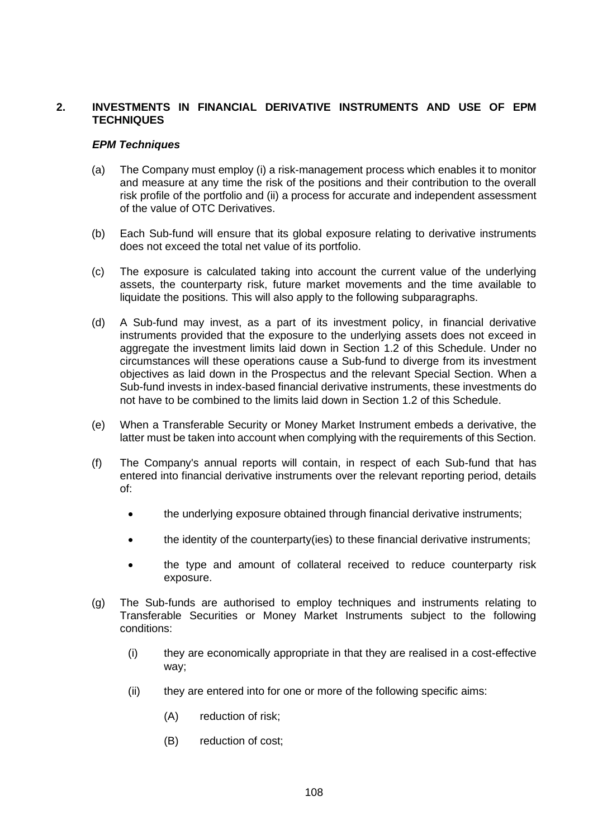# **2. INVESTMENTS IN FINANCIAL DERIVATIVE INSTRUMENTS AND USE OF EPM TECHNIQUES**

#### *EPM Techniques*

- (a) The Company must employ (i) a risk-management process which enables it to monitor and measure at any time the risk of the positions and their contribution to the overall risk profile of the portfolio and (ii) a process for accurate and independent assessment of the value of OTC Derivatives.
- (b) Each Sub-fund will ensure that its global exposure relating to derivative instruments does not exceed the total net value of its portfolio.
- (c) The exposure is calculated taking into account the current value of the underlying assets, the counterparty risk, future market movements and the time available to liquidate the positions. This will also apply to the following subparagraphs.
- (d) A Sub-fund may invest, as a part of its investment policy, in financial derivative instruments provided that the exposure to the underlying assets does not exceed in aggregate the investment limits laid down in Section [1.2](#page-102-3) of this Schedule. Under no circumstances will these operations cause a Sub-fund to diverge from its investment objectives as laid down in the Prospectus and the relevant Special Section. When a Sub-fund invests in index-based financial derivative instruments, these investments do not have to be combined to the limits laid down in Section [1.2](#page-102-3) of this Schedule.
- (e) When a Transferable Security or Money Market Instrument embeds a derivative, the latter must be taken into account when complying with the requirements of this Section.
- (f) The Company's annual reports will contain, in respect of each Sub-fund that has entered into financial derivative instruments over the relevant reporting period, details of:
	- the underlying exposure obtained through financial derivative instruments;
	- the identity of the counterparty(ies) to these financial derivative instruments;
	- the type and amount of collateral received to reduce counterparty risk exposure.
- (g) The Sub-funds are authorised to employ techniques and instruments relating to Transferable Securities or Money Market Instruments subject to the following conditions:
	- (i) they are economically appropriate in that they are realised in a cost-effective way;
	- (ii) they are entered into for one or more of the following specific aims:
		- (A) reduction of risk;
		- (B) reduction of cost;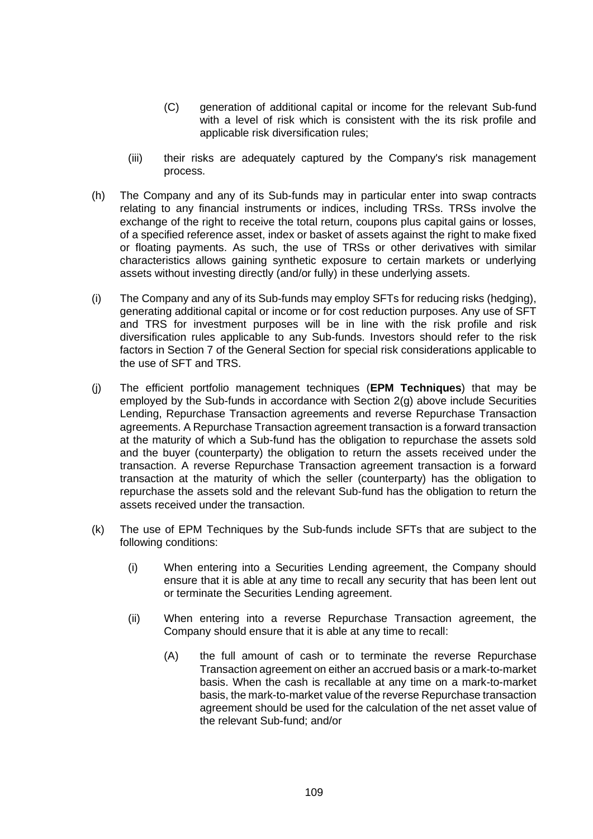- (C) generation of additional capital or income for the relevant Sub-fund with a level of risk which is consistent with the its risk profile and applicable risk diversification rules;
- (iii) their risks are adequately captured by the Company's risk management process.
- (h) The Company and any of its Sub-funds may in particular enter into swap contracts relating to any financial instruments or indices, including TRSs. TRSs involve the exchange of the right to receive the total return, coupons plus capital gains or losses, of a specified reference asset, index or basket of assets against the right to make fixed or floating payments. As such, the use of TRSs or other derivatives with similar characteristics allows gaining synthetic exposure to certain markets or underlying assets without investing directly (and/or fully) in these underlying assets.
- (i) The Company and any of its Sub-funds may employ SFTs for reducing risks (hedging), generating additional capital or income or for cost reduction purposes. Any use of SFT and TRS for investment purposes will be in line with the risk profile and risk diversification rules applicable to any Sub-funds. Investors should refer to the risk factors in Section 7 of the General Section for special risk considerations applicable to the use of SFT and TRS.
- (j) The efficient portfolio management techniques (**EPM Techniques**) that may be employed by the Sub-funds in accordance with Section [2\(g\)](#page-107-0) above include Securities Lending, Repurchase Transaction agreements and reverse Repurchase Transaction agreements. A Repurchase Transaction agreement transaction is a forward transaction at the maturity of which a Sub-fund has the obligation to repurchase the assets sold and the buyer (counterparty) the obligation to return the assets received under the transaction. A reverse Repurchase Transaction agreement transaction is a forward transaction at the maturity of which the seller (counterparty) has the obligation to repurchase the assets sold and the relevant Sub-fund has the obligation to return the assets received under the transaction.
- (k) The use of EPM Techniques by the Sub-funds include SFTs that are subject to the following conditions:
	- (i) When entering into a Securities Lending agreement, the Company should ensure that it is able at any time to recall any security that has been lent out or terminate the Securities Lending agreement.
	- (ii) When entering into a reverse Repurchase Transaction agreement, the Company should ensure that it is able at any time to recall:
		- (A) the full amount of cash or to terminate the reverse Repurchase Transaction agreement on either an accrued basis or a mark-to-market basis. When the cash is recallable at any time on a mark-to-market basis, the mark-to-market value of the reverse Repurchase transaction agreement should be used for the calculation of the net asset value of the relevant Sub-fund; and/or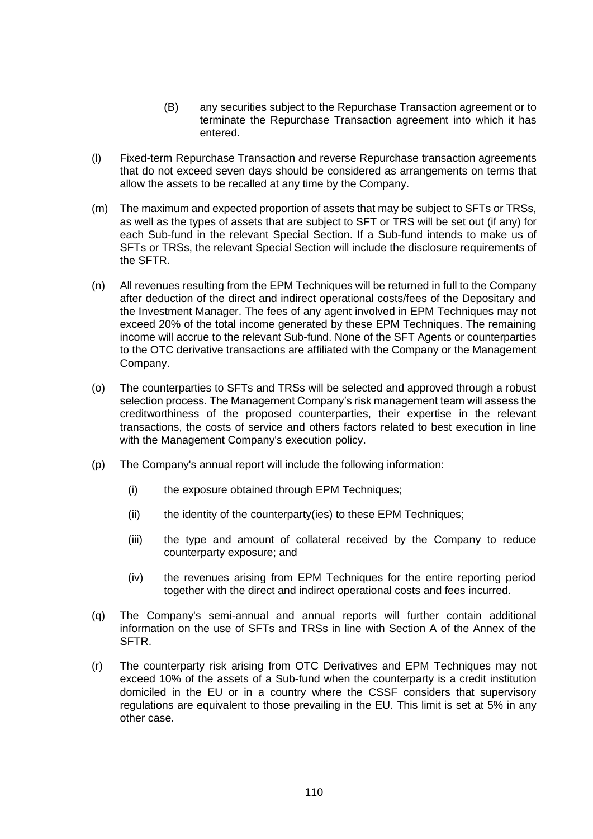- (B) any securities subject to the Repurchase Transaction agreement or to terminate the Repurchase Transaction agreement into which it has entered.
- (l) Fixed-term Repurchase Transaction and reverse Repurchase transaction agreements that do not exceed seven days should be considered as arrangements on terms that allow the assets to be recalled at any time by the Company.
- (m) The maximum and expected proportion of assets that may be subject to SFTs or TRSs, as well as the types of assets that are subject to SFT or TRS will be set out (if any) for each Sub-fund in the relevant Special Section. If a Sub-fund intends to make us of SFTs or TRSs, the relevant Special Section will include the disclosure requirements of the SFTR.
- (n) All revenues resulting from the EPM Techniques will be returned in full to the Company after deduction of the direct and indirect operational costs/fees of the Depositary and the Investment Manager. The fees of any agent involved in EPM Techniques may not exceed 20% of the total income generated by these EPM Techniques. The remaining income will accrue to the relevant Sub-fund. None of the SFT Agents or counterparties to the OTC derivative transactions are affiliated with the Company or the Management Company.
- (o) The counterparties to SFTs and TRSs will be selected and approved through a robust selection process. The Management Company's risk management team will assess the creditworthiness of the proposed counterparties, their expertise in the relevant transactions, the costs of service and others factors related to best execution in line with the Management Company's execution policy.
- (p) The Company's annual report will include the following information:
	- (i) the exposure obtained through EPM Techniques;
	- $(i)$  the identity of the counterparty(ies) to these EPM Techniques;
	- (iii) the type and amount of collateral received by the Company to reduce counterparty exposure; and
	- (iv) the revenues arising from EPM Techniques for the entire reporting period together with the direct and indirect operational costs and fees incurred.
- <span id="page-109-0"></span>(q) The Company's semi-annual and annual reports will further contain additional information on the use of SFTs and TRSs in line with Section A of the Annex of the SFTR.
- (r) The counterparty risk arising from OTC Derivatives and EPM Techniques may not exceed 10% of the assets of a Sub-fund when the counterparty is a credit institution domiciled in the EU or in a country where the CSSF considers that supervisory regulations are equivalent to those prevailing in the EU. This limit is set at 5% in any other case.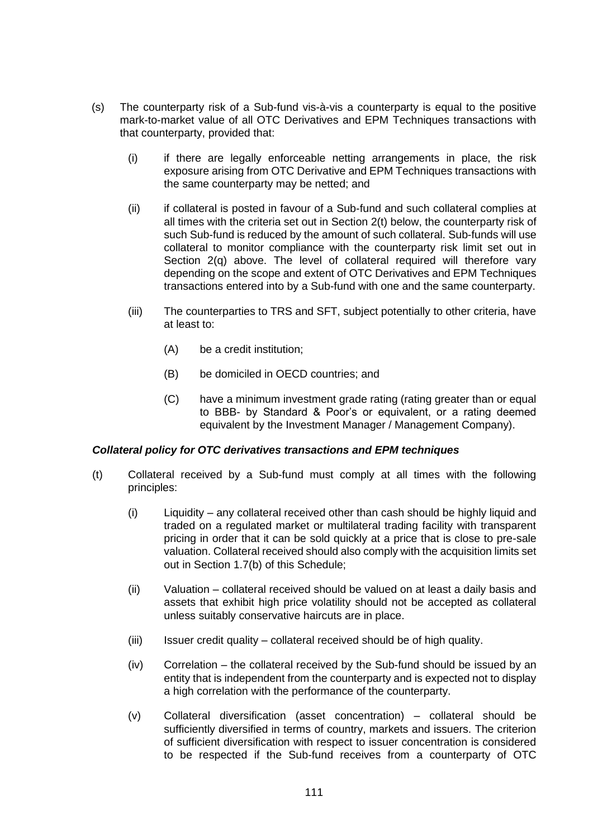- (s) The counterparty risk of a Sub-fund vis-à-vis a counterparty is equal to the positive mark-to-market value of all OTC Derivatives and EPM Techniques transactions with that counterparty, provided that:
	- (i) if there are legally enforceable netting arrangements in place, the risk exposure arising from OTC Derivative and EPM Techniques transactions with the same counterparty may be netted; and
	- (ii) if collateral is posted in favour of a Sub-fund and such collateral complies at all times with the criteria set out in Section [2\(t\)](#page-110-0) below, the counterparty risk of such Sub-fund is reduced by the amount of such collateral. Sub-funds will use collateral to monitor compliance with the counterparty risk limit set out in Section [2\(q\)](#page-109-0) above. The level of collateral required will therefore vary depending on the scope and extent of OTC Derivatives and EPM Techniques transactions entered into by a Sub-fund with one and the same counterparty.
	- (iii) The counterparties to TRS and SFT, subject potentially to other criteria, have at least to:
		- (A) be a credit institution;
		- (B) be domiciled in OECD countries; and
		- (C) have a minimum investment grade rating (rating greater than or equal to BBB- by Standard & Poor's or equivalent, or a rating deemed equivalent by the Investment Manager / Management Company).

# *Collateral policy for OTC derivatives transactions and EPM techniques*

- <span id="page-110-0"></span>(t) Collateral received by a Sub-fund must comply at all times with the following principles:
	- (i) Liquidity any collateral received other than cash should be highly liquid and traded on a regulated market or multilateral trading facility with transparent pricing in order that it can be sold quickly at a price that is close to pre-sale valuation. Collateral received should also comply with the acquisition limits set out in Section [1.7\(b\)](#page-105-0) of this Schedule;
	- (ii) Valuation collateral received should be valued on at least a daily basis and assets that exhibit high price volatility should not be accepted as collateral unless suitably conservative haircuts are in place.
	- (iii) Issuer credit quality collateral received should be of high quality.
	- (iv) Correlation the collateral received by the Sub-fund should be issued by an entity that is independent from the counterparty and is expected not to display a high correlation with the performance of the counterparty.
	- (v) Collateral diversification (asset concentration) collateral should be sufficiently diversified in terms of country, markets and issuers. The criterion of sufficient diversification with respect to issuer concentration is considered to be respected if the Sub-fund receives from a counterparty of OTC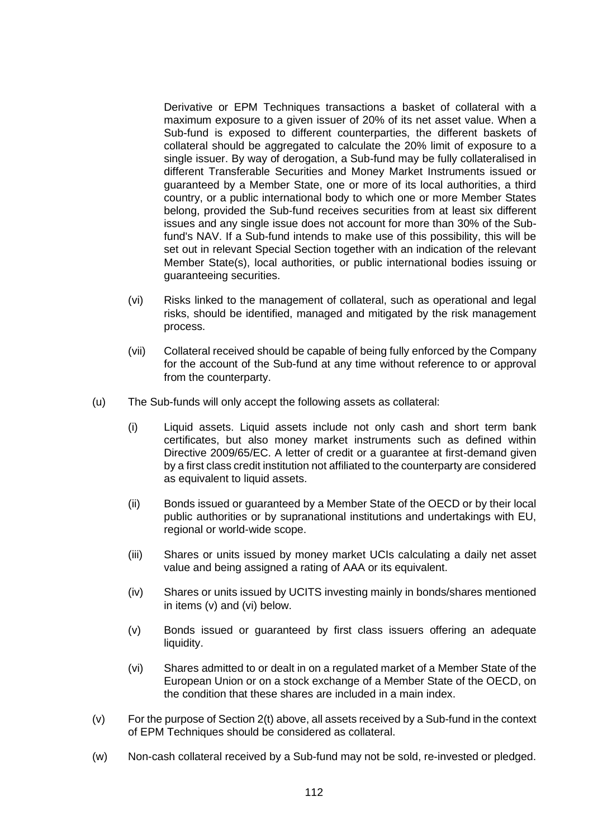Derivative or EPM Techniques transactions a basket of collateral with a maximum exposure to a given issuer of 20% of its net asset value. When a Sub-fund is exposed to different counterparties, the different baskets of collateral should be aggregated to calculate the 20% limit of exposure to a single issuer. By way of derogation, a Sub-fund may be fully collateralised in different Transferable Securities and Money Market Instruments issued or guaranteed by a Member State, one or more of its local authorities, a third country, or a public international body to which one or more Member States belong, provided the Sub-fund receives securities from at least six different issues and any single issue does not account for more than 30% of the Subfund's NAV. If a Sub-fund intends to make use of this possibility, this will be set out in relevant Special Section together with an indication of the relevant Member State(s), local authorities, or public international bodies issuing or guaranteeing securities.

- (vi) Risks linked to the management of collateral, such as operational and legal risks, should be identified, managed and mitigated by the risk management process.
- (vii) Collateral received should be capable of being fully enforced by the Company for the account of the Sub-fund at any time without reference to or approval from the counterparty.
- (u) The Sub-funds will only accept the following assets as collateral:
	- (i) Liquid assets. Liquid assets include not only cash and short term bank certificates, but also money market instruments such as defined within Directive 2009/65/EC. A letter of credit or a guarantee at first-demand given by a first class credit institution not affiliated to the counterparty are considered as equivalent to liquid assets.
	- (ii) Bonds issued or guaranteed by a Member State of the OECD or by their local public authorities or by supranational institutions and undertakings with EU, regional or world-wide scope.
	- (iii) Shares or units issued by money market UCIs calculating a daily net asset value and being assigned a rating of AAA or its equivalent.
	- (iv) Shares or units issued by UCITS investing mainly in bonds/shares mentioned in items [\(v\)](#page-111-0) and [\(vi\)](#page-111-1) below.
	- (v) Bonds issued or guaranteed by first class issuers offering an adequate liquidity.
	- (vi) Shares admitted to or dealt in on a regulated market of a Member State of the European Union or on a stock exchange of a Member State of the OECD, on the condition that these shares are included in a main index.
- <span id="page-111-1"></span><span id="page-111-0"></span>(v) For the purpose of Sectio[n 2\(t\)](#page-110-0) above, all assets received by a Sub-fund in the context of EPM Techniques should be considered as collateral.
- (w) Non-cash collateral received by a Sub-fund may not be sold, re-invested or pledged.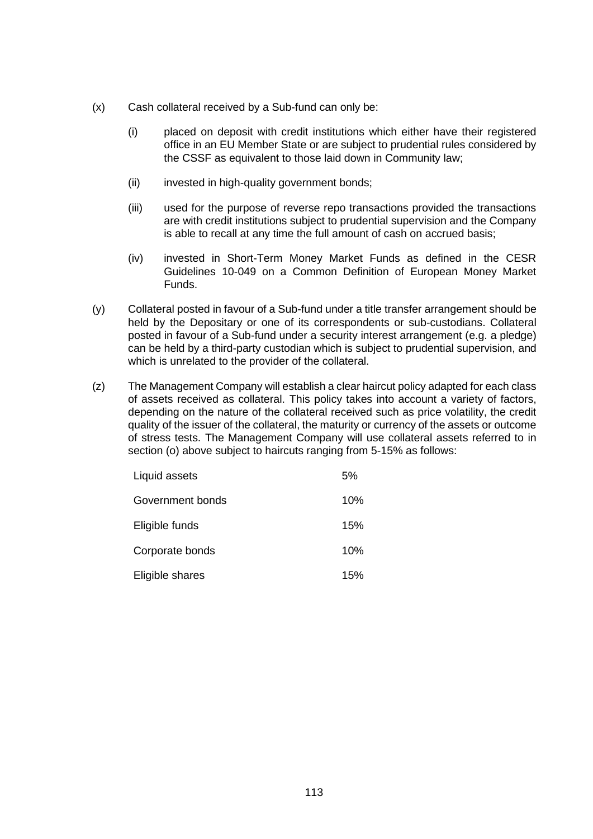- (x) Cash collateral received by a Sub-fund can only be:
	- (i) placed on deposit with credit institutions which either have their registered office in an EU Member State or are subject to prudential rules considered by the CSSF as equivalent to those laid down in Community law;
	- (ii) invested in high-quality government bonds;
	- (iii) used for the purpose of reverse repo transactions provided the transactions are with credit institutions subject to prudential supervision and the Company is able to recall at any time the full amount of cash on accrued basis;
	- (iv) invested in Short-Term Money Market Funds as defined in the CESR Guidelines 10-049 on a Common Definition of European Money Market Funds.
- (y) Collateral posted in favour of a Sub-fund under a title transfer arrangement should be held by the Depositary or one of its correspondents or sub-custodians. Collateral posted in favour of a Sub-fund under a security interest arrangement (e.g. a pledge) can be held by a third-party custodian which is subject to prudential supervision, and which is unrelated to the provider of the collateral.
- (z) The Management Company will establish a clear haircut policy adapted for each class of assets received as collateral. This policy takes into account a variety of factors, depending on the nature of the collateral received such as price volatility, the credit quality of the issuer of the collateral, the maturity or currency of the assets or outcome of stress tests. The Management Company will use collateral assets referred to in section (o) above subject to haircuts ranging from 5-15% as follows:

| Liquid assets    | 5%  |
|------------------|-----|
| Government bonds | 10% |
| Eligible funds   | 15% |
| Corporate bonds  | 10% |
| Eligible shares  | 15% |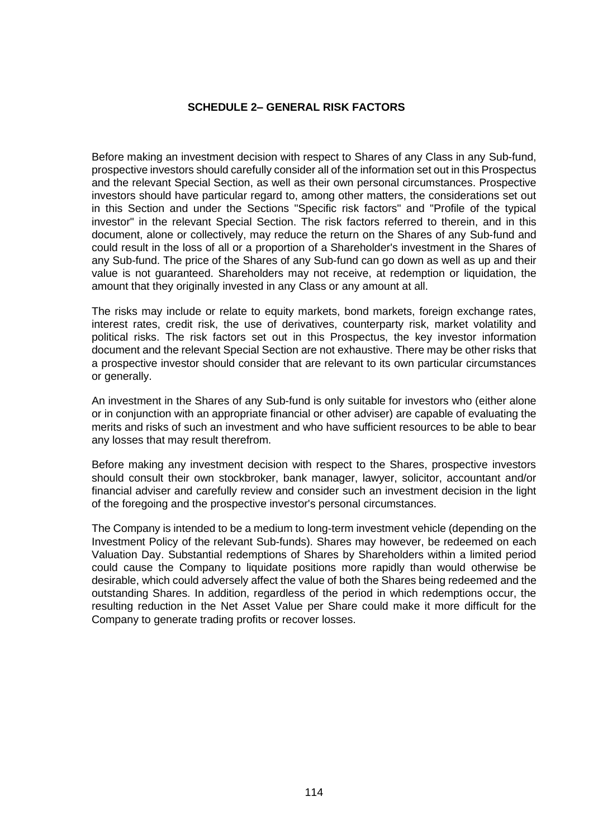### **SCHEDULE 2– GENERAL RISK FACTORS**

Before making an investment decision with respect to Shares of any Class in any Sub-fund, prospective investors should carefully consider all of the information set out in this Prospectus and the relevant Special Section, as well as their own personal circumstances. Prospective investors should have particular regard to, among other matters, the considerations set out in this Section and under the Sections "Specific risk factors" and "Profile of the typical investor" in the relevant Special Section. The risk factors referred to therein, and in this document, alone or collectively, may reduce the return on the Shares of any Sub-fund and could result in the loss of all or a proportion of a Shareholder's investment in the Shares of any Sub-fund. The price of the Shares of any Sub-fund can go down as well as up and their value is not guaranteed. Shareholders may not receive, at redemption or liquidation, the amount that they originally invested in any Class or any amount at all.

The risks may include or relate to equity markets, bond markets, foreign exchange rates, interest rates, credit risk, the use of derivatives, counterparty risk, market volatility and political risks. The risk factors set out in this Prospectus, the key investor information document and the relevant Special Section are not exhaustive. There may be other risks that a prospective investor should consider that are relevant to its own particular circumstances or generally.

An investment in the Shares of any Sub-fund is only suitable for investors who (either alone or in conjunction with an appropriate financial or other adviser) are capable of evaluating the merits and risks of such an investment and who have sufficient resources to be able to bear any losses that may result therefrom.

Before making any investment decision with respect to the Shares, prospective investors should consult their own stockbroker, bank manager, lawyer, solicitor, accountant and/or financial adviser and carefully review and consider such an investment decision in the light of the foregoing and the prospective investor's personal circumstances.

The Company is intended to be a medium to long-term investment vehicle (depending on the Investment Policy of the relevant Sub-funds). Shares may however, be redeemed on each Valuation Day. Substantial redemptions of Shares by Shareholders within a limited period could cause the Company to liquidate positions more rapidly than would otherwise be desirable, which could adversely affect the value of both the Shares being redeemed and the outstanding Shares. In addition, regardless of the period in which redemptions occur, the resulting reduction in the Net Asset Value per Share could make it more difficult for the Company to generate trading profits or recover losses.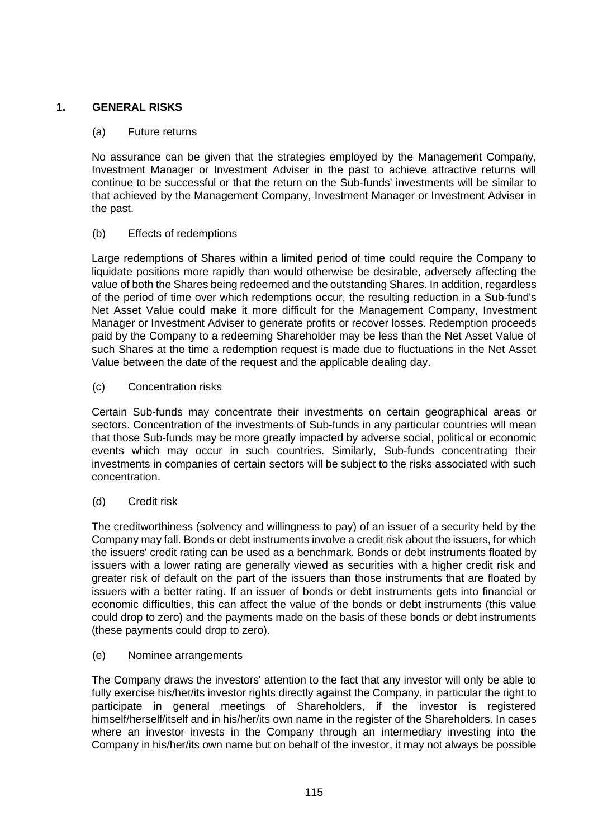# **1. GENERAL RISKS**

# (a) Future returns

No assurance can be given that the strategies employed by the Management Company, Investment Manager or Investment Adviser in the past to achieve attractive returns will continue to be successful or that the return on the Sub-funds' investments will be similar to that achieved by the Management Company, Investment Manager or Investment Adviser in the past.

# (b) Effects of redemptions

Large redemptions of Shares within a limited period of time could require the Company to liquidate positions more rapidly than would otherwise be desirable, adversely affecting the value of both the Shares being redeemed and the outstanding Shares. In addition, regardless of the period of time over which redemptions occur, the resulting reduction in a Sub-fund's Net Asset Value could make it more difficult for the Management Company, Investment Manager or Investment Adviser to generate profits or recover losses. Redemption proceeds paid by the Company to a redeeming Shareholder may be less than the Net Asset Value of such Shares at the time a redemption request is made due to fluctuations in the Net Asset Value between the date of the request and the applicable dealing day.

(c) Concentration risks

Certain Sub-funds may concentrate their investments on certain geographical areas or sectors. Concentration of the investments of Sub-funds in any particular countries will mean that those Sub-funds may be more greatly impacted by adverse social, political or economic events which may occur in such countries. Similarly, Sub-funds concentrating their investments in companies of certain sectors will be subject to the risks associated with such concentration.

(d) Credit risk

The creditworthiness (solvency and willingness to pay) of an issuer of a security held by the Company may fall. Bonds or debt instruments involve a credit risk about the issuers, for which the issuers' credit rating can be used as a benchmark. Bonds or debt instruments floated by issuers with a lower rating are generally viewed as securities with a higher credit risk and greater risk of default on the part of the issuers than those instruments that are floated by issuers with a better rating. If an issuer of bonds or debt instruments gets into financial or economic difficulties, this can affect the value of the bonds or debt instruments (this value could drop to zero) and the payments made on the basis of these bonds or debt instruments (these payments could drop to zero).

(e) Nominee arrangements

The Company draws the investors' attention to the fact that any investor will only be able to fully exercise his/her/its investor rights directly against the Company, in particular the right to participate in general meetings of Shareholders, if the investor is registered himself/herself/itself and in his/her/its own name in the register of the Shareholders. In cases where an investor invests in the Company through an intermediary investing into the Company in his/her/its own name but on behalf of the investor, it may not always be possible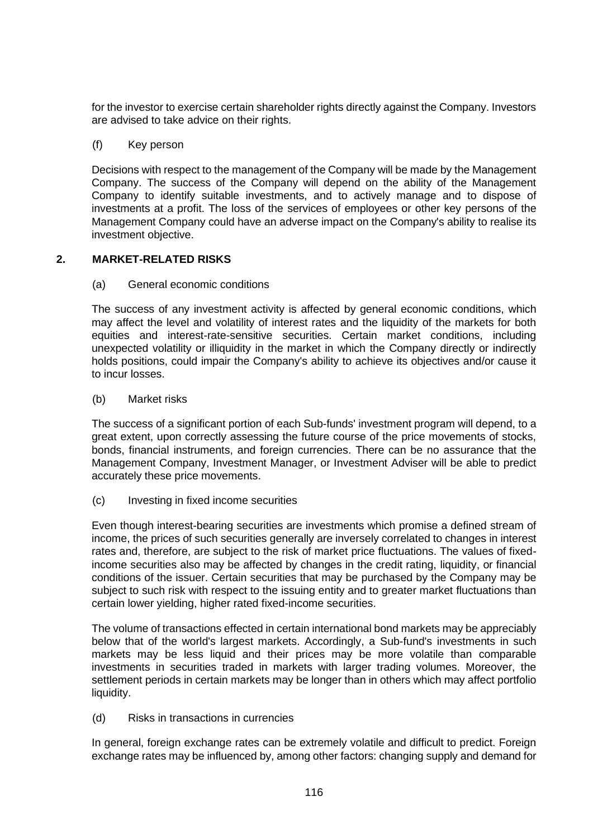for the investor to exercise certain shareholder rights directly against the Company. Investors are advised to take advice on their rights.

# (f) Key person

Decisions with respect to the management of the Company will be made by the Management Company. The success of the Company will depend on the ability of the Management Company to identify suitable investments, and to actively manage and to dispose of investments at a profit. The loss of the services of employees or other key persons of the Management Company could have an adverse impact on the Company's ability to realise its investment objective.

# **2. MARKET-RELATED RISKS**

(a) General economic conditions

The success of any investment activity is affected by general economic conditions, which may affect the level and volatility of interest rates and the liquidity of the markets for both equities and interest-rate-sensitive securities. Certain market conditions, including unexpected volatility or illiquidity in the market in which the Company directly or indirectly holds positions, could impair the Company's ability to achieve its objectives and/or cause it to incur losses.

(b) Market risks

The success of a significant portion of each Sub-funds' investment program will depend, to a great extent, upon correctly assessing the future course of the price movements of stocks, bonds, financial instruments, and foreign currencies. There can be no assurance that the Management Company, Investment Manager, or Investment Adviser will be able to predict accurately these price movements.

(c) Investing in fixed income securities

Even though interest-bearing securities are investments which promise a defined stream of income, the prices of such securities generally are inversely correlated to changes in interest rates and, therefore, are subject to the risk of market price fluctuations. The values of fixedincome securities also may be affected by changes in the credit rating, liquidity, or financial conditions of the issuer. Certain securities that may be purchased by the Company may be subiect to such risk with respect to the issuing entity and to greater market fluctuations than certain lower yielding, higher rated fixed-income securities.

The volume of transactions effected in certain international bond markets may be appreciably below that of the world's largest markets. Accordingly, a Sub-fund's investments in such markets may be less liquid and their prices may be more volatile than comparable investments in securities traded in markets with larger trading volumes. Moreover, the settlement periods in certain markets may be longer than in others which may affect portfolio liquidity.

(d) Risks in transactions in currencies

In general, foreign exchange rates can be extremely volatile and difficult to predict. Foreign exchange rates may be influenced by, among other factors: changing supply and demand for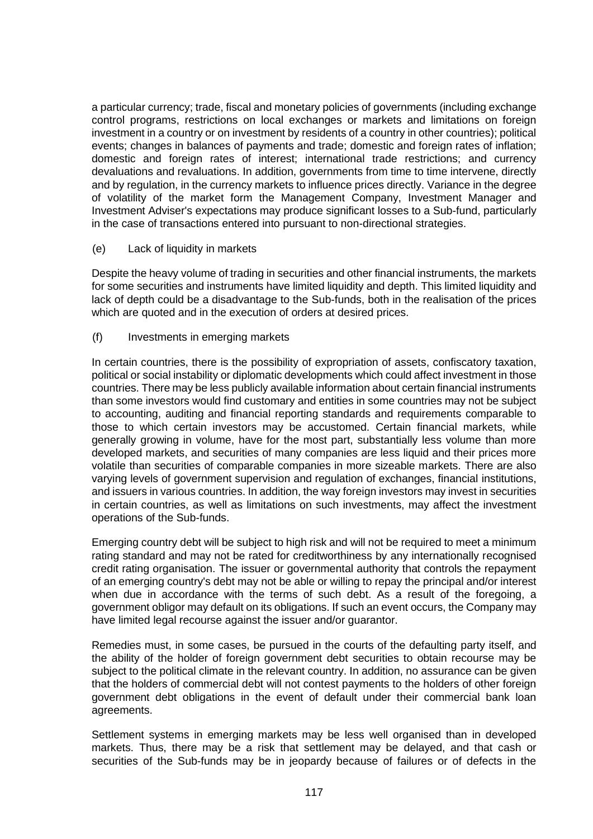a particular currency; trade, fiscal and monetary policies of governments (including exchange control programs, restrictions on local exchanges or markets and limitations on foreign investment in a country or on investment by residents of a country in other countries); political events; changes in balances of payments and trade; domestic and foreign rates of inflation; domestic and foreign rates of interest; international trade restrictions; and currency devaluations and revaluations. In addition, governments from time to time intervene, directly and by regulation, in the currency markets to influence prices directly. Variance in the degree of volatility of the market form the Management Company, Investment Manager and Investment Adviser's expectations may produce significant losses to a Sub-fund, particularly in the case of transactions entered into pursuant to non-directional strategies.

(e) Lack of liquidity in markets

Despite the heavy volume of trading in securities and other financial instruments, the markets for some securities and instruments have limited liquidity and depth. This limited liquidity and lack of depth could be a disadvantage to the Sub-funds, both in the realisation of the prices which are quoted and in the execution of orders at desired prices.

(f) Investments in emerging markets

In certain countries, there is the possibility of expropriation of assets, confiscatory taxation, political or social instability or diplomatic developments which could affect investment in those countries. There may be less publicly available information about certain financial instruments than some investors would find customary and entities in some countries may not be subject to accounting, auditing and financial reporting standards and requirements comparable to those to which certain investors may be accustomed. Certain financial markets, while generally growing in volume, have for the most part, substantially less volume than more developed markets, and securities of many companies are less liquid and their prices more volatile than securities of comparable companies in more sizeable markets. There are also varying levels of government supervision and regulation of exchanges, financial institutions, and issuers in various countries. In addition, the way foreign investors may invest in securities in certain countries, as well as limitations on such investments, may affect the investment operations of the Sub-funds.

Emerging country debt will be subject to high risk and will not be required to meet a minimum rating standard and may not be rated for creditworthiness by any internationally recognised credit rating organisation. The issuer or governmental authority that controls the repayment of an emerging country's debt may not be able or willing to repay the principal and/or interest when due in accordance with the terms of such debt. As a result of the foregoing, a government obligor may default on its obligations. If such an event occurs, the Company may have limited legal recourse against the issuer and/or quarantor.

Remedies must, in some cases, be pursued in the courts of the defaulting party itself, and the ability of the holder of foreign government debt securities to obtain recourse may be subject to the political climate in the relevant country. In addition, no assurance can be given that the holders of commercial debt will not contest payments to the holders of other foreign government debt obligations in the event of default under their commercial bank loan agreements.

Settlement systems in emerging markets may be less well organised than in developed markets. Thus, there may be a risk that settlement may be delayed, and that cash or securities of the Sub-funds may be in jeopardy because of failures or of defects in the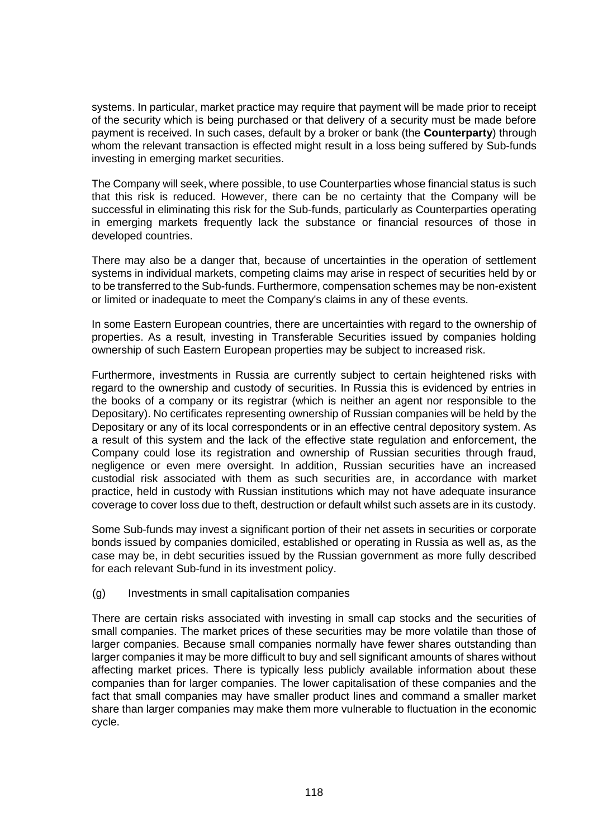systems. In particular, market practice may require that payment will be made prior to receipt of the security which is being purchased or that delivery of a security must be made before payment is received. In such cases, default by a broker or bank (the **Counterparty**) through whom the relevant transaction is effected might result in a loss being suffered by Sub-funds investing in emerging market securities.

The Company will seek, where possible, to use Counterparties whose financial status is such that this risk is reduced. However, there can be no certainty that the Company will be successful in eliminating this risk for the Sub-funds, particularly as Counterparties operating in emerging markets frequently lack the substance or financial resources of those in developed countries.

There may also be a danger that, because of uncertainties in the operation of settlement systems in individual markets, competing claims may arise in respect of securities held by or to be transferred to the Sub-funds. Furthermore, compensation schemes may be non-existent or limited or inadequate to meet the Company's claims in any of these events.

In some Eastern European countries, there are uncertainties with regard to the ownership of properties. As a result, investing in Transferable Securities issued by companies holding ownership of such Eastern European properties may be subject to increased risk.

Furthermore, investments in Russia are currently subject to certain heightened risks with regard to the ownership and custody of securities. In Russia this is evidenced by entries in the books of a company or its registrar (which is neither an agent nor responsible to the Depositary). No certificates representing ownership of Russian companies will be held by the Depositary or any of its local correspondents or in an effective central depository system. As a result of this system and the lack of the effective state regulation and enforcement, the Company could lose its registration and ownership of Russian securities through fraud, negligence or even mere oversight. In addition, Russian securities have an increased custodial risk associated with them as such securities are, in accordance with market practice, held in custody with Russian institutions which may not have adequate insurance coverage to cover loss due to theft, destruction or default whilst such assets are in its custody.

Some Sub-funds may invest a significant portion of their net assets in securities or corporate bonds issued by companies domiciled, established or operating in Russia as well as, as the case may be, in debt securities issued by the Russian government as more fully described for each relevant Sub-fund in its investment policy.

# (g) Investments in small capitalisation companies

There are certain risks associated with investing in small cap stocks and the securities of small companies. The market prices of these securities may be more volatile than those of larger companies. Because small companies normally have fewer shares outstanding than larger companies it may be more difficult to buy and sell significant amounts of shares without affecting market prices. There is typically less publicly available information about these companies than for larger companies. The lower capitalisation of these companies and the fact that small companies may have smaller product lines and command a smaller market share than larger companies may make them more vulnerable to fluctuation in the economic cycle.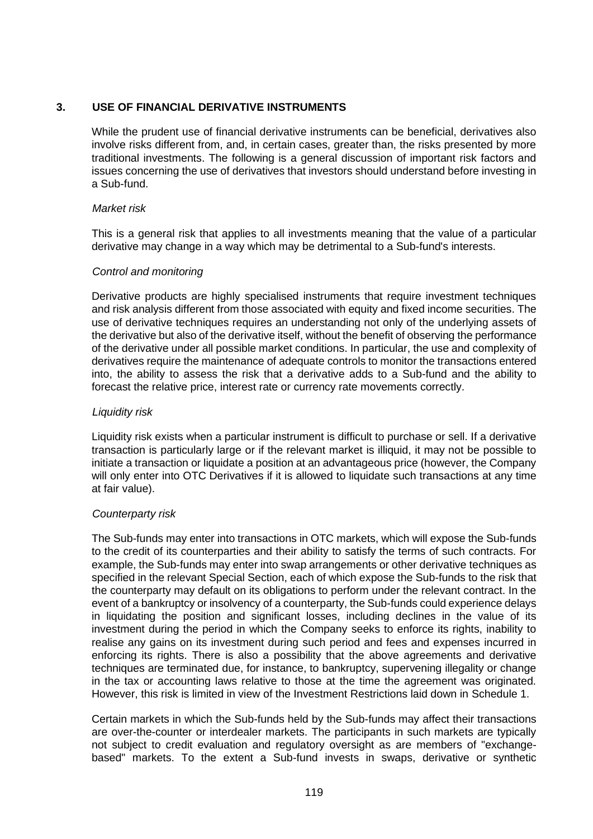# **3. USE OF FINANCIAL DERIVATIVE INSTRUMENTS**

While the prudent use of financial derivative instruments can be beneficial, derivatives also involve risks different from, and, in certain cases, greater than, the risks presented by more traditional investments. The following is a general discussion of important risk factors and issues concerning the use of derivatives that investors should understand before investing in a Sub-fund.

# *Market risk*

This is a general risk that applies to all investments meaning that the value of a particular derivative may change in a way which may be detrimental to a Sub-fund's interests.

### *Control and monitoring*

Derivative products are highly specialised instruments that require investment techniques and risk analysis different from those associated with equity and fixed income securities. The use of derivative techniques requires an understanding not only of the underlying assets of the derivative but also of the derivative itself, without the benefit of observing the performance of the derivative under all possible market conditions. In particular, the use and complexity of derivatives require the maintenance of adequate controls to monitor the transactions entered into, the ability to assess the risk that a derivative adds to a Sub-fund and the ability to forecast the relative price, interest rate or currency rate movements correctly.

### *Liquidity risk*

Liquidity risk exists when a particular instrument is difficult to purchase or sell. If a derivative transaction is particularly large or if the relevant market is illiquid, it may not be possible to initiate a transaction or liquidate a position at an advantageous price (however, the Company will only enter into OTC Derivatives if it is allowed to liquidate such transactions at any time at fair value).

# *Counterparty risk*

The Sub-funds may enter into transactions in OTC markets, which will expose the Sub-funds to the credit of its counterparties and their ability to satisfy the terms of such contracts. For example, the Sub-funds may enter into swap arrangements or other derivative techniques as specified in the relevant Special Section, each of which expose the Sub-funds to the risk that the counterparty may default on its obligations to perform under the relevant contract. In the event of a bankruptcy or insolvency of a counterparty, the Sub-funds could experience delays in liquidating the position and significant losses, including declines in the value of its investment during the period in which the Company seeks to enforce its rights, inability to realise any gains on its investment during such period and fees and expenses incurred in enforcing its rights. There is also a possibility that the above agreements and derivative techniques are terminated due, for instance, to bankruptcy, supervening illegality or change in the tax or accounting laws relative to those at the time the agreement was originated. However, this risk is limited in view of the Investment Restrictions laid down in [Schedule 1.](#page-100-0)

Certain markets in which the Sub-funds held by the Sub-funds may affect their transactions are over-the-counter or interdealer markets. The participants in such markets are typically not subject to credit evaluation and regulatory oversight as are members of "exchangebased" markets. To the extent a Sub-fund invests in swaps, derivative or synthetic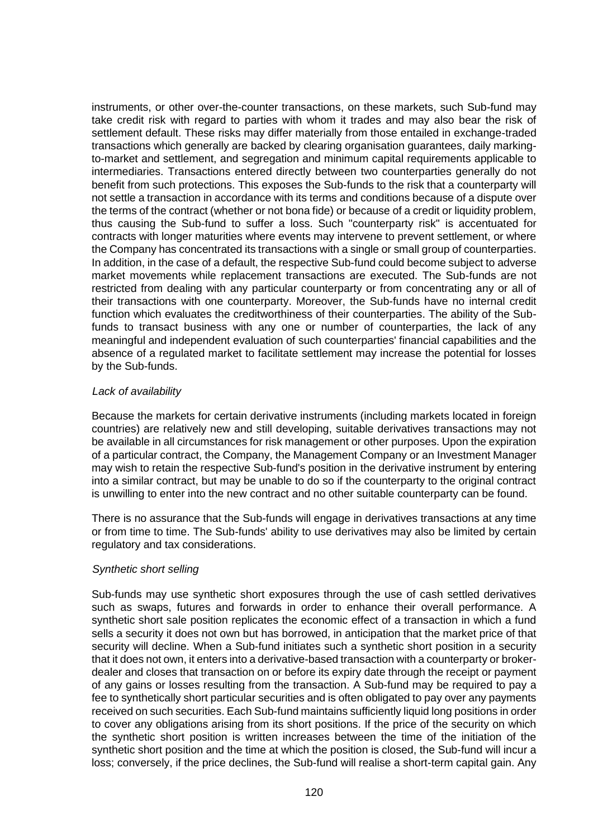instruments, or other over-the-counter transactions, on these markets, such Sub-fund may take credit risk with regard to parties with whom it trades and may also bear the risk of settlement default. These risks may differ materially from those entailed in exchange-traded transactions which generally are backed by clearing organisation guarantees, daily markingto-market and settlement, and segregation and minimum capital requirements applicable to intermediaries. Transactions entered directly between two counterparties generally do not benefit from such protections. This exposes the Sub-funds to the risk that a counterparty will not settle a transaction in accordance with its terms and conditions because of a dispute over the terms of the contract (whether or not bona fide) or because of a credit or liquidity problem, thus causing the Sub-fund to suffer a loss. Such "counterparty risk" is accentuated for contracts with longer maturities where events may intervene to prevent settlement, or where the Company has concentrated its transactions with a single or small group of counterparties. In addition, in the case of a default, the respective Sub-fund could become subject to adverse market movements while replacement transactions are executed. The Sub-funds are not restricted from dealing with any particular counterparty or from concentrating any or all of their transactions with one counterparty. Moreover, the Sub-funds have no internal credit function which evaluates the creditworthiness of their counterparties. The ability of the Subfunds to transact business with any one or number of counterparties, the lack of any meaningful and independent evaluation of such counterparties' financial capabilities and the absence of a regulated market to facilitate settlement may increase the potential for losses by the Sub-funds.

### *Lack of availability*

Because the markets for certain derivative instruments (including markets located in foreign countries) are relatively new and still developing, suitable derivatives transactions may not be available in all circumstances for risk management or other purposes. Upon the expiration of a particular contract, the Company, the Management Company or an Investment Manager may wish to retain the respective Sub-fund's position in the derivative instrument by entering into a similar contract, but may be unable to do so if the counterparty to the original contract is unwilling to enter into the new contract and no other suitable counterparty can be found.

There is no assurance that the Sub-funds will engage in derivatives transactions at any time or from time to time. The Sub-funds' ability to use derivatives may also be limited by certain regulatory and tax considerations.

# *Synthetic short selling*

Sub-funds may use synthetic short exposures through the use of cash settled derivatives such as swaps, futures and forwards in order to enhance their overall performance. A synthetic short sale position replicates the economic effect of a transaction in which a fund sells a security it does not own but has borrowed, in anticipation that the market price of that security will decline. When a Sub-fund initiates such a synthetic short position in a security that it does not own, it enters into a derivative-based transaction with a counterparty or brokerdealer and closes that transaction on or before its expiry date through the receipt or payment of any gains or losses resulting from the transaction. A Sub-fund may be required to pay a fee to synthetically short particular securities and is often obligated to pay over any payments received on such securities. Each Sub-fund maintains sufficiently liquid long positions in order to cover any obligations arising from its short positions. If the price of the security on which the synthetic short position is written increases between the time of the initiation of the synthetic short position and the time at which the position is closed, the Sub-fund will incur a loss; conversely, if the price declines, the Sub-fund will realise a short-term capital gain. Any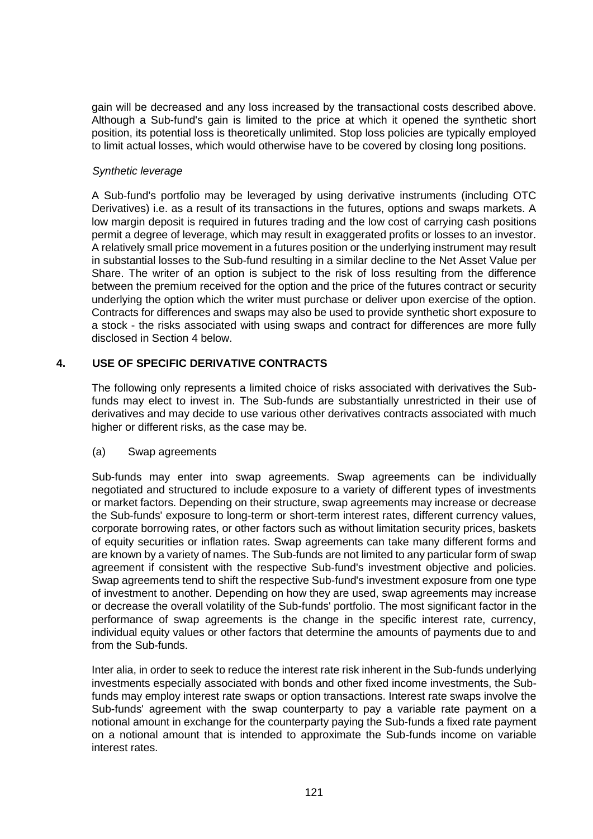gain will be decreased and any loss increased by the transactional costs described above. Although a Sub-fund's gain is limited to the price at which it opened the synthetic short position, its potential loss is theoretically unlimited. Stop loss policies are typically employed to limit actual losses, which would otherwise have to be covered by closing long positions.

# *Synthetic leverage*

A Sub-fund's portfolio may be leveraged by using derivative instruments (including OTC Derivatives) i.e. as a result of its transactions in the futures, options and swaps markets. A low margin deposit is required in futures trading and the low cost of carrying cash positions permit a degree of leverage, which may result in exaggerated profits or losses to an investor. A relatively small price movement in a futures position or the underlying instrument may result in substantial losses to the Sub-fund resulting in a similar decline to the Net Asset Value per Share. The writer of an option is subject to the risk of loss resulting from the difference between the premium received for the option and the price of the futures contract or security underlying the option which the writer must purchase or deliver upon exercise of the option. Contracts for differences and swaps may also be used to provide synthetic short exposure to a stock - the risks associated with using swaps and contract for differences are more fully disclosed in Section [4](#page-120-0) below.

# <span id="page-120-0"></span>**4. USE OF SPECIFIC DERIVATIVE CONTRACTS**

The following only represents a limited choice of risks associated with derivatives the Subfunds may elect to invest in. The Sub-funds are substantially unrestricted in their use of derivatives and may decide to use various other derivatives contracts associated with much higher or different risks, as the case may be.

# (a) Swap agreements

Sub-funds may enter into swap agreements. Swap agreements can be individually negotiated and structured to include exposure to a variety of different types of investments or market factors. Depending on their structure, swap agreements may increase or decrease the Sub-funds' exposure to long-term or short-term interest rates, different currency values, corporate borrowing rates, or other factors such as without limitation security prices, baskets of equity securities or inflation rates. Swap agreements can take many different forms and are known by a variety of names. The Sub-funds are not limited to any particular form of swap agreement if consistent with the respective Sub-fund's investment objective and policies. Swap agreements tend to shift the respective Sub-fund's investment exposure from one type of investment to another. Depending on how they are used, swap agreements may increase or decrease the overall volatility of the Sub-funds' portfolio. The most significant factor in the performance of swap agreements is the change in the specific interest rate, currency, individual equity values or other factors that determine the amounts of payments due to and from the Sub-funds.

Inter alia, in order to seek to reduce the interest rate risk inherent in the Sub-funds underlying investments especially associated with bonds and other fixed income investments, the Subfunds may employ interest rate swaps or option transactions. Interest rate swaps involve the Sub-funds' agreement with the swap counterparty to pay a variable rate payment on a notional amount in exchange for the counterparty paying the Sub-funds a fixed rate payment on a notional amount that is intended to approximate the Sub-funds income on variable interest rates.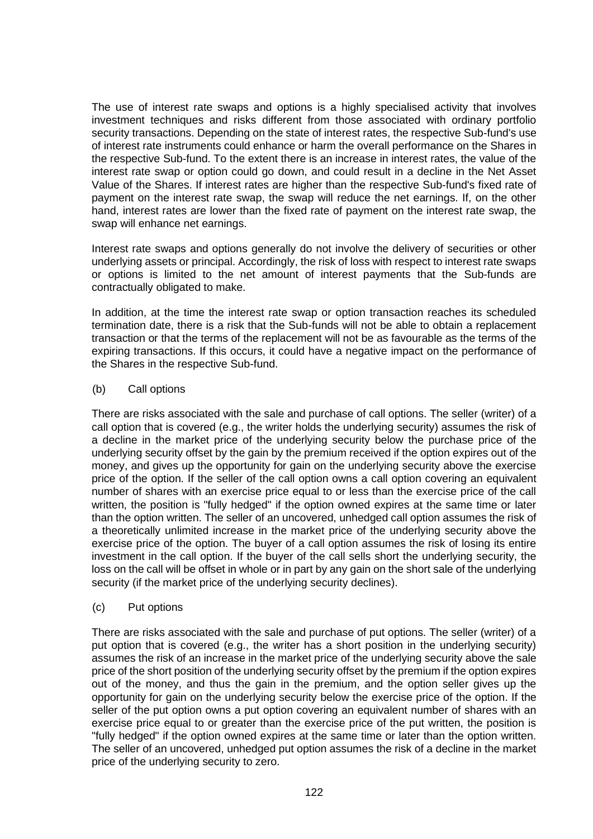The use of interest rate swaps and options is a highly specialised activity that involves investment techniques and risks different from those associated with ordinary portfolio security transactions. Depending on the state of interest rates, the respective Sub-fund's use of interest rate instruments could enhance or harm the overall performance on the Shares in the respective Sub-fund. To the extent there is an increase in interest rates, the value of the interest rate swap or option could go down, and could result in a decline in the Net Asset Value of the Shares. If interest rates are higher than the respective Sub-fund's fixed rate of payment on the interest rate swap, the swap will reduce the net earnings. If, on the other hand, interest rates are lower than the fixed rate of payment on the interest rate swap, the swap will enhance net earnings.

Interest rate swaps and options generally do not involve the delivery of securities or other underlying assets or principal. Accordingly, the risk of loss with respect to interest rate swaps or options is limited to the net amount of interest payments that the Sub-funds are contractually obligated to make.

In addition, at the time the interest rate swap or option transaction reaches its scheduled termination date, there is a risk that the Sub-funds will not be able to obtain a replacement transaction or that the terms of the replacement will not be as favourable as the terms of the expiring transactions. If this occurs, it could have a negative impact on the performance of the Shares in the respective Sub-fund.

# (b) Call options

There are risks associated with the sale and purchase of call options. The seller (writer) of a call option that is covered (e.g., the writer holds the underlying security) assumes the risk of a decline in the market price of the underlying security below the purchase price of the underlying security offset by the gain by the premium received if the option expires out of the money, and gives up the opportunity for gain on the underlying security above the exercise price of the option. If the seller of the call option owns a call option covering an equivalent number of shares with an exercise price equal to or less than the exercise price of the call written, the position is "fully hedged" if the option owned expires at the same time or later than the option written. The seller of an uncovered, unhedged call option assumes the risk of a theoretically unlimited increase in the market price of the underlying security above the exercise price of the option. The buyer of a call option assumes the risk of losing its entire investment in the call option. If the buyer of the call sells short the underlying security, the loss on the call will be offset in whole or in part by any gain on the short sale of the underlying security (if the market price of the underlying security declines).

# (c) Put options

There are risks associated with the sale and purchase of put options. The seller (writer) of a put option that is covered (e.g., the writer has a short position in the underlying security) assumes the risk of an increase in the market price of the underlying security above the sale price of the short position of the underlying security offset by the premium if the option expires out of the money, and thus the gain in the premium, and the option seller gives up the opportunity for gain on the underlying security below the exercise price of the option. If the seller of the put option owns a put option covering an equivalent number of shares with an exercise price equal to or greater than the exercise price of the put written, the position is "fully hedged" if the option owned expires at the same time or later than the option written. The seller of an uncovered, unhedged put option assumes the risk of a decline in the market price of the underlying security to zero.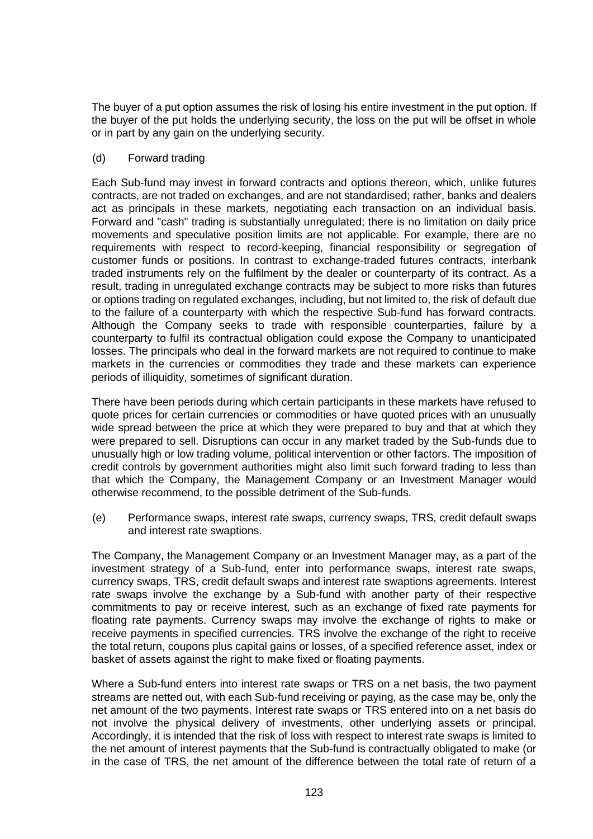The buyer of a put option assumes the risk of losing his entire investment in the put option. If the buyer of the put holds the underlying security, the loss on the put will be offset in whole or in part by any gain on the underlying security.

# (d) Forward trading

Each Sub-fund may invest in forward contracts and options thereon, which, unlike futures contracts, are not traded on exchanges, and are not standardised; rather, banks and dealers act as principals in these markets, negotiating each transaction on an individual basis. Forward and "cash" trading is substantially unregulated; there is no limitation on daily price movements and speculative position limits are not applicable. For example, there are no requirements with respect to record-keeping, financial responsibility or segregation of customer funds or positions. In contrast to exchange-traded futures contracts, interbank traded instruments rely on the fulfilment by the dealer or counterparty of its contract. As a result, trading in unregulated exchange contracts may be subject to more risks than futures or options trading on regulated exchanges, including, but not limited to, the risk of default due to the failure of a counterparty with which the respective Sub-fund has forward contracts. Although the Company seeks to trade with responsible counterparties, failure by a counterparty to fulfil its contractual obligation could expose the Company to unanticipated losses. The principals who deal in the forward markets are not required to continue to make markets in the currencies or commodities they trade and these markets can experience periods of illiquidity, sometimes of significant duration.

There have been periods during which certain participants in these markets have refused to quote prices for certain currencies or commodities or have quoted prices with an unusually wide spread between the price at which they were prepared to buy and that at which they were prepared to sell. Disruptions can occur in any market traded by the Sub-funds due to unusually high or low trading volume, political intervention or other factors. The imposition of credit controls by government authorities might also limit such forward trading to less than that which the Company, the Management Company or an Investment Manager would otherwise recommend, to the possible detriment of the Sub-funds.

(e) Performance swaps, interest rate swaps, currency swaps, TRS, credit default swaps and interest rate swaptions.

The Company, the Management Company or an Investment Manager may, as a part of the investment strategy of a Sub-fund, enter into performance swaps, interest rate swaps, currency swaps, TRS, credit default swaps and interest rate swaptions agreements. Interest rate swaps involve the exchange by a Sub-fund with another party of their respective commitments to pay or receive interest, such as an exchange of fixed rate payments for floating rate payments. Currency swaps may involve the exchange of rights to make or receive payments in specified currencies. TRS involve the exchange of the right to receive the total return, coupons plus capital gains or losses, of a specified reference asset, index or basket of assets against the right to make fixed or floating payments.

Where a Sub-fund enters into interest rate swaps or TRS on a net basis, the two payment streams are netted out, with each Sub-fund receiving or paying, as the case may be, only the net amount of the two payments. Interest rate swaps or TRS entered into on a net basis do not involve the physical delivery of investments, other underlying assets or principal. Accordingly, it is intended that the risk of loss with respect to interest rate swaps is limited to the net amount of interest payments that the Sub-fund is contractually obligated to make (or in the case of TRS, the net amount of the difference between the total rate of return of a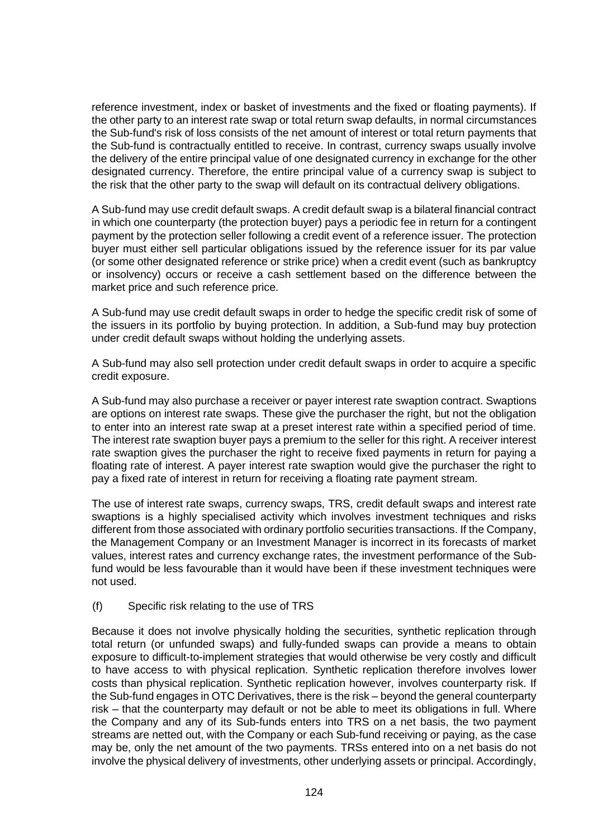reference investment, index or basket of investments and the fixed or floating payments). If the other party to an interest rate swap or total return swap defaults, in normal circumstances the Sub-fund's risk of loss consists of the net amount of interest or total return payments that the Sub-fund is contractually entitled to receive. In contrast, currency swaps usually involve the delivery of the entire principal value of one designated currency in exchange for the other designated currency. Therefore, the entire principal value of a currency swap is subject to the risk that the other party to the swap will default on its contractual delivery obligations.

A Sub-fund may use credit default swaps. A credit default swap is a bilateral financial contract in which one counterparty (the protection buyer) pays a periodic fee in return for a contingent payment by the protection seller following a credit event of a reference issuer. The protection buyer must either sell particular obligations issued by the reference issuer for its par value (or some other designated reference or strike price) when a credit event (such as bankruptcy or insolvency) occurs or receive a cash settlement based on the difference between the market price and such reference price.

A Sub-fund may use credit default swaps in order to hedge the specific credit risk of some of the issuers in its portfolio by buying protection. In addition, a Sub-fund may buy protection under credit default swaps without holding the underlying assets.

A Sub-fund may also sell protection under credit default swaps in order to acquire a specific credit exposure.

A Sub-fund may also purchase a receiver or payer interest rate swaption contract. Swaptions are options on interest rate swaps. These give the purchaser the right, but not the obligation to enter into an interest rate swap at a preset interest rate within a specified period of time. The interest rate swaption buyer pays a premium to the seller for this right. A receiver interest rate swaption gives the purchaser the right to receive fixed payments in return for paying a floating rate of interest. A payer interest rate swaption would give the purchaser the right to pay a fixed rate of interest in return for receiving a floating rate payment stream.

The use of interest rate swaps, currency swaps, TRS, credit default swaps and interest rate swaptions is a highly specialised activity which involves investment techniques and risks different from those associated with ordinary portfolio securities transactions. If the Company, the Management Company or an Investment Manager is incorrect in its forecasts of market values, interest rates and currency exchange rates, the investment performance of the Subfund would be less favourable than it would have been if these investment techniques were not used.

# (f) Specific risk relating to the use of TRS

Because it does not involve physically holding the securities, synthetic replication through total return (or unfunded swaps) and fully-funded swaps can provide a means to obtain exposure to difficult-to-implement strategies that would otherwise be very costly and difficult to have access to with physical replication. Synthetic replication therefore involves lower costs than physical replication. Synthetic replication however, involves counterparty risk. If the Sub-fund engages in OTC Derivatives, there is the risk – beyond the general counterparty risk – that the counterparty may default or not be able to meet its obligations in full. Where the Company and any of its Sub-funds enters into TRS on a net basis, the two payment streams are netted out, with the Company or each Sub-fund receiving or paying, as the case may be, only the net amount of the two payments. TRSs entered into on a net basis do not involve the physical delivery of investments, other underlying assets or principal. Accordingly,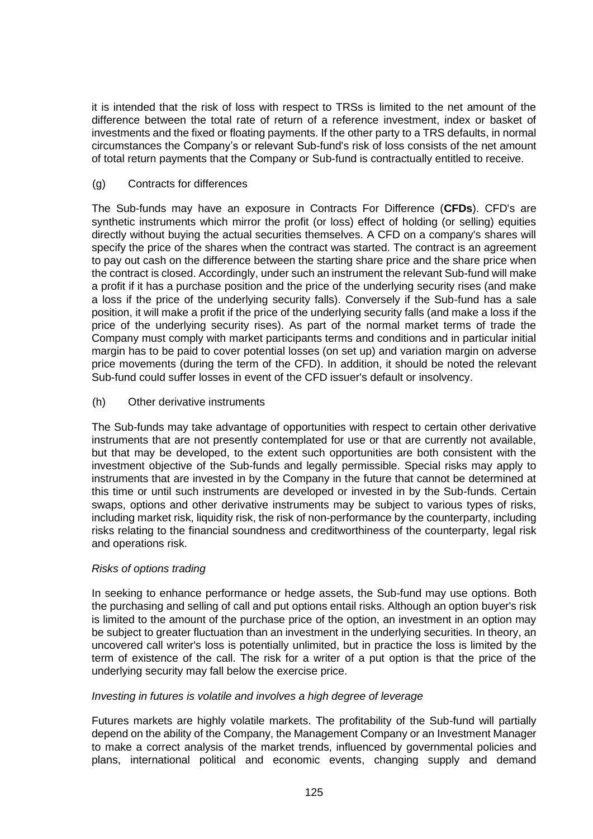it is intended that the risk of loss with respect to TRSs is limited to the net amount of the difference between the total rate of return of a reference investment, index or basket of investments and the fixed or floating payments. If the other party to a TRS defaults, in normal circumstances the Company's or relevant Sub-fund's risk of loss consists of the net amount of total return payments that the Company or Sub-fund is contractually entitled to receive.

# (g) Contracts for differences

The Sub-funds may have an exposure in Contracts For Difference (**CFDs**). CFD's are synthetic instruments which mirror the profit (or loss) effect of holding (or selling) equities directly without buying the actual securities themselves. A CFD on a company's shares will specify the price of the shares when the contract was started. The contract is an agreement to pay out cash on the difference between the starting share price and the share price when the contract is closed. Accordingly, under such an instrument the relevant Sub-fund will make a profit if it has a purchase position and the price of the underlying security rises (and make a loss if the price of the underlying security falls). Conversely if the Sub-fund has a sale position, it will make a profit if the price of the underlying security falls (and make a loss if the price of the underlying security rises). As part of the normal market terms of trade the Company must comply with market participants terms and conditions and in particular initial margin has to be paid to cover potential losses (on set up) and variation margin on adverse price movements (during the term of the CFD). In addition, it should be noted the relevant Sub-fund could suffer losses in event of the CFD issuer's default or insolvency.

(h) Other derivative instruments

The Sub-funds may take advantage of opportunities with respect to certain other derivative instruments that are not presently contemplated for use or that are currently not available, but that may be developed, to the extent such opportunities are both consistent with the investment objective of the Sub-funds and legally permissible. Special risks may apply to instruments that are invested in by the Company in the future that cannot be determined at this time or until such instruments are developed or invested in by the Sub-funds. Certain swaps, options and other derivative instruments may be subject to various types of risks, including market risk, liquidity risk, the risk of non-performance by the counterparty, including risks relating to the financial soundness and creditworthiness of the counterparty, legal risk and operations risk.

# *Risks of options trading*

In seeking to enhance performance or hedge assets, the Sub-fund may use options. Both the purchasing and selling of call and put options entail risks. Although an option buyer's risk is limited to the amount of the purchase price of the option, an investment in an option may be subject to greater fluctuation than an investment in the underlying securities. In theory, an uncovered call writer's loss is potentially unlimited, but in practice the loss is limited by the term of existence of the call. The risk for a writer of a put option is that the price of the underlying security may fall below the exercise price.

# *Investing in futures is volatile and involves a high degree of leverage*

Futures markets are highly volatile markets. The profitability of the Sub-fund will partially depend on the ability of the Company, the Management Company or an Investment Manager to make a correct analysis of the market trends, influenced by governmental policies and plans, international political and economic events, changing supply and demand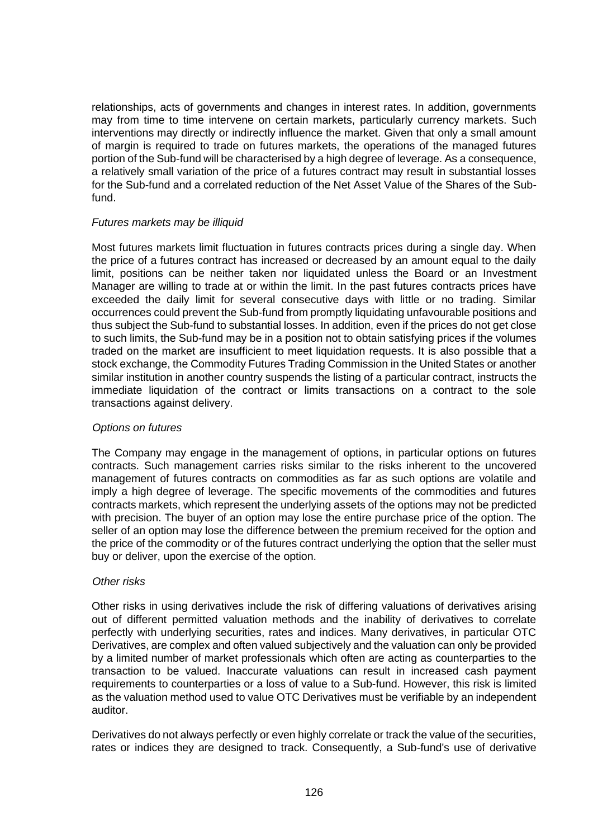relationships, acts of governments and changes in interest rates. In addition, governments may from time to time intervene on certain markets, particularly currency markets. Such interventions may directly or indirectly influence the market. Given that only a small amount of margin is required to trade on futures markets, the operations of the managed futures portion of the Sub-fund will be characterised by a high degree of leverage. As a consequence, a relatively small variation of the price of a futures contract may result in substantial losses for the Sub-fund and a correlated reduction of the Net Asset Value of the Shares of the Subfund.

### *Futures markets may be illiquid*

Most futures markets limit fluctuation in futures contracts prices during a single day. When the price of a futures contract has increased or decreased by an amount equal to the daily limit, positions can be neither taken nor liquidated unless the Board or an Investment Manager are willing to trade at or within the limit. In the past futures contracts prices have exceeded the daily limit for several consecutive days with little or no trading. Similar occurrences could prevent the Sub-fund from promptly liquidating unfavourable positions and thus subject the Sub-fund to substantial losses. In addition, even if the prices do not get close to such limits, the Sub-fund may be in a position not to obtain satisfying prices if the volumes traded on the market are insufficient to meet liquidation requests. It is also possible that a stock exchange, the Commodity Futures Trading Commission in the United States or another similar institution in another country suspends the listing of a particular contract, instructs the immediate liquidation of the contract or limits transactions on a contract to the sole transactions against delivery.

#### *Options on futures*

The Company may engage in the management of options, in particular options on futures contracts. Such management carries risks similar to the risks inherent to the uncovered management of futures contracts on commodities as far as such options are volatile and imply a high degree of leverage. The specific movements of the commodities and futures contracts markets, which represent the underlying assets of the options may not be predicted with precision. The buyer of an option may lose the entire purchase price of the option. The seller of an option may lose the difference between the premium received for the option and the price of the commodity or of the futures contract underlying the option that the seller must buy or deliver, upon the exercise of the option.

#### *Other risks*

Other risks in using derivatives include the risk of differing valuations of derivatives arising out of different permitted valuation methods and the inability of derivatives to correlate perfectly with underlying securities, rates and indices. Many derivatives, in particular OTC Derivatives, are complex and often valued subjectively and the valuation can only be provided by a limited number of market professionals which often are acting as counterparties to the transaction to be valued. Inaccurate valuations can result in increased cash payment requirements to counterparties or a loss of value to a Sub-fund. However, this risk is limited as the valuation method used to value OTC Derivatives must be verifiable by an independent auditor.

Derivatives do not always perfectly or even highly correlate or track the value of the securities, rates or indices they are designed to track. Consequently, a Sub-fund's use of derivative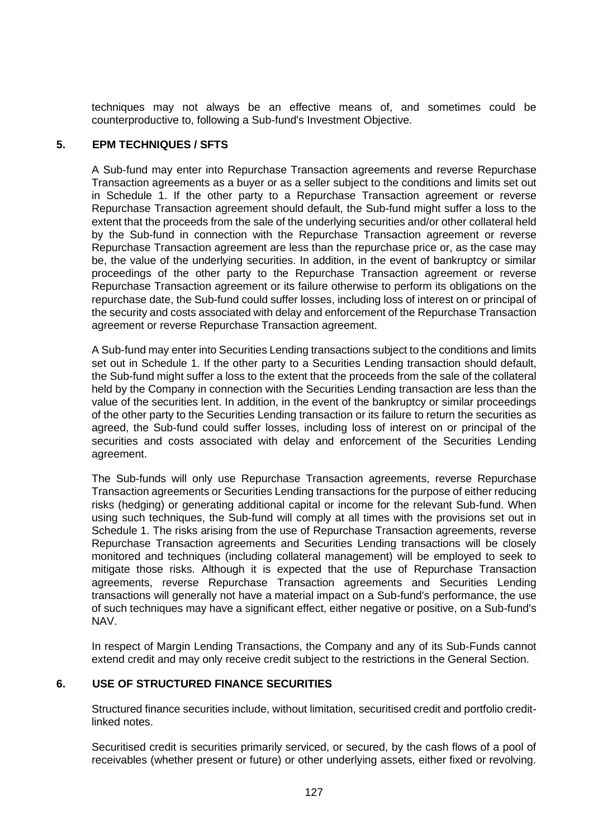techniques may not always be an effective means of, and sometimes could be counterproductive to, following a Sub-fund's Investment Objective.

# **5. EPM TECHNIQUES / SFTS**

A Sub-fund may enter into Repurchase Transaction agreements and reverse Repurchase Transaction agreements as a buyer or as a seller subject to the conditions and limits set out in [Schedule 1.](#page-100-0) If the other party to a Repurchase Transaction agreement or reverse Repurchase Transaction agreement should default, the Sub-fund might suffer a loss to the extent that the proceeds from the sale of the underlying securities and/or other collateral held by the Sub-fund in connection with the Repurchase Transaction agreement or reverse Repurchase Transaction agreement are less than the repurchase price or, as the case may be, the value of the underlying securities. In addition, in the event of bankruptcy or similar proceedings of the other party to the Repurchase Transaction agreement or reverse Repurchase Transaction agreement or its failure otherwise to perform its obligations on the repurchase date, the Sub-fund could suffer losses, including loss of interest on or principal of the security and costs associated with delay and enforcement of the Repurchase Transaction agreement or reverse Repurchase Transaction agreement.

A Sub-fund may enter into Securities Lending transactions subject to the conditions and limits set out in [Schedule 1.](#page-100-0) If the other party to a Securities Lending transaction should default, the Sub-fund might suffer a loss to the extent that the proceeds from the sale of the collateral held by the Company in connection with the Securities Lending transaction are less than the value of the securities lent. In addition, in the event of the bankruptcy or similar proceedings of the other party to the Securities Lending transaction or its failure to return the securities as agreed, the Sub-fund could suffer losses, including loss of interest on or principal of the securities and costs associated with delay and enforcement of the Securities Lending agreement.

The Sub-funds will only use Repurchase Transaction agreements, reverse Repurchase Transaction agreements or Securities Lending transactions for the purpose of either reducing risks (hedging) or generating additional capital or income for the relevant Sub-fund. When using such techniques, the Sub-fund will comply at all times with the provisions set out in [Schedule 1.](#page-100-0) The risks arising from the use of Repurchase Transaction agreements, reverse Repurchase Transaction agreements and Securities Lending transactions will be closely monitored and techniques (including collateral management) will be employed to seek to mitigate those risks. Although it is expected that the use of Repurchase Transaction agreements, reverse Repurchase Transaction agreements and Securities Lending transactions will generally not have a material impact on a Sub-fund's performance, the use of such techniques may have a significant effect, either negative or positive, on a Sub-fund's NAV.

In respect of Margin Lending Transactions, the Company and any of its Sub-Funds cannot extend credit and may only receive credit subject to the restrictions in the General Section.

# **6. USE OF STRUCTURED FINANCE SECURITIES**

Structured finance securities include, without limitation, securitised credit and portfolio creditlinked notes.

Securitised credit is securities primarily serviced, or secured, by the cash flows of a pool of receivables (whether present or future) or other underlying assets, either fixed or revolving.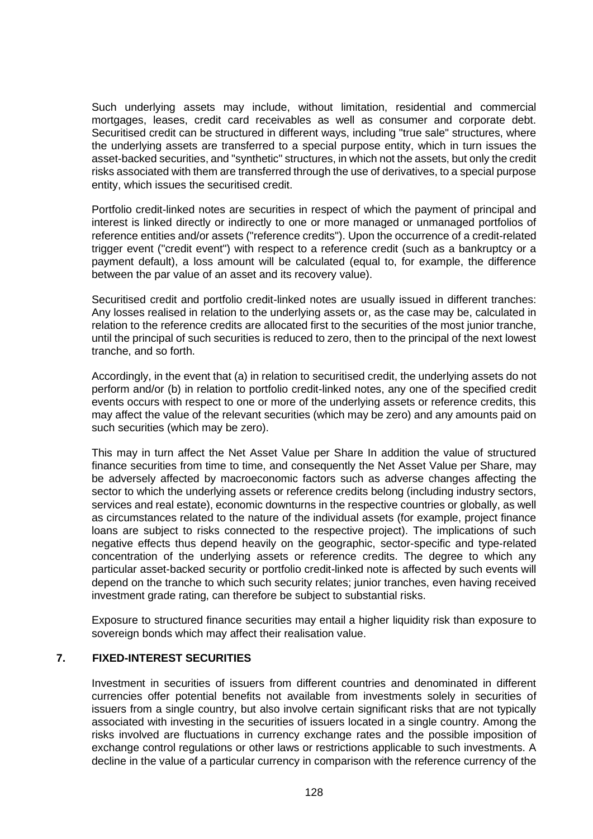Such underlying assets may include, without limitation, residential and commercial mortgages, leases, credit card receivables as well as consumer and corporate debt. Securitised credit can be structured in different ways, including "true sale" structures, where the underlying assets are transferred to a special purpose entity, which in turn issues the asset-backed securities, and "synthetic" structures, in which not the assets, but only the credit risks associated with them are transferred through the use of derivatives, to a special purpose entity, which issues the securitised credit.

Portfolio credit-linked notes are securities in respect of which the payment of principal and interest is linked directly or indirectly to one or more managed or unmanaged portfolios of reference entities and/or assets ("reference credits"). Upon the occurrence of a credit-related trigger event ("credit event") with respect to a reference credit (such as a bankruptcy or a payment default), a loss amount will be calculated (equal to, for example, the difference between the par value of an asset and its recovery value).

Securitised credit and portfolio credit-linked notes are usually issued in different tranches: Any losses realised in relation to the underlying assets or, as the case may be, calculated in relation to the reference credits are allocated first to the securities of the most junior tranche, until the principal of such securities is reduced to zero, then to the principal of the next lowest tranche, and so forth.

Accordingly, in the event that (a) in relation to securitised credit, the underlying assets do not perform and/or (b) in relation to portfolio credit-linked notes, any one of the specified credit events occurs with respect to one or more of the underlying assets or reference credits, this may affect the value of the relevant securities (which may be zero) and any amounts paid on such securities (which may be zero).

This may in turn affect the Net Asset Value per Share In addition the value of structured finance securities from time to time, and consequently the Net Asset Value per Share, may be adversely affected by macroeconomic factors such as adverse changes affecting the sector to which the underlying assets or reference credits belong (including industry sectors, services and real estate), economic downturns in the respective countries or globally, as well as circumstances related to the nature of the individual assets (for example, project finance loans are subject to risks connected to the respective project). The implications of such negative effects thus depend heavily on the geographic, sector-specific and type-related concentration of the underlying assets or reference credits. The degree to which any particular asset-backed security or portfolio credit-linked note is affected by such events will depend on the tranche to which such security relates; junior tranches, even having received investment grade rating, can therefore be subject to substantial risks.

Exposure to structured finance securities may entail a higher liquidity risk than exposure to sovereign bonds which may affect their realisation value.

# **7. FIXED-INTEREST SECURITIES**

Investment in securities of issuers from different countries and denominated in different currencies offer potential benefits not available from investments solely in securities of issuers from a single country, but also involve certain significant risks that are not typically associated with investing in the securities of issuers located in a single country. Among the risks involved are fluctuations in currency exchange rates and the possible imposition of exchange control regulations or other laws or restrictions applicable to such investments. A decline in the value of a particular currency in comparison with the reference currency of the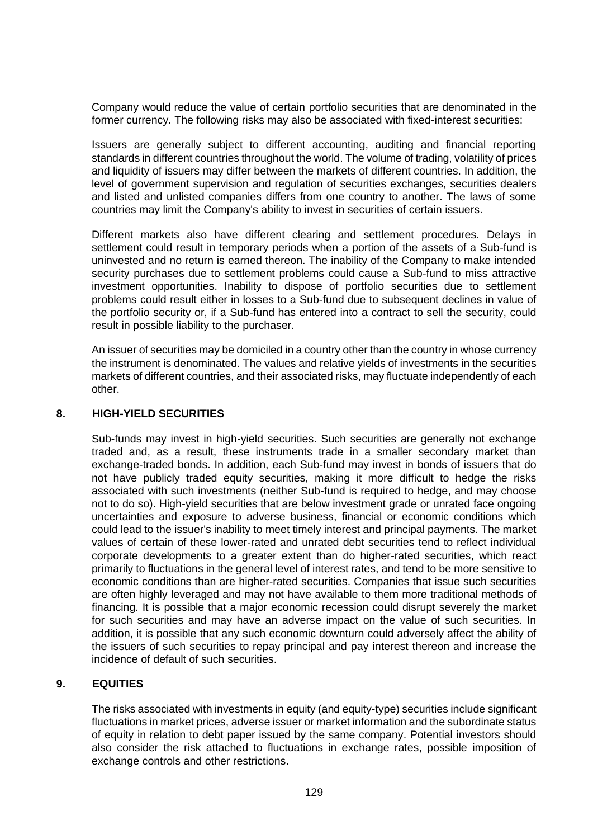Company would reduce the value of certain portfolio securities that are denominated in the former currency. The following risks may also be associated with fixed-interest securities:

Issuers are generally subject to different accounting, auditing and financial reporting standards in different countries throughout the world. The volume of trading, volatility of prices and liquidity of issuers may differ between the markets of different countries. In addition, the level of government supervision and regulation of securities exchanges, securities dealers and listed and unlisted companies differs from one country to another. The laws of some countries may limit the Company's ability to invest in securities of certain issuers.

Different markets also have different clearing and settlement procedures. Delays in settlement could result in temporary periods when a portion of the assets of a Sub-fund is uninvested and no return is earned thereon. The inability of the Company to make intended security purchases due to settlement problems could cause a Sub-fund to miss attractive investment opportunities. Inability to dispose of portfolio securities due to settlement problems could result either in losses to a Sub-fund due to subsequent declines in value of the portfolio security or, if a Sub-fund has entered into a contract to sell the security, could result in possible liability to the purchaser.

An issuer of securities may be domiciled in a country other than the country in whose currency the instrument is denominated. The values and relative yields of investments in the securities markets of different countries, and their associated risks, may fluctuate independently of each other.

### **8. HIGH-YIELD SECURITIES**

Sub-funds may invest in high-yield securities. Such securities are generally not exchange traded and, as a result, these instruments trade in a smaller secondary market than exchange-traded bonds. In addition, each Sub-fund may invest in bonds of issuers that do not have publicly traded equity securities, making it more difficult to hedge the risks associated with such investments (neither Sub-fund is required to hedge, and may choose not to do so). High-yield securities that are below investment grade or unrated face ongoing uncertainties and exposure to adverse business, financial or economic conditions which could lead to the issuer's inability to meet timely interest and principal payments. The market values of certain of these lower-rated and unrated debt securities tend to reflect individual corporate developments to a greater extent than do higher-rated securities, which react primarily to fluctuations in the general level of interest rates, and tend to be more sensitive to economic conditions than are higher-rated securities. Companies that issue such securities are often highly leveraged and may not have available to them more traditional methods of financing. It is possible that a major economic recession could disrupt severely the market for such securities and may have an adverse impact on the value of such securities. In addition, it is possible that any such economic downturn could adversely affect the ability of the issuers of such securities to repay principal and pay interest thereon and increase the incidence of default of such securities.

# **9. EQUITIES**

The risks associated with investments in equity (and equity-type) securities include significant fluctuations in market prices, adverse issuer or market information and the subordinate status of equity in relation to debt paper issued by the same company. Potential investors should also consider the risk attached to fluctuations in exchange rates, possible imposition of exchange controls and other restrictions.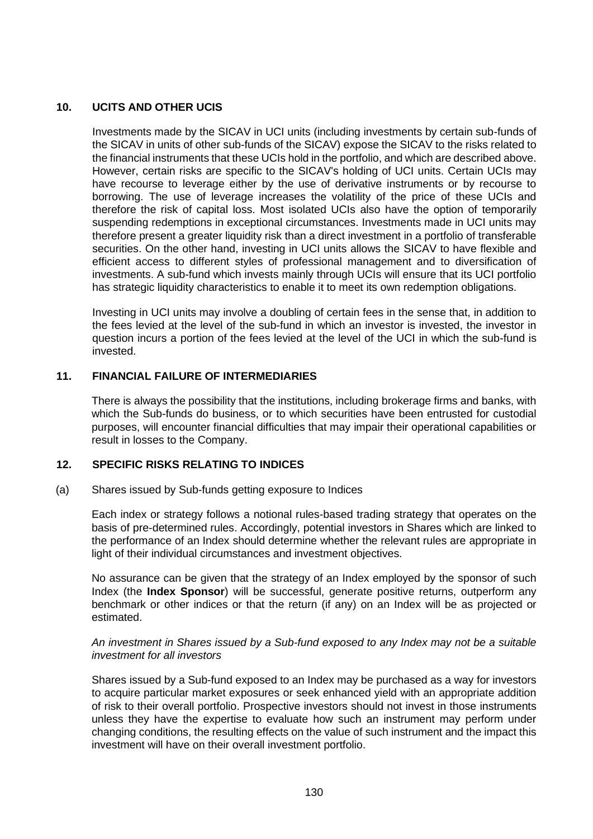# **10. UCITS AND OTHER UCIS**

Investments made by the SICAV in UCI units (including investments by certain sub-funds of the SICAV in units of other sub-funds of the SICAV) expose the SICAV to the risks related to the financial instruments that these UCIs hold in the portfolio, and which are described above. However, certain risks are specific to the SICAV's holding of UCI units. Certain UCIs may have recourse to leverage either by the use of derivative instruments or by recourse to borrowing. The use of leverage increases the volatility of the price of these UCIs and therefore the risk of capital loss. Most isolated UCIs also have the option of temporarily suspending redemptions in exceptional circumstances. Investments made in UCI units may therefore present a greater liquidity risk than a direct investment in a portfolio of transferable securities. On the other hand, investing in UCI units allows the SICAV to have flexible and efficient access to different styles of professional management and to diversification of investments. A sub-fund which invests mainly through UCIs will ensure that its UCI portfolio has strategic liquidity characteristics to enable it to meet its own redemption obligations.

Investing in UCI units may involve a doubling of certain fees in the sense that, in addition to the fees levied at the level of the sub-fund in which an investor is invested, the investor in question incurs a portion of the fees levied at the level of the UCI in which the sub-fund is invested.

# **11. FINANCIAL FAILURE OF INTERMEDIARIES**

There is always the possibility that the institutions, including brokerage firms and banks, with which the Sub-funds do business, or to which securities have been entrusted for custodial purposes, will encounter financial difficulties that may impair their operational capabilities or result in losses to the Company.

# **12. SPECIFIC RISKS RELATING TO INDICES**

#### (a) Shares issued by Sub-funds getting exposure to Indices

Each index or strategy follows a notional rules-based trading strategy that operates on the basis of pre-determined rules. Accordingly, potential investors in Shares which are linked to the performance of an Index should determine whether the relevant rules are appropriate in light of their individual circumstances and investment objectives.

No assurance can be given that the strategy of an Index employed by the sponsor of such Index (the **Index Sponsor**) will be successful, generate positive returns, outperform any benchmark or other indices or that the return (if any) on an Index will be as projected or estimated.

### *An investment in Shares issued by a Sub-fund exposed to any Index may not be a suitable investment for all investors*

Shares issued by a Sub-fund exposed to an Index may be purchased as a way for investors to acquire particular market exposures or seek enhanced yield with an appropriate addition of risk to their overall portfolio. Prospective investors should not invest in those instruments unless they have the expertise to evaluate how such an instrument may perform under changing conditions, the resulting effects on the value of such instrument and the impact this investment will have on their overall investment portfolio.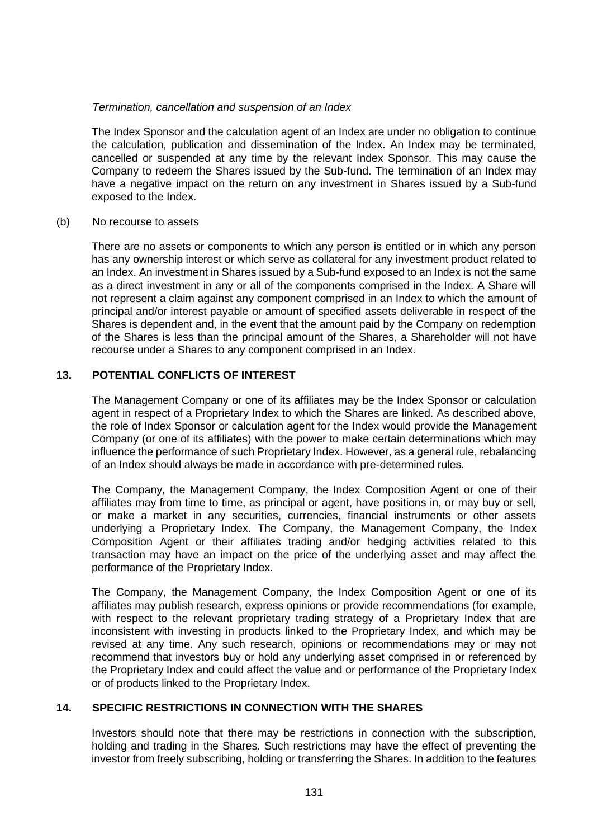### *Termination, cancellation and suspension of an Index*

The Index Sponsor and the calculation agent of an Index are under no obligation to continue the calculation, publication and dissemination of the Index. An Index may be terminated, cancelled or suspended at any time by the relevant Index Sponsor. This may cause the Company to redeem the Shares issued by the Sub-fund. The termination of an Index may have a negative impact on the return on any investment in Shares issued by a Sub-fund exposed to the Index.

#### (b) No recourse to assets

There are no assets or components to which any person is entitled or in which any person has any ownership interest or which serve as collateral for any investment product related to an Index. An investment in Shares issued by a Sub-fund exposed to an Index is not the same as a direct investment in any or all of the components comprised in the Index. A Share will not represent a claim against any component comprised in an Index to which the amount of principal and/or interest payable or amount of specified assets deliverable in respect of the Shares is dependent and, in the event that the amount paid by the Company on redemption of the Shares is less than the principal amount of the Shares, a Shareholder will not have recourse under a Shares to any component comprised in an Index.

# **13. POTENTIAL CONFLICTS OF INTEREST**

The Management Company or one of its affiliates may be the Index Sponsor or calculation agent in respect of a Proprietary Index to which the Shares are linked. As described above, the role of Index Sponsor or calculation agent for the Index would provide the Management Company (or one of its affiliates) with the power to make certain determinations which may influence the performance of such Proprietary Index. However, as a general rule, rebalancing of an Index should always be made in accordance with pre-determined rules.

The Company, the Management Company, the Index Composition Agent or one of their affiliates may from time to time, as principal or agent, have positions in, or may buy or sell, or make a market in any securities, currencies, financial instruments or other assets underlying a Proprietary Index. The Company, the Management Company, the Index Composition Agent or their affiliates trading and/or hedging activities related to this transaction may have an impact on the price of the underlying asset and may affect the performance of the Proprietary Index.

The Company, the Management Company, the Index Composition Agent or one of its affiliates may publish research, express opinions or provide recommendations (for example, with respect to the relevant proprietary trading strategy of a Proprietary Index that are inconsistent with investing in products linked to the Proprietary Index, and which may be revised at any time. Any such research, opinions or recommendations may or may not recommend that investors buy or hold any underlying asset comprised in or referenced by the Proprietary Index and could affect the value and or performance of the Proprietary Index or of products linked to the Proprietary Index.

# **14. SPECIFIC RESTRICTIONS IN CONNECTION WITH THE SHARES**

Investors should note that there may be restrictions in connection with the subscription, holding and trading in the Shares. Such restrictions may have the effect of preventing the investor from freely subscribing, holding or transferring the Shares. In addition to the features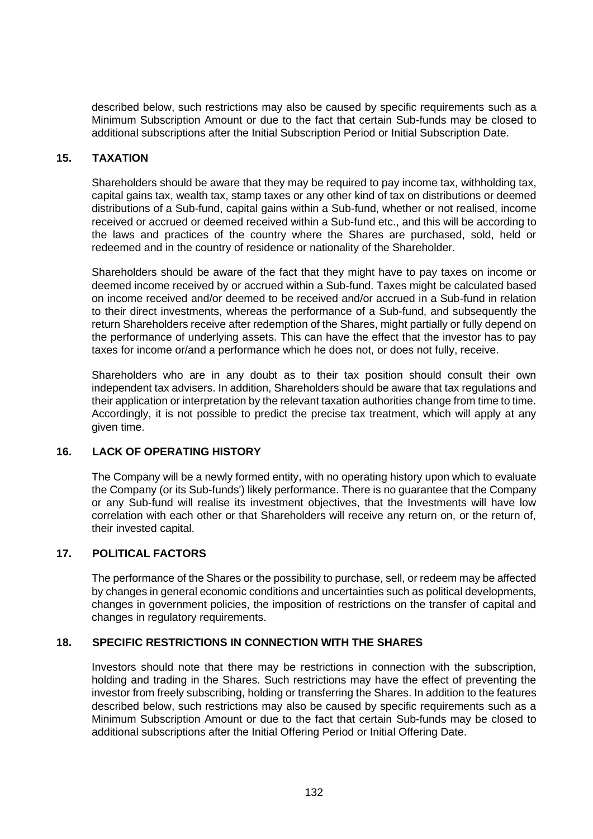described below, such restrictions may also be caused by specific requirements such as a Minimum Subscription Amount or due to the fact that certain Sub-funds may be closed to additional subscriptions after the Initial Subscription Period or Initial Subscription Date.

# **15. TAXATION**

Shareholders should be aware that they may be required to pay income tax, withholding tax, capital gains tax, wealth tax, stamp taxes or any other kind of tax on distributions or deemed distributions of a Sub-fund, capital gains within a Sub-fund, whether or not realised, income received or accrued or deemed received within a Sub-fund etc., and this will be according to the laws and practices of the country where the Shares are purchased, sold, held or redeemed and in the country of residence or nationality of the Shareholder.

Shareholders should be aware of the fact that they might have to pay taxes on income or deemed income received by or accrued within a Sub-fund. Taxes might be calculated based on income received and/or deemed to be received and/or accrued in a Sub-fund in relation to their direct investments, whereas the performance of a Sub-fund, and subsequently the return Shareholders receive after redemption of the Shares, might partially or fully depend on the performance of underlying assets. This can have the effect that the investor has to pay taxes for income or/and a performance which he does not, or does not fully, receive.

Shareholders who are in any doubt as to their tax position should consult their own independent tax advisers. In addition, Shareholders should be aware that tax regulations and their application or interpretation by the relevant taxation authorities change from time to time. Accordingly, it is not possible to predict the precise tax treatment, which will apply at any given time.

# **16. LACK OF OPERATING HISTORY**

The Company will be a newly formed entity, with no operating history upon which to evaluate the Company (or its Sub-funds') likely performance. There is no guarantee that the Company or any Sub-fund will realise its investment objectives, that the Investments will have low correlation with each other or that Shareholders will receive any return on, or the return of, their invested capital.

# **17. POLITICAL FACTORS**

The performance of the Shares or the possibility to purchase, sell, or redeem may be affected by changes in general economic conditions and uncertainties such as political developments, changes in government policies, the imposition of restrictions on the transfer of capital and changes in regulatory requirements.

# **18. SPECIFIC RESTRICTIONS IN CONNECTION WITH THE SHARES**

Investors should note that there may be restrictions in connection with the subscription, holding and trading in the Shares. Such restrictions may have the effect of preventing the investor from freely subscribing, holding or transferring the Shares. In addition to the features described below, such restrictions may also be caused by specific requirements such as a Minimum Subscription Amount or due to the fact that certain Sub-funds may be closed to additional subscriptions after the Initial Offering Period or Initial Offering Date.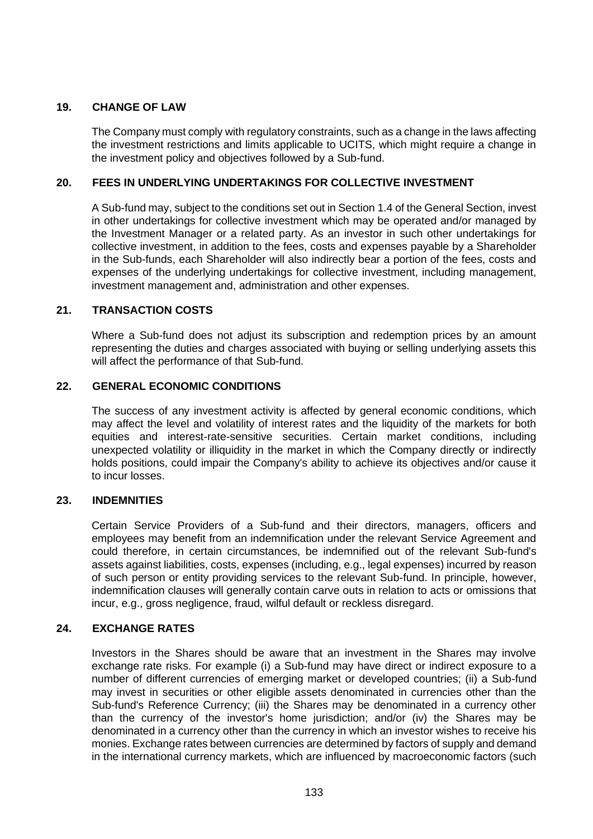# **19. CHANGE OF LAW**

The Company must comply with regulatory constraints, such as a change in the laws affecting the investment restrictions and limits applicable to UCITS, which might require a change in the investment policy and objectives followed by a Sub-fund.

# **20. FEES IN UNDERLYING UNDERTAKINGS FOR COLLECTIVE INVESTMENT**

A Sub-fund may, subject to the conditions set out in Section [1.4](#page-104-0) of the General Section, invest in other undertakings for collective investment which may be operated and/or managed by the Investment Manager or a related party. As an investor in such other undertakings for collective investment, in addition to the fees, costs and expenses payable by a Shareholder in the Sub-funds, each Shareholder will also indirectly bear a portion of the fees, costs and expenses of the underlying undertakings for collective investment, including management, investment management and, administration and other expenses.

# **21. TRANSACTION COSTS**

Where a Sub-fund does not adjust its subscription and redemption prices by an amount representing the duties and charges associated with buying or selling underlying assets this will affect the performance of that Sub-fund.

# **22. GENERAL ECONOMIC CONDITIONS**

The success of any investment activity is affected by general economic conditions, which may affect the level and volatility of interest rates and the liquidity of the markets for both equities and interest-rate-sensitive securities. Certain market conditions, including unexpected volatility or illiquidity in the market in which the Company directly or indirectly holds positions, could impair the Company's ability to achieve its objectives and/or cause it to incur losses.

# **23. INDEMNITIES**

Certain Service Providers of a Sub-fund and their directors, managers, officers and employees may benefit from an indemnification under the relevant Service Agreement and could therefore, in certain circumstances, be indemnified out of the relevant Sub-fund's assets against liabilities, costs, expenses (including, e.g., legal expenses) incurred by reason of such person or entity providing services to the relevant Sub-fund. In principle, however, indemnification clauses will generally contain carve outs in relation to acts or omissions that incur, e.g., gross negligence, fraud, wilful default or reckless disregard.

# **24. EXCHANGE RATES**

Investors in the Shares should be aware that an investment in the Shares may involve exchange rate risks. For example (i) a Sub-fund may have direct or indirect exposure to a number of different currencies of emerging market or developed countries; (ii) a Sub-fund may invest in securities or other eligible assets denominated in currencies other than the Sub-fund's Reference Currency; (iii) the Shares may be denominated in a currency other than the currency of the investor's home jurisdiction; and/or (iv) the Shares may be denominated in a currency other than the currency in which an investor wishes to receive his monies. Exchange rates between currencies are determined by factors of supply and demand in the international currency markets, which are influenced by macroeconomic factors (such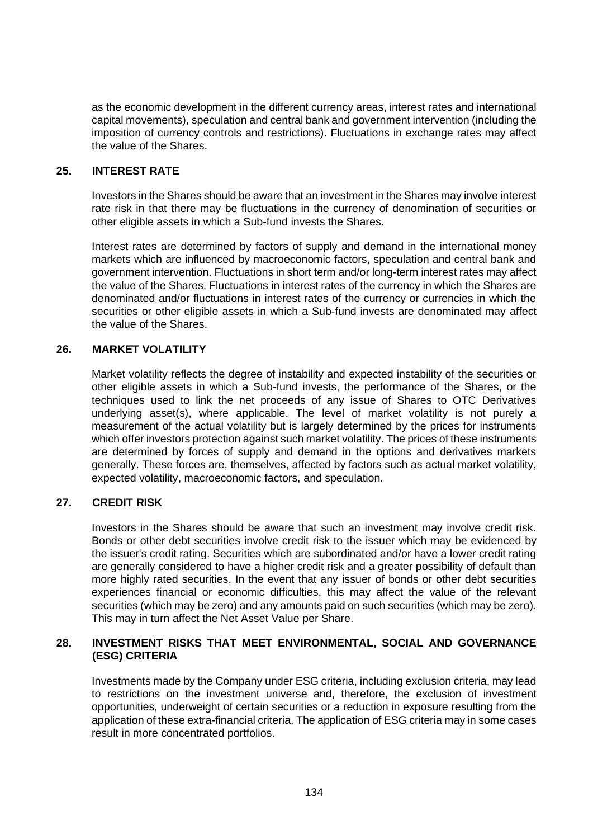as the economic development in the different currency areas, interest rates and international capital movements), speculation and central bank and government intervention (including the imposition of currency controls and restrictions). Fluctuations in exchange rates may affect the value of the Shares.

# **25. INTEREST RATE**

Investors in the Shares should be aware that an investment in the Shares may involve interest rate risk in that there may be fluctuations in the currency of denomination of securities or other eligible assets in which a Sub-fund invests the Shares.

Interest rates are determined by factors of supply and demand in the international money markets which are influenced by macroeconomic factors, speculation and central bank and government intervention. Fluctuations in short term and/or long-term interest rates may affect the value of the Shares. Fluctuations in interest rates of the currency in which the Shares are denominated and/or fluctuations in interest rates of the currency or currencies in which the securities or other eligible assets in which a Sub-fund invests are denominated may affect the value of the Shares.

# **26. MARKET VOLATILITY**

Market volatility reflects the degree of instability and expected instability of the securities or other eligible assets in which a Sub-fund invests, the performance of the Shares, or the techniques used to link the net proceeds of any issue of Shares to OTC Derivatives underlying asset(s), where applicable. The level of market volatility is not purely a measurement of the actual volatility but is largely determined by the prices for instruments which offer investors protection against such market volatility. The prices of these instruments are determined by forces of supply and demand in the options and derivatives markets generally. These forces are, themselves, affected by factors such as actual market volatility, expected volatility, macroeconomic factors, and speculation.

# **27. CREDIT RISK**

Investors in the Shares should be aware that such an investment may involve credit risk. Bonds or other debt securities involve credit risk to the issuer which may be evidenced by the issuer's credit rating. Securities which are subordinated and/or have a lower credit rating are generally considered to have a higher credit risk and a greater possibility of default than more highly rated securities. In the event that any issuer of bonds or other debt securities experiences financial or economic difficulties, this may affect the value of the relevant securities (which may be zero) and any amounts paid on such securities (which may be zero). This may in turn affect the Net Asset Value per Share.

### **28. INVESTMENT RISKS THAT MEET ENVIRONMENTAL, SOCIAL AND GOVERNANCE (ESG) CRITERIA**

Investments made by the Company under ESG criteria, including exclusion criteria, may lead to restrictions on the investment universe and, therefore, the exclusion of investment opportunities, underweight of certain securities or a reduction in exposure resulting from the application of these extra-financial criteria. The application of ESG criteria may in some cases result in more concentrated portfolios.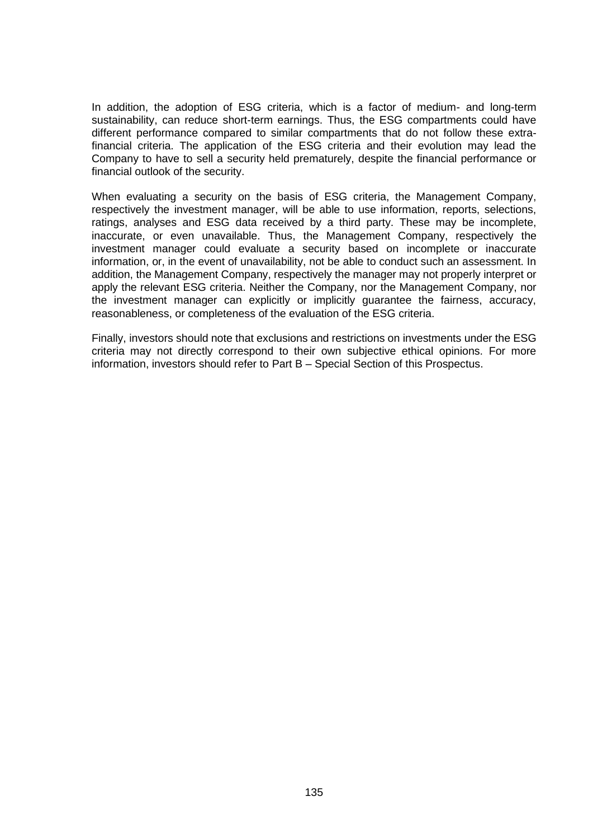In addition, the adoption of ESG criteria, which is a factor of medium- and long-term sustainability, can reduce short-term earnings. Thus, the ESG compartments could have different performance compared to similar compartments that do not follow these extrafinancial criteria. The application of the ESG criteria and their evolution may lead the Company to have to sell a security held prematurely, despite the financial performance or financial outlook of the security.

When evaluating a security on the basis of ESG criteria, the Management Company, respectively the investment manager, will be able to use information, reports, selections, ratings, analyses and ESG data received by a third party. These may be incomplete, inaccurate, or even unavailable. Thus, the Management Company, respectively the investment manager could evaluate a security based on incomplete or inaccurate information, or, in the event of unavailability, not be able to conduct such an assessment. In addition, the Management Company, respectively the manager may not properly interpret or apply the relevant ESG criteria. Neither the Company, nor the Management Company, nor the investment manager can explicitly or implicitly guarantee the fairness, accuracy, reasonableness, or completeness of the evaluation of the ESG criteria.

Finally, investors should note that exclusions and restrictions on investments under the ESG criteria may not directly correspond to their own subjective ethical opinions. For more information, investors should refer to Part B – Special Section of this Prospectus.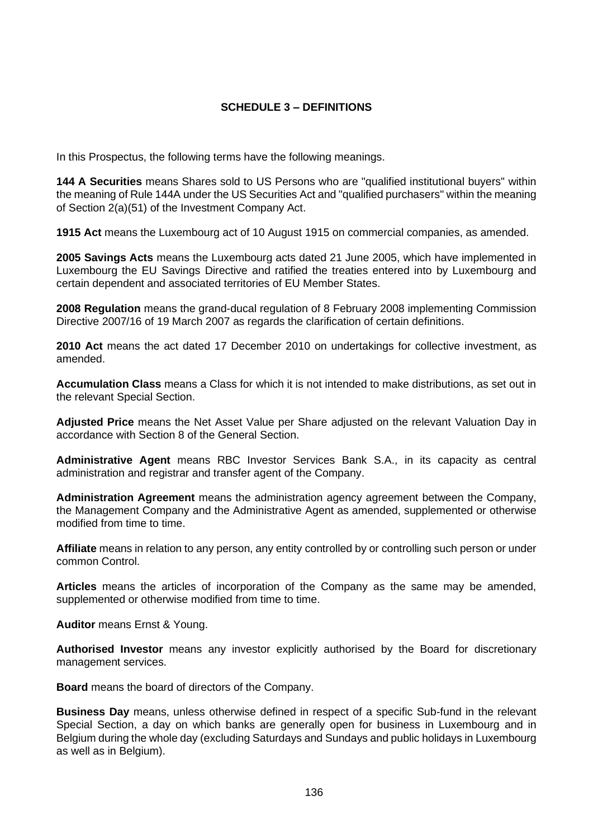# **SCHEDULE 3 – DEFINITIONS**

In this Prospectus, the following terms have the following meanings.

**144 A Securities** means Shares sold to US Persons who are "qualified institutional buyers" within the meaning of Rule 144A under the US Securities Act and "qualified purchasers" within the meaning of Section 2(a)(51) of the Investment Company Act.

**1915 Act** means the Luxembourg act of 10 August 1915 on commercial companies, as amended.

**2005 Savings Acts** means the Luxembourg acts dated 21 June 2005, which have implemented in Luxembourg the EU Savings Directive and ratified the treaties entered into by Luxembourg and certain dependent and associated territories of EU Member States.

**2008 Regulation** means the grand-ducal regulation of 8 February 2008 implementing Commission Directive 2007/16 of 19 March 2007 as regards the clarification of certain definitions.

**2010 Act** means the act dated 17 December 2010 on undertakings for collective investment, as amended.

**Accumulation Class** means a Class for which it is not intended to make distributions, as set out in the relevant Special Section.

**Adjusted Price** means the Net Asset Value per Share adjusted on the relevant Valuation Day in accordance with Section [8](#page-38-0) of the General Section.

**Administrative Agent** means RBC Investor Services Bank S.A., in its capacity as central administration and registrar and transfer agent of the Company.

**Administration Agreement** means the administration agency agreement between the Company, the Management Company and the Administrative Agent as amended, supplemented or otherwise modified from time to time.

**Affiliate** means in relation to any person, any entity controlled by or controlling such person or under common Control.

**Articles** means the articles of incorporation of the Company as the same may be amended, supplemented or otherwise modified from time to time.

**Auditor** means Ernst & Young.

**Authorised Investor** means any investor explicitly authorised by the Board for discretionary management services.

**Board** means the board of directors of the Company.

**Business Day** means, unless otherwise defined in respect of a specific Sub-fund in the relevant Special Section, a day on which banks are generally open for business in Luxembourg and in Belgium during the whole day (excluding Saturdays and Sundays and public holidays in Luxembourg as well as in Belgium).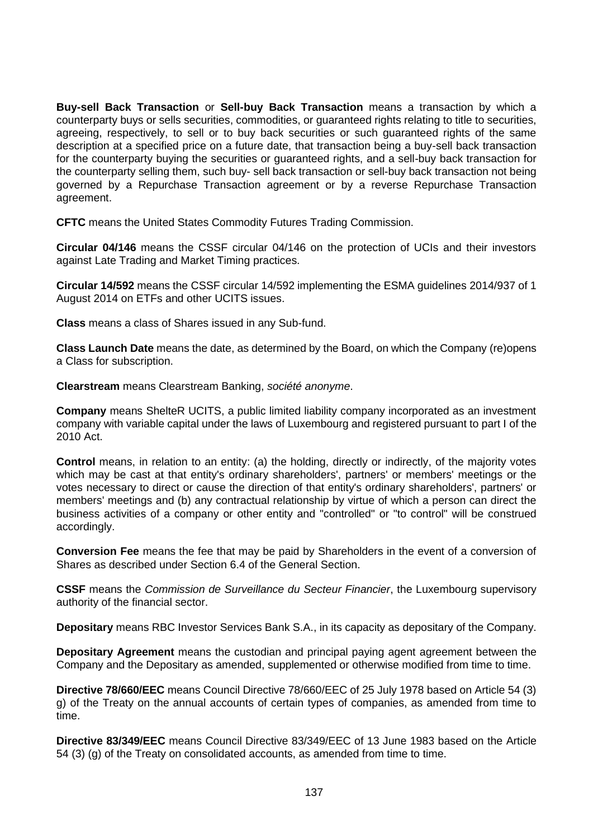**Buy-sell Back Transaction** or **Sell-buy Back Transaction** means a transaction by which a counterparty buys or sells securities, commodities, or guaranteed rights relating to title to securities, agreeing, respectively, to sell or to buy back securities or such guaranteed rights of the same description at a specified price on a future date, that transaction being a buy-sell back transaction for the counterparty buying the securities or guaranteed rights, and a sell-buy back transaction for the counterparty selling them, such buy- sell back transaction or sell-buy back transaction not being governed by a Repurchase Transaction agreement or by a reverse Repurchase Transaction agreement.

**CFTC** means the United States Commodity Futures Trading Commission.

**Circular 04/146** means the CSSF circular 04/146 on the protection of UCIs and their investors against Late Trading and Market Timing practices.

**Circular 14/592** means the CSSF circular 14/592 implementing the ESMA guidelines 2014/937 of 1 August 2014 on ETFs and other UCITS issues.

**Class** means a class of Shares issued in any Sub-fund.

**Class Launch Date** means the date, as determined by the Board, on which the Company (re)opens a Class for subscription.

**Clearstream** means Clearstream Banking, *société anonyme*.

**Company** means ShelteR UCITS, a public limited liability company incorporated as an investment company with variable capital under the laws of Luxembourg and registered pursuant to part I of the 2010 Act.

**Control** means, in relation to an entity: (a) the holding, directly or indirectly, of the majority votes which may be cast at that entity's ordinary shareholders', partners' or members' meetings or the votes necessary to direct or cause the direction of that entity's ordinary shareholders', partners' or members' meetings and (b) any contractual relationship by virtue of which a person can direct the business activities of a company or other entity and "controlled" or "to control" will be construed accordingly.

**Conversion Fee** means the fee that may be paid by Shareholders in the event of a conversion of Shares as described under Section [6.4](#page-34-0) of the General Section.

**CSSF** means the *Commission de Surveillance du Secteur Financier*, the Luxembourg supervisory authority of the financial sector.

**Depositary** means RBC Investor Services Bank S.A., in its capacity as depositary of the Company.

**Depositary Agreement** means the custodian and principal paying agent agreement between the Company and the Depositary as amended, supplemented or otherwise modified from time to time.

**Directive 78/660/EEC** means Council Directive 78/660/EEC of 25 July 1978 based on Article 54 (3) g) of the Treaty on the annual accounts of certain types of companies, as amended from time to time.

**Directive 83/349/EEC** means Council Directive 83/349/EEC of 13 June 1983 based on the Article 54 (3) (g) of the Treaty on consolidated accounts, as amended from time to time.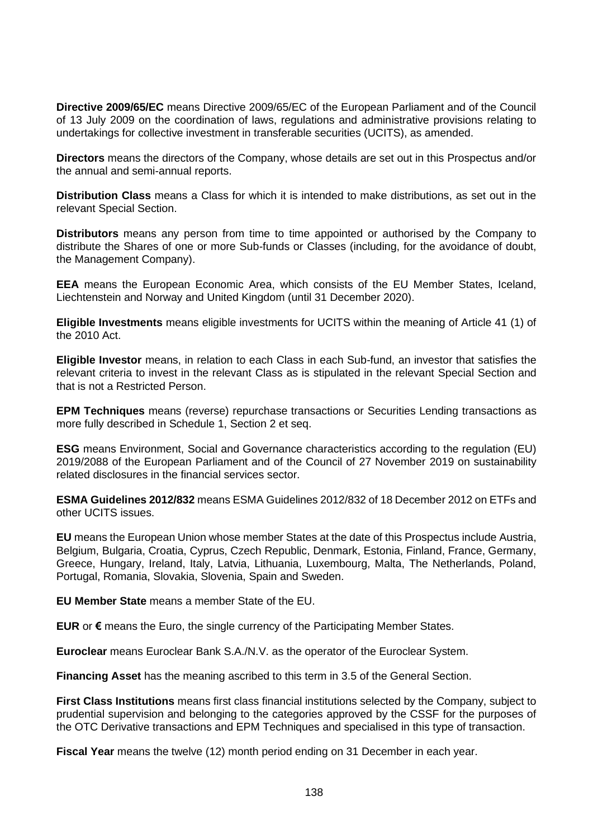**Directive 2009/65/EC** means Directive 2009/65/EC of the European Parliament and of the Council of 13 July 2009 on the coordination of laws, regulations and administrative provisions relating to undertakings for collective investment in transferable securities (UCITS), as amended.

**Directors** means the directors of the Company, whose details are set out in this Prospectus and/or the annual and semi-annual reports.

**Distribution Class** means a Class for which it is intended to make distributions, as set out in the relevant Special Section.

**Distributors** means any person from time to time appointed or authorised by the Company to distribute the Shares of one or more Sub-funds or Classes (including, for the avoidance of doubt, the Management Company).

**EEA** means the European Economic Area, which consists of the EU Member States, Iceland, Liechtenstein and Norway and United Kingdom (until 31 December 2020).

**Eligible Investments** means eligible investments for UCITS within the meaning of Article 41 (1) of the 2010 Act.

**Eligible Investor** means, in relation to each Class in each Sub-fund, an investor that satisfies the relevant criteria to invest in the relevant Class as is stipulated in the relevant Special Section and that is not a Restricted Person.

**EPM Techniques** means (reverse) repurchase transactions or Securities Lending transactions as more fully described in [Schedule 1,](#page-100-0) Section [2](#page-107-1) et seq.

**ESG** means Environment, Social and Governance characteristics according to the regulation (EU) 2019/2088 of the European Parliament and of the Council of 27 November 2019 on sustainability related disclosures in the financial services sector.

**ESMA Guidelines 2012/832** means ESMA Guidelines 2012/832 of 18 December 2012 on ETFs and other UCITS issues.

**EU** means the European Union whose member States at the date of this Prospectus include Austria, Belgium, Bulgaria, Croatia, Cyprus, Czech Republic, Denmark, Estonia, Finland, France, Germany, Greece, Hungary, Ireland, Italy, Latvia, Lithuania, Luxembourg, Malta, The Netherlands, Poland, Portugal, Romania, Slovakia, Slovenia, Spain and Sweden.

**EU Member State** means a member State of the EU.

**EUR** or **€** means the Euro, the single currency of the Participating Member States.

**Euroclear** means Euroclear Bank S.A./N.V. as the operator of the Euroclear System.

**Financing Asset** has the meaning ascribed to this term in [3.5](#page-26-0) of the General Section.

**First Class Institutions** means first class financial institutions selected by the Company, subject to prudential supervision and belonging to the categories approved by the CSSF for the purposes of the OTC Derivative transactions and EPM Techniques and specialised in this type of transaction.

**Fiscal Year** means the twelve (12) month period ending on 31 December in each year.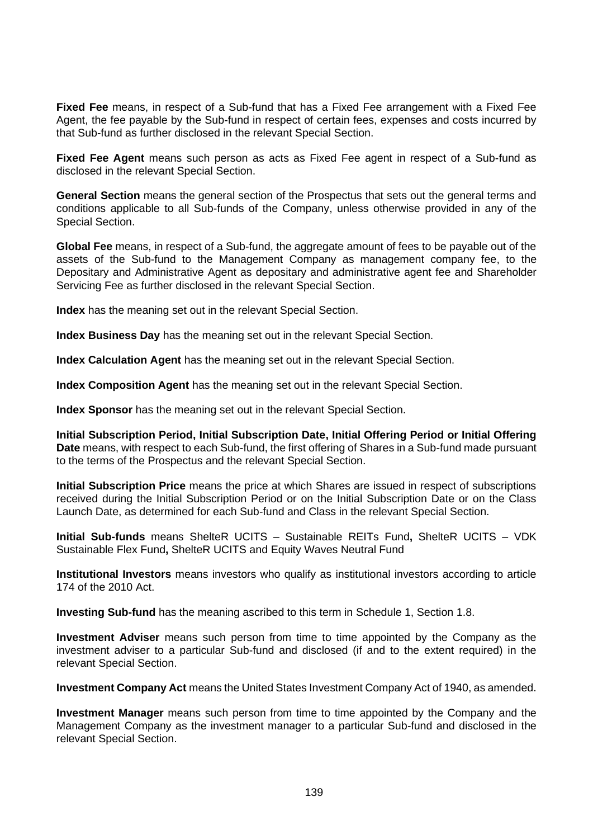**Fixed Fee** means, in respect of a Sub-fund that has a Fixed Fee arrangement with a Fixed Fee Agent, the fee payable by the Sub-fund in respect of certain fees, expenses and costs incurred by that Sub-fund as further disclosed in the relevant Special Section.

**Fixed Fee Agent** means such person as acts as Fixed Fee agent in respect of a Sub-fund as disclosed in the relevant Special Section.

**General Section** means the general section of the Prospectus that sets out the general terms and conditions applicable to all Sub-funds of the Company, unless otherwise provided in any of the Special Section.

**Global Fee** means, in respect of a Sub-fund, the aggregate amount of fees to be payable out of the assets of the Sub-fund to the Management Company as management company fee, to the Depositary and Administrative Agent as depositary and administrative agent fee and Shareholder Servicing Fee as further disclosed in the relevant Special Section.

**Index** has the meaning set out in the relevant Special Section.

**Index Business Day** has the meaning set out in the relevant Special Section.

**Index Calculation Agent** has the meaning set out in the relevant Special Section.

**Index Composition Agent** has the meaning set out in the relevant Special Section.

**Index Sponsor** has the meaning set out in the relevant Special Section.

**Initial Subscription Period, Initial Subscription Date, Initial Offering Period or Initial Offering Date** means, with respect to each Sub-fund, the first offering of Shares in a Sub-fund made pursuant to the terms of the Prospectus and the relevant Special Section.

**Initial Subscription Price** means the price at which Shares are issued in respect of subscriptions received during the Initial Subscription Period or on the Initial Subscription Date or on the Class Launch Date, as determined for each Sub-fund and Class in the relevant Special Section.

**Initial Sub-funds** means ShelteR UCITS – Sustainable REITs Fund**,** ShelteR UCITS – VDK Sustainable Flex Fund**,** ShelteR UCITS and Equity Waves Neutral Fund

**Institutional Investors** means investors who qualify as institutional investors according to article 174 of the 2010 Act.

**Investing Sub-fund** has the meaning ascribed to this term in [Schedule 1,](#page-100-0) Section [1.8.](#page-106-0)

**Investment Adviser** means such person from time to time appointed by the Company as the investment adviser to a particular Sub-fund and disclosed (if and to the extent required) in the relevant Special Section.

**Investment Company Act** means the United States Investment Company Act of 1940, as amended.

**Investment Manager** means such person from time to time appointed by the Company and the Management Company as the investment manager to a particular Sub-fund and disclosed in the relevant Special Section.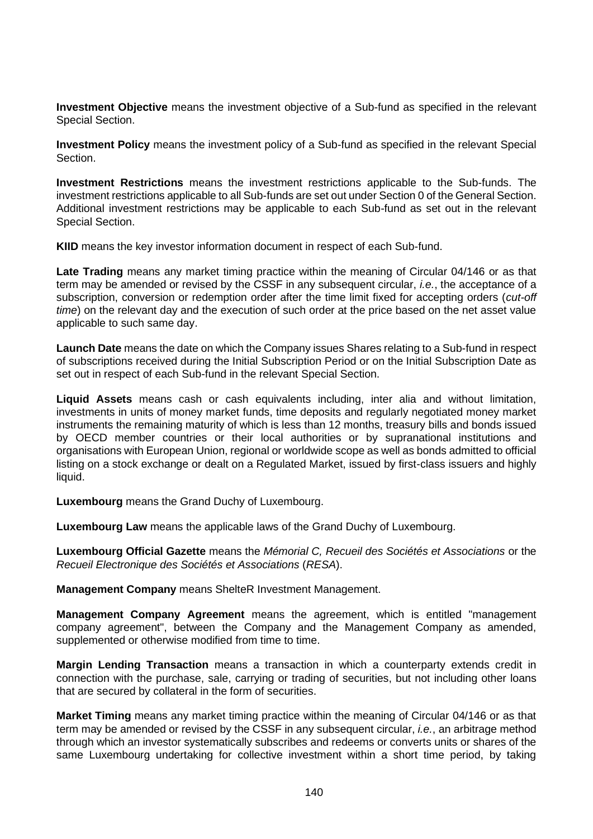**Investment Objective** means the investment objective of a Sub-fund as specified in the relevant Special Section.

**Investment Policy** means the investment policy of a Sub-fund as specified in the relevant Special **Section** 

**Investment Restrictions** means the investment restrictions applicable to the Sub-funds. The investment restrictions applicable to all Sub-funds are set out under Sectio[n 0](#page-24-0) of the General Section. Additional investment restrictions may be applicable to each Sub-fund as set out in the relevant Special Section.

**KIID** means the key investor information document in respect of each Sub-fund.

**Late Trading** means any market timing practice within the meaning of Circular 04/146 or as that term may be amended or revised by the CSSF in any subsequent circular, *i.e.*, the acceptance of a subscription, conversion or redemption order after the time limit fixed for accepting orders (*cut-off time*) on the relevant day and the execution of such order at the price based on the net asset value applicable to such same day.

**Launch Date** means the date on which the Company issues Shares relating to a Sub-fund in respect of subscriptions received during the Initial Subscription Period or on the Initial Subscription Date as set out in respect of each Sub-fund in the relevant Special Section.

**Liquid Assets** means cash or cash equivalents including, inter alia and without limitation, investments in units of money market funds, time deposits and regularly negotiated money market instruments the remaining maturity of which is less than 12 months, treasury bills and bonds issued by OECD member countries or their local authorities or by supranational institutions and organisations with European Union, regional or worldwide scope as well as bonds admitted to official listing on a stock exchange or dealt on a Regulated Market, issued by first-class issuers and highly liquid.

**Luxembourg** means the Grand Duchy of Luxembourg.

**Luxembourg Law** means the applicable laws of the Grand Duchy of Luxembourg.

**Luxembourg Official Gazette** means the *Mémorial C, Recueil des Sociétés et Associations* or the *Recueil Electronique des Sociétés et Associations* (*RESA*).

**Management Company** means ShelteR Investment Management.

**Management Company Agreement** means the agreement, which is entitled "management company agreement", between the Company and the Management Company as amended, supplemented or otherwise modified from time to time.

**Margin Lending Transaction** means a transaction in which a counterparty extends credit in connection with the purchase, sale, carrying or trading of securities, but not including other loans that are secured by collateral in the form of securities.

**Market Timing** means any market timing practice within the meaning of Circular 04/146 or as that term may be amended or revised by the CSSF in any subsequent circular, *i.e.*, an arbitrage method through which an investor systematically subscribes and redeems or converts units or shares of the same Luxembourg undertaking for collective investment within a short time period, by taking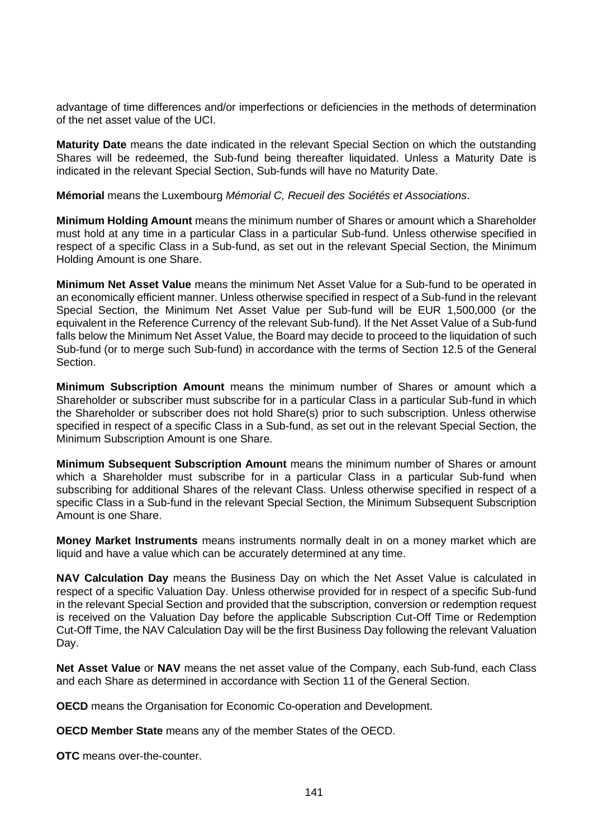advantage of time differences and/or imperfections or deficiencies in the methods of determination of the net asset value of the UCI.

**Maturity Date** means the date indicated in the relevant Special Section on which the outstanding Shares will be redeemed, the Sub-fund being thereafter liquidated. Unless a Maturity Date is indicated in the relevant Special Section, Sub-funds will have no Maturity Date.

**Mémorial** means the Luxembourg *Mémorial C, Recueil des Sociétés et Associations*.

**Minimum Holding Amount** means the minimum number of Shares or amount which a Shareholder must hold at any time in a particular Class in a particular Sub-fund. Unless otherwise specified in respect of a specific Class in a Sub-fund, as set out in the relevant Special Section, the Minimum Holding Amount is one Share.

**Minimum Net Asset Value** means the minimum Net Asset Value for a Sub-fund to be operated in an economically efficient manner. Unless otherwise specified in respect of a Sub-fund in the relevant Special Section, the Minimum Net Asset Value per Sub-fund will be EUR 1,500,000 (or the equivalent in the Reference Currency of the relevant Sub-fund). If the Net Asset Value of a Sub-fund falls below the Minimum Net Asset Value, the Board may decide to proceed to the liquidation of such Sub-fund (or to merge such Sub-fund) in accordance with the terms of Section [12.5](#page-49-0) of the General Section.

**Minimum Subscription Amount** means the minimum number of Shares or amount which a Shareholder or subscriber must subscribe for in a particular Class in a particular Sub-fund in which the Shareholder or subscriber does not hold Share(s) prior to such subscription. Unless otherwise specified in respect of a specific Class in a Sub-fund, as set out in the relevant Special Section, the Minimum Subscription Amount is one Share.

**Minimum Subsequent Subscription Amount** means the minimum number of Shares or amount which a Shareholder must subscribe for in a particular Class in a particular Sub-fund when subscribing for additional Shares of the relevant Class. Unless otherwise specified in respect of a specific Class in a Sub-fund in the relevant Special Section, the Minimum Subsequent Subscription Amount is one Share.

**Money Market Instruments** means instruments normally dealt in on a money market which are liquid and have a value which can be accurately determined at any time.

**NAV Calculation Day** means the Business Day on which the Net Asset Value is calculated in respect of a specific Valuation Day. Unless otherwise provided for in respect of a specific Sub-fund in the relevant Special Section and provided that the subscription, conversion or redemption request is received on the Valuation Day before the applicable Subscription Cut-Off Time or Redemption Cut-Off Time, the NAV Calculation Day will be the first Business Day following the relevant Valuation Day.

**Net Asset Value** or **NAV** means the net asset value of the Company, each Sub-fund, each Class and each Share as determined in accordance with Section [11](#page-41-0) of the General Section.

**OECD** means the Organisation for Economic Co-operation and Development.

**OECD Member State** means any of the member States of the OECD.

**OTC** means over-the-counter.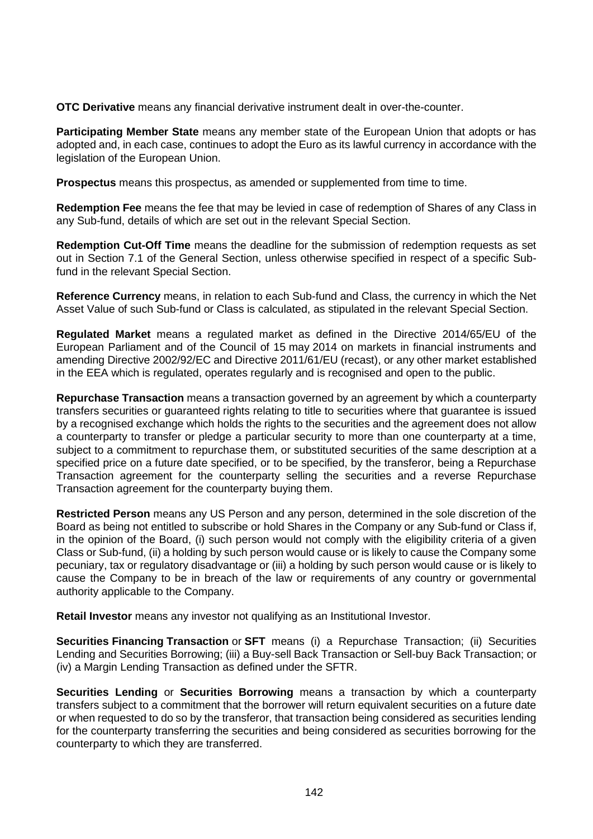**OTC Derivative** means any financial derivative instrument dealt in over-the-counter.

**Participating Member State** means any member state of the European Union that adopts or has adopted and, in each case, continues to adopt the Euro as its lawful currency in accordance with the legislation of the European Union.

**Prospectus** means this prospectus, as amended or supplemented from time to time.

**Redemption Fee** means the fee that may be levied in case of redemption of Shares of any Class in any Sub-fund, details of which are set out in the relevant Special Section.

**Redemption Cut-Off Time** means the deadline for the submission of redemption requests as set out in Section [7.1](#page-35-0) of the General Section, unless otherwise specified in respect of a specific Subfund in the relevant Special Section.

**Reference Currency** means, in relation to each Sub-fund and Class, the currency in which the Net Asset Value of such Sub-fund or Class is calculated, as stipulated in the relevant Special Section.

**Regulated Market** means a regulated market as defined in the Directive 2014/65/EU of the European Parliament and of the Council of 15 may 2014 on markets in financial instruments and amending Directive 2002/92/EC and Directive 2011/61/EU (recast), or any other market established in the EEA which is regulated, operates regularly and is recognised and open to the public.

**Repurchase Transaction** means a transaction governed by an agreement by which a counterparty transfers securities or guaranteed rights relating to title to securities where that guarantee is issued by a recognised exchange which holds the rights to the securities and the agreement does not allow a counterparty to transfer or pledge a particular security to more than one counterparty at a time, subject to a commitment to repurchase them, or substituted securities of the same description at a specified price on a future date specified, or to be specified, by the transferor, being a Repurchase Transaction agreement for the counterparty selling the securities and a reverse Repurchase Transaction agreement for the counterparty buying them.

**Restricted Person** means any US Person and any person, determined in the sole discretion of the Board as being not entitled to subscribe or hold Shares in the Company or any Sub-fund or Class if, in the opinion of the Board, (i) such person would not comply with the eligibility criteria of a given Class or Sub-fund, (ii) a holding by such person would cause or is likely to cause the Company some pecuniary, tax or regulatory disadvantage or (iii) a holding by such person would cause or is likely to cause the Company to be in breach of the law or requirements of any country or governmental authority applicable to the Company.

**Retail Investor** means any investor not qualifying as an Institutional Investor.

**Securities Financing Transaction or SFT** means (i) a Repurchase Transaction; (ii) Securities Lending and Securities Borrowing; (iii) a Buy-sell Back Transaction or Sell-buy Back Transaction; or (iv) a Margin Lending Transaction as defined under the SFTR.

**Securities Lending** or **Securities Borrowing** means a transaction by which a counterparty transfers subject to a commitment that the borrower will return equivalent securities on a future date or when requested to do so by the transferor, that transaction being considered as securities lending for the counterparty transferring the securities and being considered as securities borrowing for the counterparty to which they are transferred.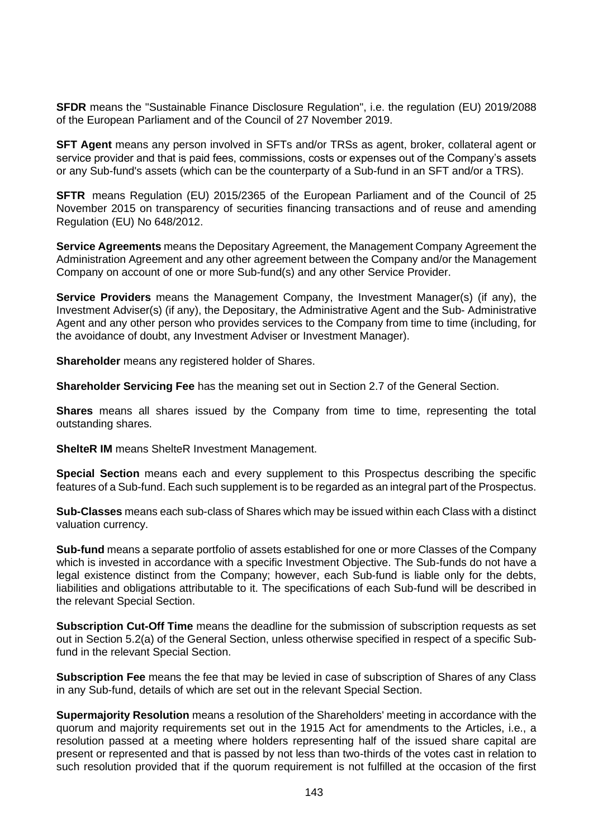**SFDR** means the "Sustainable Finance Disclosure Regulation", i.e. the regulation (EU) 2019/2088 of the European Parliament and of the Council of 27 November 2019.

**SFT Agent** means any person involved in SFTs and/or TRSs as agent, broker, collateral agent or service provider and that is paid fees, commissions, costs or expenses out of the Company's assets or any Sub-fund's assets (which can be the counterparty of a Sub-fund in an SFT and/or a TRS).

**SFTR** means Regulation (EU) 2015/2365 of the European Parliament and of the Council of 25 November 2015 on transparency of securities financing transactions and of reuse and amending Regulation (EU) No 648/2012.

**Service Agreements** means the Depositary Agreement, the Management Company Agreement the Administration Agreement and any other agreement between the Company and/or the Management Company on account of one or more Sub-fund(s) and any other Service Provider.

**Service Providers** means the Management Company, the Investment Manager(s) (if any), the Investment Adviser(s) (if any), the Depositary, the Administrative Agent and the Sub- Administrative Agent and any other person who provides services to the Company from time to time (including, for the avoidance of doubt, any Investment Adviser or Investment Manager).

**Shareholder** means any registered holder of Shares.

**Shareholder Servicing Fee** has the meaning set out in Section [2.7](#page-23-0) of the General Section.

**Shares** means all shares issued by the Company from time to time, representing the total outstanding shares.

**ShelteR IM** means ShelteR Investment Management.

**Special Section** means each and every supplement to this Prospectus describing the specific features of a Sub-fund. Each such supplement is to be regarded as an integral part of the Prospectus.

**Sub-Classes** means each sub-class of Shares which may be issued within each Class with a distinct valuation currency.

**Sub-fund** means a separate portfolio of assets established for one or more Classes of the Company which is invested in accordance with a specific Investment Objective. The Sub-funds do not have a legal existence distinct from the Company; however, each Sub-fund is liable only for the debts, liabilities and obligations attributable to it. The specifications of each Sub-fund will be described in the relevant Special Section.

**Subscription Cut-Off Time** means the deadline for the submission of subscription requests as set out in Section [5.2\(a\)](#page-30-0) of the General Section, unless otherwise specified in respect of a specific Subfund in the relevant Special Section.

**Subscription Fee** means the fee that may be levied in case of subscription of Shares of any Class in any Sub-fund, details of which are set out in the relevant Special Section.

**Supermajority Resolution** means a resolution of the Shareholders' meeting in accordance with the quorum and majority requirements set out in the 1915 Act for amendments to the Articles, i.e., a resolution passed at a meeting where holders representing half of the issued share capital are present or represented and that is passed by not less than two-thirds of the votes cast in relation to such resolution provided that if the quorum requirement is not fulfilled at the occasion of the first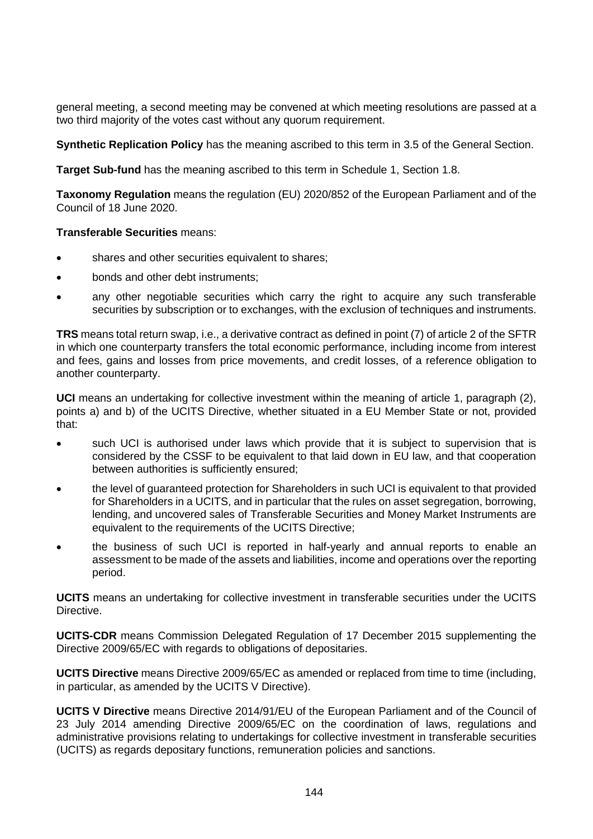general meeting, a second meeting may be convened at which meeting resolutions are passed at a two third majority of the votes cast without any quorum requirement.

**Synthetic Replication Policy** has the meaning ascribed to this term in [3.5](#page-26-0) of the General Section.

**Target Sub-fund** has the meaning ascribed to this term in [Schedule 1,](#page-100-0) Section [1.8.](#page-106-0)

**Taxonomy Regulation** means the regulation (EU) 2020/852 of the European Parliament and of the Council of 18 June 2020.

# **Transferable Securities** means:

- shares and other securities equivalent to shares:
- bonds and other debt instruments;
- any other negotiable securities which carry the right to acquire any such transferable securities by subscription or to exchanges, with the exclusion of techniques and instruments.

**TRS** means total return swap, i.e., a derivative contract as defined in point (7) of article 2 of the SFTR in which one counterparty transfers the total economic performance, including income from interest and fees, gains and losses from price movements, and credit losses, of a reference obligation to another counterparty.

**UCI** means an undertaking for collective investment within the meaning of article 1, paragraph (2), points a) and b) of the UCITS Directive, whether situated in a EU Member State or not, provided that:

- such UCI is authorised under laws which provide that it is subject to supervision that is considered by the CSSF to be equivalent to that laid down in EU law, and that cooperation between authorities is sufficiently ensured;
- the level of guaranteed protection for Shareholders in such UCI is equivalent to that provided for Shareholders in a UCITS, and in particular that the rules on asset segregation, borrowing, lending, and uncovered sales of Transferable Securities and Money Market Instruments are equivalent to the requirements of the UCITS Directive;
- the business of such UCI is reported in half-yearly and annual reports to enable an assessment to be made of the assets and liabilities, income and operations over the reporting period.

**UCITS** means an undertaking for collective investment in transferable securities under the UCITS Directive.

**UCITS-CDR** means Commission Delegated Regulation of 17 December 2015 supplementing the Directive 2009/65/EC with regards to obligations of depositaries.

**UCITS Directive** means Directive 2009/65/EC as amended or replaced from time to time (including, in particular, as amended by the UCITS V Directive).

**UCITS V Directive** means Directive 2014/91/EU of the European Parliament and of the Council of 23 July 2014 amending Directive 2009/65/EC on the coordination of laws, regulations and administrative provisions relating to undertakings for collective investment in transferable securities (UCITS) as regards depositary functions, remuneration policies and sanctions.